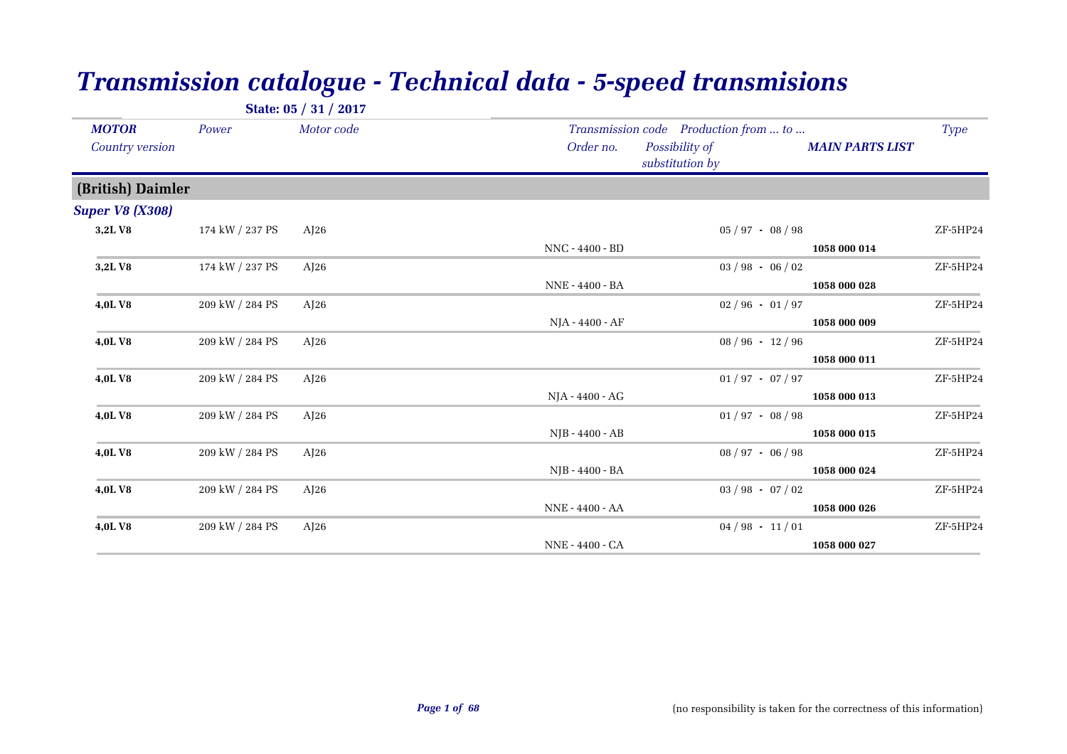|                                 |                 | State: 05 / 31 / 2017 |                 |                                                                            |                        |             |
|---------------------------------|-----------------|-----------------------|-----------------|----------------------------------------------------------------------------|------------------------|-------------|
| <b>MOTOR</b><br>Country version | Power           | Motor code            | Order no.       | Transmission code Production from  to<br>Possibility of<br>substitution by | <b>MAIN PARTS LIST</b> | <b>Type</b> |
| (British) Daimler               |                 |                       |                 |                                                                            |                        |             |
| <b>Super V8 (X308)</b>          |                 |                       |                 |                                                                            |                        |             |
| 3,2LV8                          | 174 kW / 237 PS | AJ26                  | NNC - 4400 - BD | $05 / 97 - 08 / 98$                                                        | 1058 000 014           | ZF-5HP24    |
| 3,2LV8                          | 174 kW / 237 PS | AJ26                  | NNE - 4400 - BA | $03 / 98 - 06 / 02$                                                        | 1058 000 028           | ZF-5HP24    |
| 4,0LV8                          | 209 kW / 284 PS | AJ26                  | NJA - 4400 - AF | $02/96 - 01/97$                                                            | 1058 000 009           | ZF-5HP24    |
| 4,0LV8                          | 209 kW / 284 PS | AJ26                  |                 | $08 / 96 - 12 / 96$                                                        |                        | ZF-5HP24    |
| 4,0LV8                          | 209 kW / 284 PS | AJ26                  |                 | $01/97 - 07/97$                                                            | 1058 000 011           | ZF-5HP24    |
| 4,0LV8                          | 209 kW / 284 PS | AJ26                  | NJA - 4400 - AG | $01/97 - 08/98$                                                            | 1058 000 013           | ZF-5HP24    |
|                                 |                 |                       | NJB - 4400 - AB |                                                                            | 1058 000 015           |             |
| 4,0LV8                          | 209 kW / 284 PS | AJ26                  | NJB - 4400 - BA | $08 / 97 - 06 / 98$                                                        | 1058 000 024           | ZF-5HP24    |
| 4,0LV8                          | 209 kW / 284 PS | AJ26                  | NNE - 4400 - AA | $03 / 98 - 07 / 02$                                                        | 1058 000 026           | ZF-5HP24    |
| 4,0LV8                          | 209 kW / 284 PS | AJ26                  |                 | $04/98 - 11/01$                                                            |                        | ZF-5HP24    |
|                                 |                 |                       | NNE - 4400 - CA |                                                                            | 1058 000 027           |             |

## *Transmission catalogue - Technical data - 5-speed transmisions*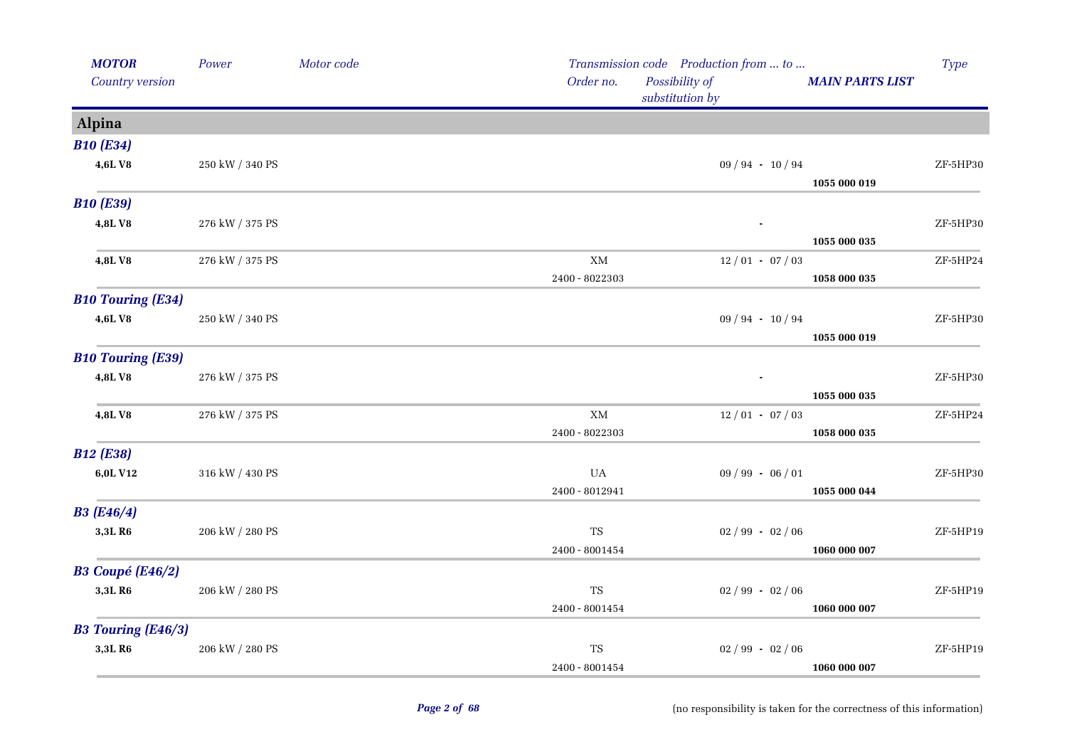| <b>MOTOR</b>              | Power                 | Motor code |                                 | Transmission code Production from  to |                        | Type     |
|---------------------------|-----------------------|------------|---------------------------------|---------------------------------------|------------------------|----------|
| Country version           |                       |            | Order no.                       | Possibility of<br>substitution by     | <b>MAIN PARTS LIST</b> |          |
| Alpina                    |                       |            |                                 |                                       |                        |          |
| <b>B10 (E34)</b>          |                       |            |                                 |                                       |                        |          |
| 4,6LV8                    | 250 kW / 340 PS       |            |                                 | $09 / 94 - 10 / 94$                   |                        | ZF-5HP30 |
| <b>B10 (E39)</b>          |                       |            |                                 |                                       | 1055 000 019           |          |
| 4,8LV8                    | 276 kW / 375 PS       |            |                                 |                                       |                        | ZF-5HP30 |
|                           |                       |            |                                 |                                       | 1055 000 035           |          |
| 4,8LV8                    | 276 kW / 375 PS       |            | $\mathbf{X}\mathbf{M}$          | $12/01 - 07/03$                       |                        | ZF-5HP24 |
|                           |                       |            | 2400 - 8022303                  |                                       | 1058 000 035           |          |
| <b>B10 Touring (E34)</b>  |                       |            |                                 |                                       |                        |          |
| 4,6LV8                    | $250$ kW $\!/$ 340 PS |            |                                 | $09 / 94 - 10 / 94$                   |                        | ZF-5HP30 |
|                           |                       |            |                                 |                                       | 1055 000 019           |          |
| <b>B10 Touring (E39)</b>  |                       |            |                                 |                                       |                        |          |
| 4,8LV8                    | 276 kW / 375 PS       |            |                                 |                                       |                        | ZF-5HP30 |
|                           |                       |            |                                 |                                       | 1055 000 035           |          |
| 4,8LV8                    | 276 kW / 375 PS       |            | XM                              | $12/01 - 07/03$                       |                        | ZF-5HP24 |
|                           |                       |            | 2400 - 8022303                  |                                       | 1058 000 035           |          |
| <b>B12 (E38)</b>          |                       |            |                                 |                                       |                        |          |
| 6,0L V12                  | 316 kW / 430 PS       |            | UA                              | $09 / 99 - 06 / 01$                   |                        | ZF-5HP30 |
|                           |                       |            | 2400 - 8012941                  |                                       | 1055 000 044           |          |
| <b>B3</b> (E46/4)         |                       |            |                                 |                                       |                        |          |
| 3,3LR6                    | 206 kW / 280 PS       |            | TS                              | $02 / 99 - 02 / 06$                   |                        | ZF-5HP19 |
|                           |                       |            | 2400 - 8001454                  |                                       | 1060 000 007           |          |
| <b>B3 Coupé (E46/2)</b>   |                       |            |                                 |                                       |                        |          |
| 3,3LR6                    | 206 kW / 280 PS       |            | TS                              | $02 / 99 - 02 / 06$                   |                        | ZF-5HP19 |
|                           |                       |            | 2400 - 8001454                  |                                       | 1060 000 007           |          |
| <b>B3 Touring (E46/3)</b> |                       |            |                                 |                                       |                        |          |
| 3,3LR6                    | 206 kW / 280 PS       |            | $\mathrm{TS}$<br>2400 - 8001454 | $02/99 - 02/06$                       | 1060 000 007           | ZF-5HP19 |
|                           |                       |            |                                 |                                       |                        |          |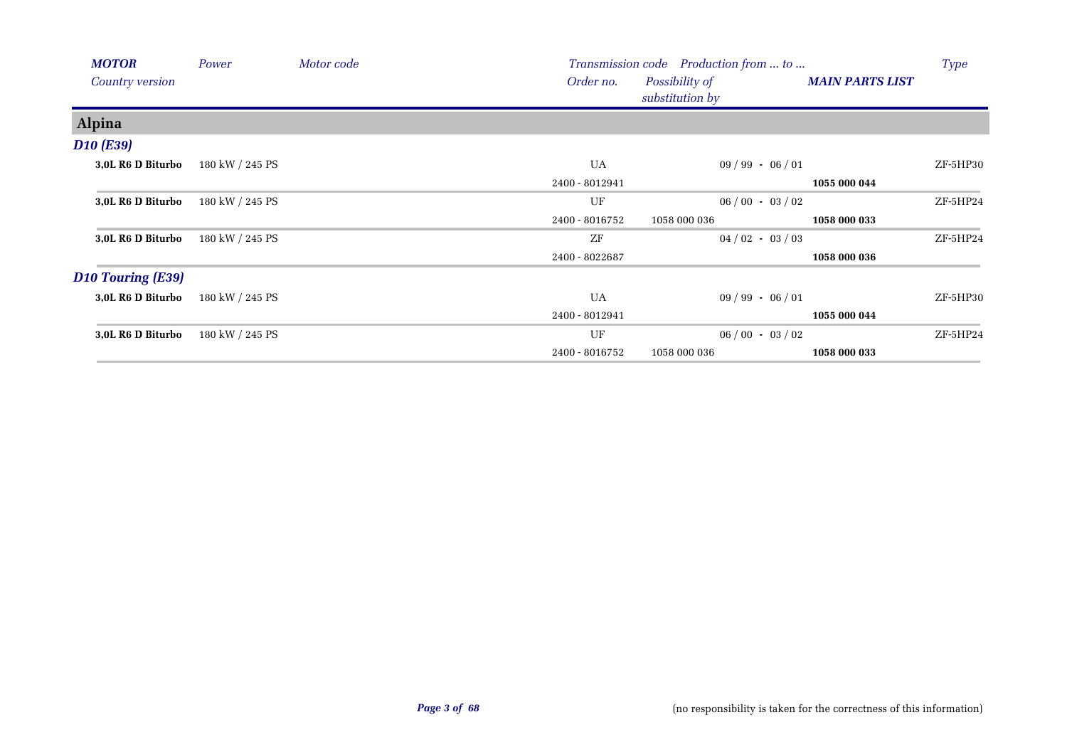| <b>MOTOR</b>             | Power           | Motor code |                | Transmission code Production from  to |                        | <b>Type</b> |
|--------------------------|-----------------|------------|----------------|---------------------------------------|------------------------|-------------|
| <b>Country version</b>   |                 |            | Order no.      | Possibility of                        | <b>MAIN PARTS LIST</b> |             |
|                          |                 |            |                | substitution by                       |                        |             |
| Alpina                   |                 |            |                |                                       |                        |             |
| <b>D10 (E39)</b>         |                 |            |                |                                       |                        |             |
| 3,0L R6 D Biturbo        | 180 kW / 245 PS |            | <b>UA</b>      | $09/99 - 06/01$                       |                        | ZF-5HP30    |
|                          |                 |            | 2400 - 8012941 |                                       | 1055 000 044           |             |
| 3,0L R6 D Biturbo        | 180 kW / 245 PS |            | UF             | $06/00 - 03/02$                       |                        | ZF-5HP24    |
|                          |                 |            | 2400 - 8016752 | 1058 000 036                          | 1058 000 033           |             |
| 3,0L R6 D Biturbo        | 180 kW / 245 PS |            | ZF             | $04/02 - 03/03$                       |                        | ZF-5HP24    |
|                          |                 |            | 2400 - 8022687 |                                       | 1058 000 036           |             |
| <b>D10 Touring (E39)</b> |                 |            |                |                                       |                        |             |
| 3,0L R6 D Biturbo        | 180 kW / 245 PS |            | UA             | $09 / 99 - 06 / 01$                   |                        | ZF-5HP30    |
|                          |                 |            | 2400 - 8012941 |                                       | 1055 000 044           |             |
| 3,0L R6 D Biturbo        | 180 kW / 245 PS |            | UF             | $06/00 - 03/02$                       |                        | $ZF-5HP24$  |
|                          |                 |            | 2400 - 8016752 | 1058 000 036                          | 1058 000 033           |             |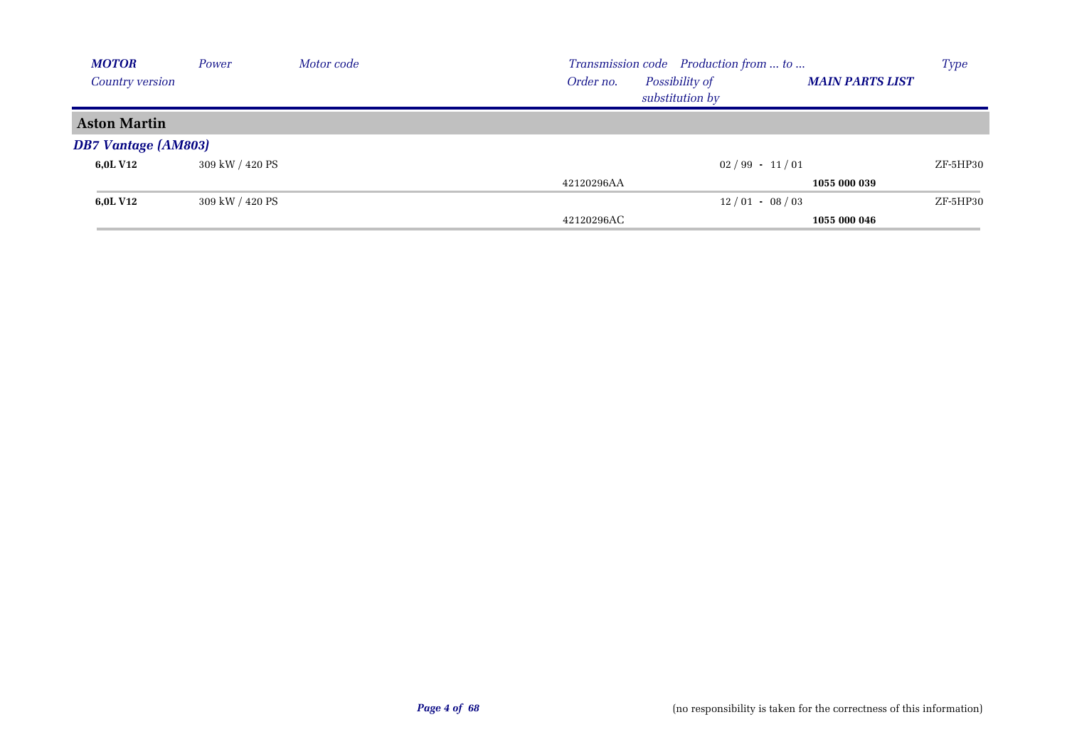| <b>MOTOR</b>               | Power           | Motor code |            | Transmission code Production from  to |                        | <b>Type</b> |
|----------------------------|-----------------|------------|------------|---------------------------------------|------------------------|-------------|
| <b>Country version</b>     |                 |            | Order no.  | Possibility of<br>substitution by     | <b>MAIN PARTS LIST</b> |             |
| <b>Aston Martin</b>        |                 |            |            |                                       |                        |             |
| <b>DB7 Vantage (AM803)</b> |                 |            |            |                                       |                        |             |
| 6,0L V12                   | 309 kW / 420 PS |            |            | $02/99 - 11/01$                       |                        | ZF-5HP30    |
|                            |                 |            | 42120296AA |                                       | 1055 000 039           |             |
| 6,0L V12                   | 309 kW / 420 PS |            |            | $12/01 - 08/03$                       |                        | ZF-5HP30    |
|                            |                 |            | 42120296AC |                                       | 1055 000 046           |             |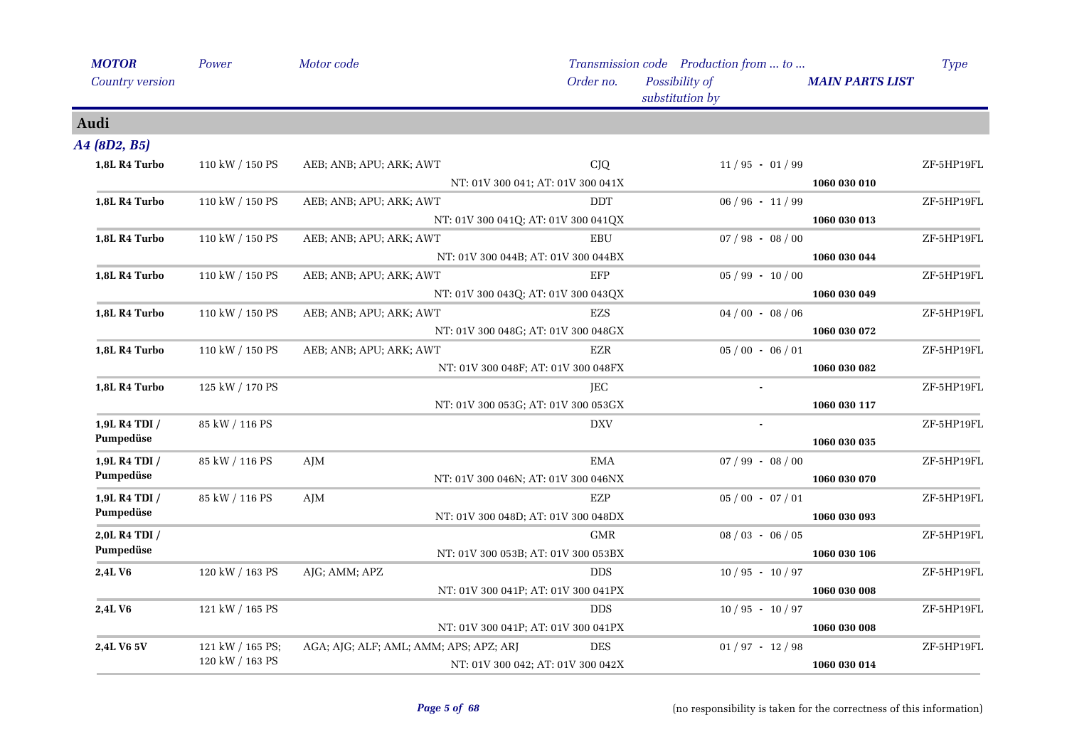| <b>MOTOR</b>    | Power            | Motor code                             |                                     | Transmission code Production from  to |                        | <b>Type</b> |
|-----------------|------------------|----------------------------------------|-------------------------------------|---------------------------------------|------------------------|-------------|
| Country version |                  |                                        | Order no.                           | Possibility of<br>substitution by     | <b>MAIN PARTS LIST</b> |             |
| Audi            |                  |                                        |                                     |                                       |                        |             |
| A4 (8D2, B5)    |                  |                                        |                                     |                                       |                        |             |
| 1,8L R4 Turbo   | 110 kW / 150 PS  | AEB; ANB; APU; ARK; AWT                | <b>CJQ</b>                          | $11/95 - 01/99$                       |                        | ZF-5HP19FL  |
|                 |                  |                                        | NT: 01V 300 041; AT: 01V 300 041X   |                                       | 1060 030 010           |             |
| 1,8L R4 Turbo   | 110 kW / 150 PS  | AEB; ANB; APU; ARK; AWT                | DDT                                 | $06 / 96 - 11 / 99$                   |                        | ZF-5HP19FL  |
|                 |                  |                                        | NT: 01V 300 041Q; AT: 01V 300 041QX |                                       | 1060 030 013           |             |
| 1,8L R4 Turbo   | 110 kW / 150 PS  | AEB; ANB; APU; ARK; AWT                | EBU                                 | $07/98 - 08/00$                       |                        | ZF-5HP19FL  |
|                 |                  |                                        | NT: 01V 300 044B; AT: 01V 300 044BX |                                       | 1060 030 044           |             |
| 1,8L R4 Turbo   | 110 kW / 150 PS  | AEB; ANB; APU; ARK; AWT                | EFP                                 | $05/99 - 10/00$                       |                        | ZF-5HP19FL  |
|                 |                  |                                        | NT: 01V 300 043Q; AT: 01V 300 043QX |                                       | 1060 030 049           |             |
| 1,8L R4 Turbo   | 110 kW / 150 PS  | AEB; ANB; APU; ARK; AWT                | <b>EZS</b>                          | $04/00 - 08/06$                       |                        | ZF-5HP19FL  |
|                 |                  |                                        | NT: 01V 300 048G; AT: 01V 300 048GX |                                       | 1060 030 072           |             |
| 1,8L R4 Turbo   | 110 kW / 150 PS  | AEB; ANB; APU; ARK; AWT                | <b>EZR</b>                          | $05/00 - 06/01$                       |                        | ZF-5HP19FL  |
|                 |                  |                                        | NT: 01V 300 048F; AT: 01V 300 048FX |                                       | 1060 030 082           |             |
| 1,8L R4 Turbo   | 125 kW / 170 PS  |                                        | JEC                                 |                                       |                        | ZF-5HP19FL  |
|                 |                  |                                        | NT: 01V 300 053G; AT: 01V 300 053GX |                                       | 1060 030 117           |             |
| 1,9L R4 TDI /   | 85 kW / 116 PS   |                                        | <b>DXV</b>                          |                                       |                        | ZF-5HP19FL  |
| Pumpedüse       |                  |                                        |                                     |                                       | 1060 030 035           |             |
| 1,9L R4 TDI /   | 85 kW / 116 PS   | AJM                                    | <b>EMA</b>                          | $07 / 99 - 08 / 00$                   |                        | ZF-5HP19FL  |
| Pumpedüse       |                  |                                        | NT: 01V 300 046N; AT: 01V 300 046NX |                                       | 1060 030 070           |             |
| 1,9L R4 TDI /   | 85 kW / 116 PS   | AJM                                    | EZP                                 | $05/00 - 07/01$                       |                        | ZF-5HP19FL  |
| Pumpedüse       |                  |                                        | NT: 01V 300 048D; AT: 01V 300 048DX |                                       | 1060 030 093           |             |
| 2,0L R4 TDI /   |                  |                                        | <b>GMR</b>                          | $08/03 - 06/05$                       |                        | ZF-5HP19FL  |
| Pumpedüse       |                  |                                        | NT: 01V 300 053B; AT: 01V 300 053BX |                                       | 1060 030 106           |             |
| 2,4L V6         | 120 kW / 163 PS  | AJG; AMM; APZ                          | <b>DDS</b>                          | $10/95 - 10/97$                       |                        | ZF-5HP19FL  |
|                 |                  |                                        | NT: 01V 300 041P; AT: 01V 300 041PX |                                       | 1060 030 008           |             |
| 2,4LV6          | 121 kW / 165 PS  |                                        | <b>DDS</b>                          | $10/95 - 10/97$                       |                        | ZF-5HP19FL  |
|                 |                  |                                        | NT: 01V 300 041P; AT: 01V 300 041PX |                                       | 1060 030 008           |             |
| 2,4L V6 5V      | 121 kW / 165 PS; | AGA; AJG; ALF; AML; AMM; APS; APZ; ARJ | <b>DES</b>                          | $01/97 - 12/98$                       |                        | ZF-5HP19FL  |
|                 | 120 kW / 163 PS  |                                        | NT: 01V 300 042; AT: 01V 300 042X   |                                       | 1060 030 014           |             |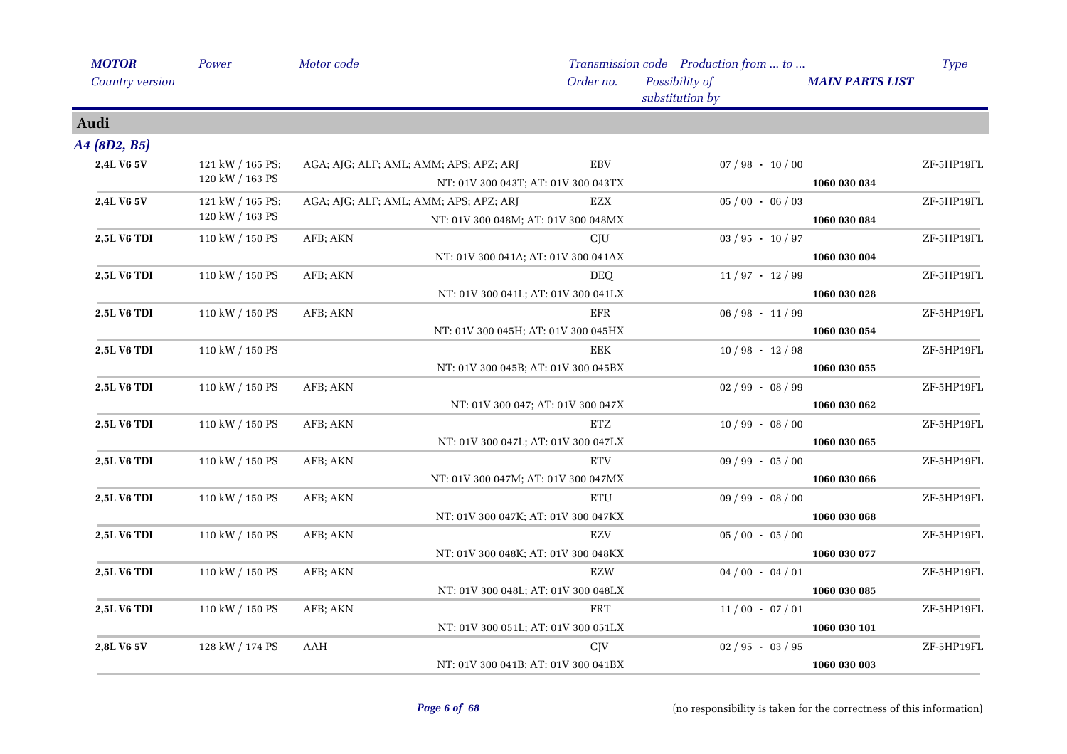| <b>MOTOR</b>       | Power            | Motor code |                                        |                 | Transmission code Production from  to |                        | <b>Type</b> |
|--------------------|------------------|------------|----------------------------------------|-----------------|---------------------------------------|------------------------|-------------|
| Country version    |                  |            |                                        | Order no.       | Possibility of<br>substitution by     | <b>MAIN PARTS LIST</b> |             |
| Audi               |                  |            |                                        |                 |                                       |                        |             |
| A4 (8D2, B5)       |                  |            |                                        |                 |                                       |                        |             |
| 2,4L V6 5V         | 121 kW / 165 PS; |            | AGA; AJG; ALF; AML; AMM; APS; APZ; ARJ | <b>EBV</b>      | $07/98 - 10/00$                       |                        | ZF-5HP19FL  |
|                    | 120 kW / 163 PS  |            | NT: 01V 300 043T; AT: 01V 300 043TX    |                 |                                       | 1060 030 034           |             |
| 2,4L V6 5V         | 121 kW / 165 PS; |            | AGA; AJG; ALF; AML; AMM; APS; APZ; ARJ | EZX             | $05/00 - 06/03$                       |                        | ZF-5HP19FL  |
|                    | 120 kW / 163 PS  |            | NT: 01V 300 048M; AT: 01V 300 048MX    |                 |                                       | 1060 030 084           |             |
| 2,5L V6 TDI        | 110 kW / 150 PS  | AFB; AKN   |                                        | CJU             | $03 / 95 - 10 / 97$                   |                        | ZF-5HP19FL  |
|                    |                  |            | NT: 01V 300 041A; AT: 01V 300 041AX    |                 |                                       | 1060 030 004           |             |
| 2,5L V6 TDI        | 110 kW / 150 PS  | AFB; AKN   |                                        | <b>DEQ</b>      | $11/97 - 12/99$                       |                        | ZF-5HP19FL  |
|                    |                  |            | NT: 01V 300 041L; AT: 01V 300 041LX    |                 |                                       | 1060 030 028           |             |
| 2,5L V6 TDI        | 110 kW / 150 PS  | AFB; AKN   |                                        | <b>EFR</b>      | $06 / 98 - 11 / 99$                   |                        | ZF-5HP19FL  |
|                    |                  |            | NT: 01V 300 045H; AT: 01V 300 045HX    |                 |                                       | 1060 030 054           |             |
| 2,5L V6 TDI        | 110 kW / 150 PS  |            |                                        | EEK             | $10/98 - 12/98$                       |                        | ZF-5HP19FL  |
|                    |                  |            | NT: 01V 300 045B; AT: 01V 300 045BX    |                 |                                       | 1060 030 055           |             |
| 2,5L V6 TDI        | 110 kW / 150 PS  | AFB; AKN   |                                        |                 | $02/99 - 08/99$                       |                        | ZF-5HP19FL  |
|                    |                  |            | NT: 01V 300 047; AT: 01V 300 047X      |                 |                                       | 1060 030 062           |             |
| 2,5L V6 TDI        | 110 kW / 150 PS  | AFB; AKN   |                                        | ETZ             | $10/99 - 08/00$                       |                        | ZF-5HP19FL  |
|                    |                  |            | NT: 01V 300 047L; AT: 01V 300 047LX    |                 |                                       | 1060 030 065           |             |
| 2,5L V6 TDI        | 110 kW / 150 PS  | AFB; AKN   |                                        | <b>ETV</b>      | $09 / 99 - 05 / 00$                   |                        | ZF-5HP19FL  |
|                    |                  |            | NT: 01V 300 047M; AT: 01V 300 047MX    |                 |                                       | 1060 030 066           |             |
| 2,5L V6 TDI        | 110 kW / 150 PS  | AFB; AKN   |                                        | <b>ETU</b>      | $09 / 99 - 08 / 00$                   |                        | ZF-5HP19FL  |
|                    |                  |            | NT: 01V 300 047K; AT: 01V 300 047KX    |                 |                                       | 1060 030 068           |             |
| 2,5L V6 TDI        | 110 kW / 150 PS  | AFB; AKN   |                                        | EZV             | $05/00 - 05/00$                       |                        | ZF-5HP19FL  |
|                    |                  |            | NT: 01V 300 048K; AT: 01V 300 048KX    |                 |                                       | 1060 030 077           |             |
| <b>2,5L V6 TDI</b> | 110 kW / 150 PS  | AFB; AKN   |                                        | EZW             | $04/00 - 04/01$                       |                        | ZF-5HP19FL  |
|                    |                  |            | NT: 01V 300 048L; AT: 01V 300 048LX    |                 |                                       | 1060 030 085           |             |
| 2,5L V6 TDI        | 110 kW / 150 PS  | AFB; AKN   |                                        | <b>FRT</b>      | $11/00 - 07/01$                       |                        | ZF-5HP19FL  |
|                    |                  |            | NT: 01V 300 051L; AT: 01V 300 051LX    |                 |                                       | 1060 030 101           |             |
| 2,8L V6 5V         | 128 kW / 174 PS  | AAH        |                                        | C <sub>IV</sub> | $02 / 95 - 03 / 95$                   |                        | ZF-5HP19FL  |
|                    |                  |            | NT: 01V 300 041B; AT: 01V 300 041BX    |                 |                                       | 1060 030 003           |             |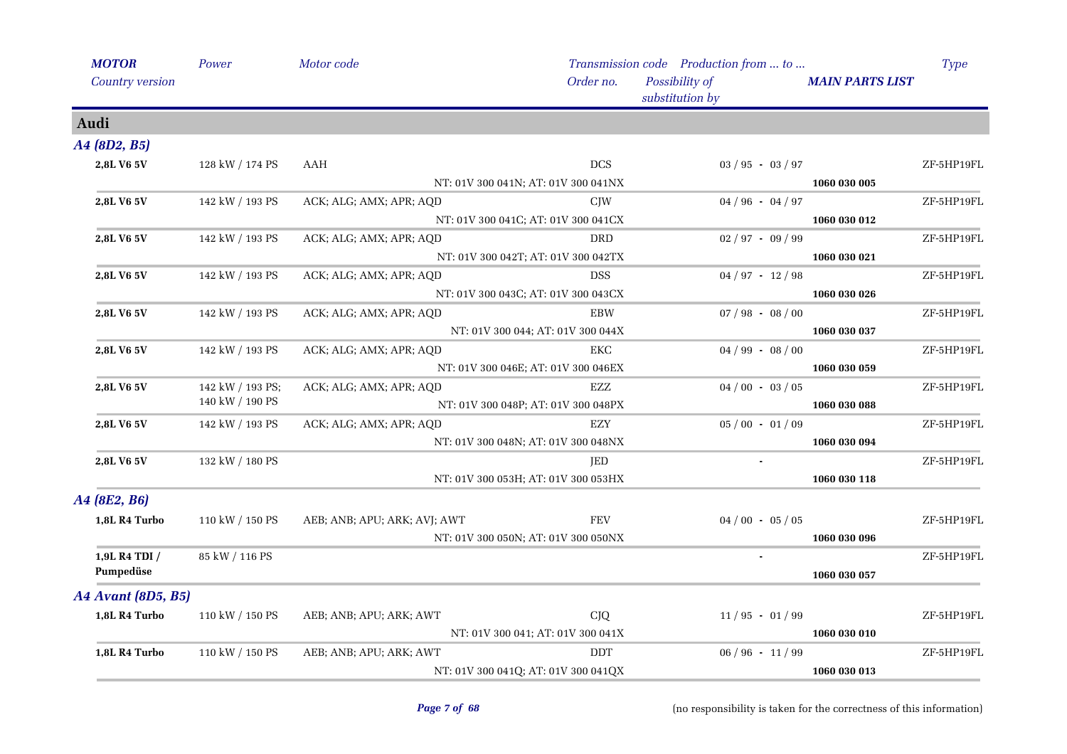|                           | Motor code                                                                                                                                                                                                                                                                      |            |                                                                                                                                                                                                                                                                                                                                                                                                                                                                              |                                                                                                                                                                                         | <b>Type</b>                                                                            |
|---------------------------|---------------------------------------------------------------------------------------------------------------------------------------------------------------------------------------------------------------------------------------------------------------------------------|------------|------------------------------------------------------------------------------------------------------------------------------------------------------------------------------------------------------------------------------------------------------------------------------------------------------------------------------------------------------------------------------------------------------------------------------------------------------------------------------|-----------------------------------------------------------------------------------------------------------------------------------------------------------------------------------------|----------------------------------------------------------------------------------------|
| Country version           |                                                                                                                                                                                                                                                                                 | Order no.  | Possibility of<br>substitution by                                                                                                                                                                                                                                                                                                                                                                                                                                            |                                                                                                                                                                                         |                                                                                        |
|                           |                                                                                                                                                                                                                                                                                 |            |                                                                                                                                                                                                                                                                                                                                                                                                                                                                              |                                                                                                                                                                                         |                                                                                        |
| A4 (8D2, B5)              |                                                                                                                                                                                                                                                                                 |            |                                                                                                                                                                                                                                                                                                                                                                                                                                                                              |                                                                                                                                                                                         |                                                                                        |
|                           | AAH                                                                                                                                                                                                                                                                             | <b>DCS</b> |                                                                                                                                                                                                                                                                                                                                                                                                                                                                              |                                                                                                                                                                                         | ZF-5HP19FL                                                                             |
|                           |                                                                                                                                                                                                                                                                                 |            |                                                                                                                                                                                                                                                                                                                                                                                                                                                                              | 1060 030 005                                                                                                                                                                            |                                                                                        |
|                           | ACK; ALG; AMX; APR; AQD                                                                                                                                                                                                                                                         | <b>CJW</b> | $04 / 96 - 04 / 97$                                                                                                                                                                                                                                                                                                                                                                                                                                                          |                                                                                                                                                                                         | ZF-5HP19FL                                                                             |
|                           |                                                                                                                                                                                                                                                                                 |            |                                                                                                                                                                                                                                                                                                                                                                                                                                                                              | 1060 030 012                                                                                                                                                                            |                                                                                        |
|                           | ACK; ALG; AMX; APR; AQD                                                                                                                                                                                                                                                         | <b>DRD</b> |                                                                                                                                                                                                                                                                                                                                                                                                                                                                              |                                                                                                                                                                                         | ZF-5HP19FL                                                                             |
|                           |                                                                                                                                                                                                                                                                                 |            |                                                                                                                                                                                                                                                                                                                                                                                                                                                                              | 1060 030 021                                                                                                                                                                            |                                                                                        |
|                           | ACK; ALG; AMX; APR; AQD                                                                                                                                                                                                                                                         | <b>DSS</b> |                                                                                                                                                                                                                                                                                                                                                                                                                                                                              |                                                                                                                                                                                         | ZF-5HP19FL                                                                             |
|                           |                                                                                                                                                                                                                                                                                 |            |                                                                                                                                                                                                                                                                                                                                                                                                                                                                              | 1060 030 026                                                                                                                                                                            |                                                                                        |
|                           | ACK; ALG; AMX; APR; AQD                                                                                                                                                                                                                                                         | EBW        |                                                                                                                                                                                                                                                                                                                                                                                                                                                                              |                                                                                                                                                                                         | ZF-5HP19FL                                                                             |
|                           |                                                                                                                                                                                                                                                                                 |            |                                                                                                                                                                                                                                                                                                                                                                                                                                                                              | 1060 030 037                                                                                                                                                                            |                                                                                        |
|                           | ACK; ALG; AMX; APR; AQD                                                                                                                                                                                                                                                         | EKC        |                                                                                                                                                                                                                                                                                                                                                                                                                                                                              |                                                                                                                                                                                         | ZF-5HP19FL                                                                             |
|                           |                                                                                                                                                                                                                                                                                 |            |                                                                                                                                                                                                                                                                                                                                                                                                                                                                              | 1060 030 059                                                                                                                                                                            |                                                                                        |
|                           | ACK; ALG; AMX; APR; AQD                                                                                                                                                                                                                                                         | EZZ        |                                                                                                                                                                                                                                                                                                                                                                                                                                                                              |                                                                                                                                                                                         | ZF-5HP19FL                                                                             |
|                           |                                                                                                                                                                                                                                                                                 |            |                                                                                                                                                                                                                                                                                                                                                                                                                                                                              | 1060 030 088                                                                                                                                                                            |                                                                                        |
|                           | ACK; ALG; AMX; APR; AQD                                                                                                                                                                                                                                                         | EZY        |                                                                                                                                                                                                                                                                                                                                                                                                                                                                              |                                                                                                                                                                                         | ZF-5HP19FL                                                                             |
|                           |                                                                                                                                                                                                                                                                                 |            |                                                                                                                                                                                                                                                                                                                                                                                                                                                                              | 1060 030 094                                                                                                                                                                            |                                                                                        |
|                           |                                                                                                                                                                                                                                                                                 | JED        |                                                                                                                                                                                                                                                                                                                                                                                                                                                                              |                                                                                                                                                                                         | ZF-5HP19FL                                                                             |
|                           |                                                                                                                                                                                                                                                                                 |            |                                                                                                                                                                                                                                                                                                                                                                                                                                                                              | 1060 030 118                                                                                                                                                                            |                                                                                        |
| A4 (8E2, B6)              |                                                                                                                                                                                                                                                                                 |            |                                                                                                                                                                                                                                                                                                                                                                                                                                                                              |                                                                                                                                                                                         |                                                                                        |
| 1,8L R4 Turbo             | AEB; ANB; APU; ARK; AVJ; AWT                                                                                                                                                                                                                                                    | <b>FEV</b> |                                                                                                                                                                                                                                                                                                                                                                                                                                                                              |                                                                                                                                                                                         | ZF-5HP19FL                                                                             |
|                           |                                                                                                                                                                                                                                                                                 |            |                                                                                                                                                                                                                                                                                                                                                                                                                                                                              | 1060 030 096                                                                                                                                                                            |                                                                                        |
| 1,9L R4 TDI /             |                                                                                                                                                                                                                                                                                 |            |                                                                                                                                                                                                                                                                                                                                                                                                                                                                              |                                                                                                                                                                                         | ZF-5HP19FL                                                                             |
| Pumpedüse                 |                                                                                                                                                                                                                                                                                 |            |                                                                                                                                                                                                                                                                                                                                                                                                                                                                              | 1060 030 057                                                                                                                                                                            |                                                                                        |
| <b>A4 Avant (8D5, B5)</b> |                                                                                                                                                                                                                                                                                 |            |                                                                                                                                                                                                                                                                                                                                                                                                                                                                              |                                                                                                                                                                                         |                                                                                        |
| 1,8L R4 Turbo             | AEB; ANB; APU; ARK; AWT                                                                                                                                                                                                                                                         | <b>CJQ</b> |                                                                                                                                                                                                                                                                                                                                                                                                                                                                              |                                                                                                                                                                                         | ZF-5HP19FL                                                                             |
|                           |                                                                                                                                                                                                                                                                                 |            |                                                                                                                                                                                                                                                                                                                                                                                                                                                                              | 1060 030 010                                                                                                                                                                            |                                                                                        |
| 1,8L R4 Turbo             | AEB; ANB; APU; ARK; AWT                                                                                                                                                                                                                                                         | <b>DDT</b> |                                                                                                                                                                                                                                                                                                                                                                                                                                                                              |                                                                                                                                                                                         | ZF-5HP19FL                                                                             |
|                           |                                                                                                                                                                                                                                                                                 |            |                                                                                                                                                                                                                                                                                                                                                                                                                                                                              | 1060 030 013                                                                                                                                                                            |                                                                                        |
|                           | Power<br>128 kW / 174 PS<br>142 kW / 193 PS<br>142 kW / 193 PS<br>142 kW / 193 PS<br>142 kW / 193 PS<br>142 kW / 193 PS<br>142 kW / 193 PS;<br>140 kW / 190 PS<br>142 kW / 193 PS<br>132 kW / 180 PS<br>110 kW / 150 PS<br>85 kW / 116 PS<br>110 kW / 150 PS<br>110 kW / 150 PS |            | NT: 01V 300 041N; AT: 01V 300 041NX<br>NT: 01V 300 041C; AT: 01V 300 041CX<br>NT: 01V 300 042T; AT: 01V 300 042TX<br>NT: 01V 300 043C; AT: 01V 300 043CX<br>NT: 01V 300 044; AT: 01V 300 044X<br>NT: 01V 300 046E; AT: 01V 300 046EX<br>NT: 01V 300 048P; AT: 01V 300 048PX<br>NT: 01V 300 048N; AT: 01V 300 048NX<br>NT: 01V 300 053H; AT: 01V 300 053HX<br>NT: 01V 300 050N; AT: 01V 300 050NX<br>NT: 01V 300 041; AT: 01V 300 041X<br>NT: 01V 300 041Q; AT: 01V 300 041QX | $03 / 95 - 03 / 97$<br>$02 / 97 - 09 / 99$<br>$04 / 97 - 12 / 98$<br>$04 / 99 - 08 / 00$<br>$04/00 - 03/05$<br>$05/00 - 01/09$<br>$04/00 - 05/05$<br>$11/95 - 01/99$<br>$06/96 - 11/99$ | Transmission code Production from  to<br><b>MAIN PARTS LIST</b><br>$07 / 98 - 08 / 00$ |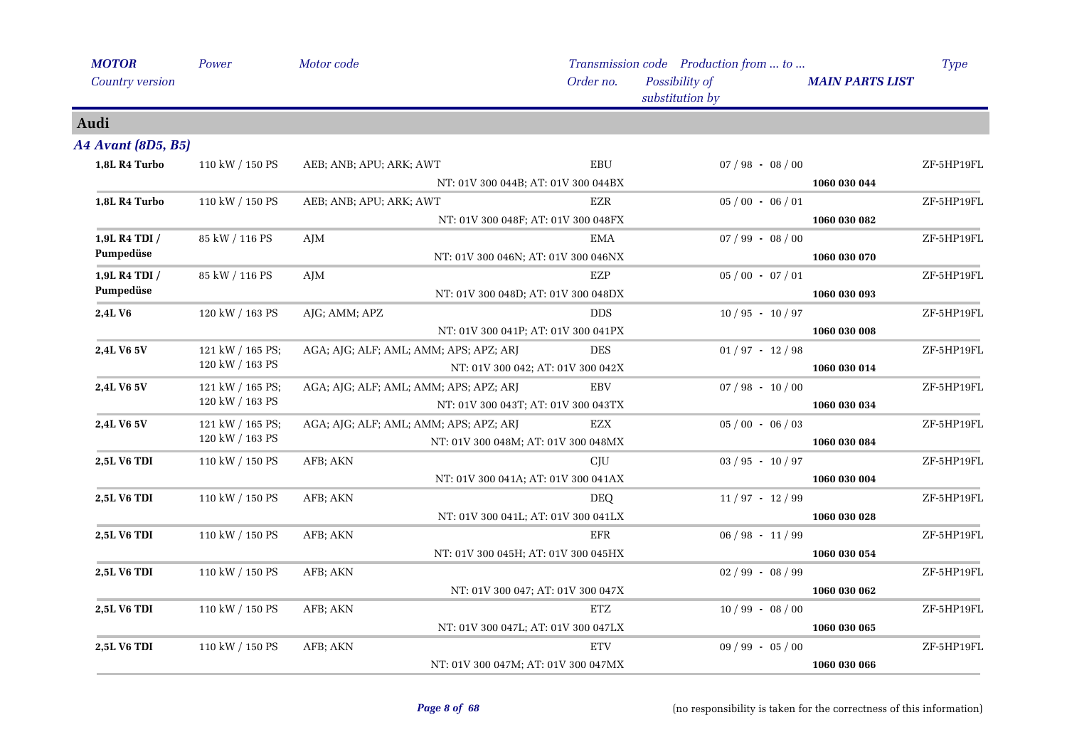| <b>MOTOR</b>              | Power            | Motor code                             |                                   | Transmission code Production from  to |                        | <b>Type</b> |
|---------------------------|------------------|----------------------------------------|-----------------------------------|---------------------------------------|------------------------|-------------|
| Country version           |                  |                                        | Order no.                         | Possibility of<br>substitution by     | <b>MAIN PARTS LIST</b> |             |
| Audi                      |                  |                                        |                                   |                                       |                        |             |
| <b>A4 Avant (8D5, B5)</b> |                  |                                        |                                   |                                       |                        |             |
| 1,8L R4 Turbo             | 110 kW / 150 PS  | AEB; ANB; APU; ARK; AWT                | $\operatorname{EBU}$              | $07/98 - 08/00$                       |                        | ZF-5HP19FL  |
|                           |                  | NT: 01V 300 044B; AT: 01V 300 044BX    |                                   |                                       | 1060 030 044           |             |
| 1,8L R4 Turbo             | 110 kW / 150 PS  | AEB; ANB; APU; ARK; AWT                | <b>EZR</b>                        | $05/00 - 06/01$                       |                        | ZF-5HP19FL  |
|                           |                  | NT: 01V 300 048F; AT: 01V 300 048FX    |                                   |                                       | 1060 030 082           |             |
| 1,9L R4 TDI /             | 85 kW / 116 PS   | AJM                                    | EMA                               | $07 / 99 - 08 / 00$                   |                        | ZF-5HP19FL  |
| Pumpedüse                 |                  | NT: 01V 300 046N; AT: 01V 300 046NX    |                                   |                                       | 1060 030 070           |             |
| 1,9L R4 TDI /             | 85 kW / 116 PS   | AJM                                    | <b>EZP</b>                        | $05/00 - 07/01$                       |                        | ZF-5HP19FL  |
| Pumpedüse                 |                  | NT: 01V 300 048D; AT: 01V 300 048DX    |                                   |                                       | 1060 030 093           |             |
| 2,4L V6                   | 120 kW / 163 PS  | AJG; AMM; APZ                          | <b>DDS</b>                        | $10/95 - 10/97$                       |                        | ZF-5HP19FL  |
|                           |                  | NT: 01V 300 041P; AT: 01V 300 041PX    |                                   |                                       | 1060 030 008           |             |
| 2,4L V6 5V                | 121 kW / 165 PS; | AGA; AJG; ALF; AML; AMM; APS; APZ; ARJ | <b>DES</b>                        | $01 / 97 - 12 / 98$                   |                        | ZF-5HP19FL  |
|                           | 120 kW / 163 PS  |                                        | NT: 01V 300 042; AT: 01V 300 042X |                                       | 1060 030 014           |             |
| 2,4L V6 5V                | 121 kW / 165 PS; | AGA; AJG; ALF; AML; AMM; APS; APZ; ARJ | EBV                               | $07 / 98 - 10 / 00$                   |                        | ZF-5HP19FL  |
|                           | 120 kW / 163 PS  | NT: 01V 300 043T; AT: 01V 300 043TX    |                                   |                                       | 1060 030 034           |             |
| 2,4L V6 5V                | 121 kW / 165 PS; | AGA; AJG; ALF; AML; AMM; APS; APZ; ARJ | EZX                               | $05/00 - 06/03$                       |                        | ZF-5HP19FL  |
|                           | 120 kW / 163 PS  | NT: 01V 300 048M; AT: 01V 300 048MX    |                                   | 1060 030 084                          |                        |             |
| 2,5L V6 TDI               | 110 kW / 150 PS  | AFB; AKN                               | CIU                               | $03 / 95 - 10 / 97$                   |                        | ZF-5HP19FL  |
|                           |                  | NT: 01V 300 041A; AT: 01V 300 041AX    |                                   |                                       | 1060 030 004           |             |
| 2,5L V6 TDI               | 110 kW / 150 PS  | AFB; AKN                               | <b>DEQ</b>                        | $11/97 - 12/99$                       |                        | ZF-5HP19FL  |
|                           |                  | NT: 01V 300 041L; AT: 01V 300 041LX    |                                   |                                       | 1060 030 028           |             |
| 2,5L V6 TDI               | 110 kW / 150 PS  | AFB; AKN                               | <b>EFR</b>                        | $06 / 98 - 11 / 99$                   |                        | ZF-5HP19FL  |
|                           |                  | NT: 01V 300 045H; AT: 01V 300 045HX    |                                   |                                       | 1060 030 054           |             |
| 2,5L V6 TDI               | 110 kW / 150 PS  | AFB; AKN                               |                                   | $02/99 - 08/99$                       |                        | ZF-5HP19FL  |
|                           |                  |                                        | NT: 01V 300 047; AT: 01V 300 047X |                                       | 1060 030 062           |             |
| 2,5L V6 TDI               | 110 kW / 150 PS  | AFB; AKN                               | ETZ                               | $10/99 - 08/00$                       |                        | ZF-5HP19FL  |
|                           |                  | NT: 01V 300 047L; AT: 01V 300 047LX    |                                   |                                       | 1060 030 065           |             |
| <b>2,5L V6 TDI</b>        | 110 kW / 150 PS  | AFB; AKN                               | <b>ETV</b>                        | $09/99 - 05/00$                       |                        | ZF-5HP19FL  |
|                           |                  | NT: 01V 300 047M; AT: 01V 300 047MX    |                                   |                                       | 1060 030 066           |             |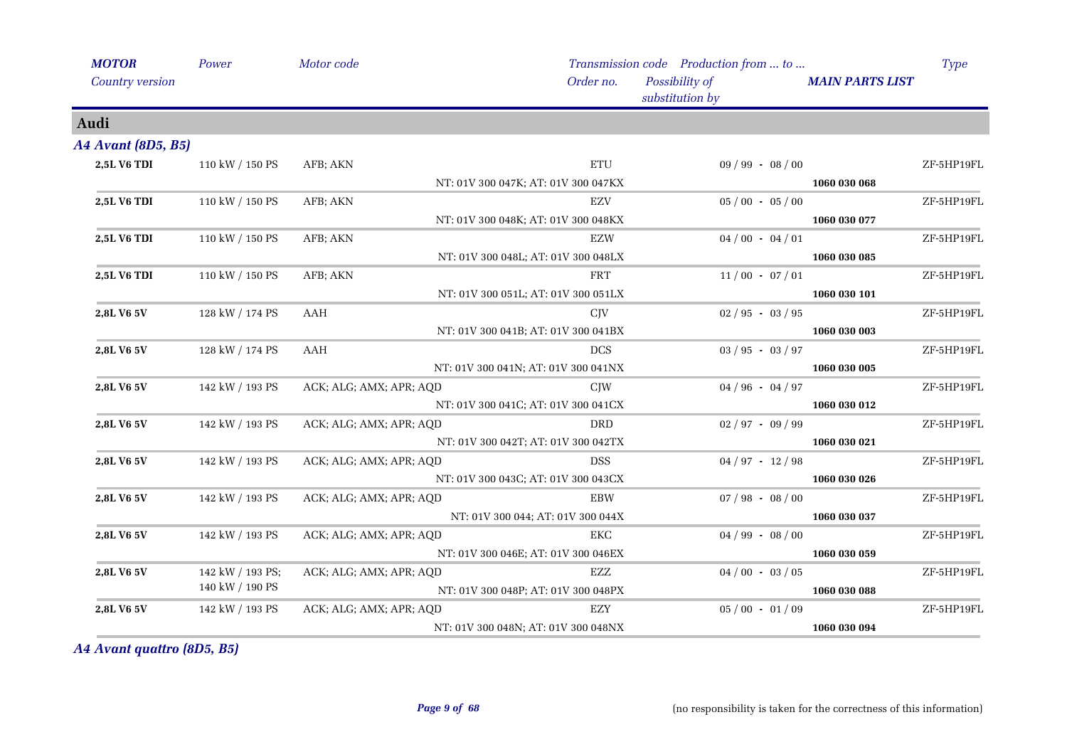| <b>MOTOR</b>              | Power            | Motor code              |                                     | Transmission code Production from  to |                        | <b>Type</b> |
|---------------------------|------------------|-------------------------|-------------------------------------|---------------------------------------|------------------------|-------------|
| Country version           |                  |                         | Order no.                           | Possibility of<br>substitution by     | <b>MAIN PARTS LIST</b> |             |
| Audi                      |                  |                         |                                     |                                       |                        |             |
| <b>A4 Avant (8D5, B5)</b> |                  |                         |                                     |                                       |                        |             |
| 2,5L V6 TDI               | 110 kW / 150 PS  | AFB; AKN                | <b>ETU</b>                          | $09 / 99 - 08 / 00$                   |                        | ZF-5HP19FL  |
|                           |                  |                         | NT: 01V 300 047K; AT: 01V 300 047KX |                                       | 1060 030 068           |             |
| 2,5L V6 TDI               | 110 kW / 150 PS  | AFB; AKN                | <b>EZV</b>                          | $05/00 - 05/00$                       |                        | ZF-5HP19FL  |
|                           |                  |                         | NT: 01V 300 048K; AT: 01V 300 048KX |                                       | 1060 030 077           |             |
| 2,5L V6 TDI               | 110 kW / 150 PS  | AFB; AKN                | <b>EZW</b>                          | $04/00 - 04/01$                       |                        | ZF-5HP19FL  |
|                           |                  |                         | NT: 01V 300 048L; AT: 01V 300 048LX |                                       | 1060 030 085           |             |
| 2,5L V6 TDI               | 110 kW / 150 PS  | AFB; AKN                | FRT                                 | $11/00 - 07/01$                       |                        | ZF-5HP19FL  |
|                           |                  |                         | NT: 01V 300 051L; AT: 01V 300 051LX |                                       | 1060 030 101           |             |
| 2,8L V6 5V                | 128 kW / 174 PS  | AAH                     | C <sub>IV</sub>                     | $02/95 - 03/95$                       |                        | ZF-5HP19FL  |
|                           |                  |                         | NT: 01V 300 041B; AT: 01V 300 041BX |                                       | 1060 030 003           |             |
| 2,8L V6 5V                | 128 kW / 174 PS  | AAH                     | <b>DCS</b>                          | $03 / 95 - 03 / 97$                   |                        | ZF-5HP19FL  |
|                           |                  |                         | NT: 01V 300 041N; AT: 01V 300 041NX |                                       | 1060 030 005           |             |
| 2,8L V6 5V                | 142 kW / 193 PS  | ACK; ALG; AMX; APR; AQD | CJW                                 | $04/96 - 04/97$                       |                        | ZF-5HP19FL  |
|                           |                  |                         | NT: 01V 300 041C; AT: 01V 300 041CX |                                       | 1060 030 012           |             |
| 2,8L V6 5V                | 142 kW / 193 PS  | ACK; ALG; AMX; APR; AQD | <b>DRD</b>                          | $02 / 97 - 09 / 99$                   |                        | ZF-5HP19FL  |
|                           |                  |                         | NT: 01V 300 042T; AT: 01V 300 042TX |                                       | 1060 030 021           |             |
| 2,8L V6 5V                | 142 kW / 193 PS  | ACK; ALG; AMX; APR; AQD | <b>DSS</b>                          | $04 / 97 - 12 / 98$                   |                        | ZF-5HP19FL  |
|                           |                  |                         | NT: 01V 300 043C; AT: 01V 300 043CX |                                       | 1060 030 026           |             |
| 2,8L V6 5V                | 142 kW / 193 PS  | ACK; ALG; AMX; APR; AQD | <b>EBW</b>                          | $07 / 98 - 08 / 00$                   |                        | ZF-5HP19FL  |
|                           |                  |                         | NT: 01V 300 044; AT: 01V 300 044X   |                                       | 1060 030 037           |             |
| 2,8L V6 5V                | 142 kW / 193 PS  | ACK; ALG; AMX; APR; AQD | EKC                                 | $04 / 99 - 08 / 00$                   |                        | ZF-5HP19FL  |
|                           |                  |                         | NT: 01V 300 046E; AT: 01V 300 046EX |                                       | 1060 030 059           |             |
| 2,8L V6 5V                | 142 kW / 193 PS; | ACK; ALG; AMX; APR; AQD | EZZ                                 | $04/00 - 03/05$                       |                        | ZF-5HP19FL  |
|                           | 140 kW / 190 PS  |                         | NT: 01V 300 048P; AT: 01V 300 048PX |                                       | 1060 030 088           |             |
| 2,8L V6 5V                | 142 kW / 193 PS  | ACK; ALG; AMX; APR; AQD | <b>EZY</b>                          | $05/00 - 01/09$                       |                        | ZF-5HP19FL  |
|                           |                  |                         | NT: 01V 300 048N; AT: 01V 300 048NX |                                       | 1060 030 094           |             |

*A4 Avant quattro (8D5, B5)*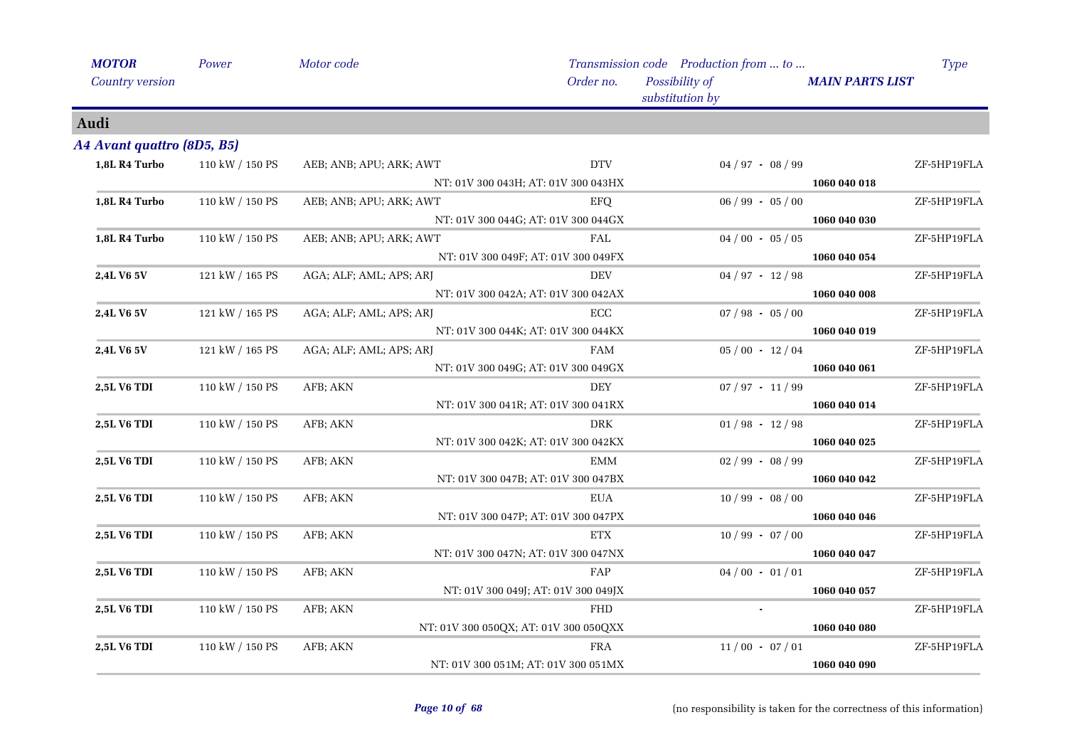| <b>MOTOR</b>               | Power           | Motor code              |                                       | Transmission code Production from  to |                        | <b>Type</b> |
|----------------------------|-----------------|-------------------------|---------------------------------------|---------------------------------------|------------------------|-------------|
| Country version            |                 |                         | Order no.                             | Possibility of<br>substitution by     | <b>MAIN PARTS LIST</b> |             |
| Audi                       |                 |                         |                                       |                                       |                        |             |
| A4 Avant quattro (8D5, B5) |                 |                         |                                       |                                       |                        |             |
| 1,8L R4 Turbo              | 110 kW / 150 PS | AEB; ANB; APU; ARK; AWT | <b>DTV</b>                            | $04 / 97 - 08 / 99$                   |                        | ZF-5HP19FLA |
|                            |                 |                         | NT: 01V 300 043H; AT: 01V 300 043HX   |                                       | 1060 040 018           |             |
| 1,8L R4 Turbo              | 110 kW / 150 PS | AEB; ANB; APU; ARK; AWT | EFQ                                   | $06 / 99 - 05 / 00$                   |                        | ZF-5HP19FLA |
|                            |                 |                         | NT: 01V 300 044G; AT: 01V 300 044GX   |                                       | 1060 040 030           |             |
| 1,8L R4 Turbo              | 110 kW / 150 PS | AEB; ANB; APU; ARK; AWT | FAL                                   | $04/00 - 05/05$                       |                        | ZF-5HP19FLA |
|                            |                 |                         | NT: 01V 300 049F; AT: 01V 300 049FX   |                                       | 1060 040 054           |             |
| 2,4L V6 5V                 | 121 kW / 165 PS | AGA; ALF; AML; APS; ARJ | <b>DEV</b>                            | $04 / 97 - 12 / 98$                   |                        | ZF-5HP19FLA |
|                            |                 |                         | NT: 01V 300 042A; AT: 01V 300 042AX   |                                       | 1060 040 008           |             |
| 2,4L V6 5V                 | 121 kW / 165 PS | AGA; ALF; AML; APS; ARJ | ECC                                   | $07 / 98 - 05 / 00$                   |                        | ZF-5HP19FLA |
|                            |                 |                         | NT: 01V 300 044K; AT: 01V 300 044KX   |                                       | 1060 040 019           |             |
| 2,4L V6 5V                 | 121 kW / 165 PS | AGA; ALF; AML; APS; ARJ | <b>FAM</b>                            | $05/00 - 12/04$                       |                        | ZF-5HP19FLA |
|                            |                 |                         | NT: 01V 300 049G; AT: 01V 300 049GX   |                                       | 1060 040 061           |             |
| 2,5L V6 TDI                | 110 kW / 150 PS | AFB; AKN                | DEY                                   | $07 / 97 - 11 / 99$                   |                        | ZF-5HP19FLA |
|                            |                 |                         | NT: 01V 300 041R; AT: 01V 300 041RX   |                                       | 1060 040 014           |             |
| <b>2,5L V6 TDI</b>         | 110 kW / 150 PS | AFB; AKN                | <b>DRK</b>                            | $01/98 - 12/98$                       |                        | ZF-5HP19FLA |
|                            |                 |                         | NT: 01V 300 042K; AT: 01V 300 042KX   |                                       | 1060 040 025           |             |
| 2,5L V6 TDI                | 110 kW / 150 PS | AFB; AKN                | EMM                                   | $02 / 99 - 08 / 99$                   |                        | ZF-5HP19FLA |
|                            |                 |                         | NT: 01V 300 047B; AT: 01V 300 047BX   |                                       | 1060 040 042           |             |
| <b>2,5L V6 TDI</b>         | 110 kW / 150 PS | AFB; AKN                | <b>EUA</b>                            | $10/99 - 08/00$                       |                        | ZF-5HP19FLA |
|                            |                 |                         | NT: 01V 300 047P; AT: 01V 300 047PX   |                                       | 1060 040 046           |             |
| <b>2,5L V6 TDI</b>         | 110 kW / 150 PS | AFB; AKN                | ETX                                   | $10/99 - 07/00$                       |                        | ZF-5HP19FLA |
|                            |                 |                         | NT: 01V 300 047N; AT: 01V 300 047NX   |                                       | 1060 040 047           |             |
| 2,5L V6 TDI                | 110 kW / 150 PS | AFB; AKN                | FAP                                   | $04/00 - 01/01$                       |                        | ZF-5HP19FLA |
|                            |                 |                         | NT: 01V 300 049J; AT: 01V 300 049JX   |                                       | 1060 040 057           |             |
| 2,5L V6 TDI                | 110 kW / 150 PS | AFB; AKN                | <b>FHD</b>                            |                                       |                        | ZF-5HP19FLA |
|                            |                 |                         | NT: 01V 300 050QX; AT: 01V 300 050QXX |                                       | 1060 040 080           |             |
| 2,5L V6 TDI                | 110 kW / 150 PS | AFB; AKN                | FRA                                   | $11/00 - 07/01$                       |                        | ZF-5HP19FLA |
|                            |                 |                         | NT: 01V 300 051M; AT: 01V 300 051MX   |                                       | 1060 040 090           |             |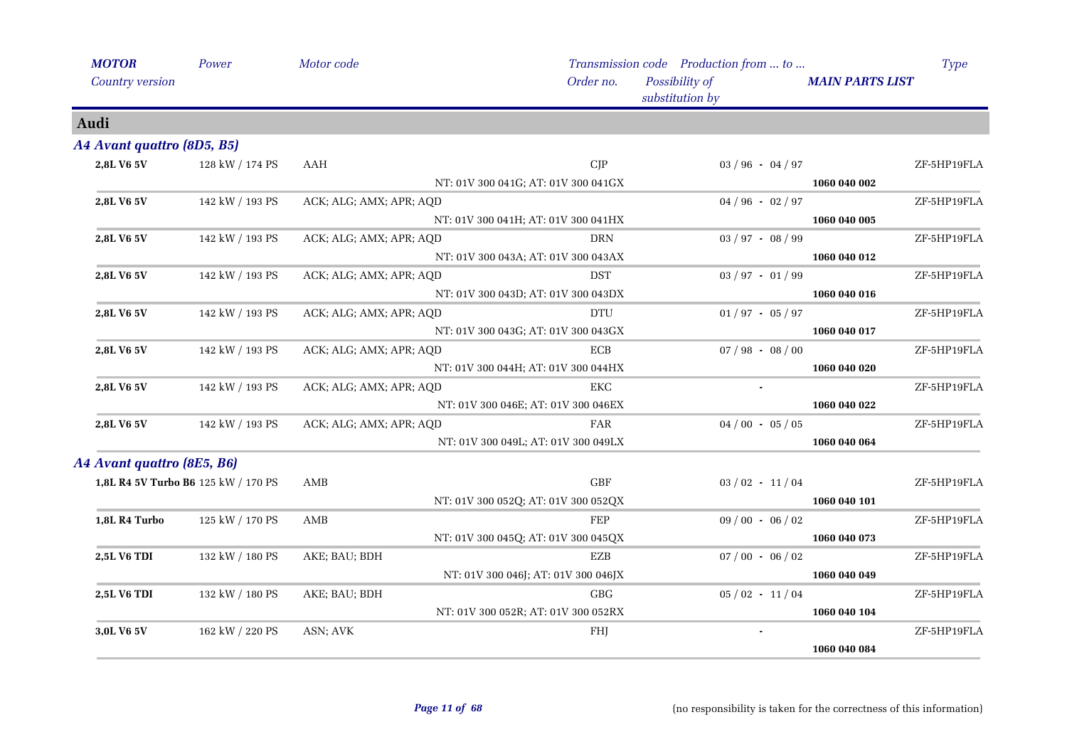| <b>MOTOR</b> | Country version            | Power                               | Motor code              |                                     | Order no.            | Transmission code Production from  to<br>Possibility of<br>substitution by |                     | <b>MAIN PARTS LIST</b> | <b>Type</b> |
|--------------|----------------------------|-------------------------------------|-------------------------|-------------------------------------|----------------------|----------------------------------------------------------------------------|---------------------|------------------------|-------------|
| Audi         |                            |                                     |                         |                                     |                      |                                                                            |                     |                        |             |
|              | A4 Avant quattro (8D5, B5) |                                     |                         |                                     |                      |                                                                            |                     |                        |             |
|              | 2,8L V6 5V                 | 128 kW / 174 PS                     | AAH                     |                                     | CIP                  |                                                                            | $03 / 96 - 04 / 97$ |                        | ZF-5HP19FLA |
|              |                            |                                     |                         | NT: 01V 300 041G; AT: 01V 300 041GX |                      |                                                                            |                     | 1060 040 002           |             |
|              | 2,8L V6 5V                 | 142 kW / 193 PS                     | ACK; ALG; AMX; APR; AQD |                                     |                      |                                                                            | $04/96 - 02/97$     |                        | ZF-5HP19FLA |
|              |                            |                                     |                         | NT: 01V 300 041H; AT: 01V 300 041HX |                      |                                                                            |                     | 1060 040 005           |             |
|              | 2,8L V6 5V                 | 142 kW / 193 PS                     | ACK; ALG; AMX; APR; AQD |                                     | <b>DRN</b>           |                                                                            | $03 / 97 - 08 / 99$ |                        | ZF-5HP19FLA |
|              |                            |                                     |                         | NT: 01V 300 043A; AT: 01V 300 043AX |                      |                                                                            |                     | 1060 040 012           |             |
|              | 2,8L V6 5V                 | 142 kW / 193 PS                     | ACK; ALG; AMX; APR; AQD |                                     | <b>DST</b>           |                                                                            | $03 / 97 - 01 / 99$ |                        | ZF-5HP19FLA |
|              |                            |                                     |                         | NT: 01V 300 043D; AT: 01V 300 043DX |                      |                                                                            |                     | 1060 040 016           |             |
|              | 2,8L V6 5V                 | 142 kW / 193 PS                     | ACK; ALG; AMX; APR; AQD |                                     | DTU                  |                                                                            | $01/97 - 05/97$     |                        | ZF-5HP19FLA |
|              |                            |                                     |                         | NT: 01V 300 043G; AT: 01V 300 043GX |                      |                                                                            |                     | 1060 040 017           |             |
|              | 2,8L V6 5V                 | 142 kW / 193 PS                     | ACK; ALG; AMX; APR; AQD |                                     | ECB                  |                                                                            | $07/98 - 08/00$     |                        | ZF-5HP19FLA |
|              |                            |                                     |                         | NT: 01V 300 044H; AT: 01V 300 044HX |                      |                                                                            |                     | 1060 040 020           |             |
|              | 2,8L V6 5V                 | 142 kW / 193 PS                     | ACK; ALG; AMX; APR; AQD |                                     | EKC                  |                                                                            |                     |                        | ZF-5HP19FLA |
|              |                            |                                     |                         | NT: 01V 300 046E; AT: 01V 300 046EX |                      |                                                                            |                     | 1060 040 022           |             |
|              | 2,8L V6 5V                 | 142 kW / 193 PS                     | ACK; ALG; AMX; APR; AQD |                                     | FAR                  |                                                                            | $04/00 - 05/05$     |                        | ZF-5HP19FLA |
|              |                            |                                     |                         | NT: 01V 300 049L; AT: 01V 300 049LX |                      |                                                                            |                     | 1060 040 064           |             |
|              | A4 Avant quattro (8E5, B6) |                                     |                         |                                     |                      |                                                                            |                     |                        |             |
|              |                            | 1,8L R4 5V Turbo B6 125 kW / 170 PS | AMB                     |                                     | $\operatorname{GBF}$ |                                                                            | $03/02 - 11/04$     |                        | ZF-5HP19FLA |
|              |                            |                                     |                         | NT: 01V 300 052Q; AT: 01V 300 052QX |                      |                                                                            |                     | 1060 040 101           |             |
|              | 1,8L R4 Turbo              | 125 kW / 170 PS                     | AMB                     |                                     | FEP                  |                                                                            | $09/00 - 06/02$     |                        | ZF-5HP19FLA |
|              |                            |                                     |                         | NT: 01V 300 045Q; AT: 01V 300 045QX |                      |                                                                            |                     | 1060 040 073           |             |
|              | 2,5L V6 TDI                | 132 kW / 180 PS                     | AKE; BAU; BDH           |                                     | EZB                  |                                                                            | $07/00 - 06/02$     |                        | ZF-5HP19FLA |
|              |                            |                                     |                         | NT: 01V 300 046J; AT: 01V 300 046JX |                      |                                                                            |                     | 1060 040 049           |             |
|              | 2,5L V6 TDI                | 132 kW / 180 PS                     | AKE; BAU; BDH           |                                     | GBG                  |                                                                            | $05/02 - 11/04$     |                        | ZF-5HP19FLA |
|              |                            |                                     |                         | NT: 01V 300 052R; AT: 01V 300 052RX |                      |                                                                            |                     | 1060 040 104           |             |
|              | 3,0L V6 5V                 | 162 kW / 220 PS                     | ASN; AVK                |                                     | FHJ                  |                                                                            |                     |                        | ZF-5HP19FLA |
|              |                            |                                     |                         |                                     |                      |                                                                            |                     | 1060 040 084           |             |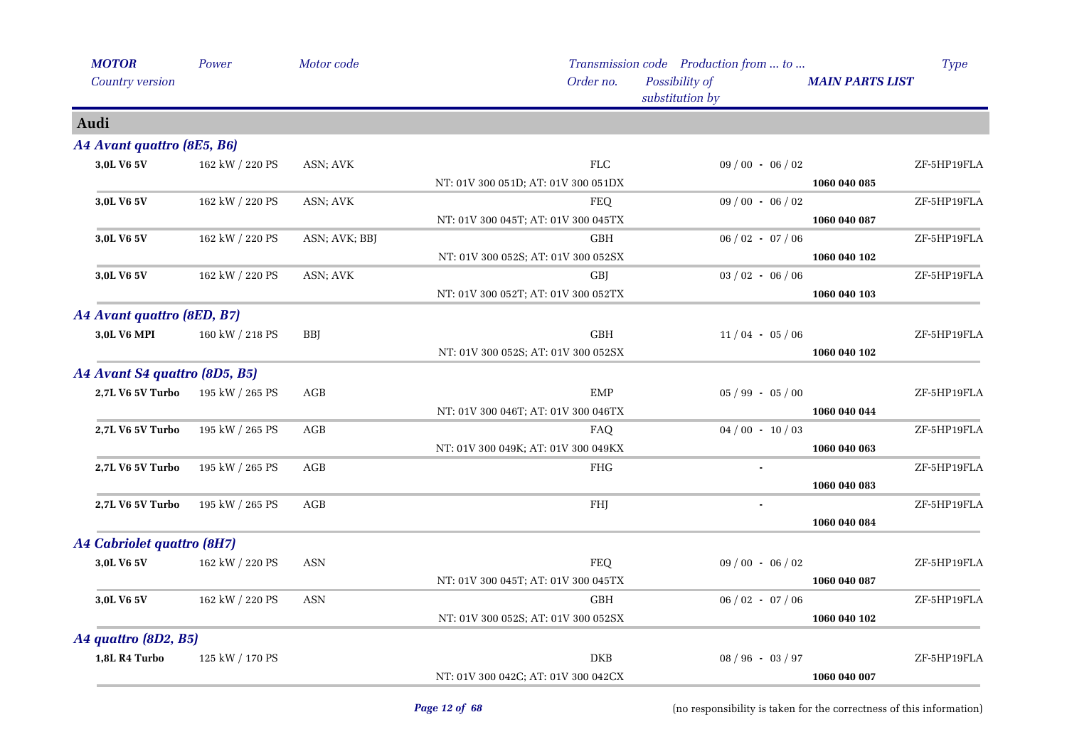| <b>MOTOR</b><br>Country version | Power           | Motor code    | Order no.                                                   | Transmission code Production from  to<br>Possibility of<br>substitution by | Type<br><b>MAIN PARTS LIST</b> |
|---------------------------------|-----------------|---------------|-------------------------------------------------------------|----------------------------------------------------------------------------|--------------------------------|
| Audi                            |                 |               |                                                             |                                                                            |                                |
| A4 Avant quattro (8E5, B6)      |                 |               |                                                             |                                                                            |                                |
| 3,0L V6 5V                      | 162 kW / 220 PS | ASN; AVK      | ${\rm FLC}$<br>NT: 01V 300 051D; AT: 01V 300 051DX          | $09/00 - 06/02$                                                            | ZF-5HP19FLA<br>1060 040 085    |
| 3,0L V6 5V                      | 162 kW / 220 PS | ASN; AVK      | <b>FEQ</b><br>NT: 01V 300 045T; AT: 01V 300 045TX           | $09/00 - 06/02$                                                            | ZF-5HP19FLA<br>1060 040 087    |
| 3,0L V6 5V                      | 162 kW / 220 PS | ASN; AVK; BBJ | <b>GBH</b><br>NT: 01V 300 052S; AT: 01V 300 052SX           | $06 / 02 - 07 / 06$                                                        | ZF-5HP19FLA<br>1060 040 102    |
| 3,0L V6 5V                      | 162 kW / 220 PS | ASN; AVK      | <b>GBJ</b><br>NT: 01V 300 052T; AT: 01V 300 052TX           | $03 / 02 - 06 / 06$                                                        | ZF-5HP19FLA<br>1060 040 103    |
| A4 Avant quattro (8ED, B7)      |                 |               |                                                             |                                                                            |                                |
| 3,0L V6 MPI                     | 160 kW / 218 PS | <b>BBJ</b>    | $\operatorname{GBH}$<br>NT: 01V 300 052S; AT: 01V 300 052SX | $11/04 - 05/06$                                                            | ZF-5HP19FLA<br>1060 040 102    |
| A4 Avant S4 quattro (8D5, B5)   |                 |               |                                                             |                                                                            |                                |
| <b>2,7L V6 5V Turbo</b>         | 195 kW / 265 PS | AGB           | <b>EMP</b><br>NT: 01V 300 046T; AT: 01V 300 046TX           | $05 / 99 - 05 / 00$                                                        | ZF-5HP19FLA<br>1060 040 044    |
| 2,7L V6 5V Turbo                | 195 kW / 265 PS | AGB           | FAQ<br>NT: 01V 300 049K; AT: 01V 300 049KX                  | $04/00 - 10/03$                                                            | ZF-5HP19FLA<br>1060 040 063    |
| 2,7L V6 5V Turbo                | 195 kW / 265 PS | AGB           | ${\rm FHG}$                                                 | $\blacksquare$                                                             | ZF-5HP19FLA<br>1060 040 083    |
| 2,7L V6 5V Turbo                | 195 kW / 265 PS | AGB           | FHJ                                                         |                                                                            | ZF-5HP19FLA<br>1060 040 084    |
| A4 Cabriolet quattro (8H7)      |                 |               |                                                             |                                                                            |                                |
| 3,0L V6 5V                      | 162 kW / 220 PS | <b>ASN</b>    | <b>FEQ</b><br>NT: 01V 300 045T; AT: 01V 300 045TX           | $09/00 - 06/02$                                                            | ZF-5HP19FLA<br>1060 040 087    |
| 3,0L V6 5V                      | 162 kW / 220 PS | <b>ASN</b>    | <b>GBH</b><br>NT: 01V 300 052S; AT: 01V 300 052SX           | $06 / 02 - 07 / 06$                                                        | ZF-5HP19FLA<br>1060 040 102    |
| A4 quattro (8D2, B5)            |                 |               |                                                             |                                                                            |                                |
| 1,8L R4 Turbo                   | 125 kW / 170 PS |               | <b>DKB</b><br>NT: 01V 300 042C; AT: 01V 300 042CX           | $08 / 96 - 03 / 97$                                                        | ZF-5HP19FLA<br>1060 040 007    |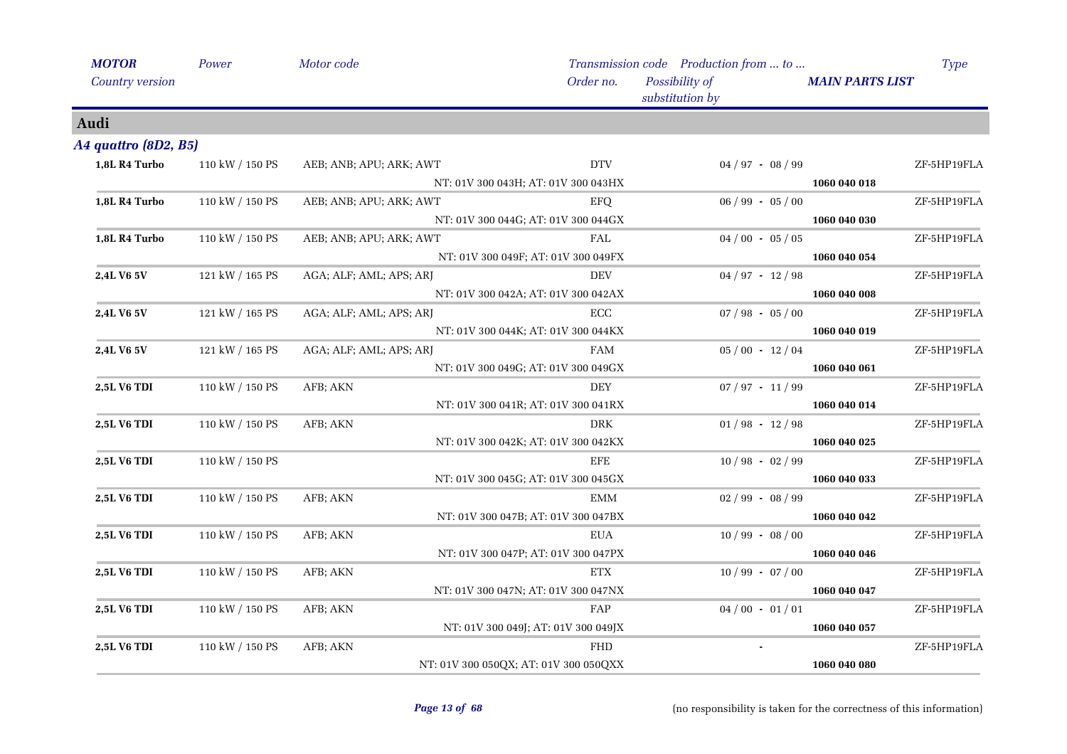| <b>MOTOR</b>         | Power           | Motor code              |                                       | Transmission code Production from  to |                        | <b>Type</b> |
|----------------------|-----------------|-------------------------|---------------------------------------|---------------------------------------|------------------------|-------------|
| Country version      |                 |                         | Order no.                             | Possibility of<br>substitution by     | <b>MAIN PARTS LIST</b> |             |
| Audi                 |                 |                         |                                       |                                       |                        |             |
| A4 quattro (8D2, B5) |                 |                         |                                       |                                       |                        |             |
| 1,8L R4 Turbo        | 110 kW / 150 PS | AEB; ANB; APU; ARK; AWT | <b>DTV</b>                            | $04 / 97 - 08 / 99$                   |                        | ZF-5HP19FLA |
|                      |                 |                         | NT: 01V 300 043H; AT: 01V 300 043HX   |                                       | 1060 040 018           |             |
| 1,8L R4 Turbo        | 110 kW / 150 PS | AEB; ANB; APU; ARK; AWT | <b>EFQ</b>                            | $06 / 99 - 05 / 00$                   |                        | ZF-5HP19FLA |
|                      |                 |                         | NT: 01V 300 044G; AT: 01V 300 044GX   |                                       | 1060 040 030           |             |
| 1,8L R4 Turbo        | 110 kW / 150 PS | AEB; ANB; APU; ARK; AWT | FAL                                   | $04/00 - 05/05$                       |                        | ZF-5HP19FLA |
|                      |                 |                         | NT: 01V 300 049F; AT: 01V 300 049FX   |                                       | 1060 040 054           |             |
| 2,4L V6 5V           | 121 kW / 165 PS | AGA; ALF; AML; APS; ARJ | <b>DEV</b>                            | $04 / 97 - 12 / 98$                   |                        | ZF-5HP19FLA |
|                      |                 |                         | NT: 01V 300 042A; AT: 01V 300 042AX   |                                       | 1060 040 008           |             |
| 2,4L V6 5V           | 121 kW / 165 PS | AGA; ALF; AML; APS; ARJ | ECC                                   | $07 / 98 - 05 / 00$                   |                        | ZF-5HP19FLA |
|                      |                 |                         | NT: 01V 300 044K; AT: 01V 300 044KX   |                                       | 1060 040 019           |             |
| 2,4L V6 5V           | 121 kW / 165 PS | AGA; ALF; AML; APS; ARJ | <b>FAM</b>                            | $05/00 - 12/04$                       |                        | ZF-5HP19FLA |
|                      |                 |                         | NT: 01V 300 049G; AT: 01V 300 049GX   |                                       | 1060 040 061           |             |
| 2,5L V6 TDI          | 110 kW / 150 PS | AFB; AKN                | DEY                                   | $07 / 97 - 11 / 99$                   |                        | ZF-5HP19FLA |
|                      |                 |                         | NT: 01V 300 041R; AT: 01V 300 041RX   |                                       | 1060 040 014           |             |
| <b>2,5L V6 TDI</b>   | 110 kW / 150 PS | AFB; AKN                | DRK                                   | $01/98 - 12/98$                       |                        | ZF-5HP19FLA |
|                      |                 |                         | NT: 01V 300 042K; AT: 01V 300 042KX   |                                       | 1060 040 025           |             |
| 2,5L V6 TDI          | 110 kW / 150 PS |                         | EFE                                   | $10/98 - 02/99$                       |                        | ZF-5HP19FLA |
|                      |                 |                         | NT: 01V 300 045G; AT: 01V 300 045GX   |                                       | 1060 040 033           |             |
| 2,5L V6 TDI          | 110 kW / 150 PS | AFB; AKN                | <b>EMM</b>                            | $02/99 - 08/99$                       |                        | ZF-5HP19FLA |
|                      |                 |                         | NT: 01V 300 047B; AT: 01V 300 047BX   |                                       | 1060 040 042           |             |
| 2,5L V6 TDI          | 110 kW / 150 PS | AFB; AKN                | EUA                                   | $10/99 - 08/00$                       |                        | ZF-5HP19FLA |
|                      |                 |                         | NT: 01V 300 047P; AT: 01V 300 047PX   |                                       | 1060 040 046           |             |
| <b>2,5L V6 TDI</b>   | 110 kW / 150 PS | AFB; AKN                | $\operatorname{ETX}$                  | $10/99 - 07/00$                       |                        | ZF-5HP19FLA |
|                      |                 |                         | NT: 01V 300 047N; AT: 01V 300 047NX   |                                       | 1060 040 047           |             |
| 2,5L V6 TDI          | 110 kW / 150 PS | AFB; AKN                | FAP                                   | $04/00 - 01/01$                       |                        | ZF-5HP19FLA |
|                      |                 |                         | NT: 01V 300 049J; AT: 01V 300 049JX   |                                       | 1060 040 057           |             |
| <b>2,5L V6 TDI</b>   | 110 kW / 150 PS | AFB; AKN                | <b>FHD</b>                            | $\blacksquare$                        |                        | ZF-5HP19FLA |
|                      |                 |                         | NT: 01V 300 050QX; AT: 01V 300 050QXX |                                       | 1060 040 080           |             |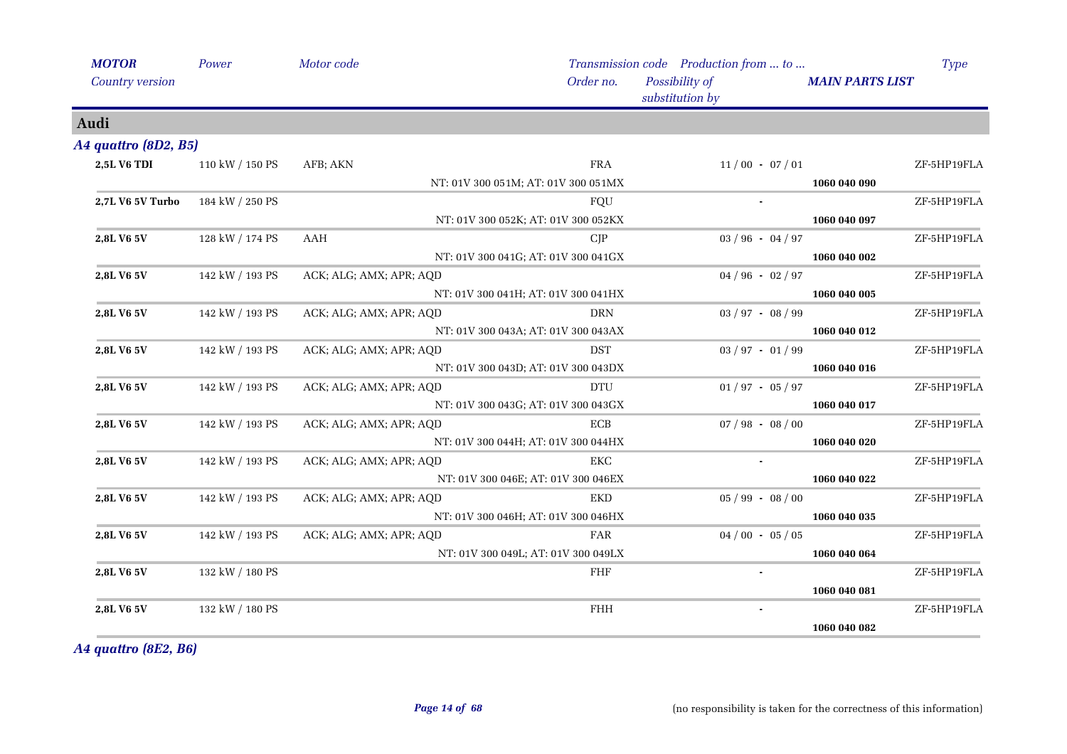| <b>MOTOR</b>           | Power           | Motor code              |                                     | Transmission code Production from  to |                        | <b>Type</b> |
|------------------------|-----------------|-------------------------|-------------------------------------|---------------------------------------|------------------------|-------------|
| <b>Country version</b> |                 |                         | Order no.                           | Possibility of<br>substitution by     | <b>MAIN PARTS LIST</b> |             |
| Audi                   |                 |                         |                                     |                                       |                        |             |
| A4 quattro (8D2, B5)   |                 |                         |                                     |                                       |                        |             |
| <b>2,5L V6 TDI</b>     | 110 kW / 150 PS | AFB; AKN                | <b>FRA</b>                          | $11/00 - 07/01$                       |                        | ZF-5HP19FLA |
|                        |                 |                         | NT: 01V 300 051M; AT: 01V 300 051MX |                                       | 1060 040 090           |             |
| 2,7L V6 5V Turbo       | 184 kW / 250 PS |                         | FQU                                 |                                       |                        | ZF-5HP19FLA |
|                        |                 |                         | NT: 01V 300 052K; AT: 01V 300 052KX |                                       | 1060 040 097           |             |
| 2,8L V6 5V             | 128 kW / 174 PS | AAH                     | CJP                                 | $03 / 96 - 04 / 97$                   |                        | ZF-5HP19FLA |
|                        |                 |                         | NT: 01V 300 041G; AT: 01V 300 041GX |                                       | 1060 040 002           |             |
| 2,8L V6 5V             | 142 kW / 193 PS | ACK; ALG; AMX; APR; AQD |                                     | $04 / 96 - 02 / 97$                   |                        | ZF-5HP19FLA |
|                        |                 |                         | NT: 01V 300 041H; AT: 01V 300 041HX |                                       | 1060 040 005           |             |
| 2,8L V6 5V             | 142 kW / 193 PS | ACK; ALG; AMX; APR; AQD | <b>DRN</b>                          | $03 / 97 - 08 / 99$                   |                        | ZF-5HP19FLA |
|                        |                 |                         | NT: 01V 300 043A; AT: 01V 300 043AX |                                       | 1060 040 012           |             |
| 2,8L V6 5V             | 142 kW / 193 PS | ACK; ALG; AMX; APR; AQD | <b>DST</b>                          | $03 / 97 - 01 / 99$                   |                        | ZF-5HP19FLA |
|                        |                 |                         | NT: 01V 300 043D; AT: 01V 300 043DX |                                       | 1060 040 016           |             |
| 2,8L V6 5V             | 142 kW / 193 PS | ACK; ALG; AMX; APR; AQD | <b>DTU</b>                          | $01/97 - 05/97$                       |                        | ZF-5HP19FLA |
|                        |                 |                         | NT: 01V 300 043G; AT: 01V 300 043GX |                                       | 1060 040 017           |             |
| 2,8L V6 5V             | 142 kW / 193 PS | ACK; ALG; AMX; APR; AQD | <b>ECB</b>                          | $07/98 - 08/00$                       |                        | ZF-5HP19FLA |
|                        |                 |                         | NT: 01V 300 044H; AT: 01V 300 044HX |                                       | 1060 040 020           |             |
| 2,8L V6 5V             | 142 kW / 193 PS | ACK; ALG; AMX; APR; AQD | EKC                                 |                                       |                        | ZF-5HP19FLA |
|                        |                 |                         | NT: 01V 300 046E; AT: 01V 300 046EX |                                       | 1060 040 022           |             |
| 2,8L V6 5V             | 142 kW / 193 PS | ACK; ALG; AMX; APR; AQD | <b>EKD</b>                          | $05 / 99 - 08 / 00$                   |                        | ZF-5HP19FLA |
|                        |                 |                         | NT: 01V 300 046H; AT: 01V 300 046HX |                                       | 1060 040 035           |             |
| 2,8L V6 5V             | 142 kW / 193 PS | ACK; ALG; AMX; APR; AQD | FAR                                 | $04/00 - 05/05$                       |                        | ZF-5HP19FLA |
|                        |                 |                         | NT: 01V 300 049L; AT: 01V 300 049LX |                                       | 1060 040 064           |             |
| 2,8L V6 5V             | 132 kW / 180 PS |                         | FHF                                 |                                       |                        | ZF-5HP19FLA |
|                        |                 |                         |                                     |                                       | 1060 040 081           |             |
| 2,8L V6 5V             | 132 kW / 180 PS |                         | $\mathbf{FH}\mathbf{H}$             |                                       |                        | ZF-5HP19FLA |
|                        |                 |                         |                                     |                                       | 1060 040 082           |             |

*A4 quattro (8E2, B6)*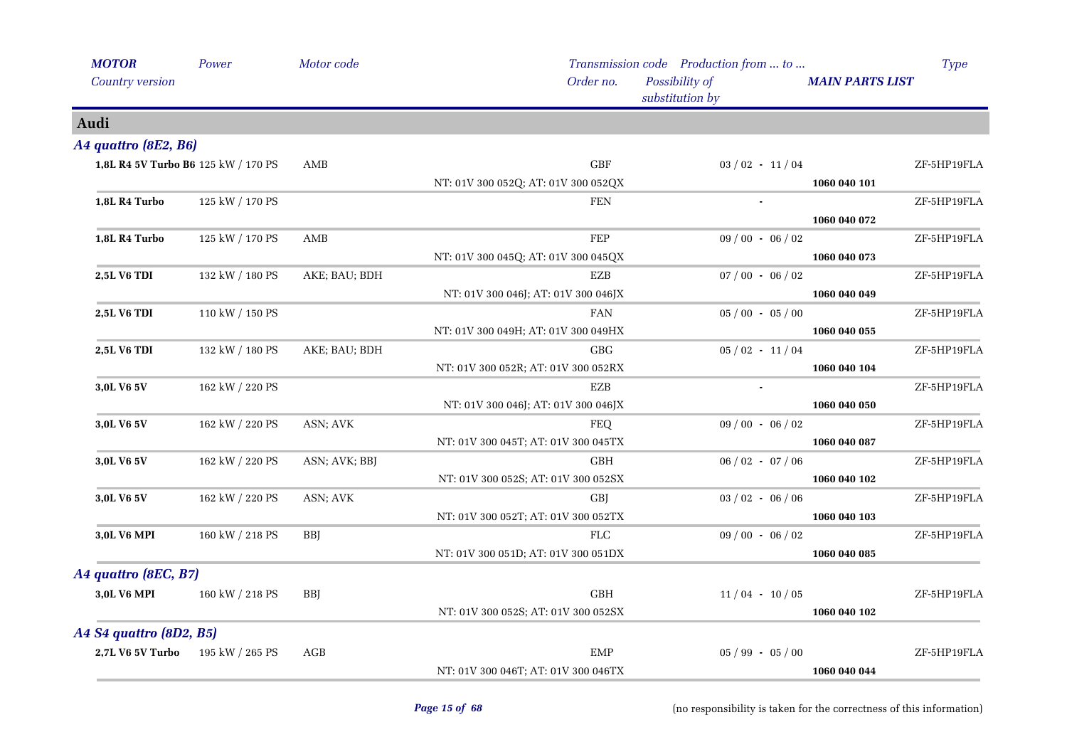| <b>MOTOR</b>                        | Power           | Motor code    |                                     | Transmission code Production from  to | Type                   |
|-------------------------------------|-----------------|---------------|-------------------------------------|---------------------------------------|------------------------|
| Country version                     |                 |               | Order no.                           | Possibility of<br>substitution by     | <b>MAIN PARTS LIST</b> |
| Audi                                |                 |               |                                     |                                       |                        |
| A4 quattro (8E2, B6)                |                 |               |                                     |                                       |                        |
| 1,8L R4 5V Turbo B6 125 kW / 170 PS |                 | AMB           | GBF                                 | $03/02 - 11/04$                       | ZF-5HP19FLA            |
|                                     |                 |               | NT: 01V 300 052Q; AT: 01V 300 052QX |                                       | 1060 040 101           |
| 1,8L R4 Turbo                       | 125 kW / 170 PS |               | <b>FEN</b>                          |                                       | ZF-5HP19FLA            |
|                                     |                 |               |                                     |                                       | 1060 040 072           |
| 1,8L R4 Turbo                       | 125 kW / 170 PS | AMB           | FEP                                 | $09/00 - 06/02$                       | ZF-5HP19FLA            |
|                                     |                 |               | NT: 01V 300 045Q; AT: 01V 300 045QX |                                       | 1060 040 073           |
| <b>2,5L V6 TDI</b>                  | 132 kW / 180 PS | AKE; BAU; BDH | EZB                                 | $07/00 - 06/02$                       | ZF-5HP19FLA            |
|                                     |                 |               | NT: 01V 300 046J; AT: 01V 300 046JX |                                       | 1060 040 049           |
| 2,5L V6 TDI                         | 110 kW / 150 PS |               | <b>FAN</b>                          | $05/00 - 05/00$                       | ZF-5HP19FLA            |
|                                     |                 |               | NT: 01V 300 049H; AT: 01V 300 049HX |                                       | 1060 040 055           |
| 2,5L V6 TDI                         | 132 kW / 180 PS | AKE; BAU; BDH | <b>GBG</b>                          | $05/02 - 11/04$                       | ZF-5HP19FLA            |
|                                     |                 |               | NT: 01V 300 052R; AT: 01V 300 052RX |                                       | 1060 040 104           |
| 3,0L V6 5V                          | 162 kW / 220 PS |               | <b>EZB</b>                          |                                       | ZF-5HP19FLA            |
|                                     |                 |               | NT: 01V 300 046J; AT: 01V 300 046JX |                                       | 1060 040 050           |
| 3,0L V6 5V                          | 162 kW / 220 PS | ASN; AVK      | <b>FEQ</b>                          | $09/00 - 06/02$                       | ZF-5HP19FLA            |
|                                     |                 |               | NT: 01V 300 045T; AT: 01V 300 045TX |                                       | 1060 040 087           |
| 3,0L V6 5V                          | 162 kW / 220 PS | ASN; AVK; BBJ | $\operatorname{GBH}$                | $06/02 - 07/06$                       | ZF-5HP19FLA            |
|                                     |                 |               | NT: 01V 300 052S; AT: 01V 300 052SX |                                       | 1060 040 102           |
| 3,0L V6 5V                          | 162 kW / 220 PS | ASN; AVK      | <b>GBJ</b>                          | $03 / 02 - 06 / 06$                   | ZF-5HP19FLA            |
|                                     |                 |               | NT: 01V 300 052T; AT: 01V 300 052TX |                                       | 1060 040 103           |
| 3,0L V6 MPI                         | 160 kW / 218 PS | <b>BBJ</b>    | <b>FLC</b>                          | $09/00 - 06/02$                       | ZF-5HP19FLA            |
|                                     |                 |               | NT: 01V 300 051D; AT: 01V 300 051DX |                                       | 1060 040 085           |
| A4 quattro (8EC, B7)                |                 |               |                                     |                                       |                        |
| 3,0L V6 MPI                         | 160 kW / 218 PS | <b>BBI</b>    | <b>GBH</b>                          | $11/04 - 10/05$                       | ZF-5HP19FLA            |
|                                     |                 |               | NT: 01V 300 052S; AT: 01V 300 052SX |                                       | 1060 040 102           |
|                                     |                 |               |                                     |                                       |                        |
| A4 S4 quattro (8D2, B5)             |                 |               |                                     |                                       |                        |
| 2,7L V6 5V Turbo                    | 195 kW / 265 PS | AGB           | <b>EMP</b>                          | $05 / 99 - 05 / 00$                   | ZF-5HP19FLA            |
|                                     |                 |               | NT: 01V 300 046T; AT: 01V 300 046TX |                                       | 1060 040 044           |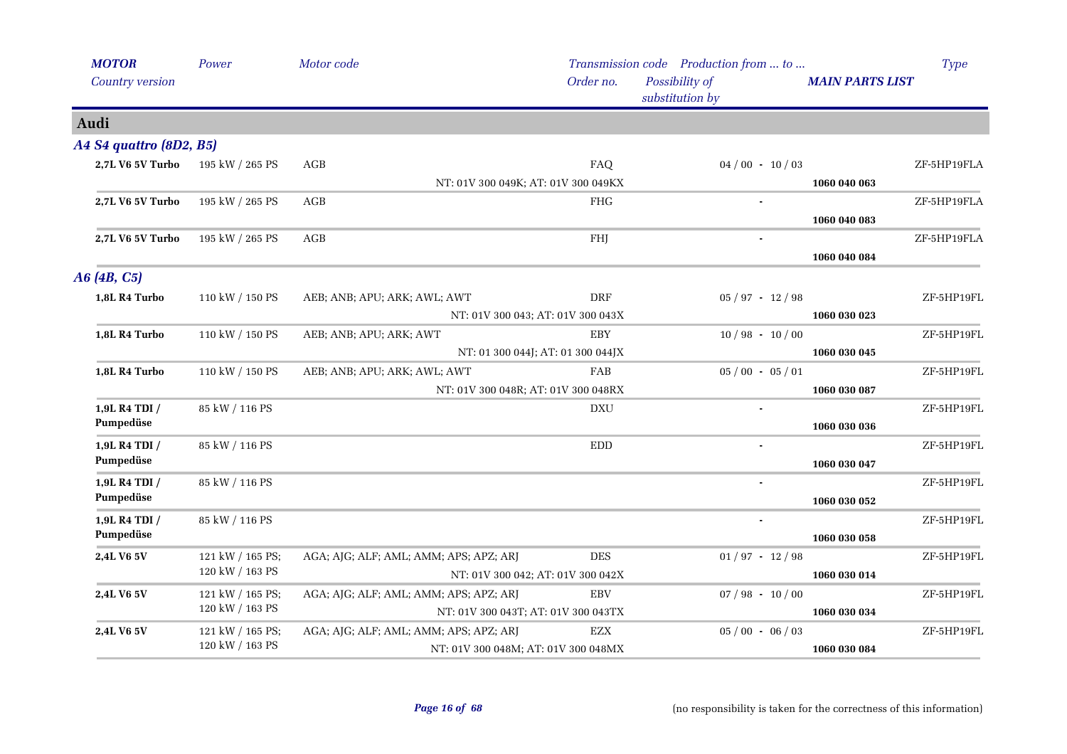| <b>MOTOR</b>            | Power                                     | Motor code                             |                                     | Transmission code Production from  to |                        | <b>Type</b> |
|-------------------------|-------------------------------------------|----------------------------------------|-------------------------------------|---------------------------------------|------------------------|-------------|
| <b>Country version</b>  |                                           |                                        | Order no.                           | Possibility of<br>substitution by     | <b>MAIN PARTS LIST</b> |             |
| Audi                    |                                           |                                        |                                     |                                       |                        |             |
| A4 S4 quattro (8D2, B5) |                                           |                                        |                                     |                                       |                        |             |
| 2,7L V6 5V Turbo        | 195 kW / 265 PS                           | AGB                                    | FAQ                                 | $04/00 - 10/03$                       |                        | ZF-5HP19FLA |
|                         |                                           |                                        | NT: 01V 300 049K; AT: 01V 300 049KX |                                       | 1060 040 063           |             |
| 2,7L V6 5V Turbo        | 195 kW / 265 PS                           | AGB                                    | <b>FHG</b>                          |                                       |                        | ZF-5HP19FLA |
|                         |                                           |                                        |                                     |                                       | 1060 040 083           |             |
| 2,7L V6 5V Turbo        | 195 kW / 265 PS                           | AGB                                    | FHJ                                 |                                       |                        | ZF-5HP19FLA |
|                         |                                           |                                        |                                     |                                       | 1060 040 084           |             |
| A6(4B, C5)              |                                           |                                        |                                     |                                       |                        |             |
| 1,8L R4 Turbo           | 110 kW / 150 PS                           | AEB; ANB; APU; ARK; AWL; AWT           | DRF                                 | $05 / 97 - 12 / 98$                   |                        | ZF-5HP19FL  |
|                         |                                           |                                        | NT: 01V 300 043; AT: 01V 300 043X   |                                       | 1060 030 023           |             |
| 1,8L R4 Turbo           | 110 kW / 150 PS                           | AEB; ANB; APU; ARK; AWT                | EBY                                 | $10/98 - 10/00$                       |                        | ZF-5HP19FL  |
|                         |                                           |                                        | NT: 01 300 044J; AT: 01 300 044JX   |                                       | 1060 030 045           |             |
| 1,8L R4 Turbo           | 110 kW / 150 PS                           | AEB; ANB; APU; ARK; AWL; AWT           | FAB                                 | $05/00 - 05/01$                       |                        | ZF-5HP19FL  |
|                         |                                           |                                        | NT: 01V 300 048R; AT: 01V 300 048RX |                                       | 1060 030 087           |             |
| 1,9L R4 TDI /           | 85 kW / 116 PS                            |                                        | <b>DXU</b>                          |                                       |                        | ZF-5HP19FL  |
| Pumpedüse               |                                           |                                        |                                     |                                       | 1060 030 036           |             |
| 1,9L R4 TDI /           | 85 kW / 116 PS                            |                                        | <b>EDD</b>                          | $\blacksquare$                        |                        | ZF-5HP19FL  |
| Pumpedüse               |                                           |                                        |                                     |                                       | 1060 030 047           |             |
| 1,9L R4 TDI /           | 85 kW / 116 PS                            |                                        |                                     |                                       |                        | ZF-5HP19FL  |
| Pumpedüse               |                                           |                                        |                                     |                                       | 1060 030 052           |             |
| 1,9L R4 TDI /           | 85 kW / 116 PS                            |                                        |                                     |                                       |                        | ZF-5HP19FL  |
| Pumpedüse               |                                           |                                        |                                     |                                       | 1060 030 058           |             |
| 2,4L V6 5V              | 121 kW / 165 PS;<br>120 kW / 163 PS       | AGA; AJG; ALF; AML; AMM; APS; APZ; ARJ | <b>DES</b>                          | $01/97 - 12/98$                       |                        | ZF-5HP19FL  |
|                         |                                           |                                        | NT: 01V 300 042; AT: 01V 300 042X   |                                       | 1060 030 014           |             |
| 2,4L V6 5V              | 121 kW / 165 PS;<br>$120$ kW $\!/$ 163 PS | AGA; AJG; ALF; AML; AMM; APS; APZ; ARJ | EBV                                 | $07 / 98 - 10 / 00$                   |                        | ZF-5HP19FL  |
|                         |                                           |                                        | NT: 01V 300 043T; AT: 01V 300 043TX |                                       | 1060 030 034           |             |
| 2,4L V6 5V              | 121 kW / 165 PS;<br>120 kW / 163 PS       | AGA; AJG; ALF; AML; AMM; APS; APZ; ARJ | EZX                                 | $05/00 - 06/03$                       |                        | ZF-5HP19FL  |
|                         |                                           |                                        | NT: 01V 300 048M; AT: 01V 300 048MX |                                       | 1060 030 084           |             |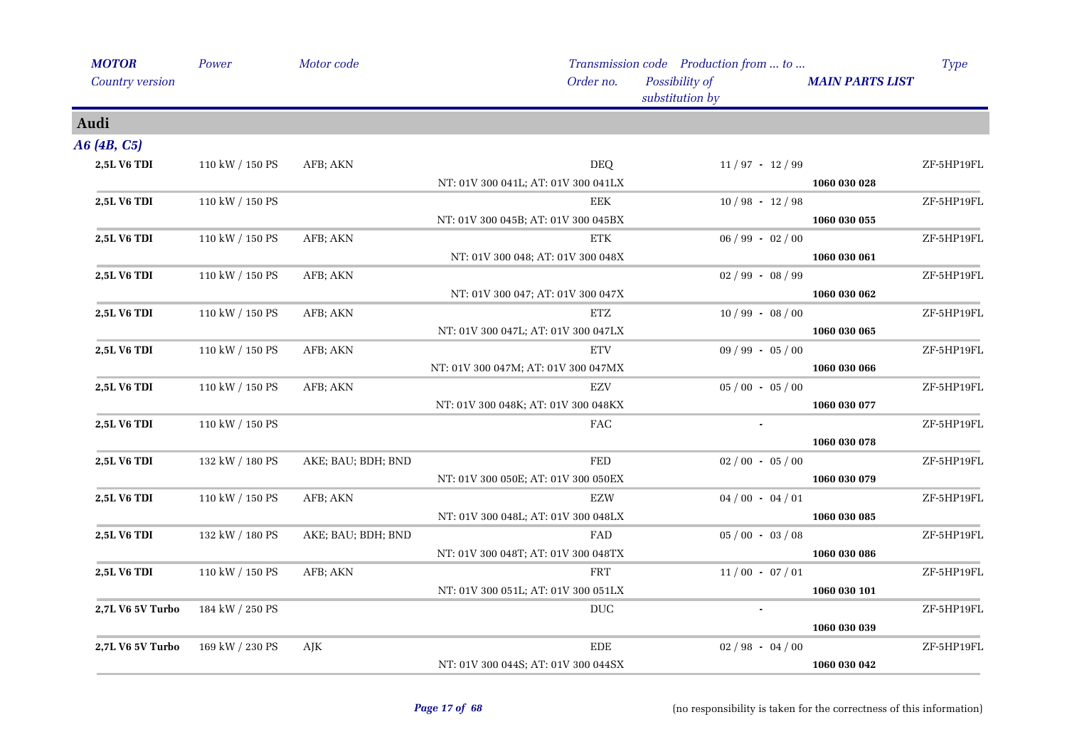| <b>MOTOR</b>       | Power           | Motor code         |                                     | Transmission code Production from  to |                        | <b>Type</b> |
|--------------------|-----------------|--------------------|-------------------------------------|---------------------------------------|------------------------|-------------|
| Country version    |                 |                    | Order no.                           | Possibility of<br>substitution by     | <b>MAIN PARTS LIST</b> |             |
| Audi               |                 |                    |                                     |                                       |                        |             |
| A6 (4B, C5)        |                 |                    |                                     |                                       |                        |             |
| <b>2,5L V6 TDI</b> | 110 kW / 150 PS | AFB; AKN           | <b>DEQ</b>                          | $11/97 - 12/99$                       |                        | ZF-5HP19FL  |
|                    |                 |                    | NT: 01V 300 041L; AT: 01V 300 041LX |                                       | 1060 030 028           |             |
| 2,5L V6 TDI        | 110 kW / 150 PS |                    | <b>EEK</b>                          | $10/98 - 12/98$                       |                        | ZF-5HP19FL  |
|                    |                 |                    | NT: 01V 300 045B; AT: 01V 300 045BX |                                       | 1060 030 055           |             |
| <b>2,5L V6 TDI</b> | 110 kW / 150 PS | AFB; AKN           | <b>ETK</b>                          | $06 / 99 - 02 / 00$                   |                        | ZF-5HP19FL  |
|                    |                 |                    | NT: 01V 300 048; AT: 01V 300 048X   |                                       | 1060 030 061           |             |
| 2,5L V6 TDI        | 110 kW / 150 PS | AFB; AKN           |                                     | $02/99 - 08/99$                       |                        | ZF-5HP19FL  |
|                    |                 |                    | NT: 01V 300 047; AT: 01V 300 047X   |                                       | 1060 030 062           |             |
| 2,5L V6 TDI        | 110 kW / 150 PS | AFB; AKN           | <b>ETZ</b>                          | $10/99 - 08/00$                       |                        | ZF-5HP19FL  |
|                    |                 |                    | NT: 01V 300 047L; AT: 01V 300 047LX |                                       | 1060 030 065           |             |
| 2,5L V6 TDI        | 110 kW / 150 PS | AFB; AKN           | <b>ETV</b>                          | $09 / 99 - 05 / 00$                   |                        | ZF-5HP19FL  |
|                    |                 |                    | NT: 01V 300 047M; AT: 01V 300 047MX |                                       | 1060 030 066           |             |
| 2,5L V6 TDI        | 110 kW / 150 PS | AFB; AKN           | <b>EZV</b>                          | $05/00 - 05/00$                       |                        | ZF-5HP19FL  |
|                    |                 |                    | NT: 01V 300 048K; AT: 01V 300 048KX |                                       | 1060 030 077           |             |
| <b>2,5L V6 TDI</b> | 110 kW / 150 PS |                    | $\rm{FAC}$                          | $\sim$                                |                        | ZF-5HP19FL  |
|                    |                 |                    |                                     |                                       | 1060 030 078           |             |
| 2,5L V6 TDI        | 132 kW / 180 PS | AKE; BAU; BDH; BND | <b>FED</b>                          | $02/00 - 05/00$                       |                        | ZF-5HP19FL  |
|                    |                 |                    | NT: 01V 300 050E; AT: 01V 300 050EX |                                       | 1060 030 079           |             |
| <b>2,5L V6 TDI</b> | 110 kW / 150 PS | AFB; AKN           | EZW                                 | $04/00 - 04/01$                       |                        | ZF-5HP19FL  |
|                    |                 |                    | NT: 01V 300 048L; AT: 01V 300 048LX |                                       | 1060 030 085           |             |
| 2,5L V6 TDI        | 132 kW / 180 PS | AKE; BAU; BDH; BND | FAD                                 | $05/00 - 03/08$                       |                        | ZF-5HP19FL  |
|                    |                 |                    | NT: 01V 300 048T; AT: 01V 300 048TX |                                       | 1060 030 086           |             |
| <b>2,5L V6 TDI</b> | 110 kW / 150 PS | AFB; AKN           | <b>FRT</b>                          | $11/00 - 07/01$                       |                        | ZF-5HP19FL  |
|                    |                 |                    | NT: 01V 300 051L; AT: 01V 300 051LX |                                       | 1060 030 101           |             |
| 2,7L V6 5V Turbo   | 184 kW / 250 PS |                    | <b>DUC</b>                          |                                       |                        | ZF-5HP19FL  |
|                    |                 |                    |                                     |                                       | 1060 030 039           |             |
| 2,7L V6 5V Turbo   | 169 kW / 230 PS | AJK                | <b>EDE</b>                          | $02/98 - 04/00$                       |                        | ZF-5HP19FL  |
|                    |                 |                    | NT: 01V 300 044S; AT: 01V 300 044SX |                                       | 1060 030 042           |             |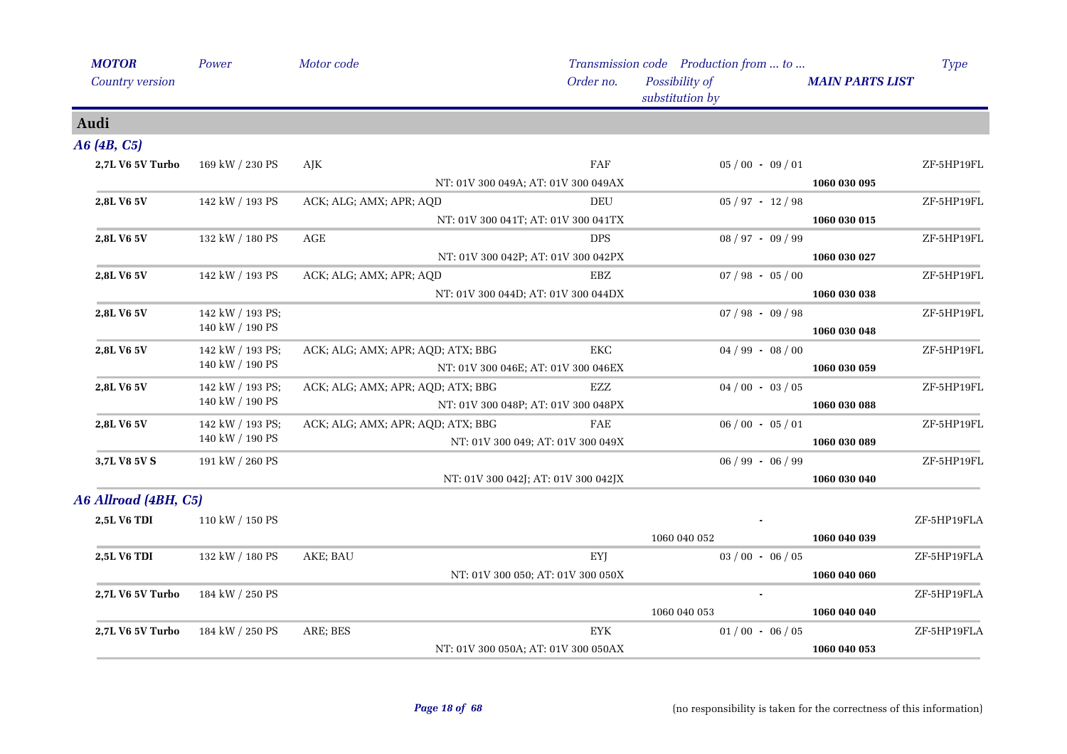| <b>MOTOR</b>           | Power            | Motor code                                          |                                   | Transmission code Production from  to |                        | <b>Type</b> |
|------------------------|------------------|-----------------------------------------------------|-----------------------------------|---------------------------------------|------------------------|-------------|
| <b>Country version</b> |                  |                                                     | Order no.                         | Possibility of<br>substitution by     | <b>MAIN PARTS LIST</b> |             |
| Audi                   |                  |                                                     |                                   |                                       |                        |             |
| A6 (4B, C5)            |                  |                                                     |                                   |                                       |                        |             |
| 2,7L V6 5V Turbo       | 169 kW / 230 PS  | AJK                                                 | FAF                               | $05/00 - 09/01$                       |                        | ZF-5HP19FL  |
|                        |                  | NT: 01V 300 049A; AT: 01V 300 049AX                 |                                   |                                       | 1060 030 095           |             |
| 2,8L V6 5V             | 142 kW / 193 PS  | ACK; ALG; AMX; APR; AQD                             | DEU                               | $05 / 97 - 12 / 98$                   |                        | ZF-5HP19FL  |
|                        |                  | NT: 01V 300 041T; AT: 01V 300 041TX                 |                                   |                                       | 1060 030 015           |             |
| 2,8L V6 5V             | 132 kW / 180 PS  | AGE                                                 | <b>DPS</b>                        | $08 / 97 - 09 / 99$                   |                        | ZF-5HP19FL  |
|                        |                  | NT: 01V 300 042P; AT: 01V 300 042PX                 |                                   |                                       | 1060 030 027           |             |
| 2,8L V6 5V             | 142 kW / 193 PS  | ACK; ALG; AMX; APR; AQD                             | EBZ                               | $07 / 98 - 05 / 00$                   |                        | ZF-5HP19FL  |
|                        |                  | NT: 01V 300 044D; AT: 01V 300 044DX                 |                                   |                                       | 1060 030 038           |             |
| 2,8L V6 5V             | 142 kW / 193 PS; |                                                     |                                   | $07 / 98 - 09 / 98$                   |                        | ZF-5HP19FL  |
|                        | 140 kW / 190 PS  |                                                     |                                   |                                       | 1060 030 048           |             |
| 2,8L V6 5V             | 142 kW / 193 PS; | ACK; ALG; AMX; APR; AQD; ATX; BBG                   | EKC                               | $04/99 - 08/00$                       |                        | ZF-5HP19FL  |
|                        | 140 kW / 190 PS  | NT: 01V 300 046E; AT: 01V 300 046EX                 |                                   |                                       | 1060 030 059           |             |
| 2,8L V6 5V             | 142 kW / 193 PS; | ACK; ALG; AMX; APR; AQD; ATX; BBG                   | EZZ                               | $04/00 - 03/05$                       |                        | ZF-5HP19FL  |
|                        | 140 kW / 190 PS  | NT: 01V 300 048P; AT: 01V 300 048PX<br>1060 030 088 |                                   |                                       |                        |             |
| 2,8L V6 5V             | 142 kW / 193 PS; | ACK; ALG; AMX; APR; AQD; ATX; BBG                   | FAE                               | $06/00 - 05/01$                       |                        | ZF-5HP19FL  |
|                        | 140 kW / 190 PS  |                                                     | NT: 01V 300 049; AT: 01V 300 049X |                                       | 1060 030 089           |             |
| 3,7L V8 5V S           | 191 kW / 260 PS  |                                                     |                                   | $06 / 99 - 06 / 99$                   |                        | ZF-5HP19FL  |
|                        |                  | NT: 01V 300 042J; AT: 01V 300 042JX                 |                                   |                                       | 1060 030 040           |             |
| A6 Allroad (4BH, C5)   |                  |                                                     |                                   |                                       |                        |             |
| <b>2,5L V6 TDI</b>     | 110 kW / 150 PS  |                                                     |                                   |                                       |                        | ZF-5HP19FLA |
|                        |                  |                                                     |                                   | 1060 040 052                          | 1060 040 039           |             |
| <b>2,5L V6 TDI</b>     | 132 kW / 180 PS  | AKE; BAU                                            | EYJ                               | $03/00 - 06/05$                       |                        | ZF-5HP19FLA |
|                        |                  |                                                     | NT: 01V 300 050; AT: 01V 300 050X |                                       | 1060 040 060           |             |
| 2,7L V6 5V Turbo       | 184 kW / 250 PS  |                                                     |                                   |                                       |                        | ZF-5HP19FLA |
|                        |                  |                                                     |                                   | 1060 040 053                          | 1060 040 040           |             |
| 2,7L V6 5V Turbo       | 184 kW / 250 PS  | ARE; BES                                            | <b>EYK</b>                        | $01/00 - 06/05$                       |                        | ZF-5HP19FLA |
|                        |                  | NT: 01V 300 050A; AT: 01V 300 050AX                 |                                   |                                       | 1060 040 053           |             |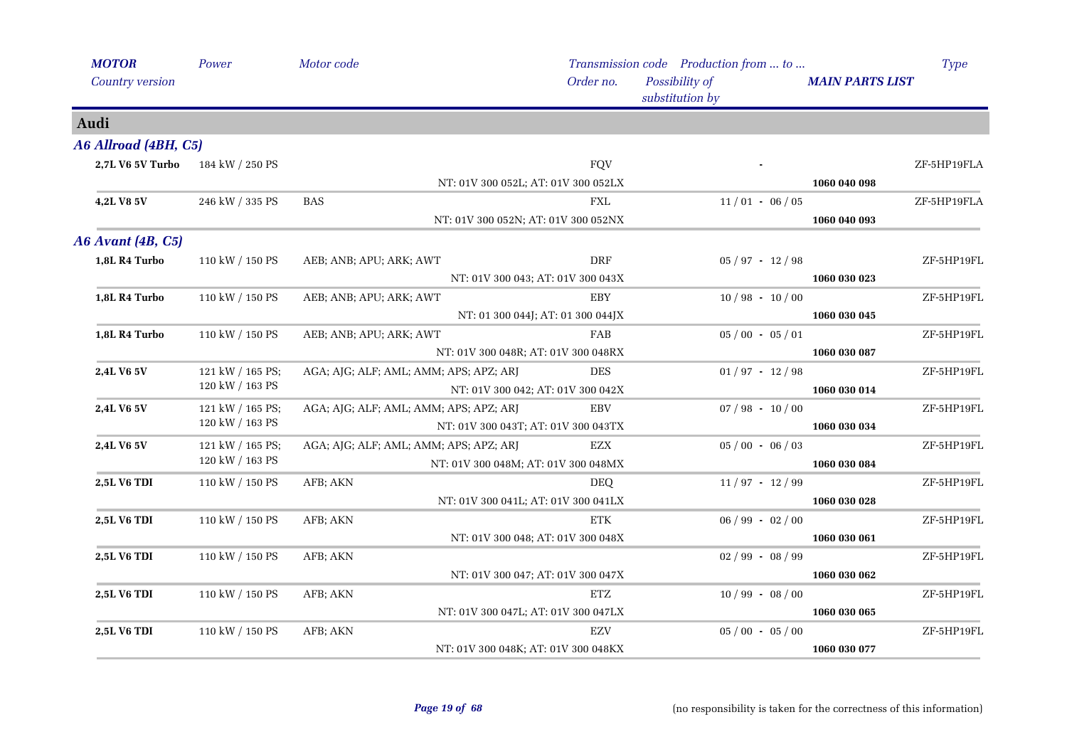| <b>MOTOR</b>         | Power            | Motor code                             |                                     | Transmission code Production from  to |                        | <b>Type</b> |
|----------------------|------------------|----------------------------------------|-------------------------------------|---------------------------------------|------------------------|-------------|
| Country version      |                  |                                        | Order no.                           | Possibility of<br>substitution by     | <b>MAIN PARTS LIST</b> |             |
| Audi                 |                  |                                        |                                     |                                       |                        |             |
| A6 Allroad (4BH, C5) |                  |                                        |                                     |                                       |                        |             |
| 2,7L V6 5V Turbo     | 184 kW / 250 PS  |                                        | <b>FQV</b>                          |                                       |                        | ZF-5HP19FLA |
|                      |                  |                                        | NT: 01V 300 052L; AT: 01V 300 052LX |                                       | 1060 040 098           |             |
| 4,2L V8 5V           | 246 kW / 335 PS  | <b>BAS</b>                             | FXL                                 | $11/01 - 06/05$                       |                        | ZF-5HP19FLA |
|                      |                  |                                        | NT: 01V 300 052N; AT: 01V 300 052NX |                                       | 1060 040 093           |             |
| A6 Avant (4B, C5)    |                  |                                        |                                     |                                       |                        |             |
| 1,8L R4 Turbo        | 110 kW / 150 PS  | AEB; ANB; APU; ARK; AWT                | <b>DRF</b>                          | $05 / 97 - 12 / 98$                   |                        | ZF-5HP19FL  |
|                      |                  |                                        | NT: 01V 300 043; AT: 01V 300 043X   |                                       | 1060 030 023           |             |
| 1,8L R4 Turbo        | 110 kW / 150 PS  | AEB; ANB; APU; ARK; AWT                | EBY                                 | $10/98 - 10/00$                       |                        | ZF-5HP19FL  |
|                      |                  |                                        | NT: 01 300 044J; AT: 01 300 044JX   |                                       | 1060 030 045           |             |
| 1,8L R4 Turbo        | 110 kW / 150 PS  | AEB; ANB; APU; ARK; AWT                | FAB                                 | $05/00 - 05/01$                       |                        | ZF-5HP19FL  |
|                      |                  |                                        | NT: 01V 300 048R; AT: 01V 300 048RX |                                       | 1060 030 087           |             |
| 2,4L V6 5V           | 121 kW / 165 PS; | AGA; AJG; ALF; AML; AMM; APS; APZ; ARJ | <b>DES</b>                          | $01/97 - 12/98$                       |                        | ZF-5HP19FL  |
|                      | 120 kW / 163 PS  |                                        | NT: 01V 300 042; AT: 01V 300 042X   |                                       | 1060 030 014           |             |
| 2,4L V6 5V           | 121 kW / 165 PS; | AGA; AJG; ALF; AML; AMM; APS; APZ; ARJ | <b>EBV</b>                          | $07 / 98 - 10 / 00$                   |                        | ZF-5HP19FL  |
|                      | 120 kW / 163 PS  |                                        | NT: 01V 300 043T; AT: 01V 300 043TX |                                       | 1060 030 034           |             |
| 2,4L V6 5V           | 121 kW / 165 PS; | AGA; AJG; ALF; AML; AMM; APS; APZ; ARJ | EZX                                 | $05/00 - 06/03$                       |                        | ZF-5HP19FL  |
|                      | 120 kW / 163 PS  |                                        | NT: 01V 300 048M; AT: 01V 300 048MX |                                       | 1060 030 084           |             |
| 2,5L V6 TDI          | 110 kW / 150 PS  | AFB; AKN                               | <b>DEO</b>                          | $11/97 - 12/99$                       |                        | ZF-5HP19FL  |
|                      |                  |                                        | NT: 01V 300 041L; AT: 01V 300 041LX |                                       | 1060 030 028           |             |
| 2,5L V6 TDI          | 110 kW / 150 PS  | AFB; AKN                               | ETK                                 | $06 / 99 - 02 / 00$                   |                        | ZF-5HP19FL  |
|                      |                  |                                        | NT: 01V 300 048; AT: 01V 300 048X   |                                       | 1060 030 061           |             |
| 2,5L V6 TDI          | 110 kW / 150 PS  | AFB; AKN                               |                                     | $02/99 - 08/99$                       |                        | ZF-5HP19FL  |
|                      |                  |                                        | NT: 01V 300 047; AT: 01V 300 047X   |                                       | 1060 030 062           |             |
| <b>2,5L V6 TDI</b>   | 110 kW / 150 PS  | AFB; AKN                               | <b>ETZ</b>                          | $10/99 - 08/00$                       |                        | ZF-5HP19FL  |
|                      |                  |                                        | NT: 01V 300 047L; AT: 01V 300 047LX |                                       | 1060 030 065           |             |
| 2,5L V6 TDI          | 110 kW / 150 PS  | AFB; AKN                               | <b>EZV</b>                          | $05/00 - 05/00$                       |                        | ZF-5HP19FL  |
|                      |                  |                                        | NT: 01V 300 048K; AT: 01V 300 048KX |                                       | 1060 030 077           |             |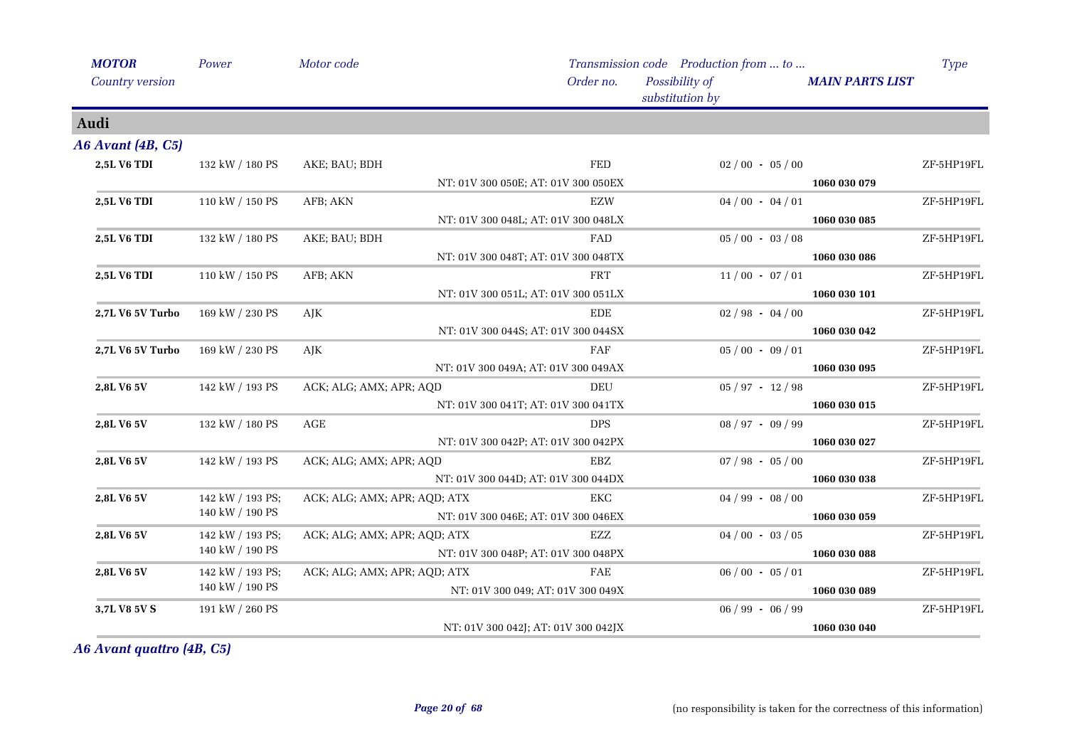| <b>MOTOR</b>       | Power            | Motor code                   |                                     | Transmission code Production from  to |                        | <b>Type</b> |
|--------------------|------------------|------------------------------|-------------------------------------|---------------------------------------|------------------------|-------------|
| Country version    |                  |                              | Order no.                           | Possibility of<br>substitution by     | <b>MAIN PARTS LIST</b> |             |
| Audi               |                  |                              |                                     |                                       |                        |             |
| A6 Avant (4B, C5)  |                  |                              |                                     |                                       |                        |             |
| <b>2,5L V6 TDI</b> | 132 kW / 180 PS  | AKE; BAU; BDH                | <b>FED</b>                          | $02/00 - 05/00$                       |                        | ZF-5HP19FL  |
|                    |                  |                              | NT: 01V 300 050E; AT: 01V 300 050EX |                                       | 1060 030 079           |             |
| 2,5L V6 TDI        | 110 kW / 150 PS  | AFB; AKN                     | EZW                                 | $04/00 - 04/01$                       |                        | ZF-5HP19FL  |
|                    |                  |                              | NT: 01V 300 048L; AT: 01V 300 048LX |                                       | 1060 030 085           |             |
| 2,5L V6 TDI        | 132 kW / 180 PS  | AKE; BAU; BDH                | FAD                                 | $05/00 - 03/08$                       |                        | ZF-5HP19FL  |
|                    |                  |                              | NT: 01V 300 048T; AT: 01V 300 048TX |                                       | 1060 030 086           |             |
| 2,5L V6 TDI        | 110 kW / 150 PS  | AFB; AKN                     | <b>FRT</b>                          | $11/00 - 07/01$                       |                        | ZF-5HP19FL  |
|                    |                  |                              | NT: 01V 300 051L; AT: 01V 300 051LX |                                       | 1060 030 101           |             |
| 2,7L V6 5V Turbo   | 169 kW / 230 PS  | AJK                          | <b>EDE</b>                          | $02 / 98 - 04 / 00$                   |                        | ZF-5HP19FL  |
|                    |                  |                              | NT: 01V 300 044S; AT: 01V 300 044SX |                                       | 1060 030 042           |             |
| 2,7L V6 5V Turbo   | 169 kW / 230 PS  | AJK                          | FAF                                 | $05/00 - 09/01$                       |                        | ZF-5HP19FL  |
|                    |                  |                              | NT: 01V 300 049A; AT: 01V 300 049AX |                                       | 1060 030 095           |             |
| 2,8L V6 5V         | 142 kW / 193 PS  | ACK; ALG; AMX; APR; AQD      | DEU                                 | $05 / 97 - 12 / 98$                   |                        | ZF-5HP19FL  |
|                    |                  |                              | NT: 01V 300 041T; AT: 01V 300 041TX |                                       | 1060 030 015           |             |
| 2,8L V6 5V         | 132 kW / 180 PS  | $\rm{AGE}$                   | <b>DPS</b>                          | $08 / 97 - 09 / 99$                   |                        | ZF-5HP19FL  |
|                    |                  |                              | NT: 01V 300 042P; AT: 01V 300 042PX |                                       | 1060 030 027           |             |
| 2,8L V6 5V         | 142 kW / 193 PS  | ACK; ALG; AMX; APR; AQD      | EBZ                                 | $07 / 98 - 05 / 00$                   |                        | ZF-5HP19FL  |
|                    |                  |                              | NT: 01V 300 044D; AT: 01V 300 044DX |                                       | 1060 030 038           |             |
| 2,8L V6 5V         | 142 kW / 193 PS; | ACK; ALG; AMX; APR; AQD; ATX | EKC                                 | $04 / 99 - 08 / 00$                   |                        | ZF-5HP19FL  |
|                    | 140 kW / 190 PS  |                              | NT: 01V 300 046E; AT: 01V 300 046EX |                                       | 1060 030 059           |             |
| 2,8L V6 5V         | 142 kW / 193 PS; | ACK; ALG; AMX; APR; AQD; ATX | EZZ                                 | $04/00 - 03/05$                       |                        | ZF-5HP19FL  |
|                    | 140 kW / 190 PS  |                              | NT: 01V 300 048P; AT: 01V 300 048PX |                                       | 1060 030 088           |             |
| 2,8L V6 5V         | 142 kW / 193 PS; | ACK; ALG; AMX; APR; AQD; ATX | FAE                                 | $06/00 - 05/01$                       |                        | ZF-5HP19FL  |
|                    | 140 kW / 190 PS  |                              | NT: 01V 300 049; AT: 01V 300 049X   |                                       | 1060 030 089           |             |
| 3,7L V8 5V S       | 191 kW / 260 PS  |                              |                                     | $06 / 99 - 06 / 99$                   |                        | ZF-5HP19FL  |
|                    |                  |                              | NT: 01V 300 042J; AT: 01V 300 042JX |                                       | 1060 030 040           |             |

*A6 Avant quattro (4B, C5)*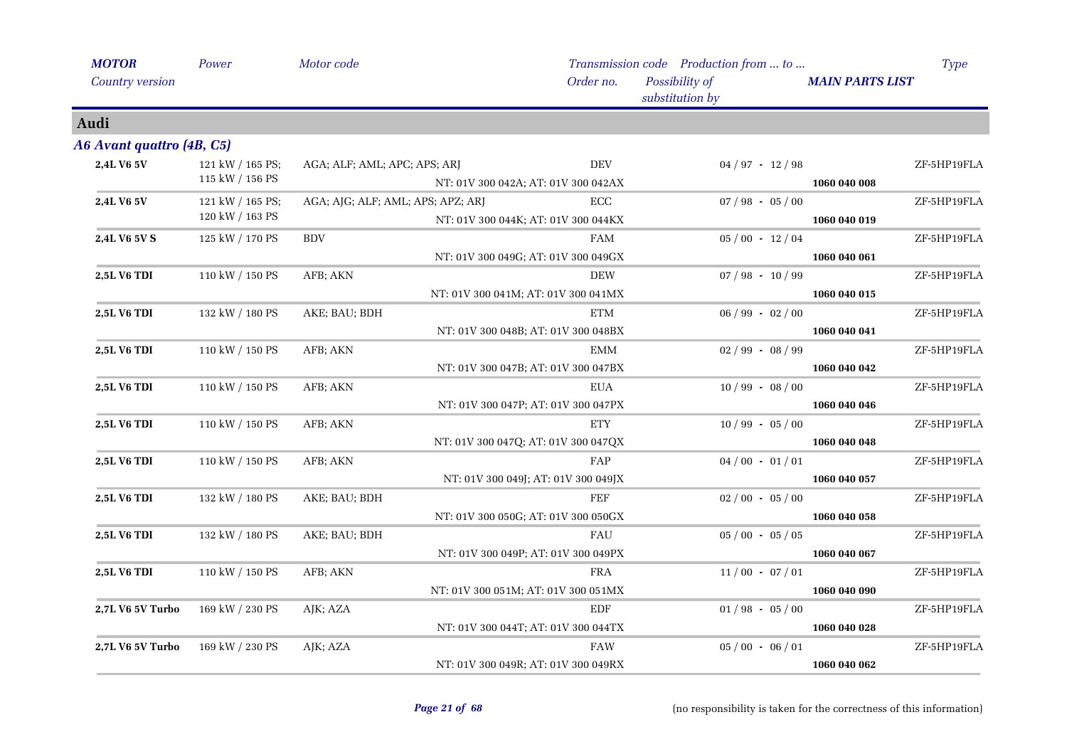| <b>MOTOR</b>              | Power            | Motor code                        |                                     |            | Transmission code Production from  to |                        | <b>Type</b> |
|---------------------------|------------------|-----------------------------------|-------------------------------------|------------|---------------------------------------|------------------------|-------------|
| Country version           |                  |                                   |                                     | Order no.  | Possibility of<br>substitution by     | <b>MAIN PARTS LIST</b> |             |
| Audi                      |                  |                                   |                                     |            |                                       |                        |             |
| A6 Avant quattro (4B, C5) |                  |                                   |                                     |            |                                       |                        |             |
| 2,4L V6 5V                | 121 kW / 165 PS; | AGA; ALF; AML; APC; APS; ARJ      |                                     | <b>DEV</b> | $04 / 97 - 12 / 98$                   |                        | ZF-5HP19FLA |
|                           | 115 kW / 156 PS  |                                   | NT: 01V 300 042A; AT: 01V 300 042AX |            |                                       | 1060 040 008           |             |
| 2,4L V6 5V                | 121 kW / 165 PS; | AGA; AJG; ALF; AML; APS; APZ; ARJ |                                     | ECC        | $07 / 98 - 05 / 00$                   |                        | ZF-5HP19FLA |
|                           | 120 kW / 163 PS  |                                   | NT: 01V 300 044K; AT: 01V 300 044KX |            |                                       | 1060 040 019           |             |
| 2,4L V6 5V S              | 125 kW / 170 PS  | <b>BDV</b>                        |                                     | FAM        | $05/00 - 12/04$                       |                        | ZF-5HP19FLA |
|                           |                  |                                   | NT: 01V 300 049G; AT: 01V 300 049GX |            |                                       | 1060 040 061           |             |
| 2,5L V6 TDI               | 110 kW / 150 PS  | AFB; AKN                          |                                     | <b>DEW</b> | $07 / 98 - 10 / 99$                   |                        | ZF-5HP19FLA |
|                           |                  |                                   | NT: 01V 300 041M; AT: 01V 300 041MX |            |                                       | 1060 040 015           |             |
| 2,5L V6 TDI               | 132 kW / 180 PS  | AKE; BAU; BDH                     |                                     | ETM        | $06 / 99 - 02 / 00$                   |                        | ZF-5HP19FLA |
|                           |                  |                                   | NT: 01V 300 048B; AT: 01V 300 048BX |            |                                       | 1060 040 041           |             |
| 2,5L V6 TDI               | 110 kW / 150 PS  | AFB; AKN                          |                                     | <b>EMM</b> | $02/99 - 08/99$                       |                        | ZF-5HP19FLA |
|                           |                  |                                   | NT: 01V 300 047B; AT: 01V 300 047BX |            |                                       | 1060 040 042           |             |
| <b>2,5L V6 TDI</b>        | 110 kW / 150 PS  | AFB; AKN                          |                                     | EUA        | $10/99 - 08/00$                       |                        | ZF-5HP19FLA |
|                           |                  |                                   | NT: 01V 300 047P; AT: 01V 300 047PX |            |                                       | 1060 040 046           |             |
| 2,5L V6 TDI               | 110 kW / 150 PS  | AFB; AKN                          |                                     | <b>ETY</b> | $10/99 - 05/00$                       |                        | ZF-5HP19FLA |
|                           |                  |                                   | NT: 01V 300 047Q; AT: 01V 300 047QX |            |                                       | 1060 040 048           |             |
| 2,5L V6 TDI               | 110 kW / 150 PS  | AFB; AKN                          |                                     | FAP        | $04/00 - 01/01$                       |                        | ZF-5HP19FLA |
|                           |                  |                                   | NT: 01V 300 049J; AT: 01V 300 049JX |            |                                       | 1060 040 057           |             |
| <b>2,5L V6 TDI</b>        | 132 kW / 180 PS  | AKE; BAU; BDH                     |                                     | FEF        | $02/00 - 05/00$                       |                        | ZF-5HP19FLA |
|                           |                  |                                   | NT: 01V 300 050G; AT: 01V 300 050GX |            |                                       | 1060 040 058           |             |
| <b>2,5L V6 TDI</b>        | 132 kW / 180 PS  | AKE; BAU; BDH                     |                                     | FAU        | $05/00 - 05/05$                       |                        | ZF-5HP19FLA |
|                           |                  |                                   | NT: 01V 300 049P; AT: 01V 300 049PX |            |                                       | 1060 040 067           |             |
| <b>2,5L V6 TDI</b>        | 110 kW / 150 PS  | AFB; AKN                          |                                     | <b>FRA</b> | $11/00 - 07/01$                       |                        | ZF-5HP19FLA |
|                           |                  |                                   | NT: 01V 300 051M; AT: 01V 300 051MX |            |                                       | 1060 040 090           |             |
| 2,7L V6 5V Turbo          | 169 kW / 230 PS  | AJK; AZA                          |                                     | EDF        | $01/98 - 05/00$                       |                        | ZF-5HP19FLA |
|                           |                  |                                   | NT: 01V 300 044T; AT: 01V 300 044TX |            |                                       | 1060 040 028           |             |
| 2,7L V6 5V Turbo          | 169 kW / 230 PS  | AJK; AZA                          |                                     | FAW        | $05/00 - 06/01$                       |                        | ZF-5HP19FLA |
|                           |                  |                                   |                                     |            |                                       |                        |             |
|                           |                  |                                   | NT: 01V 300 049R; AT: 01V 300 049RX |            |                                       | 1060 040 062           |             |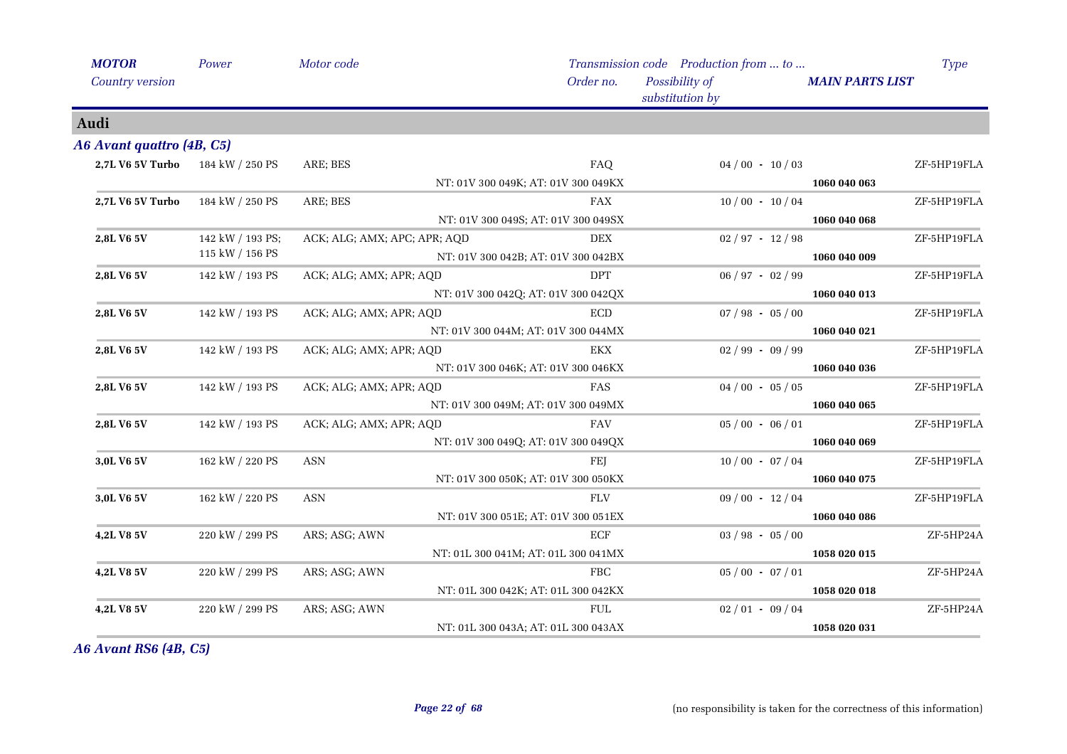| <b>MOTOR</b>                     | Power            | Motor code                   |                                     | Transmission code Production from  to |                        | Type        |
|----------------------------------|------------------|------------------------------|-------------------------------------|---------------------------------------|------------------------|-------------|
| Country version                  |                  |                              | Order no.                           | Possibility of<br>substitution by     | <b>MAIN PARTS LIST</b> |             |
| Audi                             |                  |                              |                                     |                                       |                        |             |
| A6 Avant quattro (4B, C5)        |                  |                              |                                     |                                       |                        |             |
| 2,7L V6 5V Turbo 184 kW / 250 PS |                  | ARE; BES                     | FAQ                                 | $04/00 - 10/03$                       |                        | ZF-5HP19FLA |
|                                  |                  |                              | NT: 01V 300 049K; AT: 01V 300 049KX |                                       | 1060 040 063           |             |
| 2,7L V6 5V Turbo                 | 184 kW / 250 PS  | ARE; BES                     | <b>FAX</b>                          | $10/00 - 10/04$                       |                        | ZF-5HP19FLA |
|                                  |                  |                              | NT: 01V 300 049S; AT: 01V 300 049SX |                                       | 1060 040 068           |             |
| 2,8L V6 5V                       | 142 kW / 193 PS; | ACK; ALG; AMX; APC; APR; AQD | <b>DEX</b>                          | $02 / 97 - 12 / 98$                   |                        | ZF-5HP19FLA |
|                                  | 115 kW / 156 PS  |                              | NT: 01V 300 042B; AT: 01V 300 042BX |                                       | 1060 040 009           |             |
| 2,8L V6 5V                       | 142 kW / 193 PS  | ACK; ALG; AMX; APR; AQD      | <b>DPT</b>                          | $06 / 97 - 02 / 99$                   |                        | ZF-5HP19FLA |
|                                  |                  |                              | NT: 01V 300 042Q; AT: 01V 300 042QX |                                       | 1060 040 013           |             |
| 2,8L V6 5V                       | 142 kW / 193 PS  | ACK; ALG; AMX; APR; AQD      | <b>ECD</b>                          | $07 / 98 - 05 / 00$                   |                        | ZF-5HP19FLA |
|                                  |                  |                              | NT: 01V 300 044M; AT: 01V 300 044MX |                                       | 1060 040 021           |             |
| 2,8L V6 5V                       | 142 kW / 193 PS  | ACK; ALG; AMX; APR; AQD      | <b>EKX</b>                          | $02 / 99 - 09 / 99$                   |                        | ZF-5HP19FLA |
|                                  |                  |                              | NT: 01V 300 046K; AT: 01V 300 046KX |                                       | 1060 040 036           |             |
| 2,8L V6 5V                       | 142 kW / 193 PS  | ACK; ALG; AMX; APR; AQD      | FAS                                 | $04/00 - 05/05$                       |                        | ZF-5HP19FLA |
|                                  |                  |                              | NT: 01V 300 049M; AT: 01V 300 049MX |                                       | 1060 040 065           |             |
| 2,8L V6 5V                       | 142 kW / 193 PS  | ACK; ALG; AMX; APR; AQD      | <b>FAV</b>                          | $05/00 - 06/01$                       |                        | ZF-5HP19FLA |
|                                  |                  |                              | NT: 01V 300 049Q; AT: 01V 300 049QX |                                       | 1060 040 069           |             |
| 3,0L V6 5V                       | 162 kW / 220 PS  | <b>ASN</b>                   | FEJ                                 | $10/00 - 07/04$                       |                        | ZF-5HP19FLA |
|                                  |                  |                              | NT: 01V 300 050K; AT: 01V 300 050KX |                                       | 1060 040 075           |             |
| 3,0L V6 5V                       | 162 kW / 220 PS  | <b>ASN</b>                   | <b>FLV</b>                          | $09/00 - 12/04$                       |                        | ZF-5HP19FLA |
|                                  |                  |                              | NT: 01V 300 051E; AT: 01V 300 051EX |                                       | 1060 040 086           |             |
| 4,2L V8 5V                       | 220 kW / 299 PS  | ARS; ASG; AWN                | ECF                                 | $03 / 98 - 05 / 00$                   |                        | ZF-5HP24A   |
|                                  |                  |                              | NT: 01L 300 041M; AT: 01L 300 041MX |                                       | 1058 020 015           |             |
| 4,2L V8 5V                       | 220 kW / 299 PS  | ARS; ASG; AWN                | FBC                                 | $05/00 - 07/01$                       |                        | ZF-5HP24A   |
|                                  |                  |                              | NT: 01L 300 042K; AT: 01L 300 042KX |                                       | 1058 020 018           |             |
| 4,2L V8 5V                       | 220 kW / 299 PS  | ARS; ASG; AWN                | ${\rm FULL}$                        | $02/01 - 09/04$                       |                        | ZF-5HP24A   |
|                                  |                  |                              | NT: 01L 300 043A; AT: 01L 300 043AX |                                       | 1058 020 031           |             |

*A6 Avant RS6 (4B, C5)*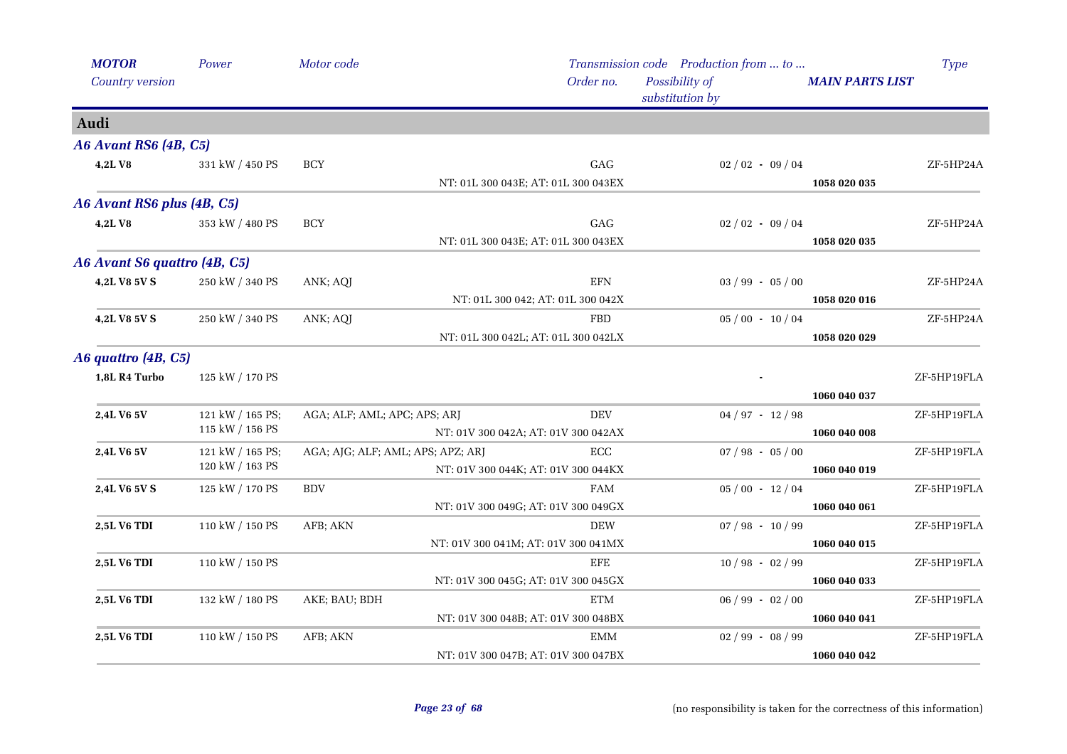| <b>MOTOR</b>                 | Power                               | Motor code                        |                                     |              | Transmission code Production from  to |                        | <b>Type</b> |             |
|------------------------------|-------------------------------------|-----------------------------------|-------------------------------------|--------------|---------------------------------------|------------------------|-------------|-------------|
| Country version              |                                     |                                   |                                     | Order no.    | Possibility of<br>substitution by     | <b>MAIN PARTS LIST</b> |             |             |
| Audi                         |                                     |                                   |                                     |              |                                       |                        |             |             |
| <b>A6 Avant RS6 (4B, C5)</b> |                                     |                                   |                                     |              |                                       |                        |             |             |
| 4,2LV8                       | 331 kW / 450 PS                     | <b>BCY</b>                        |                                     | GAG          | $02/02 - 09/04$                       |                        | ZF-5HP24A   |             |
|                              |                                     |                                   | NT: 01L 300 043E; AT: 01L 300 043EX |              |                                       | 1058 020 035           |             |             |
| A6 Avant RS6 plus (4B, C5)   |                                     |                                   |                                     |              |                                       |                        |             |             |
| 4,2LV8                       | 353 kW / 480 PS                     | <b>BCY</b>                        |                                     | GAG          | $02/02 - 09/04$                       |                        | ZF-5HP24A   |             |
|                              |                                     |                                   | NT: 01L 300 043E; AT: 01L 300 043EX |              |                                       | 1058 020 035           |             |             |
| A6 Avant S6 quattro (4B, C5) |                                     |                                   |                                     |              |                                       |                        |             |             |
| 4,2L V8 5V S                 | 250 kW / 340 PS                     | ANK; AQJ                          |                                     | <b>EFN</b>   | $03 / 99 - 05 / 00$                   |                        | ZF-5HP24A   |             |
|                              |                                     |                                   | NT: 01L 300 042; AT: 01L 300 042X   |              |                                       | 1058 020 016           |             |             |
| 4,2L V8 5V S                 | 250 kW / 340 PS                     | ANK; AQJ                          |                                     | FBD          | $05/00 - 10/04$                       |                        | ZF-5HP24A   |             |
|                              |                                     |                                   | NT: 01L 300 042L; AT: 01L 300 042LX |              |                                       | 1058 020 029           |             |             |
| A6 quattro (4B, C5)          |                                     |                                   |                                     |              |                                       |                        |             |             |
| 1,8L R4 Turbo                | 125 kW / 170 PS                     |                                   |                                     |              |                                       |                        | ZF-5HP19FLA |             |
|                              |                                     |                                   |                                     |              |                                       | 1060 040 037           |             |             |
| 2,4L V6 5V                   | 121 kW / 165 PS;                    |                                   | AGA; ALF; AML; APC; APS; ARJ        |              | <b>DEV</b>                            | $04 / 97 - 12 / 98$    |             | ZF-5HP19FLA |
|                              | 115 kW / 156 PS                     |                                   | NT: 01V 300 042A; AT: 01V 300 042AX |              |                                       | 1060 040 008           |             |             |
| 2,4L V6 5V                   | 121 kW / 165 PS;<br>120 kW / 163 PS | AGA; AJG; ALF; AML; APS; APZ; ARJ |                                     | $_{\rm ECC}$ | $07 / 98 - 05 / 00$                   |                        | ZF-5HP19FLA |             |
|                              |                                     |                                   | NT: 01V 300 044K; AT: 01V 300 044KX |              |                                       | 1060 040 019           |             |             |
| 2,4L V6 5V S                 | 125 kW / 170 PS                     | <b>BDV</b>                        |                                     | <b>FAM</b>   | $05/00 - 12/04$                       |                        | ZF-5HP19FLA |             |
|                              |                                     |                                   | NT: 01V 300 049G; AT: 01V 300 049GX |              |                                       | 1060 040 061           |             |             |
| 2,5L V6 TDI                  | 110 kW / 150 PS                     | AFB; AKN                          |                                     | <b>DEW</b>   | $07 / 98 - 10 / 99$                   |                        | ZF-5HP19FLA |             |
|                              |                                     |                                   | NT: 01V 300 041M; AT: 01V 300 041MX |              |                                       | 1060 040 015           | ZF-5HP19FLA |             |
| 2,5L V6 TDI                  | 110 kW / 150 PS                     |                                   | NT: 01V 300 045G; AT: 01V 300 045GX | EFE          | $10/98 - 02/99$                       | 1060 040 033           |             |             |
| 2,5L V6 TDI                  | 132 kW / 180 PS                     | AKE; BAU; BDH                     |                                     | ETM          | $06 / 99 - 02 / 00$                   |                        | ZF-5HP19FLA |             |
|                              |                                     |                                   | NT: 01V 300 048B; AT: 01V 300 048BX |              |                                       | 1060 040 041           |             |             |
| 2,5L V6 TDI                  | 110 kW / 150 PS                     | AFB; AKN                          |                                     | EMM          | $02/99 - 08/99$                       |                        | ZF-5HP19FLA |             |
|                              |                                     |                                   | NT: 01V 300 047B; AT: 01V 300 047BX |              |                                       | 1060 040 042           |             |             |
|                              |                                     |                                   |                                     |              |                                       |                        |             |             |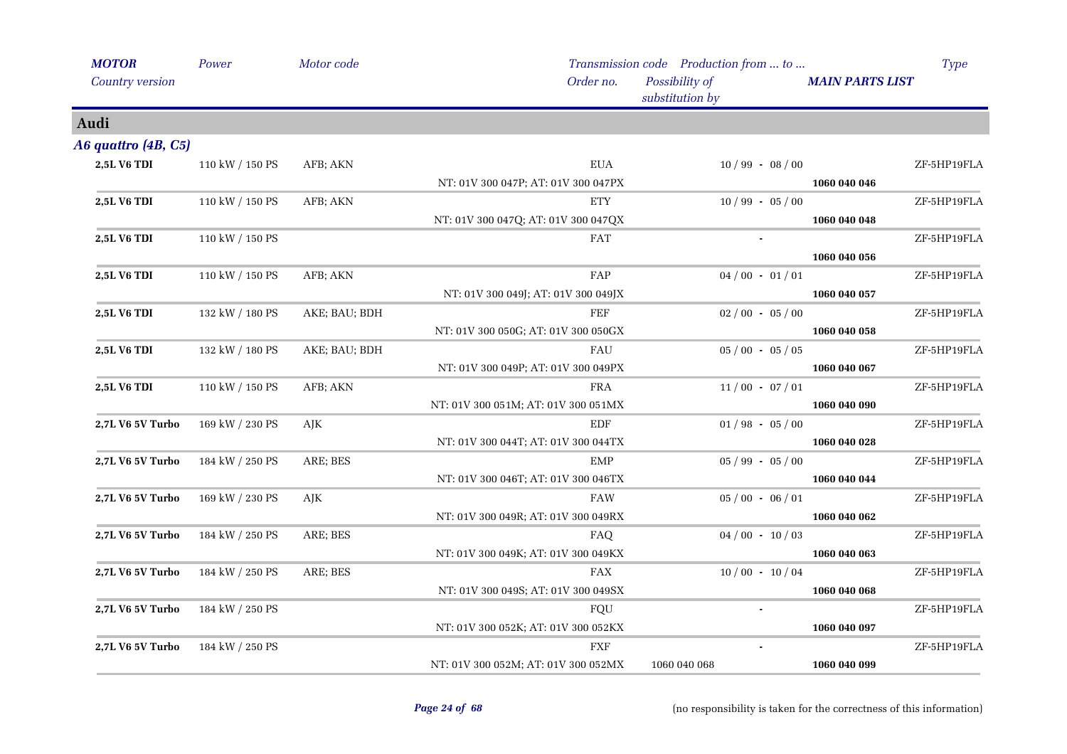| <b>MOTOR</b>        | Power           | Motor code    |                                     | Transmission code Production from  to | <b>Type</b>            |
|---------------------|-----------------|---------------|-------------------------------------|---------------------------------------|------------------------|
| Country version     |                 |               | Order no.                           | Possibility of<br>substitution by     | <b>MAIN PARTS LIST</b> |
| Audi                |                 |               |                                     |                                       |                        |
| A6 quattro (4B, C5) |                 |               |                                     |                                       |                        |
| 2,5L V6 TDI         | 110 kW / 150 PS | AFB; AKN      | <b>EUA</b>                          | $10/99 - 08/00$                       | ZF-5HP19FLA            |
|                     |                 |               | NT: 01V 300 047P; AT: 01V 300 047PX |                                       | 1060 040 046           |
| 2,5L V6 TDI         | 110 kW / 150 PS | AFB; AKN      | <b>ETY</b>                          | $10/99 - 05/00$                       | ZF-5HP19FLA            |
|                     |                 |               | NT: 01V 300 047Q; AT: 01V 300 047QX |                                       | 1060 040 048           |
| 2,5L V6 TDI         | 110 kW / 150 PS |               | <b>FAT</b>                          |                                       | ZF-5HP19FLA            |
|                     |                 |               |                                     |                                       | 1060 040 056           |
| 2,5L V6 TDI         | 110 kW / 150 PS | AFB; AKN      | FAP                                 | $04/00 - 01/01$                       | ZF-5HP19FLA            |
|                     |                 |               | NT: 01V 300 049J; AT: 01V 300 049JX |                                       | 1060 040 057           |
| 2,5L V6 TDI         | 132 kW / 180 PS | AKE; BAU; BDH | FEF                                 | $02/00 - 05/00$                       | ZF-5HP19FLA            |
|                     |                 |               | NT: 01V 300 050G; AT: 01V 300 050GX |                                       | 1060 040 058           |
| 2,5L V6 TDI         | 132 kW / 180 PS | AKE; BAU; BDH | FAU                                 | $05/00 - 05/05$                       | ZF-5HP19FLA            |
|                     |                 |               | NT: 01V 300 049P; AT: 01V 300 049PX |                                       | 1060 040 067           |
| 2,5L V6 TDI         | 110 kW / 150 PS | AFB; AKN      | <b>FRA</b>                          | $11/00 - 07/01$                       | ZF-5HP19FLA            |
|                     |                 |               | NT: 01V 300 051M; AT: 01V 300 051MX |                                       | 1060 040 090           |
| 2,7L V6 5V Turbo    | 169 kW / 230 PS | AJK           | EDF                                 | $01/98 - 05/00$                       | ZF-5HP19FLA            |
|                     |                 |               | NT: 01V 300 044T; AT: 01V 300 044TX |                                       | 1060 040 028           |
| 2,7L V6 5V Turbo    | 184 kW / 250 PS | ARE; BES      | <b>EMP</b>                          | $05 / 99 - 05 / 00$                   | ZF-5HP19FLA            |
|                     |                 |               | NT: 01V 300 046T; AT: 01V 300 046TX |                                       | 1060 040 044           |
| 2,7L V6 5V Turbo    | 169 kW / 230 PS | AJK           | <b>FAW</b>                          | $05/00 - 06/01$                       | ZF-5HP19FLA            |
|                     |                 |               | NT: 01V 300 049R; AT: 01V 300 049RX |                                       | 1060 040 062           |
| 2,7L V6 5V Turbo    | 184 kW / 250 PS | ARE; BES      | FAQ                                 | $04/00 - 10/03$                       | ZF-5HP19FLA            |
|                     |                 |               | NT: 01V 300 049K; AT: 01V 300 049KX |                                       | 1060 040 063           |
| 2,7L V6 5V Turbo    | 184 kW / 250 PS | ARE; BES      | <b>FAX</b>                          | $10/00 - 10/04$                       | ZF-5HP19FLA            |
|                     |                 |               | NT: 01V 300 049S; AT: 01V 300 049SX |                                       | 1060 040 068           |
| 2,7L V6 5V Turbo    | 184 kW / 250 PS |               | FQU                                 |                                       | ZF-5HP19FLA            |
|                     |                 |               | NT: 01V 300 052K; AT: 01V 300 052KX |                                       | 1060 040 097           |
| 2,7L V6 5V Turbo    | 184 kW / 250 PS |               | FXF                                 |                                       | ZF-5HP19FLA            |
|                     |                 |               | NT: 01V 300 052M; AT: 01V 300 052MX | 1060 040 068                          | 1060 040 099           |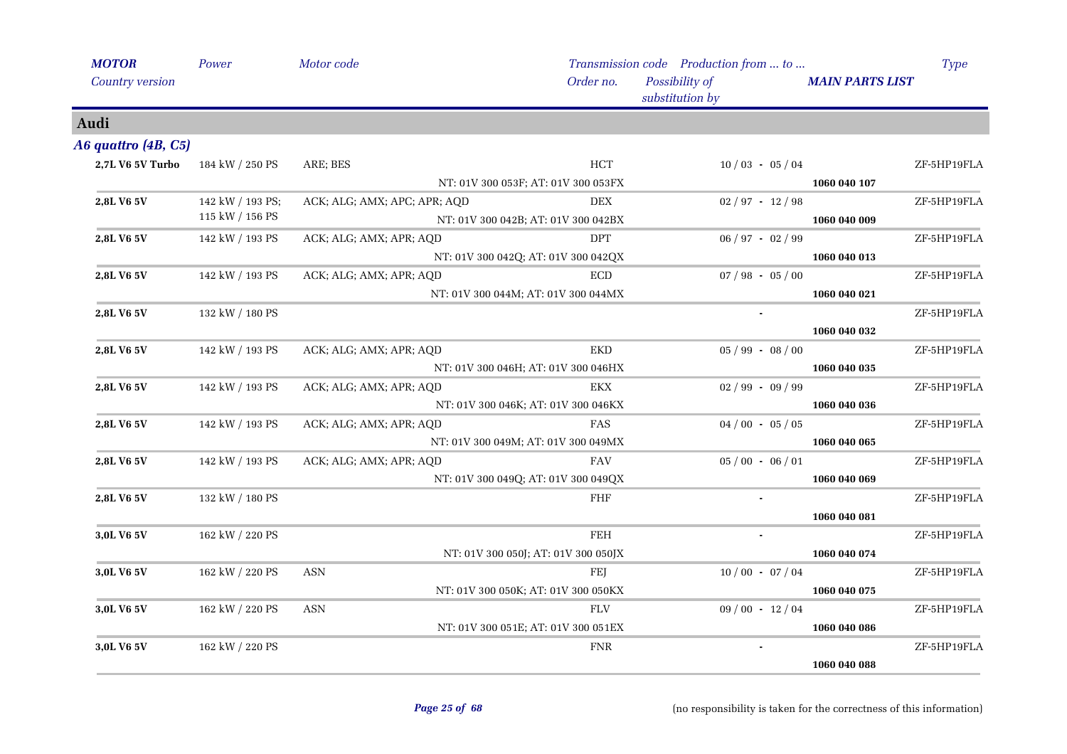| <b>MOTOR</b>        | Power                               | Motor code                   |                                     | Transmission code Production from  to |                        | <b>Type</b>                  |
|---------------------|-------------------------------------|------------------------------|-------------------------------------|---------------------------------------|------------------------|------------------------------|
| Country version     |                                     |                              | Order no.                           | Possibility of<br>substitution by     | <b>MAIN PARTS LIST</b> |                              |
| Audi                |                                     |                              |                                     |                                       |                        |                              |
| A6 quattro (4B, C5) |                                     |                              |                                     |                                       |                        |                              |
| 2,7L V6 5V Turbo    | 184 kW / 250 PS                     | ARE; BES                     | <b>HCT</b>                          | $10/03 - 05/04$                       |                        | ZF-5HP19FLA                  |
|                     |                                     |                              | NT: 01V 300 053F; AT: 01V 300 053FX |                                       | 1060 040 107           |                              |
| 2,8L V6 5V          | 142 kW / 193 PS;                    | ACK; ALG; AMX; APC; APR; AQD | <b>DEX</b>                          | $02 / 97 - 12 / 98$                   |                        | ZF-5HP19FLA                  |
|                     | 115 kW / 156 PS                     |                              | NT: 01V 300 042B; AT: 01V 300 042BX |                                       | 1060 040 009           |                              |
| 2,8L V6 5V          | 142 kW / 193 PS                     | ACK; ALG; AMX; APR; AQD      | <b>DPT</b>                          | $06 / 97 - 02 / 99$                   |                        | ZF-5HP19FLA                  |
|                     | NT: 01V 300 042Q; AT: 01V 300 042QX |                              |                                     |                                       | 1060 040 013           |                              |
| 2,8L V6 5V          | 142 kW / 193 PS                     | ACK; ALG; AMX; APR; AQD      | ECD                                 | $07 / 98 - 05 / 00$                   |                        | ZF-5HP19FLA                  |
|                     |                                     |                              | NT: 01V 300 044M; AT: 01V 300 044MX |                                       | 1060 040 021           |                              |
| 2,8L V6 5V          | 132 kW / 180 PS                     |                              |                                     |                                       |                        | ZF-5HP19FLA                  |
|                     |                                     |                              |                                     |                                       | 1060 040 032           |                              |
| <b>2,8L V6 5V</b>   | 142 kW / 193 PS                     | ACK; ALG; AMX; APR; AQD      | <b>EKD</b>                          | $05 / 99 - 08 / 00$                   |                        | ZF-5HP19FLA                  |
|                     |                                     |                              | NT: 01V 300 046H; AT: 01V 300 046HX |                                       | 1060 040 035           |                              |
| 2,8L V6 5V          | 142 kW / 193 PS                     | ACK; ALG; AMX; APR; AQD      | EKX                                 | $02 / 99 - 09 / 99$                   |                        | ZF-5HP19FLA                  |
|                     |                                     |                              | NT: 01V 300 046K; AT: 01V 300 046KX |                                       | 1060 040 036           |                              |
| 2,8L V6 5V          | 142 kW / 193 PS                     | ACK; ALG; AMX; APR; AQD      | FAS                                 | $04/00 - 05/05$                       |                        | ZF-5HP19FLA                  |
|                     |                                     |                              | NT: 01V 300 049M; AT: 01V 300 049MX |                                       | 1060 040 065           |                              |
| 2,8L V6 5V          | 142 kW / 193 PS                     | ACK; ALG; AMX; APR; AQD      | <b>FAV</b>                          | $05/00 - 06/01$                       |                        | ZF-5HP19FLA                  |
|                     |                                     |                              | NT: 01V 300 049Q; AT: 01V 300 049QX |                                       | 1060 040 069           |                              |
| 2,8L V6 5V          | 132 kW / 180 PS                     |                              | <b>FHF</b>                          |                                       |                        | ZF-5HP19FLA                  |
|                     |                                     |                              |                                     |                                       | 1060 040 081           |                              |
| 3,0L V6 5V          | 162 kW / 220 PS                     |                              | <b>FEH</b>                          |                                       |                        | $\operatorname{ZF-5HP19FLA}$ |
|                     |                                     |                              | NT: 01V 300 050J; AT: 01V 300 050JX |                                       | 1060 040 074           |                              |
| 3,0L V6 5V          | 162 kW / 220 PS                     | <b>ASN</b>                   | FEJ                                 | $10/00 - 07/04$                       |                        | ZF-5HP19FLA                  |
|                     |                                     |                              | NT: 01V 300 050K; AT: 01V 300 050KX |                                       | 1060 040 075           |                              |
| 3,0L V6 5V          | 162 kW / 220 PS                     | <b>ASN</b>                   | <b>FLV</b>                          | $09/00 - 12/04$                       |                        | ZF-5HP19FLA                  |
|                     |                                     |                              | NT: 01V 300 051E; AT: 01V 300 051EX |                                       | 1060 040 086           |                              |
| 3,0L V6 5V          | 162 kW / 220 PS                     |                              | <b>FNR</b>                          |                                       |                        | ZF-5HP19FLA                  |
|                     |                                     |                              |                                     |                                       | 1060 040 088           |                              |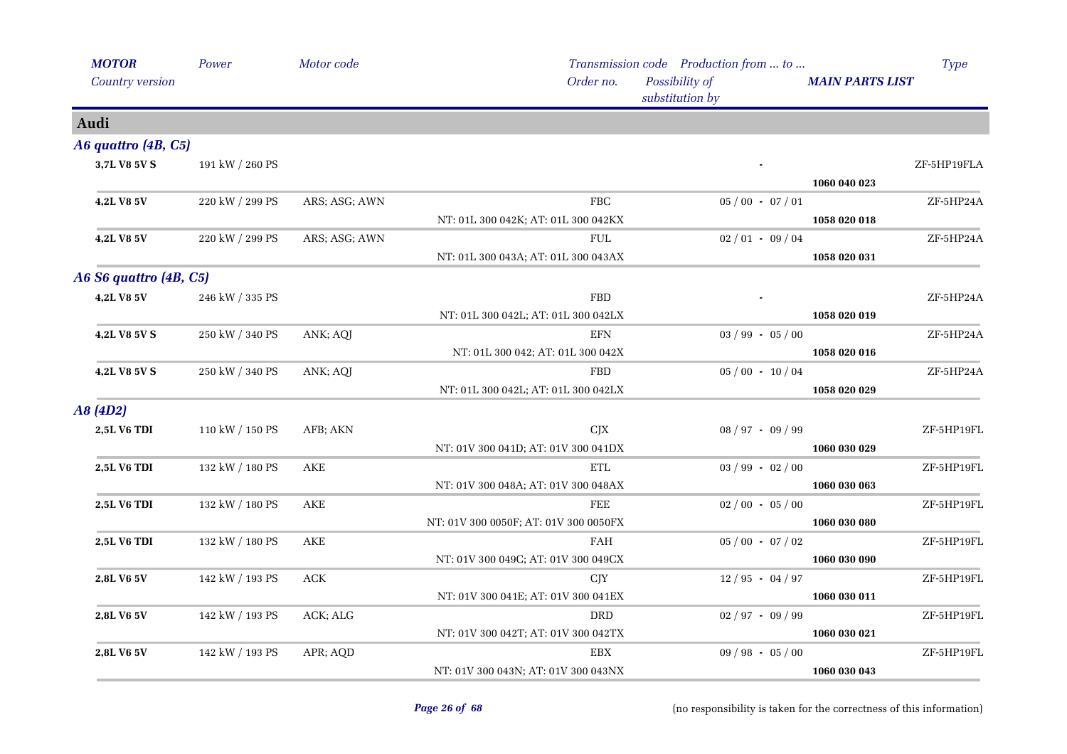| <b>MOTOR</b>           | Power                 | Motor code    |                                       | Transmission code Production from  to |                        | <b>Type</b> |
|------------------------|-----------------------|---------------|---------------------------------------|---------------------------------------|------------------------|-------------|
| Country version        |                       |               | Order no.                             | Possibility of<br>substitution by     | <b>MAIN PARTS LIST</b> |             |
| Audi                   |                       |               |                                       |                                       |                        |             |
| A6 quattro (4B, C5)    |                       |               |                                       |                                       |                        |             |
| 3,7L V8 5V S           | 191 kW / 260 PS       |               |                                       |                                       | 1060 040 023           | ZF-5HP19FLA |
| 4,2L V8 5V             | 220 kW / 299 PS       | ARS; ASG; AWN | ${\rm FBC}$                           | $05/00 - 07/01$                       |                        | ZF-5HP24A   |
|                        |                       |               | NT: 01L 300 042K; AT: 01L 300 042KX   |                                       | 1058 020 018           |             |
| 4,2L V8 5V             | 220 kW / 299 PS       | ARS; ASG; AWN | <b>FUL</b>                            | $02/01 - 09/04$                       |                        | ZF-5HP24A   |
|                        |                       |               | NT: 01L 300 043A; AT: 01L 300 043AX   |                                       | 1058 020 031           |             |
| A6 S6 quattro (4B, C5) |                       |               |                                       |                                       |                        |             |
| 4,2L V8 5V             | 246 kW / 335 PS       |               | <b>FBD</b>                            |                                       |                        | ZF-5HP24A   |
|                        |                       |               | NT: 01L 300 042L; AT: 01L 300 042LX   |                                       | 1058 020 019           |             |
| 4,2L V8 5V S           | 250 kW / 340 PS       | ANK; AQJ      | EFN                                   | $03 / 99 - 05 / 00$                   |                        | ZF-5HP24A   |
|                        |                       |               | NT: 01L 300 042; AT: 01L 300 042X     |                                       | 1058 020 016           |             |
| 4,2L V8 5V S           | 250 kW / 340 PS       | ANK; AQJ      | <b>FBD</b>                            | $05/00 - 10/04$                       |                        | ZF-5HP24A   |
|                        |                       |               | NT: 01L 300 042L; AT: 01L 300 042LX   |                                       | 1058 020 029           |             |
| A8 (4D2)               |                       |               |                                       |                                       |                        |             |
| 2,5L V6 TDI            | 110 kW / 150 PS       | AFB; AKN      | CJX                                   | $08 / 97 - 09 / 99$                   |                        | ZF-5HP19FL  |
|                        |                       |               | NT: 01V 300 041D; AT: 01V 300 041DX   |                                       | 1060 030 029           |             |
| 2,5L V6 TDI            | 132 kW / 180 PS       | AKE           | ETL                                   | $03 / 99 - 02 / 00$                   |                        | ZF-5HP19FL  |
|                        |                       |               | NT: 01V 300 048A; AT: 01V 300 048AX   |                                       | 1060 030 063           |             |
| 2,5L V6 TDI            | 132 kW / 180 PS       | AKE           | FEE                                   | $02/00 - 05/00$                       |                        | ZF-5HP19FL  |
|                        |                       |               | NT: 01V 300 0050F; AT: 01V 300 0050FX |                                       | 1060 030 080           |             |
| 2,5L V6 TDI            | $132$ kW $\!/$ 180 PS | AKE           | <b>FAH</b>                            | $05 / 00 - 07 / 02$                   |                        | ZF-5HP19FL  |
|                        |                       |               | NT: 01V 300 049C; AT: 01V 300 049CX   |                                       | 1060 030 090           |             |
| 2,8L V6 5V             | 142 kW / 193 PS       | <b>ACK</b>    | <b>CJY</b>                            | $12/95 - 04/97$                       |                        | ZF-5HP19FL  |
|                        |                       |               | NT: 01V 300 041E; AT: 01V 300 041EX   |                                       | 1060 030 011           |             |
| 2,8L V6 5V             | 142 kW / 193 PS       | ACK; ALG      | <b>DRD</b>                            | $02 / 97 - 09 / 99$                   |                        | ZF-5HP19FL  |
|                        |                       |               | NT: 01V 300 042T; AT: 01V 300 042TX   |                                       | 1060 030 021           |             |
| 2,8L V6 5V             | 142 kW / 193 PS       | APR; AQD      | <b>EBX</b>                            | $09 / 98 - 05 / 00$                   |                        | ZF-5HP19FL  |
|                        |                       |               | NT: 01V 300 043N; AT: 01V 300 043NX   |                                       | 1060 030 043           |             |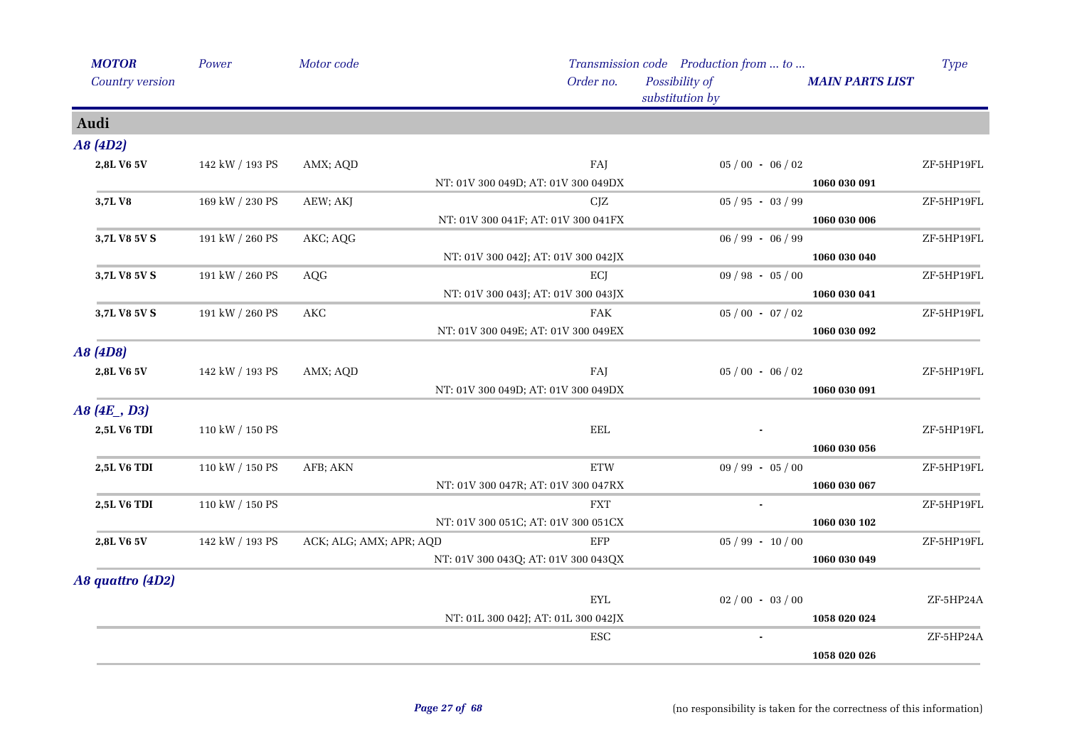| <b>MOTOR</b>       | Power                 | Motor code              |                                     | Transmission code Production from  to |                        | <b>Type</b> |
|--------------------|-----------------------|-------------------------|-------------------------------------|---------------------------------------|------------------------|-------------|
| Country version    |                       |                         | Order no.                           | Possibility of<br>substitution by     | <b>MAIN PARTS LIST</b> |             |
| Audi               |                       |                         |                                     |                                       |                        |             |
| A8 (4D2)           |                       |                         |                                     |                                       |                        |             |
| 2,8L V6 5V         | 142 kW / 193 PS       | AMX; AQD                | FAJ                                 | $05/00 - 06/02$                       |                        | ZF-5HP19FL  |
|                    |                       |                         | NT: 01V 300 049D; AT: 01V 300 049DX |                                       | 1060 030 091           |             |
| 3,7L V8            | 169 kW / 230 PS       | AEW; AKJ                | CJZ                                 | $05 / 95 - 03 / 99$                   |                        | ZF-5HP19FL  |
|                    |                       |                         | NT: 01V 300 041F; AT: 01V 300 041FX |                                       | 1060 030 006           |             |
| 3,7L V8 5V S       | 191 kW / 260 PS       | AKC; AQG                |                                     | $06 / 99 - 06 / 99$                   |                        | ZF-5HP19FL  |
|                    |                       |                         | NT: 01V 300 042J; AT: 01V 300 042JX |                                       | 1060 030 040           |             |
| 3,7L V8 5V S       | 191 kW / 260 PS       | AQG                     | ECJ                                 | $09 / 98 - 05 / 00$                   |                        | ZF-5HP19FL  |
|                    |                       |                         | NT: 01V 300 043J; AT: 01V 300 043JX |                                       | 1060 030 041           |             |
| 3,7L V8 5V S       | 191 kW / 260 PS       | AKC                     | <b>FAK</b>                          | $05/00 - 07/02$                       |                        | ZF-5HP19FL  |
|                    |                       |                         | NT: 01V 300 049E; AT: 01V 300 049EX |                                       | 1060 030 092           |             |
| A8 (4D8)           |                       |                         |                                     |                                       |                        |             |
| 2,8L V6 5V         | 142 kW / 193 PS       | AMX; AQD                | FAJ                                 | $05/00 - 06/02$                       |                        | ZF-5HP19FL  |
|                    |                       |                         | NT: 01V 300 049D; AT: 01V 300 049DX |                                       | 1060 030 091           |             |
| A8(4E, D3)         |                       |                         |                                     |                                       |                        |             |
| 2,5L V6 TDI        | 110 kW / 150 PS       |                         | <b>EEL</b>                          |                                       |                        | ZF-5HP19FL  |
|                    |                       |                         |                                     |                                       | 1060 030 056           |             |
| <b>2,5L V6 TDI</b> | $110$ kW $\!/$ 150 PS | AFB; AKN                | <b>ETW</b>                          | $09 / 99 - 05 / 00$                   |                        | ZF-5HP19FL  |
|                    |                       |                         | NT: 01V 300 047R; AT: 01V 300 047RX |                                       | 1060 030 067           |             |
| 2,5L V6 TDI        | 110 kW / 150 PS       |                         | <b>FXT</b>                          |                                       |                        | ZF-5HP19FL  |
|                    |                       |                         | NT: 01V 300 051C; AT: 01V 300 051CX |                                       | 1060 030 102           |             |
| 2,8L V6 5V         | 142 kW / 193 PS       | ACK; ALG; AMX; APR; AQD | EFP                                 | $05 / 99 - 10 / 00$                   |                        | ZF-5HP19FL  |
|                    |                       |                         | NT: 01V 300 043Q; AT: 01V 300 043QX |                                       | 1060 030 049           |             |
| A8 quattro (4D2)   |                       |                         |                                     |                                       |                        |             |
|                    |                       |                         | <b>EYL</b>                          | $02/00 - 03/00$                       |                        | ZF-5HP24A   |
|                    |                       |                         | NT: 01L 300 042J; AT: 01L 300 042JX |                                       | 1058 020 024           |             |
|                    |                       |                         | ESC                                 |                                       |                        | ZF-5HP24A   |
|                    |                       |                         |                                     |                                       | 1058 020 026           |             |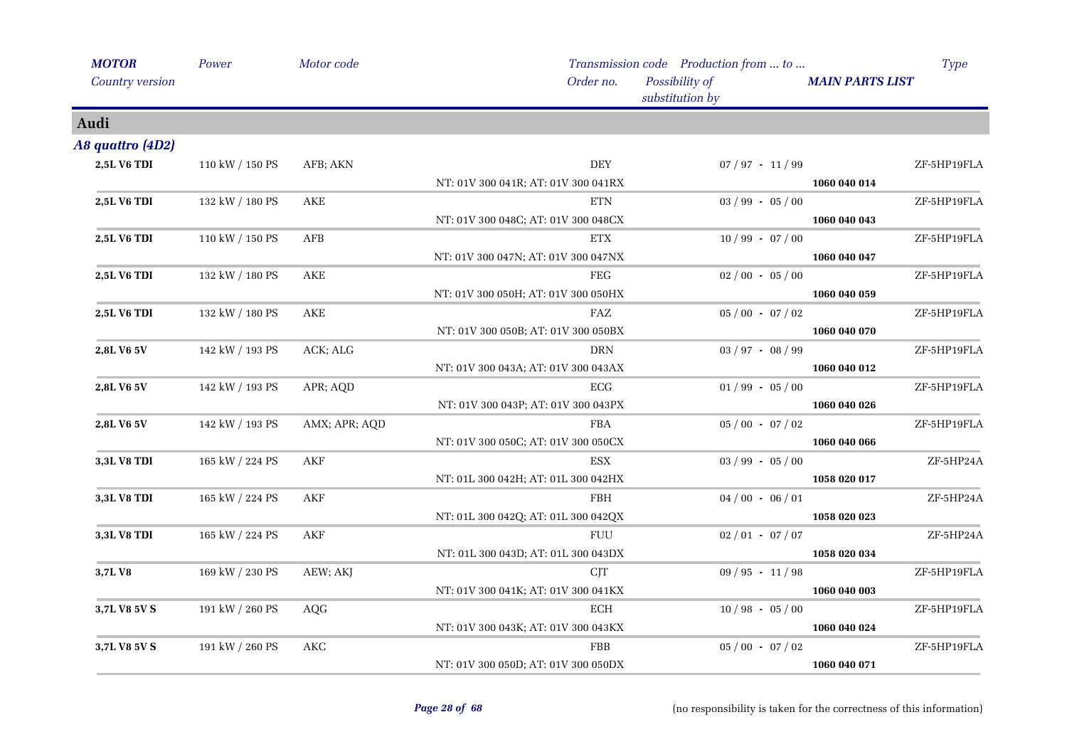| <b>MOTOR</b>       | Power           | Motor code    |                                     | Transmission code Production from  to | <b>Type</b>            |
|--------------------|-----------------|---------------|-------------------------------------|---------------------------------------|------------------------|
| Country version    |                 |               | Order no.                           | Possibility of<br>substitution by     | <b>MAIN PARTS LIST</b> |
| Audi               |                 |               |                                     |                                       |                        |
| A8 quattro (4D2)   |                 |               |                                     |                                       |                        |
| 2,5L V6 TDI        | 110 kW / 150 PS | AFB; AKN      | <b>DEY</b>                          | $07 / 97 - 11 / 99$                   | ZF-5HP19FLA            |
|                    |                 |               | NT: 01V 300 041R; AT: 01V 300 041RX |                                       | 1060 040 014           |
| <b>2,5L V6 TDI</b> | 132 kW / 180 PS | AKE           | <b>ETN</b>                          | $03 / 99 - 05 / 00$                   | ZF-5HP19FLA            |
|                    |                 |               | NT: 01V 300 048C; AT: 01V 300 048CX |                                       | 1060 040 043           |
| 2,5L V6 TDI        | 110 kW / 150 PS | AFB           | <b>ETX</b>                          | $10/99 - 07/00$                       | ZF-5HP19FLA            |
|                    |                 |               | NT: 01V 300 047N; AT: 01V 300 047NX |                                       | 1060 040 047           |
| 2,5L V6 TDI        | 132 kW / 180 PS | AKE           | FEG                                 | $02/00 - 05/00$                       | ZF-5HP19FLA            |
|                    |                 |               | NT: 01V 300 050H; AT: 01V 300 050HX |                                       | 1060 040 059           |
| 2,5L V6 TDI        | 132 kW / 180 PS | AKE           | FAZ                                 | $05/00 - 07/02$                       | ZF-5HP19FLA            |
|                    |                 |               | NT: 01V 300 050B; AT: 01V 300 050BX |                                       | 1060 040 070           |
| 2,8L V6 5V         | 142 kW / 193 PS | ACK; ALG      | <b>DRN</b>                          | $03 / 97 - 08 / 99$                   | ZF-5HP19FLA            |
|                    |                 |               | NT: 01V 300 043A; AT: 01V 300 043AX |                                       | 1060 040 012           |
| 2,8L V6 5V         | 142 kW / 193 PS | APR; AQD      | ECG                                 | $01/99 - 05/00$                       | ZF-5HP19FLA            |
|                    |                 |               | NT: 01V 300 043P; AT: 01V 300 043PX |                                       | 1060 040 026           |
| 2,8L V6 5V         | 142 kW / 193 PS | AMX; APR; AQD | ${\rm FBA}$                         | $05/00 - 07/02$                       | ZF-5HP19FLA            |
|                    |                 |               | NT: 01V 300 050C; AT: 01V 300 050CX |                                       | 1060 040 066           |
| <b>3,3L V8 TDI</b> | 165 kW / 224 PS | AKF           | ESX                                 | $03 / 99 - 05 / 00$                   | ZF-5HP24A              |
|                    |                 |               | NT: 01L 300 042H; AT: 01L 300 042HX |                                       | 1058 020 017           |
| 3,3L V8 TDI        | 165 kW / 224 PS | AKF           | <b>FBH</b>                          | $04/00 - 06/01$                       | ZF-5HP24A              |
|                    |                 |               | NT: 01L 300 042Q; AT: 01L 300 042QX |                                       | 1058 020 023           |
| 3,3L V8 TDI        | 165 kW / 224 PS | AKF           | <b>FUU</b>                          | $02/01 - 07/07$                       | ZF-5HP24A              |
|                    |                 |               | NT: 01L 300 043D; AT: 01L 300 043DX |                                       | 1058 020 034           |
| 3,7LV8             | 169 kW / 230 PS | AEW; AKJ      | <b>CJT</b>                          | $09/95 - 11/98$                       | ZF-5HP19FLA            |
|                    |                 |               | NT: 01V 300 041K; AT: 01V 300 041KX |                                       | 1060 040 003           |
| 3,7L V8 5V S       | 191 kW / 260 PS | AQG           | ECH                                 | $10/98 - 05/00$                       | ZF-5HP19FLA            |
|                    |                 |               | NT: 01V 300 043K; AT: 01V 300 043KX |                                       | 1060 040 024           |
| 3,7L V8 5V S       | 191 kW / 260 PS | <b>AKC</b>    | FBB                                 | $05/00 - 07/02$                       | ZF-5HP19FLA            |
|                    |                 |               | NT: 01V 300 050D; AT: 01V 300 050DX |                                       | 1060 040 071           |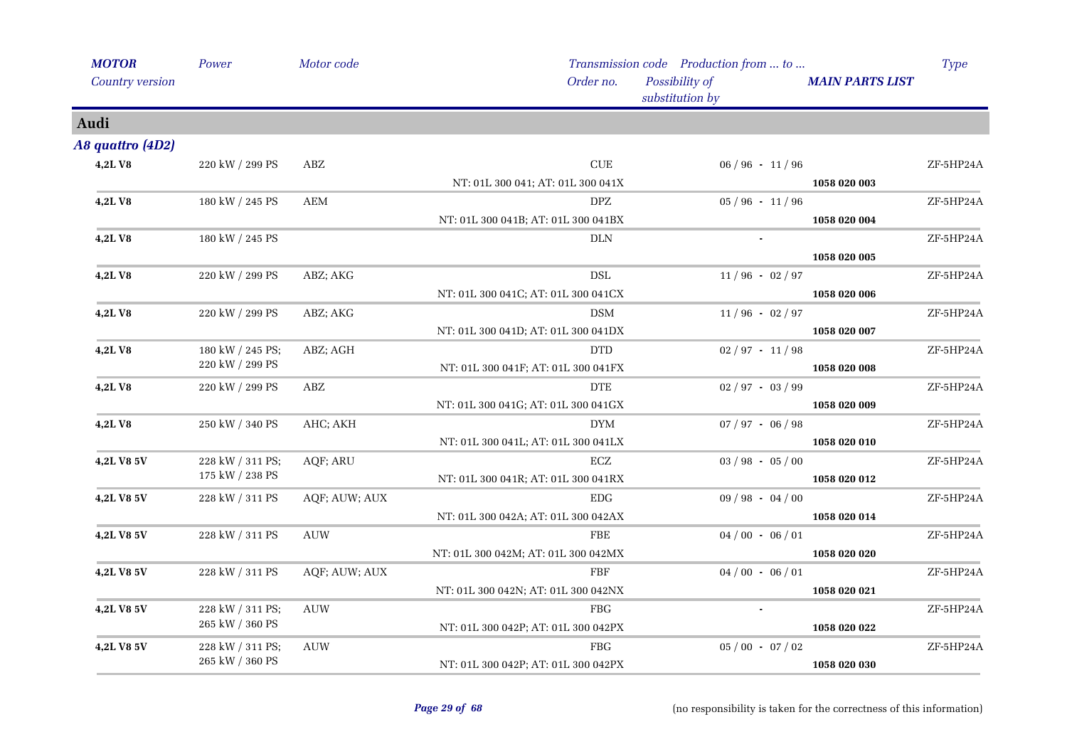| <b>MOTOR</b>      | Power            | Motor code           |                                     | Transmission code Production from  to |                        | <b>Type</b> |
|-------------------|------------------|----------------------|-------------------------------------|---------------------------------------|------------------------|-------------|
| Country version   |                  |                      | Order no.                           | Possibility of<br>substitution by     | <b>MAIN PARTS LIST</b> |             |
| Audi              |                  |                      |                                     |                                       |                        |             |
| A8 quattro (4D2)  |                  |                      |                                     |                                       |                        |             |
| 4,2LV8            | 220 kW / 299 PS  | ABZ                  | $\ensuremath{\mathrm{CUE}}$         | $06 / 96 - 11 / 96$                   |                        | ZF-5HP24A   |
|                   |                  |                      | NT: 01L 300 041; AT: 01L 300 041X   |                                       | 1058 020 003           |             |
| <b>4,2LV8</b>     | 180 kW / 245 PS  | $\mathbf{AEM}$       | <b>DPZ</b>                          | $05/96 - 11/96$                       |                        | ZF-5HP24A   |
|                   |                  |                      | NT: 01L 300 041B; AT: 01L 300 041BX |                                       | 1058 020 004           |             |
| <b>4,2LV8</b>     | 180 kW / 245 PS  |                      | DLN                                 |                                       |                        | ZF-5HP24A   |
|                   |                  |                      |                                     |                                       | 1058 020 005           |             |
| 4,2LV8            | 220 kW / 299 PS  | ABZ; AKG             | <b>DSL</b>                          | $11/96 - 02/97$                       |                        | ZF-5HP24A   |
|                   |                  |                      | NT: 01L 300 041C; AT: 01L 300 041CX |                                       | 1058 020 006           |             |
| <b>4,2LV8</b>     | 220 kW / 299 PS  | ABZ; AKG             | <b>DSM</b>                          | $11/96 - 02/97$                       |                        | ZF-5HP24A   |
|                   |                  |                      | NT: 01L 300 041D; AT: 01L 300 041DX |                                       | 1058 020 007           |             |
| 4,2LV8            | 180 kW / 245 PS; | ABZ; AGH             | <b>DTD</b>                          | $02 / 97 - 11 / 98$                   |                        | ZF-5HP24A   |
|                   | 220 kW / 299 PS  |                      | NT: 01L 300 041F; AT: 01L 300 041FX |                                       | 1058 020 008           |             |
| 4,2LV8            | 220 kW / 299 PS  | ABZ                  | <b>DTE</b>                          | $02 / 97 - 03 / 99$                   |                        | ZF-5HP24A   |
|                   |                  |                      | NT: 01L 300 041G; AT: 01L 300 041GX |                                       | 1058 020 009           |             |
| 4,2LV8            | 250 kW / 340 PS  | AHC; AKH             | $\mathop{\rm DYM}\nolimits$         | $07 / 97 - 06 / 98$                   |                        | ZF-5HP24A   |
|                   |                  |                      | NT: 01L 300 041L; AT: 01L 300 041LX |                                       | 1058 020 010           |             |
| 4,2L V8 5V        | 228 kW / 311 PS; | AQF; ARU             | ECZ                                 | $03 / 98 - 05 / 00$                   |                        | ZF-5HP24A   |
|                   | 175 kW / 238 PS  |                      | NT: 01L 300 041R; AT: 01L 300 041RX |                                       | 1058 020 012           |             |
| 4,2L V8 5V        | 228 kW / 311 PS  | AQF; AUW; AUX        | EDG                                 | $09 / 98 - 04 / 00$                   |                        | ZF-5HP24A   |
|                   |                  |                      | NT: 01L 300 042A; AT: 01L 300 042AX |                                       | 1058 020 014           |             |
| 4,2L V8 5V        | 228 kW / 311 PS  | <b>AUW</b>           | FBE                                 | $04/00 - 06/01$                       |                        | ZF-5HP24A   |
|                   |                  |                      | NT: 01L 300 042M; AT: 01L 300 042MX |                                       | 1058 020 020           |             |
| 4,2L V8 5V        | 228 kW / 311 PS  | AQF; AUW; AUX        | FBF                                 | $04/00 - 06/01$                       |                        | ZF-5HP24A   |
|                   |                  |                      | NT: 01L 300 042N; AT: 01L 300 042NX |                                       | 1058 020 021           |             |
| <b>4,2L V8 5V</b> | 228 kW / 311 PS; | $\operatorname{AUV}$ | <b>FBG</b>                          |                                       |                        | ZF-5HP24A   |
|                   | 265 kW / 360 PS  |                      | NT: 01L 300 042P; AT: 01L 300 042PX |                                       | 1058 020 022           |             |
| 4,2L V8 5V        | 228 kW / 311 PS; | <b>AUW</b>           | <b>FBG</b>                          | $05/00 - 07/02$                       |                        | ZF-5HP24A   |
|                   | 265 kW / 360 PS  |                      | NT: 01L 300 042P; AT: 01L 300 042PX |                                       | 1058 020 030           |             |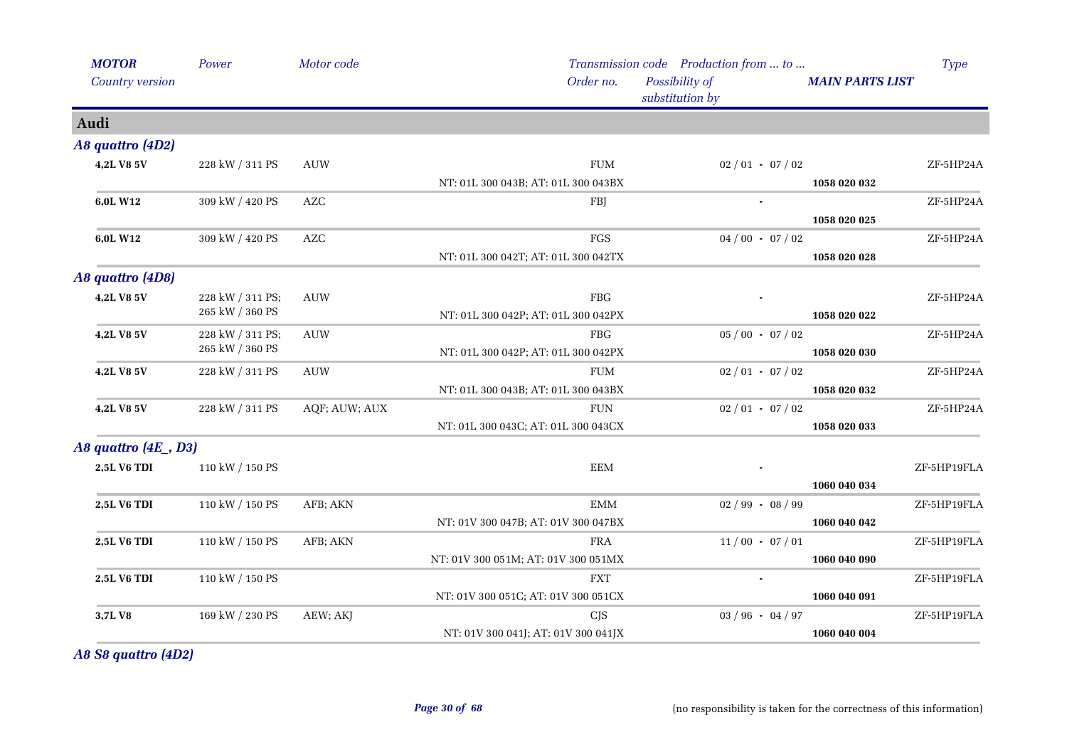| <b>MOTOR</b>          | Power                 | Motor code    |                                     | Transmission code Production from  to |                        | <b>Type</b> |
|-----------------------|-----------------------|---------------|-------------------------------------|---------------------------------------|------------------------|-------------|
| Country version       |                       |               | Order no.                           | Possibility of<br>substitution by     | <b>MAIN PARTS LIST</b> |             |
| Audi                  |                       |               |                                     |                                       |                        |             |
| A8 quattro (4D2)      |                       |               |                                     |                                       |                        |             |
| 4,2L V8 5V            | 228 kW / 311 PS       | <b>AUW</b>    | ${\rm FUM}$                         | $02/01 - 07/02$                       |                        | ZF-5HP24A   |
|                       |                       |               | NT: 01L 300 043B; AT: 01L 300 043BX |                                       | 1058 020 032           |             |
| 6,0L W12              | 309 kW / 420 PS       | <b>AZC</b>    | FBJ                                 |                                       |                        | ZF-5HP24A   |
|                       |                       |               |                                     |                                       | 1058 020 025           |             |
| 6,0L W12              | 309 kW / 420 PS       | ${\sf AZC}$   | FGS                                 | $04/00 - 07/02$                       |                        | ZF-5HP24A   |
|                       |                       |               | NT: 01L 300 042T; AT: 01L 300 042TX |                                       | 1058 020 028           |             |
| A8 quattro (4D8)      |                       |               |                                     |                                       |                        |             |
| 4,2L V8 5V            | 228 kW / 311 PS;      | <b>AUW</b>    | <b>FBG</b>                          |                                       |                        | ZF-5HP24A   |
|                       | $265$ kW $\!/$ 360 PS |               | NT: 01L 300 042P; AT: 01L 300 042PX |                                       | 1058 020 022           |             |
| 4,2L V8 5V            | 228 kW / 311 PS;      | <b>AUW</b>    | FBG                                 | $05/00 - 07/02$                       |                        | ZF-5HP24A   |
|                       | 265 kW / 360 PS       |               | NT: 01L 300 042P; AT: 01L 300 042PX |                                       | 1058 020 030           |             |
| 4,2L V8 5V            | 228 kW / 311 PS       | <b>AUW</b>    | <b>FUM</b>                          | $02/01 - 07/02$                       |                        | ZF-5HP24A   |
|                       |                       |               | NT: 01L 300 043B; AT: 01L 300 043BX |                                       | 1058 020 032           |             |
| 4,2L V8 5V            | 228 kW / 311 PS       | AQF; AUW; AUX | <b>FUN</b>                          | $02/01 - 07/02$                       |                        | ZF-5HP24A   |
|                       |                       |               | NT: 01L 300 043C; AT: 01L 300 043CX |                                       | 1058 020 033           |             |
| A8 quattro (4E _, D3) |                       |               |                                     |                                       |                        |             |
| 2,5L V6 TDI           | 110 kW / 150 PS       |               | <b>EEM</b>                          |                                       |                        | ZF-5HP19FLA |
|                       |                       |               |                                     |                                       | 1060 040 034           |             |
| 2,5L V6 TDI           | 110 kW / 150 PS       | AFB; AKN      | $\boldsymbol{\mathrm{EMM}}$         | $02/99 - 08/99$                       |                        | ZF-5HP19FLA |
|                       |                       |               | NT: 01V 300 047B; AT: 01V 300 047BX |                                       | 1060 040 042           |             |
| 2,5L V6 TDI           | 110 kW / 150 PS       | AFB; AKN      | FRA                                 | $11/00 - 07/01$                       |                        | ZF-5HP19FLA |
|                       |                       |               | NT: 01V 300 051M; AT: 01V 300 051MX |                                       | 1060 040 090           |             |
| <b>2,5L V6 TDI</b>    | 110 kW / 150 PS       |               | <b>FXT</b>                          | $\bullet$                             |                        | ZF-5HP19FLA |
|                       |                       |               | NT: 01V 300 051C; AT: 01V 300 051CX |                                       | 1060 040 091           |             |
| 3,7LV8                | 169 kW / 230 PS       | AEW; AKJ      | <b>CJS</b>                          | $03 / 96 - 04 / 97$                   |                        | ZF-5HP19FLA |
|                       |                       |               | NT: 01V 300 041J; AT: 01V 300 041JX |                                       | 1060 040 004           |             |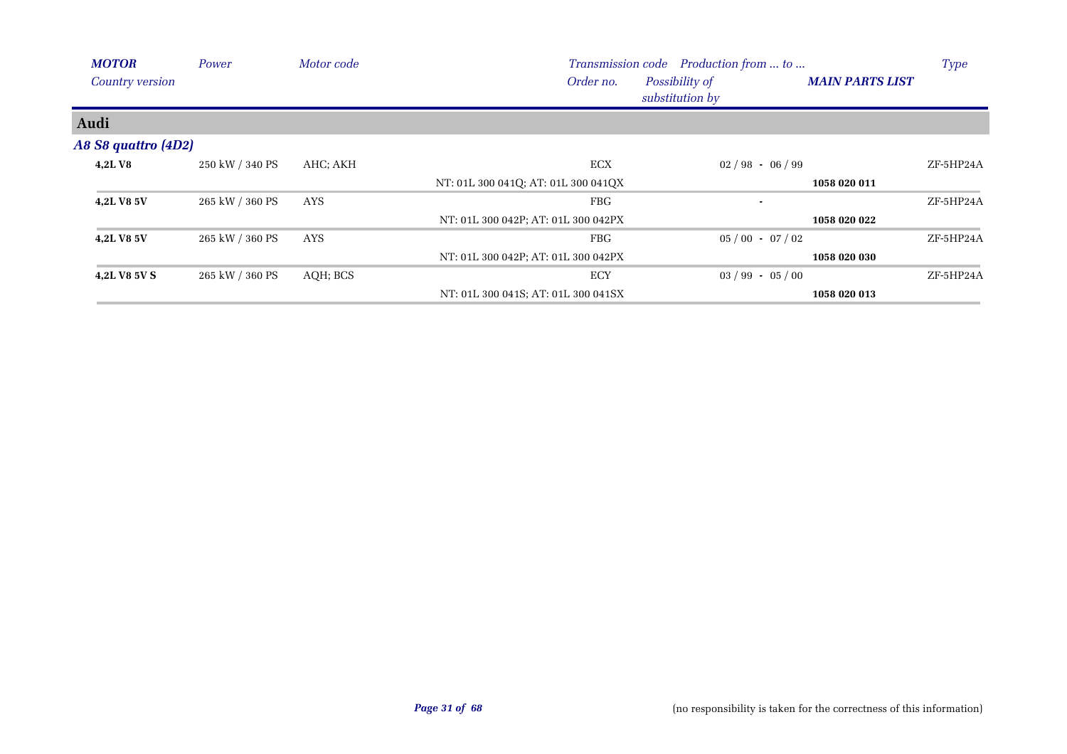| <b>MOTOR</b>        | Power           | Motor code |                                     | Transmission code Production from  to |                        | <b>Type</b> |
|---------------------|-----------------|------------|-------------------------------------|---------------------------------------|------------------------|-------------|
| Country version     |                 |            | Order no.                           | Possibility of<br>substitution by     | <b>MAIN PARTS LIST</b> |             |
| Audi                |                 |            |                                     |                                       |                        |             |
| A8 S8 quattro (4D2) |                 |            |                                     |                                       |                        |             |
| 4,2LV8              | 250 kW / 340 PS | AHC; AKH   | ECX                                 | $02/98 - 06/99$                       |                        | ZF-5HP24A   |
|                     |                 |            | NT: 01L 300 041Q; AT: 01L 300 041QX |                                       | 1058 020 011           |             |
| 4,2L V8 5V          | 265 kW / 360 PS | AYS        | FBG                                 | $\blacksquare$                        |                        | ZF-5HP24A   |
|                     |                 |            | NT: 01L 300 042P; AT: 01L 300 042PX |                                       | 1058 020 022           |             |
| 4,2L V8 5V          | 265 kW / 360 PS | AYS        | <b>FBG</b>                          | $05/00 - 07/02$                       |                        | ZF-5HP24A   |
|                     |                 |            | NT: 01L 300 042P; AT: 01L 300 042PX |                                       | 1058 020 030           |             |
| 4,2L V8 5V S        | 265 kW / 360 PS | AQH; BCS   | <b>ECY</b>                          | $03 / 99 - 05 / 00$                   |                        | ZF-5HP24A   |
|                     |                 |            | NT: 01L 300 041S; AT: 01L 300 041SX |                                       | 1058 020 013           |             |

 $\mathbf{r}$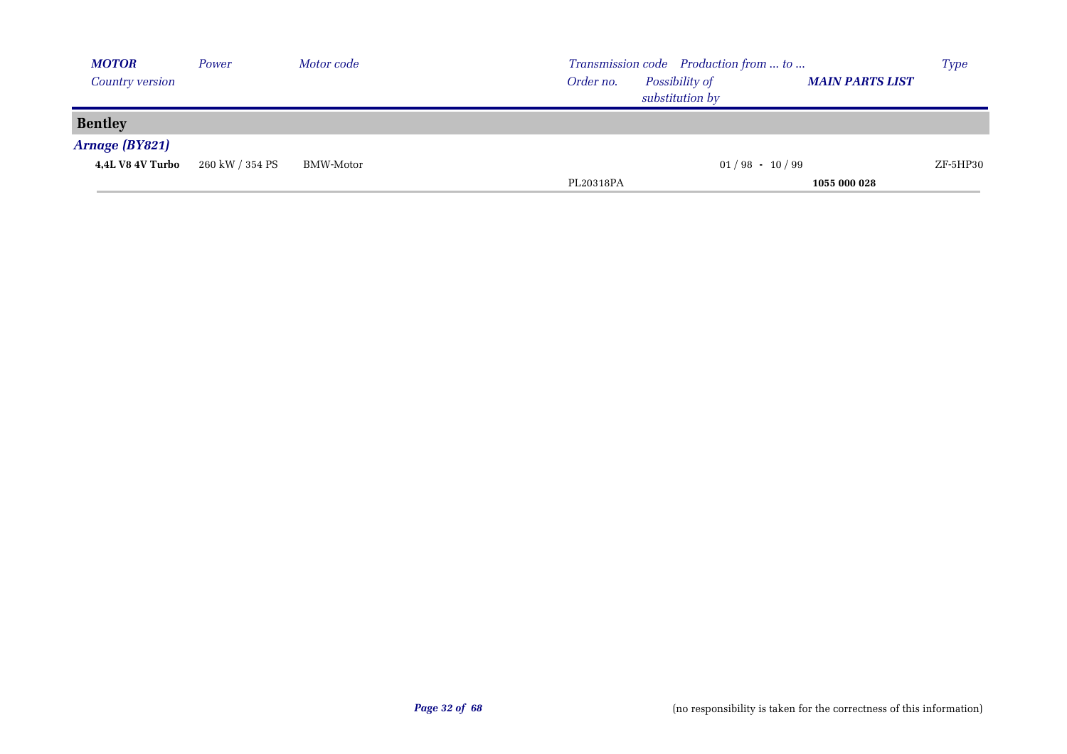| <b>MOTOR</b>            | Power           | Motor code | Transmission code Production from  to                                    | <b>Type</b> |
|-------------------------|-----------------|------------|--------------------------------------------------------------------------|-------------|
| <b>Country version</b>  |                 |            | Possibility of<br><b>MAIN PARTS LIST</b><br>Order no.<br>substitution by |             |
| <b>Bentley</b>          |                 |            |                                                                          |             |
| Arnage (BY821)          |                 |            |                                                                          |             |
| <b>4,4L V8 4V Turbo</b> | 260 kW / 354 PS | BMW-Motor  | $01/98 - 10/99$                                                          | $ZF$ -5HP30 |
|                         |                 |            | PL20318PA<br>1055 000 028                                                |             |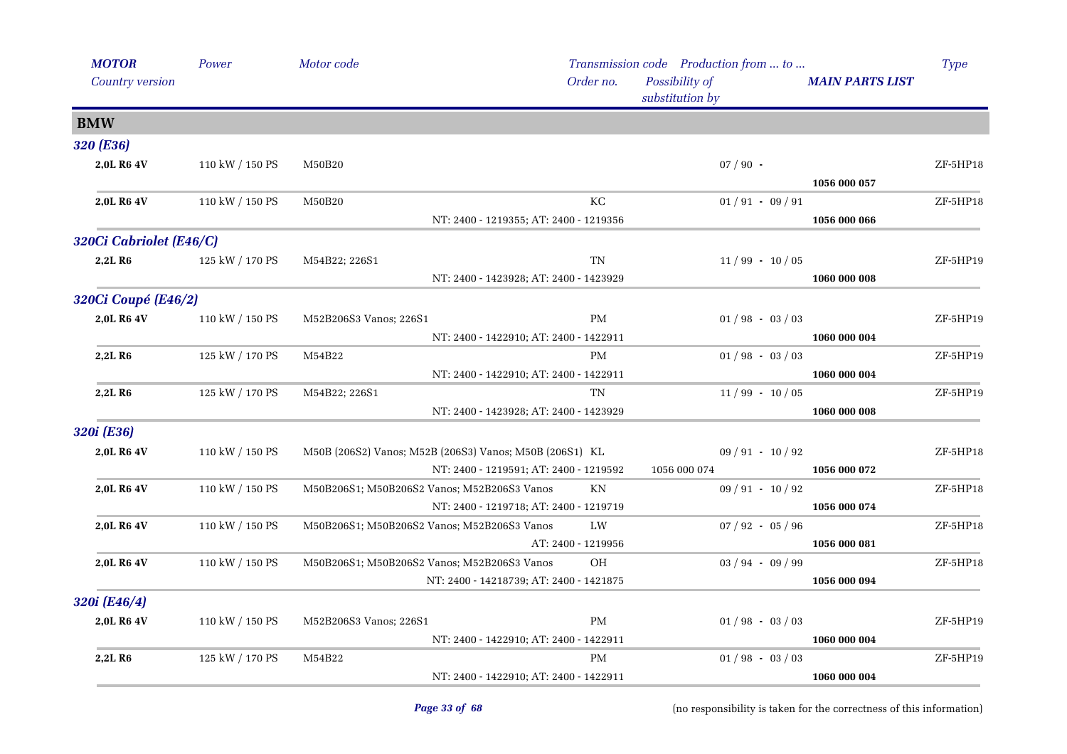| <b>MOTOR</b>            | Power           | Motor code             |                                                         |                                                | Transmission code Production from  to |                        | <b>Type</b> |
|-------------------------|-----------------|------------------------|---------------------------------------------------------|------------------------------------------------|---------------------------------------|------------------------|-------------|
| Country version         |                 |                        |                                                         | Order no.<br>Possibility of<br>substitution by |                                       | <b>MAIN PARTS LIST</b> |             |
| <b>BMW</b>              |                 |                        |                                                         |                                                |                                       |                        |             |
| 320 (E36)               |                 |                        |                                                         |                                                |                                       |                        |             |
| 2,0L R6 4V              | 110 kW / 150 PS | M50B20                 |                                                         |                                                | $07/90$ -                             |                        | ZF-5HP18    |
|                         |                 |                        |                                                         |                                                |                                       | 1056 000 057           |             |
| 2,0L R6 4V              | 110 kW / 150 PS | M50B20                 |                                                         | КC                                             | $01/91 - 09/91$                       |                        | ZF-5HP18    |
|                         |                 |                        | NT: 2400 - 1219355; AT: 2400 - 1219356                  |                                                |                                       | 1056 000 066           |             |
| 320Ci Cabriolet (E46/C) |                 |                        |                                                         |                                                |                                       |                        |             |
| 2,2L R <sub>6</sub>     | 125 kW / 170 PS | M54B22; 226S1          |                                                         | TN                                             | $11/99 - 10/05$                       |                        | ZF-5HP19    |
|                         |                 |                        | NT: 2400 - 1423928; AT: 2400 - 1423929                  |                                                |                                       | 1060 000 008           |             |
| 320Ci Coupé (E46/2)     |                 |                        |                                                         |                                                |                                       |                        |             |
| 2,0L R6 4V              | 110 kW / 150 PS | M52B206S3 Vanos; 226S1 |                                                         | <b>PM</b>                                      | $01/98 - 03/03$                       |                        | ZF-5HP19    |
|                         |                 |                        | NT: 2400 - 1422910; AT: 2400 - 1422911                  |                                                |                                       | 1060 000 004           |             |
| 2,2L R <sub>6</sub>     | 125 kW / 170 PS | M54B22                 |                                                         | <b>PM</b>                                      | $01/98 - 03/03$                       |                        | ZF-5HP19    |
|                         |                 |                        | NT: 2400 - 1422910; AT: 2400 - 1422911                  |                                                |                                       | 1060 000 004           |             |
| 2,2LR6                  | 125 kW / 170 PS | M54B22; 226S1          |                                                         | TN                                             | $11/99 - 10/05$                       |                        | ZF-5HP19    |
|                         |                 |                        | NT: 2400 - 1423928; AT: 2400 - 1423929                  |                                                |                                       | 1060 000 008           |             |
| 320i (E36)              |                 |                        |                                                         |                                                |                                       |                        |             |
| 2,0L R6 4V              | 110 kW / 150 PS |                        | M50B (206S2) Vanos; M52B (206S3) Vanos; M50B (206S1) KL |                                                | $09/91 - 10/92$                       |                        | ZF-5HP18    |
|                         |                 |                        | NT: 2400 - 1219591; AT: 2400 - 1219592                  |                                                | 1056 000 074                          | 1056 000 072           |             |
| 2,0L R6 4V              | 110 kW / 150 PS |                        | M50B206S1; M50B206S2 Vanos; M52B206S3 Vanos             | KN                                             | $09/91 - 10/92$                       |                        | ZF-5HP18    |
|                         |                 |                        | NT: 2400 - 1219718; AT: 2400 - 1219719                  |                                                |                                       | 1056 000 074           |             |
| 2,0L R6 4V              | 110 kW / 150 PS |                        | M50B206S1; M50B206S2 Vanos; M52B206S3 Vanos             | LW                                             | $07 / 92 - 05 / 96$                   |                        | ZF-5HP18    |
|                         |                 |                        |                                                         | AT: 2400 - 1219956                             |                                       | 1056 000 081           |             |
| 2,0L R6 4V              | 110 kW / 150 PS |                        | M50B206S1; M50B206S2 Vanos; M52B206S3 Vanos             | <b>OH</b>                                      | $03 / 94 - 09 / 99$                   |                        | ZF-5HP18    |
|                         |                 |                        | NT: 2400 - 14218739; AT: 2400 - 1421875                 |                                                |                                       | 1056 000 094           |             |
| 320i (E46/4)            |                 |                        |                                                         |                                                |                                       |                        |             |
| 2,0L R6 4V              | 110 kW / 150 PS | M52B206S3 Vanos; 226S1 |                                                         | PM                                             | $01/98 - 03/03$                       |                        | ZF-5HP19    |
|                         |                 |                        | NT: 2400 - 1422910; AT: 2400 - 1422911                  |                                                |                                       | 1060 000 004           |             |
| 2,2LR6                  | 125 kW / 170 PS | M54B22                 |                                                         | PM                                             | $01/98 - 03/03$                       |                        | ZF-5HP19    |
|                         |                 |                        | NT: 2400 - 1422910; AT: 2400 - 1422911                  |                                                |                                       | 1060 000 004           |             |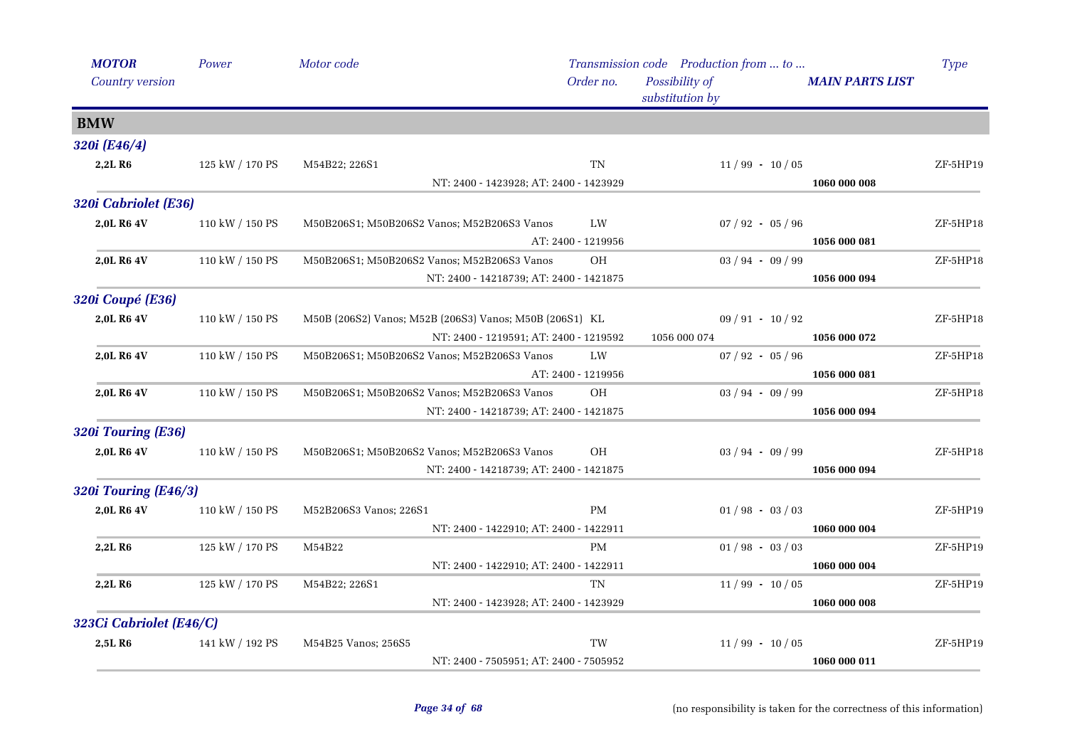| <b>MOTOR</b>            | Power           | Motor code                                              |                    | Transmission code Production from  to |                        | <b>Type</b> |
|-------------------------|-----------------|---------------------------------------------------------|--------------------|---------------------------------------|------------------------|-------------|
| Country version         |                 |                                                         | Order no.          | Possibility of<br>substitution by     | <b>MAIN PARTS LIST</b> |             |
| <b>BMW</b>              |                 |                                                         |                    |                                       |                        |             |
| 320i (E46/4)            |                 |                                                         |                    |                                       |                        |             |
| 2,2LR6                  | 125 kW / 170 PS | M54B22; 226S1                                           | TN                 | $11/99 - 10/05$                       |                        | ZF-5HP19    |
|                         |                 | NT: 2400 - 1423928; AT: 2400 - 1423929                  |                    |                                       | 1060 000 008           |             |
| 320i Cabriolet (E36)    |                 |                                                         |                    |                                       |                        |             |
| 2,0L R6 4V              | 110 kW / 150 PS | M50B206S1; M50B206S2 Vanos; M52B206S3 Vanos             | LW                 | $07 / 92 - 05 / 96$                   |                        | $ZF-5HP18$  |
|                         |                 |                                                         | AT: 2400 - 1219956 |                                       | 1056 000 081           |             |
| 2,0L R6 4V              | 110 kW / 150 PS | M50B206S1; M50B206S2 Vanos; M52B206S3 Vanos             | <b>OH</b>          | $03 / 94 - 09 / 99$                   |                        | ZF-5HP18    |
|                         |                 | NT: 2400 - 14218739; AT: 2400 - 1421875                 |                    |                                       | 1056 000 094           |             |
| <b>320i Coupé (E36)</b> |                 |                                                         |                    |                                       |                        |             |
| 2,0L R6 4V              | 110 kW / 150 PS | M50B (206S2) Vanos; M52B (206S3) Vanos; M50B (206S1) KL |                    | $09/91 - 10/92$                       |                        | ZF-5HP18    |
|                         |                 | NT: 2400 - 1219591; AT: 2400 - 1219592                  |                    | 1056 000 074                          | 1056 000 072           |             |
| 2,0L R6 4V              | 110 kW / 150 PS | M50B206S1; M50B206S2 Vanos; M52B206S3 Vanos             | LW                 | $07 / 92 - 05 / 96$                   |                        | $ZF-5HP18$  |
|                         |                 |                                                         | AT: 2400 - 1219956 |                                       | 1056 000 081           |             |
| 2,0L R6 4V              | 110 kW / 150 PS | M50B206S1; M50B206S2 Vanos; M52B206S3 Vanos             | <b>OH</b>          | $03 / 94 - 09 / 99$                   |                        | ZF-5HP18    |
|                         |                 | NT: 2400 - 14218739; AT: 2400 - 1421875                 |                    |                                       | 1056 000 094           |             |
| 320i Touring (E36)      |                 |                                                         |                    |                                       |                        |             |
| 2,0L R6 4V              | 110 kW / 150 PS | M50B206S1; M50B206S2 Vanos; M52B206S3 Vanos             | OH                 | $03 / 94 - 09 / 99$                   |                        | ZF-5HP18    |
|                         |                 | NT: 2400 - 14218739; AT: 2400 - 1421875                 |                    |                                       | 1056 000 094           |             |
| 320i Touring (E46/3)    |                 |                                                         |                    |                                       |                        |             |
| 2,0L R6 4V              | 110 kW / 150 PS | M52B206S3 Vanos; 226S1                                  | <b>PM</b>          | $01/98 - 03/03$                       |                        | ZF-5HP19    |
|                         |                 | NT: 2400 - 1422910; AT: 2400 - 1422911                  |                    |                                       | 1060 000 004           |             |
| 2,2L R <sub>6</sub>     | 125 kW / 170 PS | M54B22                                                  | <b>PM</b>          | $01/98 - 03/03$                       |                        | ZF-5HP19    |
|                         |                 | NT: 2400 - 1422910; AT: 2400 - 1422911                  |                    |                                       | 1060 000 004           |             |
| 2,2L R <sub>6</sub>     | 125 kW / 170 PS | M54B22; 226S1                                           | <b>TN</b>          | $11/99 - 10/05$                       |                        | ZF-5HP19    |
|                         |                 | NT: 2400 - 1423928; AT: 2400 - 1423929                  |                    |                                       | 1060 000 008           |             |
| 323Ci Cabriolet (E46/C) |                 |                                                         |                    |                                       |                        |             |
| 2,5L R <sub>6</sub>     | 141 kW / 192 PS | M54B25 Vanos; 256S5                                     | TW                 | $11/99 - 10/05$                       |                        | ZF-5HP19    |
|                         |                 | NT: 2400 - 7505951; AT: 2400 - 7505952                  |                    |                                       | 1060 000 011           |             |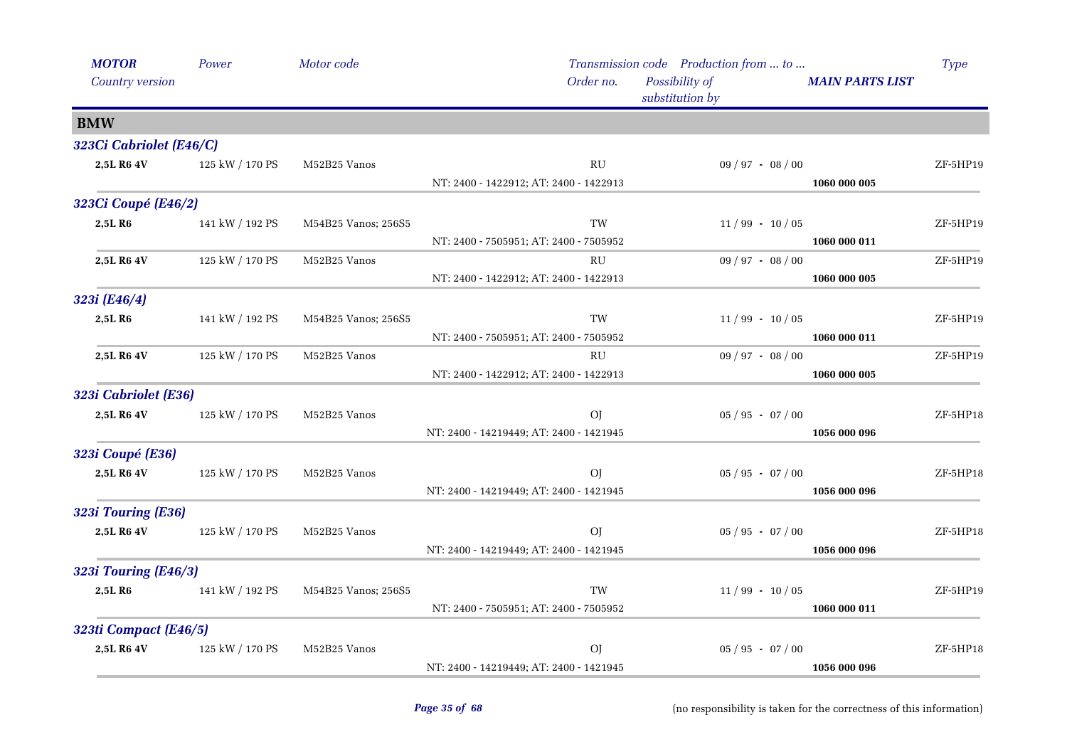| <b>MOTOR</b>            | Power           | Motor code          |                                         | Transmission code Production from  to |                        | <b>Type</b> |
|-------------------------|-----------------|---------------------|-----------------------------------------|---------------------------------------|------------------------|-------------|
| Country version         |                 |                     | Order no.                               | Possibility of<br>substitution by     | <b>MAIN PARTS LIST</b> |             |
| <b>BMW</b>              |                 |                     |                                         |                                       |                        |             |
| 323Ci Cabriolet (E46/C) |                 |                     |                                         |                                       |                        |             |
| 2,5L R6 4V              | 125 kW / 170 PS | M52B25 Vanos        | RU                                      | $09 / 97 - 08 / 00$                   |                        | ZF-5HP19    |
|                         |                 |                     | NT: 2400 - 1422912; AT: 2400 - 1422913  |                                       | 1060 000 005           |             |
| 323Ci Coupé (E46/2)     |                 |                     |                                         |                                       |                        |             |
| 2,5LR6                  | 141 kW / 192 PS | M54B25 Vanos; 256S5 | TW                                      | $11/99 - 10/05$                       |                        | ZF-5HP19    |
|                         |                 |                     | NT: 2400 - 7505951; AT: 2400 - 7505952  |                                       | 1060 000 011           |             |
| 2,5L R6 4V              | 125 kW / 170 PS | M52B25 Vanos        | <b>RU</b>                               | $09 / 97 - 08 / 00$                   |                        | ZF-5HP19    |
|                         |                 |                     | NT: 2400 - 1422912; AT: 2400 - 1422913  |                                       | 1060 000 005           |             |
| 323i (E46/4)            |                 |                     |                                         |                                       |                        |             |
| 2,5LR6                  | 141 kW / 192 PS | M54B25 Vanos; 256S5 | TW                                      | $11/99 - 10/05$                       |                        | ZF-5HP19    |
|                         |                 |                     | NT: 2400 - 7505951; AT: 2400 - 7505952  |                                       | 1060 000 011           |             |
| 2,5L R6 4V              | 125 kW / 170 PS | M52B25 Vanos        | RU                                      | $09 / 97 - 08 / 00$                   |                        | ZF-5HP19    |
|                         |                 |                     | NT: 2400 - 1422912; AT: 2400 - 1422913  |                                       | 1060 000 005           |             |
| 323i Cabriolet (E36)    |                 |                     |                                         |                                       |                        |             |
| 2,5L R6 4V              | 125 kW / 170 PS | M52B25 Vanos        | O <sub>I</sub>                          | $05 / 95 - 07 / 00$                   |                        | ZF-5HP18    |
|                         |                 |                     | NT: 2400 - 14219449; AT: 2400 - 1421945 |                                       | 1056 000 096           |             |
| 323i Coupé (E36)        |                 |                     |                                         |                                       |                        |             |
| 2,5L R6 4V              | 125 kW / 170 PS | M52B25 Vanos        | O <sub>I</sub>                          | $05 / 95 - 07 / 00$                   |                        | $ZF-5HP18$  |
|                         |                 |                     | NT: 2400 - 14219449; AT: 2400 - 1421945 |                                       | 1056 000 096           |             |
| 323i Touring (E36)      |                 |                     |                                         |                                       |                        |             |
| 2,5L R6 4V              | 125 kW / 170 PS | M52B25 Vanos        | O <sub>I</sub>                          | $05 / 95 - 07 / 00$                   |                        | ZF-5HP18    |
|                         |                 |                     | NT: 2400 - 14219449; AT: 2400 - 1421945 |                                       | 1056 000 096           |             |
| 323i Touring (E46/3)    |                 |                     |                                         |                                       |                        |             |
| 2,5L R6                 | 141 kW / 192 PS | M54B25 Vanos; 256S5 | TW                                      | $11/99 - 10/05$                       |                        | ZF-5HP19    |
|                         |                 |                     | NT: 2400 - 7505951; AT: 2400 - 7505952  |                                       | 1060 000 011           |             |
| 323ti Compact (E46/5)   |                 |                     |                                         |                                       |                        |             |
| 2,5L R6 4V              | 125 kW / 170 PS | M52B25 Vanos        | O <sub>I</sub>                          | $05 / 95 - 07 / 00$                   |                        | ZF-5HP18    |
|                         |                 |                     | NT: 2400 - 14219449; AT: 2400 - 1421945 |                                       | 1056 000 096           |             |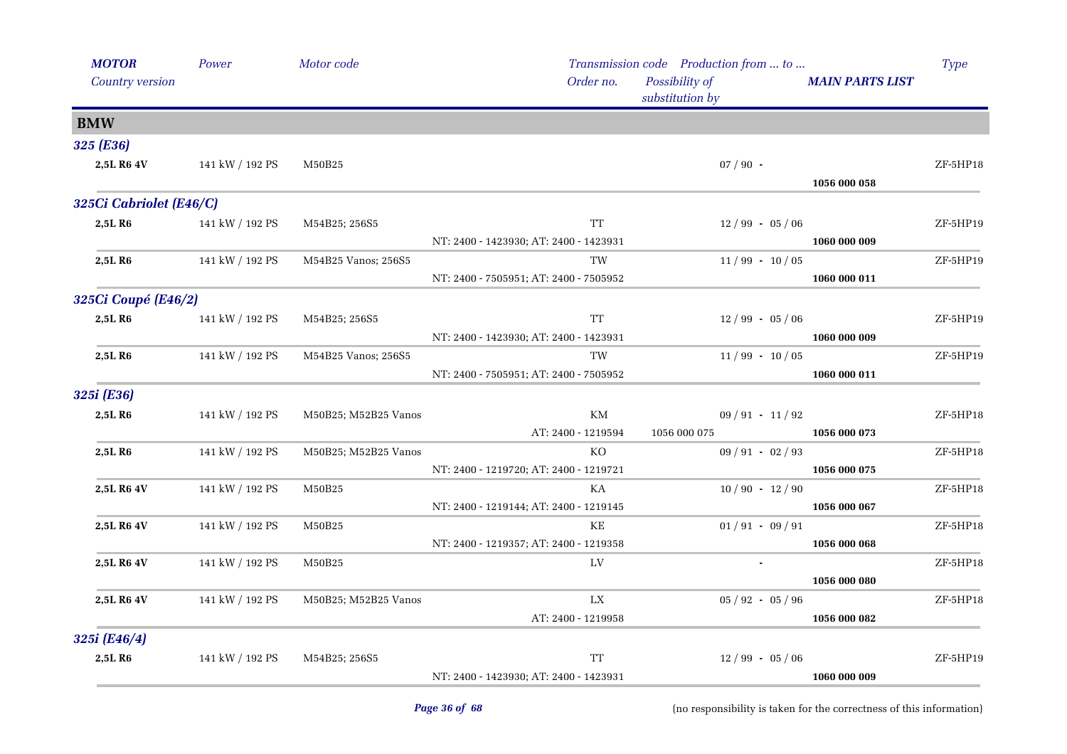| <b>MOTOR</b>            | Power           | Motor code           |                                                | Transmission code Production from  to |                        | <b>Type</b> |
|-------------------------|-----------------|----------------------|------------------------------------------------|---------------------------------------|------------------------|-------------|
| Country version         |                 |                      | Order no.<br>Possibility of<br>substitution by |                                       | <b>MAIN PARTS LIST</b> |             |
| <b>BMW</b>              |                 |                      |                                                |                                       |                        |             |
| 325 (E36)               |                 |                      |                                                |                                       |                        |             |
| 2,5L R6 4V              | 141 kW / 192 PS | M50B25               |                                                | $07/90$ -                             |                        | ZF-5HP18    |
|                         |                 |                      |                                                |                                       | 1056 000 058           |             |
| 325Ci Cabriolet (E46/C) |                 |                      |                                                |                                       |                        |             |
| 2,5L R6                 | 141 kW / 192 PS | M54B25; 256S5        | <b>TT</b>                                      | $12/99 - 05/06$                       |                        | ZF-5HP19    |
|                         |                 |                      | NT: 2400 - 1423930; AT: 2400 - 1423931         |                                       | 1060 000 009           |             |
| 2,5L R <sub>6</sub>     | 141 kW / 192 PS | M54B25 Vanos; 256S5  | TW                                             | $11/99 - 10/05$                       |                        | ZF-5HP19    |
|                         |                 |                      | NT: 2400 - 7505951; AT: 2400 - 7505952         |                                       | 1060 000 011           |             |
| 325Ci Coupé (E46/2)     |                 |                      |                                                |                                       |                        |             |
| 2,5L R <sub>6</sub>     | 141 kW / 192 PS | M54B25; 256S5        | <b>TT</b>                                      | $12/99 - 05/06$                       |                        | ZF-5HP19    |
|                         |                 |                      | NT: 2400 - 1423930; AT: 2400 - 1423931         |                                       | 1060 000 009           |             |
| 2,5L R <sub>6</sub>     | 141 kW / 192 PS | M54B25 Vanos; 256S5  | TW                                             | $11/99 - 10/05$                       |                        | ZF-5HP19    |
|                         |                 |                      | NT: 2400 - 7505951; AT: 2400 - 7505952         |                                       | 1060 000 011           |             |
| 325i (E36)              |                 |                      |                                                |                                       |                        |             |
| 2,5LR6                  | 141 kW / 192 PS | M50B25; M52B25 Vanos | KM                                             | $09/91 - 11/92$                       |                        | $ZF-5HP18$  |
|                         |                 |                      | AT: 2400 - 1219594                             | 1056 000 075                          | 1056 000 073           |             |
| 2,5L R6                 | 141 kW / 192 PS | M50B25; M52B25 Vanos | KO.                                            | $09 / 91 - 02 / 93$                   |                        | ZF-5HP18    |
|                         |                 |                      | NT: 2400 - 1219720; AT: 2400 - 1219721         |                                       | 1056 000 075           |             |
| 2,5L R6 4V              | 141 kW / 192 PS | M50B25               | KA                                             | $10/90 - 12/90$                       |                        | ZF-5HP18    |
|                         |                 |                      | NT: 2400 - 1219144; AT: 2400 - 1219145         |                                       | 1056 000 067           |             |
| 2,5L R6 4V              | 141 kW / 192 PS | M50B25               | KE                                             | $01/91 - 09/91$                       |                        | $ZF-5HP18$  |
|                         |                 |                      | NT: 2400 - 1219357; AT: 2400 - 1219358         |                                       | 1056 000 068           |             |
| 2,5L R6 4V              | 141 kW / 192 PS | M50B25               | LV                                             |                                       | 1056 000 080           | ZF-5HP18    |
| 2,5L R6 4V              | 141 kW / 192 PS | M50B25; M52B25 Vanos | LX                                             | $05 / 92 - 05 / 96$                   |                        | ZF-5HP18    |
|                         |                 |                      | AT: 2400 - 1219958                             |                                       | 1056 000 082           |             |
| 325i (E46/4)            |                 |                      |                                                |                                       |                        |             |
| 2,5LR6                  | 141 kW / 192 PS |                      | <b>TT</b>                                      | $12/99 - 05/06$                       |                        | ZF-5HP19    |
|                         |                 | M54B25; 256S5        | NT: 2400 - 1423930; AT: 2400 - 1423931         |                                       | 1060 000 009           |             |
|                         |                 |                      |                                                |                                       |                        |             |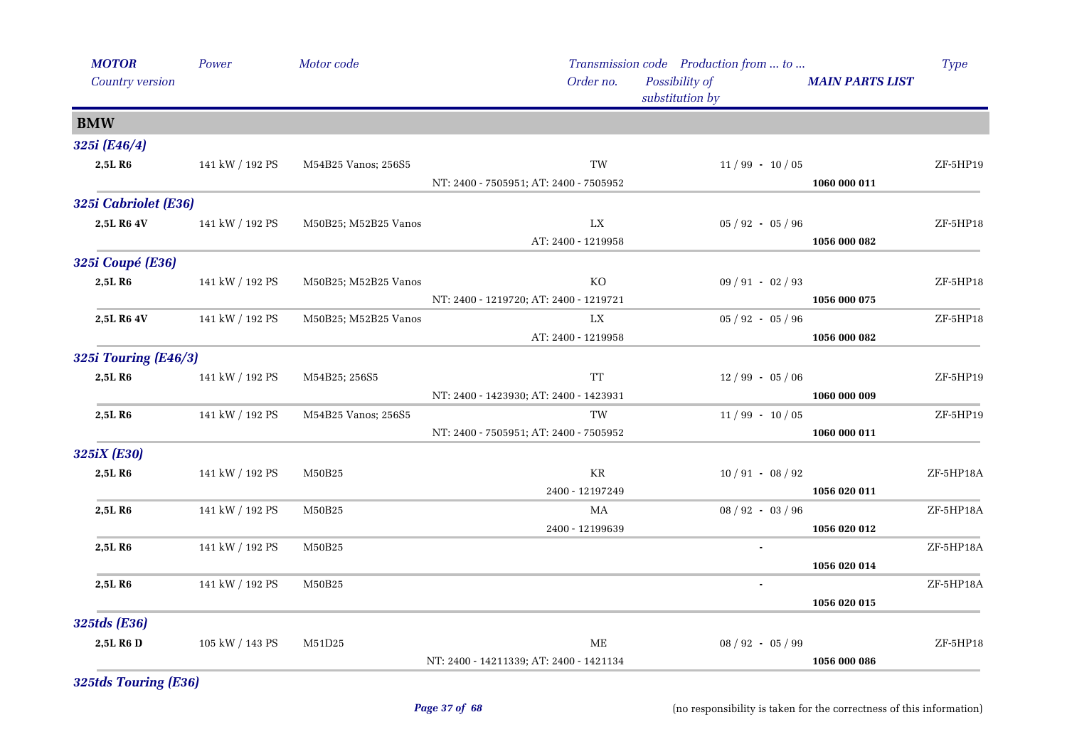| <b>MOTOR</b>                | Power           | Motor code           |                                         | Transmission code Production from  to |                        | Type      |
|-----------------------------|-----------------|----------------------|-----------------------------------------|---------------------------------------|------------------------|-----------|
| Country version             |                 |                      | Order no.                               | Possibility of<br>substitution by     | <b>MAIN PARTS LIST</b> |           |
| <b>BMW</b>                  |                 |                      |                                         |                                       |                        |           |
| 325i (E46/4)                |                 |                      |                                         |                                       |                        |           |
| 2,5LR6                      | 141 kW / 192 PS | M54B25 Vanos; 256S5  | TW                                      | $11/99 - 10/05$                       |                        | ZF-5HP19  |
|                             |                 |                      | NT: 2400 - 7505951; AT: 2400 - 7505952  |                                       | 1060 000 011           |           |
| 325i Cabriolet (E36)        |                 |                      |                                         |                                       |                        |           |
| 2,5L R6 4V                  | 141 kW / 192 PS | M50B25; M52B25 Vanos | LX                                      | $05 / 92 - 05 / 96$                   |                        | ZF-5HP18  |
|                             |                 |                      | AT: 2400 - 1219958                      |                                       | 1056 000 082           |           |
| 325i Coupé (E36)            |                 |                      |                                         |                                       |                        |           |
| 2,5L R6                     | 141 kW / 192 PS | M50B25; M52B25 Vanos | KO                                      | $09 / 91 - 02 / 93$                   |                        | ZF-5HP18  |
|                             |                 |                      | NT: 2400 - 1219720; AT: 2400 - 1219721  |                                       | 1056 000 075           |           |
| 2,5L R6 4V                  | 141 kW / 192 PS | M50B25; M52B25 Vanos | LX                                      | $05 / 92 - 05 / 96$                   |                        | ZF-5HP18  |
|                             |                 |                      | AT: 2400 - 1219958                      |                                       | 1056 000 082           |           |
| <b>325i Touring (E46/3)</b> |                 |                      |                                         |                                       |                        |           |
| 2,5L R6                     | 141 kW / 192 PS | M54B25; 256S5        | <b>TT</b>                               | $12/99 - 05/06$                       |                        | ZF-5HP19  |
|                             |                 |                      | NT: 2400 - 1423930; AT: 2400 - 1423931  |                                       | 1060 000 009           |           |
| 2,5L R6                     | 141 kW / 192 PS | M54B25 Vanos; 256S5  | TW                                      | $11/99 - 10/05$                       |                        | ZF-5HP19  |
|                             |                 |                      | NT: 2400 - 7505951; AT: 2400 - 7505952  |                                       | 1060 000 011           |           |
| 325iX (E30)                 |                 |                      |                                         |                                       |                        |           |
| 2,5L R6                     | 141 kW / 192 PS | M50B25               | KR<br>2400 - 12197249                   | $10/91 - 08/92$                       | 1056 020 011           | ZF-5HP18A |
| 2,5L R6                     | 141 kW / 192 PS | M50B25               | MA                                      | $08 / 92 - 03 / 96$                   |                        | ZF-5HP18A |
|                             |                 |                      | 2400 - 12199639                         |                                       | 1056 020 012           |           |
| 2,5L R6                     | 141 kW / 192 PS | M50B25               |                                         |                                       |                        | ZF-5HP18A |
|                             |                 |                      |                                         |                                       | 1056 020 014           |           |
| 2,5L R6                     | 141 kW / 192 PS | M50B25               |                                         |                                       |                        | ZF-5HP18A |
|                             |                 |                      |                                         |                                       | 1056 020 015           |           |
| 325tds (E36)                |                 |                      |                                         |                                       |                        |           |
| 2,5L R6 D                   | 105 kW / 143 PS | M51D25               | ME                                      | $08 / 92 - 05 / 99$                   |                        | ZF-5HP18  |
|                             |                 |                      | NT: 2400 - 14211339; AT: 2400 - 1421134 |                                       | 1056 000 086           |           |

*325tds Touring (E36)*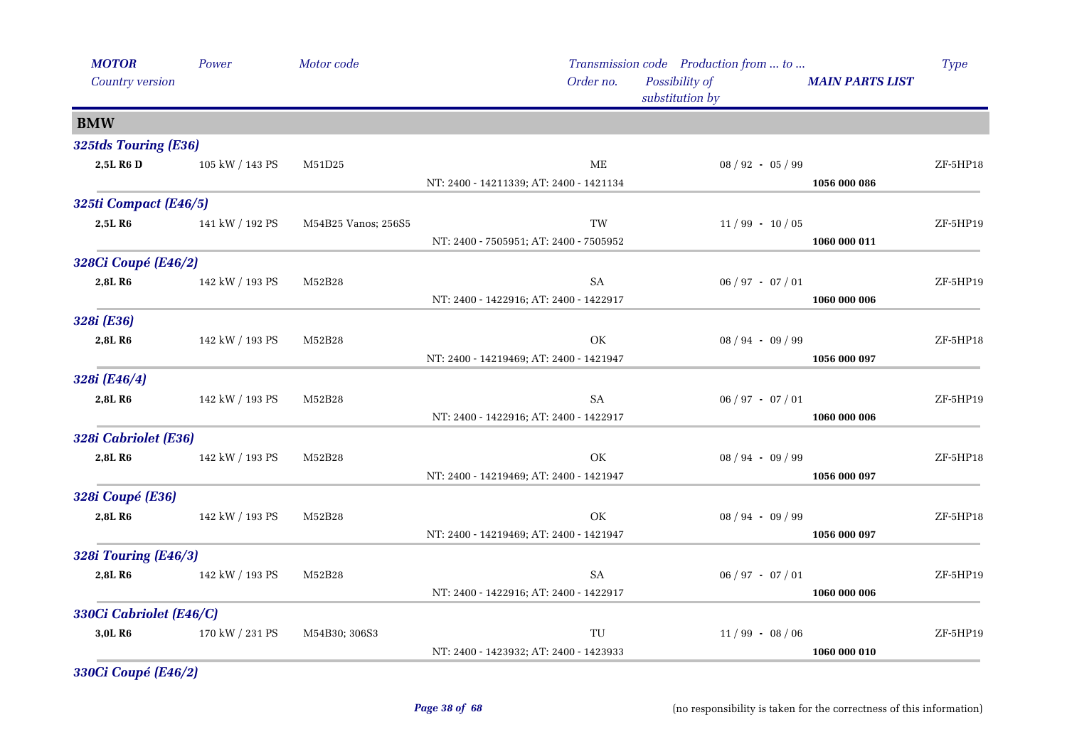| <b>MOTOR</b>                | Power           | Motor code          |                                         | Transmission code Production from  to |                        | Type       |
|-----------------------------|-----------------|---------------------|-----------------------------------------|---------------------------------------|------------------------|------------|
| Country version             |                 |                     | Order no.                               | Possibility of<br>substitution by     | <b>MAIN PARTS LIST</b> |            |
| <b>BMW</b>                  |                 |                     |                                         |                                       |                        |            |
| 325tds Touring (E36)        |                 |                     |                                         |                                       |                        |            |
| 2,5L R6 D                   | 105 kW / 143 PS | M51D25              | ME                                      | $08 / 92 - 05 / 99$                   |                        | $ZF-5HP18$ |
|                             |                 |                     | NT: 2400 - 14211339; AT: 2400 - 1421134 |                                       | 1056 000 086           |            |
| 325ti Compact (E46/5)       |                 |                     |                                         |                                       |                        |            |
| 2,5L R6                     | 141 kW / 192 PS | M54B25 Vanos; 256S5 | TW                                      | $11/99 - 10/05$                       |                        | ZF-5HP19   |
|                             |                 |                     | NT: 2400 - 7505951; AT: 2400 - 7505952  |                                       | 1060 000 011           |            |
| 328Ci Coupé (E46/2)         |                 |                     |                                         |                                       |                        |            |
| 2,8L R6                     | 142 kW / 193 PS | M52B28              | SA                                      | $06 / 97 - 07 / 01$                   |                        | ZF-5HP19   |
|                             |                 |                     | NT: 2400 - 1422916; AT: 2400 - 1422917  |                                       | 1060 000 006           |            |
| 328i (E36)                  |                 |                     |                                         |                                       |                        |            |
| 2,8L R6                     | 142 kW / 193 PS | M52B28              | OK                                      | $08 / 94 - 09 / 99$                   |                        | ZF-5HP18   |
|                             |                 |                     | NT: 2400 - 14219469; AT: 2400 - 1421947 |                                       | 1056 000 097           |            |
| 328i (E46/4)                |                 |                     |                                         |                                       |                        |            |
| 2,8L R6                     | 142 kW / 193 PS | M52B28              | SA                                      | $06 / 97 - 07 / 01$                   |                        | ZF-5HP19   |
|                             |                 |                     | NT: 2400 - 1422916; AT: 2400 - 1422917  |                                       | 1060 000 006           |            |
| 328i Cabriolet (E36)        |                 |                     |                                         |                                       |                        |            |
| 2,8L R6                     | 142 kW / 193 PS | M52B28              | OK                                      | $08 / 94 - 09 / 99$                   |                        | $ZF-5HP18$ |
|                             |                 |                     | NT: 2400 - 14219469; AT: 2400 - 1421947 |                                       | 1056 000 097           |            |
| 328i Coupé (E36)            |                 |                     |                                         |                                       |                        |            |
| 2,8L R6                     | 142 kW / 193 PS | M52B28              | OK                                      | $08 / 94 - 09 / 99$                   |                        | ZF-5HP18   |
|                             |                 |                     | NT: 2400 - 14219469; AT: 2400 - 1421947 |                                       | 1056 000 097           |            |
| <b>328i Touring (E46/3)</b> |                 |                     |                                         |                                       |                        |            |
| 2,8L R6                     | 142 kW / 193 PS | M52B28              | SA                                      | $06 / 97 - 07 / 01$                   |                        | ZF-5HP19   |
|                             |                 |                     | NT: 2400 - 1422916; AT: 2400 - 1422917  |                                       | 1060 000 006           |            |
| 330Ci Cabriolet (E46/C)     |                 |                     |                                         |                                       |                        |            |
| 3,0L R6                     | 170 kW / 231 PS | M54B30; 306S3       | TU                                      | $11/99 - 08/06$                       |                        | ZF-5HP19   |
|                             |                 |                     | NT: 2400 - 1423932; AT: 2400 - 1423933  |                                       | 1060 000 010           |            |

*330Ci Coupé (E46/2)*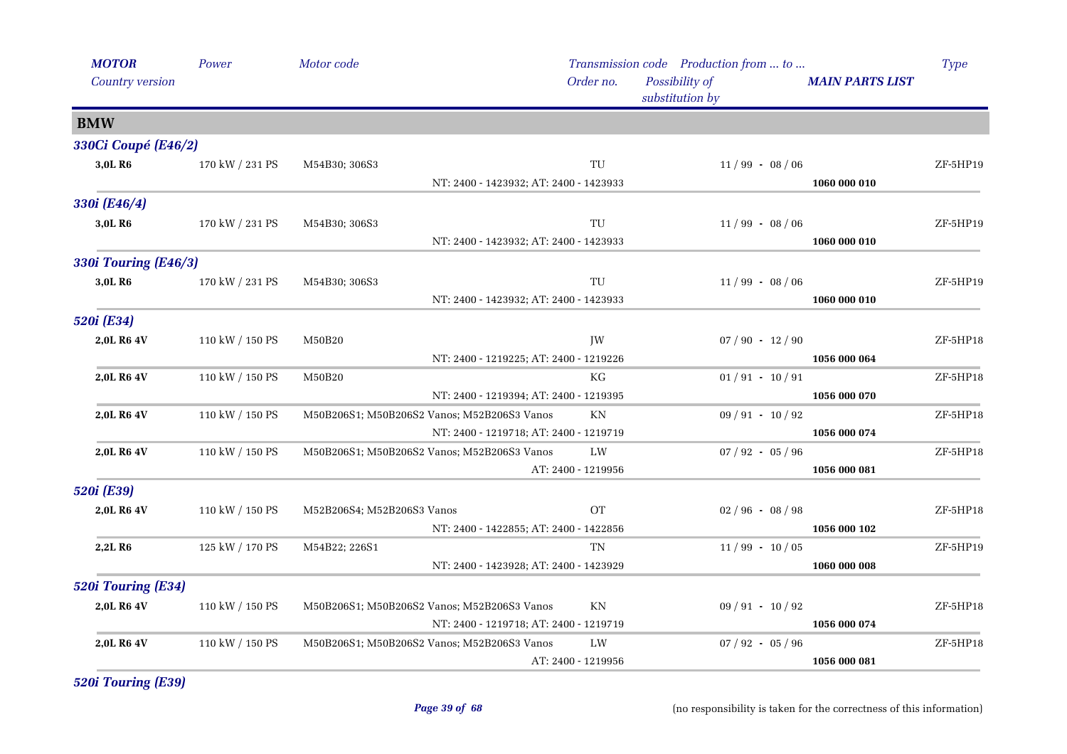| <b>MOTOR</b>                | Power           | Motor code                 |                                             |                                                | Transmission code Production from  to |                        | <b>Type</b> |
|-----------------------------|-----------------|----------------------------|---------------------------------------------|------------------------------------------------|---------------------------------------|------------------------|-------------|
| Country version             |                 |                            |                                             | Order no.<br>Possibility of<br>substitution by |                                       | <b>MAIN PARTS LIST</b> |             |
| <b>BMW</b>                  |                 |                            |                                             |                                                |                                       |                        |             |
| 330Ci Coupé (E46/2)         |                 |                            |                                             |                                                |                                       |                        |             |
| 3,0L R6                     | 170 kW / 231 PS | M54B30; 306S3              |                                             | TU                                             | $11/99 - 08/06$                       |                        | ZF-5HP19    |
|                             |                 |                            | NT: 2400 - 1423932; AT: 2400 - 1423933      |                                                |                                       | 1060 000 010           |             |
| 330i (E46/4)                |                 |                            |                                             |                                                |                                       |                        |             |
| 3,0L R <sub>6</sub>         | 170 kW / 231 PS | M54B30; 306S3              |                                             | TU                                             | $11/99 - 08/06$                       |                        | ZF-5HP19    |
|                             |                 |                            | NT: 2400 - 1423932; AT: 2400 - 1423933      |                                                |                                       | 1060 000 010           |             |
| <b>330i Touring (E46/3)</b> |                 |                            |                                             |                                                |                                       |                        |             |
| 3,0L R6                     | 170 kW / 231 PS | M54B30; 306S3              |                                             | TU                                             | $11/99 - 08/06$                       |                        | ZF-5HP19    |
|                             |                 |                            | NT: 2400 - 1423932; AT: 2400 - 1423933      |                                                |                                       | 1060 000 010           |             |
| 520i (E34)                  |                 |                            |                                             |                                                |                                       |                        |             |
| 2,0L R6 4V                  | 110 kW / 150 PS | M50B20                     |                                             | JW                                             | $07 / 90 - 12 / 90$                   |                        | $ZF-5HP18$  |
|                             |                 |                            | NT: 2400 - 1219225; AT: 2400 - 1219226      |                                                |                                       | 1056 000 064           |             |
| 2,0L R6 4V                  | 110 kW / 150 PS | M50B20                     |                                             | <b>KG</b>                                      | $01/91 - 10/91$                       |                        | $ZF-5HP18$  |
|                             |                 |                            | NT: 2400 - 1219394; AT: 2400 - 1219395      |                                                |                                       | 1056 000 070           |             |
| 2,0L R6 4V                  | 110 kW / 150 PS |                            | M50B206S1; M50B206S2 Vanos; M52B206S3 Vanos | ΚN                                             | $09/91 - 10/92$                       |                        | $ZF-5HP18$  |
|                             |                 |                            | NT: 2400 - 1219718; AT: 2400 - 1219719      |                                                |                                       | 1056 000 074           |             |
| 2,0L R6 4V                  | 110 kW / 150 PS |                            | M50B206S1; M50B206S2 Vanos; M52B206S3 Vanos | LW                                             | $07 / 92 - 05 / 96$                   |                        | ZF-5HP18    |
|                             |                 |                            |                                             | AT: 2400 - 1219956                             |                                       | 1056 000 081           |             |
| 520i (E39)                  |                 |                            |                                             |                                                |                                       |                        |             |
| 2,0L R6 4V                  | 110 kW / 150 PS | M52B206S4; M52B206S3 Vanos |                                             | <b>OT</b>                                      | $02/96 - 08/98$                       |                        | ZF-5HP18    |
|                             |                 |                            | NT: 2400 - 1422855; AT: 2400 - 1422856      |                                                |                                       | 1056 000 102           |             |
| 2,2L R6                     | 125 kW / 170 PS | M54B22; 226S1              |                                             | TN                                             | $11/99 - 10/05$                       |                        | ZF-5HP19    |
|                             |                 |                            | NT: 2400 - 1423928; AT: 2400 - 1423929      |                                                |                                       | 1060 000 008           |             |
| 520i Touring (E34)          |                 |                            |                                             |                                                |                                       |                        |             |
| 2,0L R6 4V                  | 110 kW / 150 PS |                            | M50B206S1; M50B206S2 Vanos; M52B206S3 Vanos | KN                                             | $09 / 91 - 10 / 92$                   |                        | ZF-5HP18    |
|                             |                 |                            | NT: 2400 - 1219718; AT: 2400 - 1219719      |                                                |                                       | 1056 000 074           |             |
| 2,0L R6 4V                  | 110 kW / 150 PS |                            | M50B206S1; M50B206S2 Vanos; M52B206S3 Vanos | LW                                             | $07 / 92 - 05 / 96$                   |                        | $ZF-5HP18$  |
|                             |                 |                            |                                             | AT: 2400 - 1219956                             |                                       | 1056 000 081           |             |

*520i Touring (E39)*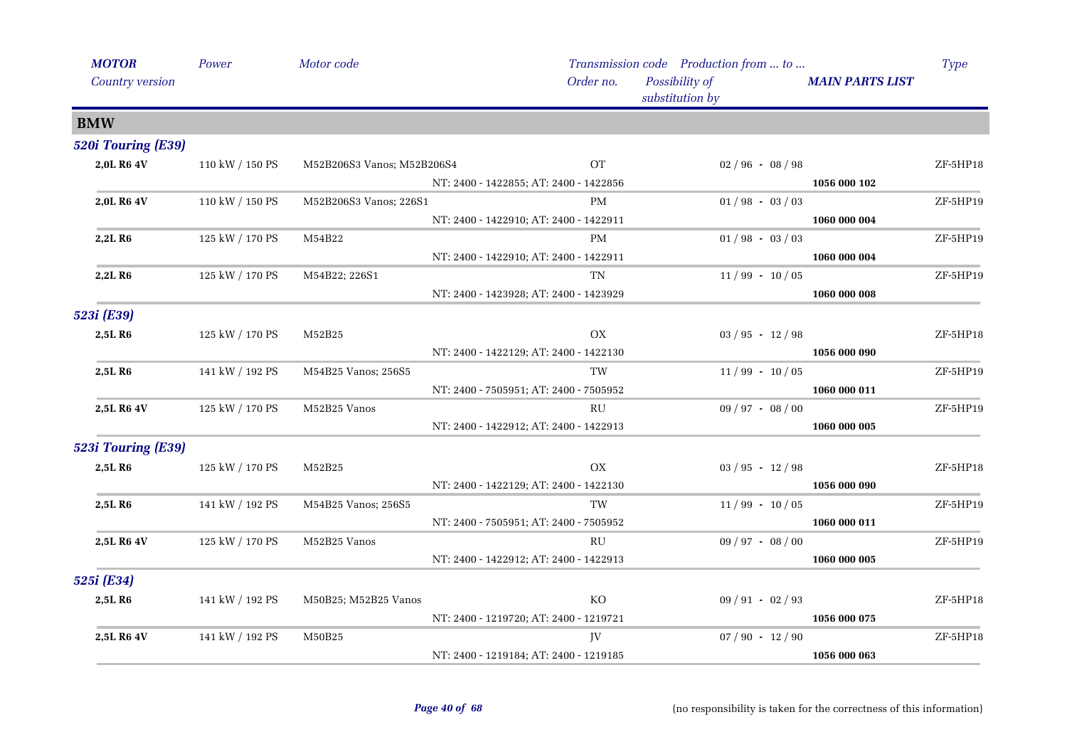| <b>MOTOR</b>        | Power           | Motor code                 |                                        |                 | Transmission code Production from  to |                     |                        | <b>Type</b> |
|---------------------|-----------------|----------------------------|----------------------------------------|-----------------|---------------------------------------|---------------------|------------------------|-------------|
| Country version     |                 |                            |                                        | Order no.       | Possibility of<br>substitution by     |                     | <b>MAIN PARTS LIST</b> |             |
| <b>BMW</b>          |                 |                            |                                        |                 |                                       |                     |                        |             |
| 520i Touring (E39)  |                 |                            |                                        |                 |                                       |                     |                        |             |
| 2,0L R6 4V          | 110 kW / 150 PS | M52B206S3 Vanos; M52B206S4 |                                        | <b>OT</b>       |                                       | $02/96 - 08/98$     |                        | ZF-5HP18    |
|                     |                 |                            | NT: 2400 - 1422855; AT: 2400 - 1422856 |                 |                                       |                     | 1056 000 102           |             |
| 2,0L R6 4V          | 110 kW / 150 PS | M52B206S3 Vanos; 226S1     |                                        | PM              |                                       | $01/98 - 03/03$     |                        | ZF-5HP19    |
|                     |                 |                            | NT: 2400 - 1422910; AT: 2400 - 1422911 |                 |                                       |                     | 1060 000 004           |             |
| 2,2L R <sub>6</sub> | 125 kW / 170 PS | M54B22                     |                                        | PM              |                                       | $01/98 - 03/03$     |                        | ZF-5HP19    |
|                     |                 |                            | NT: 2400 - 1422910; AT: 2400 - 1422911 |                 |                                       |                     | 1060 000 004           |             |
| 2,2L R6             | 125 kW / 170 PS | M54B22; 226S1              |                                        | TN              |                                       | $11/99 - 10/05$     |                        | ZF-5HP19    |
|                     |                 |                            | NT: 2400 - 1423928; AT: 2400 - 1423929 |                 |                                       |                     | 1060 000 008           |             |
| 523i (E39)          |                 |                            |                                        |                 |                                       |                     |                        |             |
| 2,5L R6             | 125 kW / 170 PS | M52B25                     |                                        | OX              |                                       | $03 / 95 - 12 / 98$ |                        | ZF-5HP18    |
|                     |                 |                            | NT: 2400 - 1422129; AT: 2400 - 1422130 |                 |                                       |                     | 1056 000 090           |             |
| 2,5L R <sub>6</sub> | 141 kW / 192 PS | M54B25 Vanos; 256S5        |                                        | TW              |                                       | $11/99 - 10/05$     |                        | ZF-5HP19    |
|                     |                 |                            | NT: 2400 - 7505951; AT: 2400 - 7505952 |                 |                                       |                     | 1060 000 011           |             |
| 2,5L R6 4V          | 125 kW / 170 PS | $M52B25$ Vanos             |                                        | RU              |                                       | $09 / 97 - 08 / 00$ |                        | ZF-5HP19    |
|                     |                 |                            | NT: 2400 - 1422912; AT: 2400 - 1422913 |                 |                                       |                     | 1060 000 005           |             |
| 523i Touring (E39)  |                 |                            |                                        |                 |                                       |                     |                        |             |
| 2,5L R <sub>6</sub> | 125 kW / 170 PS | M52B25                     |                                        | OX              |                                       | $03 / 95 - 12 / 98$ |                        | ZF-5HP18    |
|                     |                 |                            | NT: 2400 - 1422129; AT: 2400 - 1422130 |                 |                                       |                     | 1056 000 090           |             |
| 2,5L R <sub>6</sub> | 141 kW / 192 PS | M54B25 Vanos; 256S5        |                                        | <b>TW</b>       |                                       | $11/99 - 10/05$     |                        | ZF-5HP19    |
|                     |                 |                            | NT: 2400 - 7505951; AT: 2400 - 7505952 |                 |                                       |                     | 1060 000 011           |             |
| 2,5L R6 4V          | 125 kW / 170 PS | M52B25 Vanos               |                                        | RU              |                                       | $09 / 97 - 08 / 00$ |                        | ZF-5HP19    |
|                     |                 |                            | NT: 2400 - 1422912; AT: 2400 - 1422913 |                 |                                       |                     | 1060 000 005           |             |
| 525i (E34)          |                 |                            |                                        |                 |                                       |                     |                        |             |
| 2,5L R6             | 141 kW / 192 PS | M50B25; M52B25 Vanos       |                                        | KO <sup>1</sup> |                                       | $09 / 91 - 02 / 93$ |                        | ZF-5HP18    |
|                     |                 |                            | NT: 2400 - 1219720; AT: 2400 - 1219721 |                 |                                       |                     | 1056 000 075           |             |
| 2,5L R6 4V          | 141 kW / 192 PS | M50B25                     |                                        | JV              |                                       | $07 / 90 - 12 / 90$ |                        | ZF-5HP18    |
|                     |                 |                            | NT: 2400 - 1219184; AT: 2400 - 1219185 |                 |                                       |                     | 1056 000 063           |             |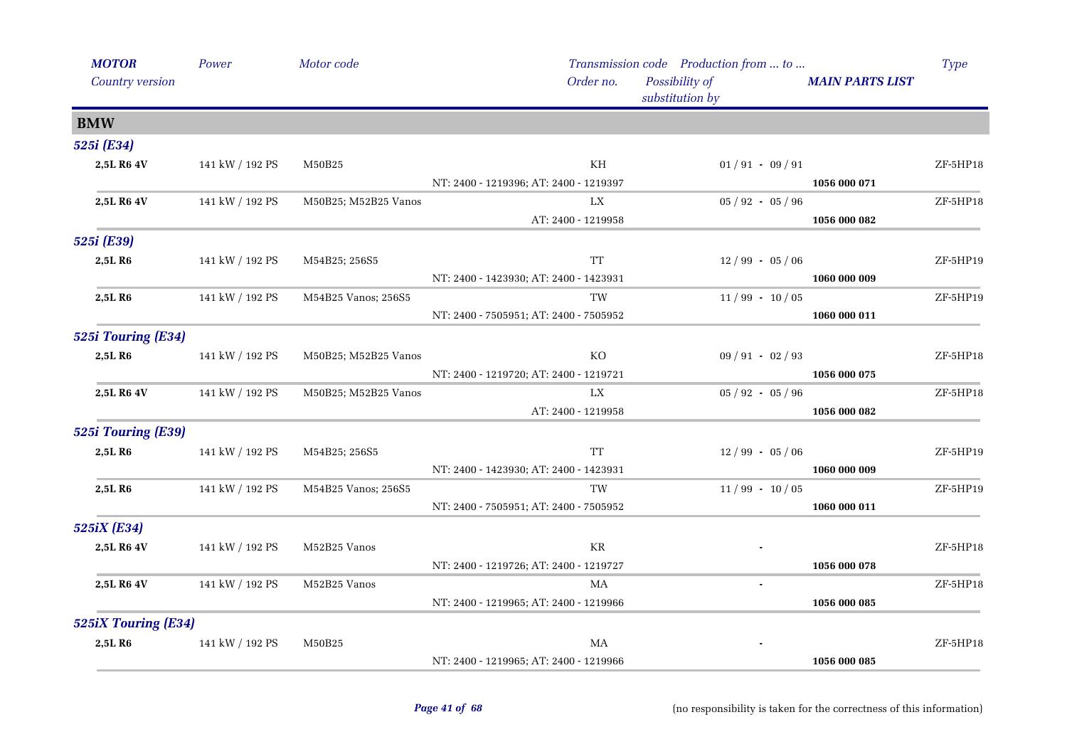| <b>MOTOR</b>        | Power           | Motor code           |                                        | Transmission code Production from  to |                        | <b>Type</b> |
|---------------------|-----------------|----------------------|----------------------------------------|---------------------------------------|------------------------|-------------|
| Country version     |                 |                      | Order no.                              | Possibility of<br>substitution by     | <b>MAIN PARTS LIST</b> |             |
| <b>BMW</b>          |                 |                      |                                        |                                       |                        |             |
| 525i (E34)          |                 |                      |                                        |                                       |                        |             |
| 2,5L R6 4V          | 141 kW / 192 PS | M50B25               | KH                                     | $01/91 - 09/91$                       |                        | ZF-5HP18    |
|                     |                 |                      | NT: 2400 - 1219396; AT: 2400 - 1219397 |                                       | 1056 000 071           |             |
| 2,5L R6 4V          | 141 kW / 192 PS | M50B25; M52B25 Vanos | LX                                     | $05 / 92 - 05 / 96$                   |                        | ZF-5HP18    |
|                     |                 |                      | AT: 2400 - 1219958                     |                                       | 1056 000 082           |             |
| 525i (E39)          |                 |                      |                                        |                                       |                        |             |
| 2,5LR6              | 141 kW / 192 PS | M54B25; 256S5        | <b>TT</b>                              | $12/99 - 05/06$                       |                        | ZF-5HP19    |
|                     |                 |                      | NT: 2400 - 1423930; AT: 2400 - 1423931 |                                       | 1060 000 009           |             |
| 2,5L R6             | 141 kW / 192 PS | M54B25 Vanos; 256S5  | TW                                     | $11/99 - 10/05$                       |                        | ZF-5HP19    |
|                     |                 |                      | NT: 2400 - 7505951; AT: 2400 - 7505952 |                                       | 1060 000 011           |             |
| 525i Touring (E34)  |                 |                      |                                        |                                       |                        |             |
| 2,5L R6             | 141 kW / 192 PS | M50B25; M52B25 Vanos | KO                                     | $09/91 - 02/93$                       |                        | ZF-5HP18    |
|                     |                 |                      | NT: 2400 - 1219720; AT: 2400 - 1219721 |                                       | 1056 000 075           |             |
| 2,5L R6 4V          | 141 kW / 192 PS | M50B25; M52B25 Vanos | LX                                     | $05 / 92 - 05 / 96$                   |                        | ZF-5HP18    |
|                     |                 |                      | AT: 2400 - 1219958                     |                                       | 1056 000 082           |             |
| 525i Touring (E39)  |                 |                      |                                        |                                       |                        |             |
| 2,5L R6             | 141 kW / 192 PS | M54B25; 256S5        | <b>TT</b>                              | $12/99 - 05/06$                       |                        | ZF-5HP19    |
|                     |                 |                      | NT: 2400 - 1423930; AT: 2400 - 1423931 |                                       | 1060 000 009           |             |
| 2,5L R6             | 141 kW / 192 PS | M54B25 Vanos; 256S5  | <b>TW</b>                              | $11/99 - 10/05$                       |                        | ZF-5HP19    |
|                     |                 |                      | NT: 2400 - 7505951; AT: 2400 - 7505952 |                                       | 1060 000 011           |             |
| 525iX (E34)         |                 |                      |                                        |                                       |                        |             |
| 2,5L R6 4V          | 141 kW / 192 PS | M52B25 Vanos         | KR                                     |                                       |                        | ZF-5HP18    |
|                     |                 |                      | NT: 2400 - 1219726; AT: 2400 - 1219727 |                                       | 1056 000 078           |             |
| 2,5L R6 4V          | 141 kW / 192 PS | M52B25 Vanos         | MA                                     | $\sim$                                |                        | ZF-5HP18    |
|                     |                 |                      | NT: 2400 - 1219965; AT: 2400 - 1219966 |                                       | 1056 000 085           |             |
| 525iX Touring (E34) |                 |                      |                                        |                                       |                        |             |
| 2,5LR6              | 141 kW / 192 PS | M50B25               | MA                                     |                                       |                        | ZF-5HP18    |
|                     |                 |                      | NT: 2400 - 1219965; AT: 2400 - 1219966 |                                       | 1056 000 085           |             |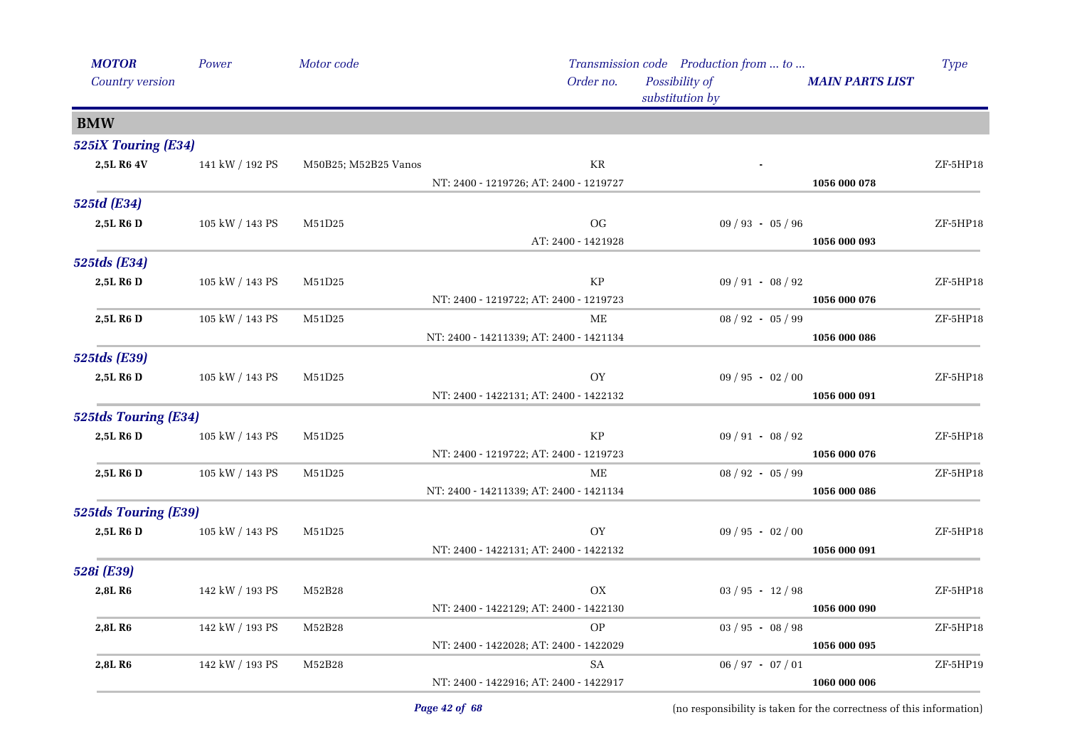| <b>MOTOR</b>                | Power                 | Motor code           |                                         | Transmission code Production from  to |                        | Type       |
|-----------------------------|-----------------------|----------------------|-----------------------------------------|---------------------------------------|------------------------|------------|
| Country version             |                       |                      | Order no.                               | Possibility of<br>substitution by     | <b>MAIN PARTS LIST</b> |            |
| <b>BMW</b>                  |                       |                      |                                         |                                       |                        |            |
| 525iX Touring (E34)         |                       |                      |                                         |                                       |                        |            |
| 2,5L R6 4V                  | 141 kW / 192 PS       | M50B25; M52B25 Vanos | $\rm KR$                                |                                       |                        | ZF-5HP18   |
|                             |                       |                      | NT: 2400 - 1219726; AT: 2400 - 1219727  |                                       | 1056 000 078           |            |
| 525td (E34)                 |                       |                      |                                         |                                       |                        |            |
| 2,5L R6 D                   | 105 kW / 143 PS       | M51D25               | <b>OG</b>                               | $09 / 93 - 05 / 96$                   |                        | ZF-5HP18   |
|                             |                       |                      | AT: 2400 - 1421928                      |                                       | 1056 000 093           |            |
| 525tds (E34)                |                       |                      |                                         |                                       |                        |            |
| 2,5L R6 D                   | $105$ kW $\!/$ 143 PS | M51D25               | KP                                      | $09 / 91 - 08 / 92$                   |                        | ZF-5HP18   |
|                             |                       |                      | NT: 2400 - 1219722; AT: 2400 - 1219723  |                                       | 1056 000 076           |            |
| 2,5L R6 D                   | 105 kW / 143 PS       | M51D25               | ME                                      | $08 / 92 - 05 / 99$                   |                        | $ZF-5HP18$ |
|                             |                       |                      | NT: 2400 - 14211339; AT: 2400 - 1421134 |                                       | 1056 000 086           |            |
| <b>525tds</b> (E39)         |                       |                      |                                         |                                       |                        |            |
| 2,5L R6 D                   | 105 kW / 143 PS       | M51D25               | OY                                      | $09 / 95 - 02 / 00$                   |                        | $ZF-5HP18$ |
|                             |                       |                      | NT: 2400 - 1422131; AT: 2400 - 1422132  |                                       | 1056 000 091           |            |
| <b>525tds Touring (E34)</b> |                       |                      |                                         |                                       |                        |            |
| 2,5L R6 D                   | $105$ kW $\!/$ 143 PS | M51D25               | KP                                      | $09 / 91 - 08 / 92$                   |                        | $ZF-5HP18$ |
|                             |                       |                      | NT: 2400 - 1219722; AT: 2400 - 1219723  |                                       | 1056 000 076           |            |
| 2,5L R6 D                   | 105 kW / 143 PS       | M51D25               | <b>ME</b>                               | $08 / 92 - 05 / 99$                   |                        | ZF-5HP18   |
|                             |                       |                      | NT: 2400 - 14211339; AT: 2400 - 1421134 |                                       | 1056 000 086           |            |
| <b>525tds Touring (E39)</b> |                       |                      |                                         |                                       |                        |            |
| 2,5L R6 D                   | 105 kW / 143 PS       | M51D25               | OY                                      | $09 / 95 - 02 / 00$                   |                        | ZF-5HP18   |
|                             |                       |                      | NT: 2400 - 1422131; AT: 2400 - 1422132  |                                       | 1056 000 091           |            |
| 528i (E39)                  |                       |                      |                                         |                                       |                        |            |
| 2,8L R6                     | 142 kW / 193 PS       | M52B28               | <b>OX</b>                               | $03 / 95 - 12 / 98$                   |                        | ZF-5HP18   |
|                             |                       |                      | NT: 2400 - 1422129; AT: 2400 - 1422130  |                                       | 1056 000 090           |            |
| 2,8L R6                     | 142 kW / 193 PS       | M52B28               | $\mathcal{O}\mathcal{P}$                | $03 / 95 - 08 / 98$                   |                        | ZF-5HP18   |
|                             |                       |                      | NT: 2400 - 1422028; AT: 2400 - 1422029  |                                       | 1056 000 095           |            |
| 2,8L R6                     | 142 kW / 193 PS       | M52B28               | SA                                      | $06 / 97 - 07 / 01$                   |                        | ZF-5HP19   |
|                             |                       |                      | NT: 2400 - 1422916; AT: 2400 - 1422917  |                                       | 1060 000 006           |            |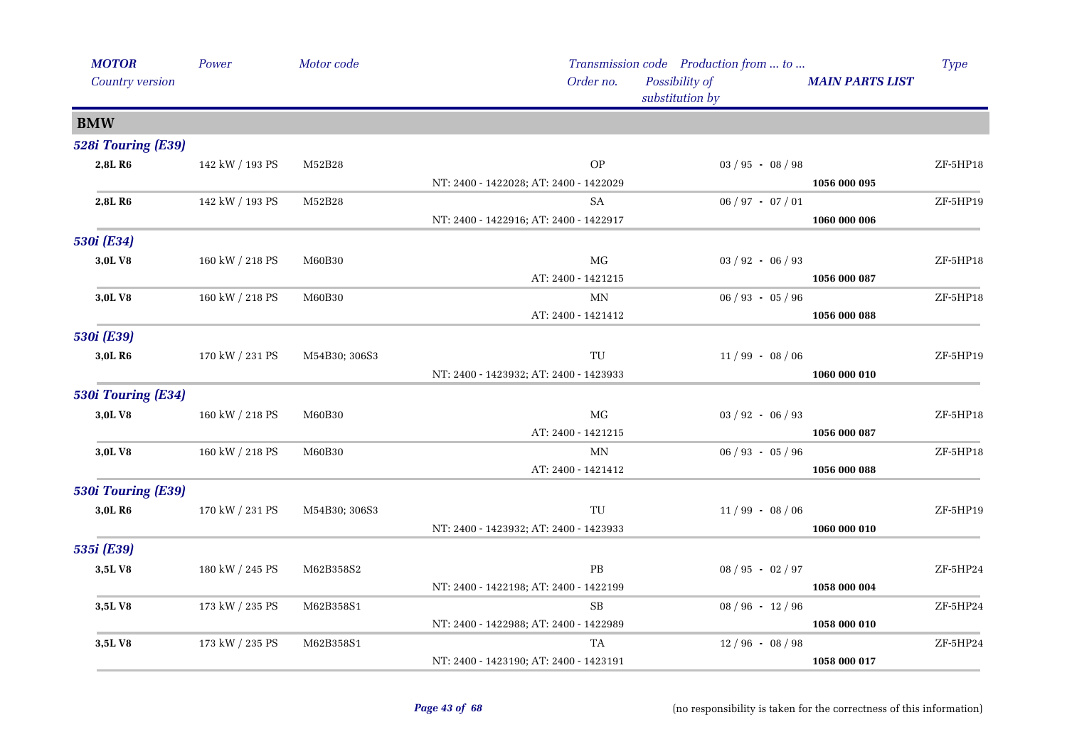| <b>MOTOR</b>       | Power           | Motor code    |                                                  | Transmission code Production from  to |                        | Type       |
|--------------------|-----------------|---------------|--------------------------------------------------|---------------------------------------|------------------------|------------|
| Country version    |                 |               | Order no.                                        | Possibility of<br>substitution by     | <b>MAIN PARTS LIST</b> |            |
| <b>BMW</b>         |                 |               |                                                  |                                       |                        |            |
| 528i Touring (E39) |                 |               |                                                  |                                       |                        |            |
| 2,8L R6            | 142 kW / 193 PS | M52B28        | <b>OP</b>                                        | $03 / 95 - 08 / 98$                   |                        | ZF-5HP18   |
|                    |                 |               | NT: 2400 - 1422028; AT: 2400 - 1422029           |                                       | 1056 000 095           |            |
| 2,8L R6            | 142 kW / 193 PS | M52B28        | SA                                               | $06 / 97 - 07 / 01$                   |                        | ZF-5HP19   |
|                    |                 |               | NT: 2400 - 1422916; AT: 2400 - 1422917           |                                       | 1060 000 006           |            |
| 530i (E34)         |                 |               |                                                  |                                       |                        |            |
| 3,0LV8             | 160 kW / 218 PS | M60B30        | MG                                               | $03 / 92 - 06 / 93$                   |                        | ZF-5HP18   |
|                    |                 |               | AT: 2400 - 1421215                               |                                       | 1056 000 087           |            |
| 3,0LV8             | 160 kW / 218 PS | M60B30        | MN                                               | $06 / 93 - 05 / 96$                   |                        | ZF-5HP18   |
|                    |                 |               | AT: 2400 - 1421412                               |                                       | 1056 000 088           |            |
| 530i (E39)         |                 |               |                                                  |                                       |                        |            |
| 3,0L R6            | 170 kW / 231 PS | M54B30; 306S3 | $\ensuremath{\mathsf{T}}\ensuremath{\mathsf{U}}$ | $11/99 - 08/06$                       |                        | ZF-5HP19   |
|                    |                 |               | NT: 2400 - 1423932; AT: 2400 - 1423933           |                                       | 1060 000 010           |            |
| 530i Touring (E34) |                 |               |                                                  |                                       |                        |            |
| 3,0LV8             | 160 kW / 218 PS | M60B30        | $\rm MG$                                         | $03 / 92 - 06 / 93$                   |                        | ZF-5HP18   |
|                    |                 |               | AT: 2400 - 1421215                               |                                       | 1056 000 087           |            |
| 3,0L V8            | 160 kW / 218 PS | M60B30        | $\mbox{MN}$                                      | $06 / 93 - 05 / 96$                   |                        | $ZF-5HP18$ |
|                    |                 |               | AT: 2400 - 1421412                               |                                       | 1056 000 088           |            |
| 530i Touring (E39) |                 |               |                                                  |                                       |                        |            |
| 3,0L R6            | 170 kW / 231 PS | M54B30; 306S3 | TU                                               | $11/99 - 08/06$                       |                        | ZF-5HP19   |
|                    |                 |               | NT: 2400 - 1423932; AT: 2400 - 1423933           |                                       | 1060 000 010           |            |
| 535i (E39)         |                 |               |                                                  |                                       |                        |            |
| 3,5LV8             | 180 kW / 245 PS | M62B358S2     | $\rm{PB}$                                        | $08 / 95 - 02 / 97$                   |                        | ZF-5HP24   |
|                    |                 |               | NT: 2400 - 1422198; AT: 2400 - 1422199           |                                       | 1058 000 004           |            |
| 3,5LV8             | 173 kW / 235 PS | M62B358S1     | SB                                               | $08 / 96 - 12 / 96$                   |                        | ZF-5HP24   |
|                    |                 |               | NT: 2400 - 1422988; AT: 2400 - 1422989           |                                       | 1058 000 010           |            |
| 3,5LV8             | 173 kW / 235 PS | M62B358S1     | TA                                               | $12/96 - 08/98$                       |                        | ZF-5HP24   |
|                    |                 |               | NT: 2400 - 1423190; AT: 2400 - 1423191           |                                       | 1058 000 017           |            |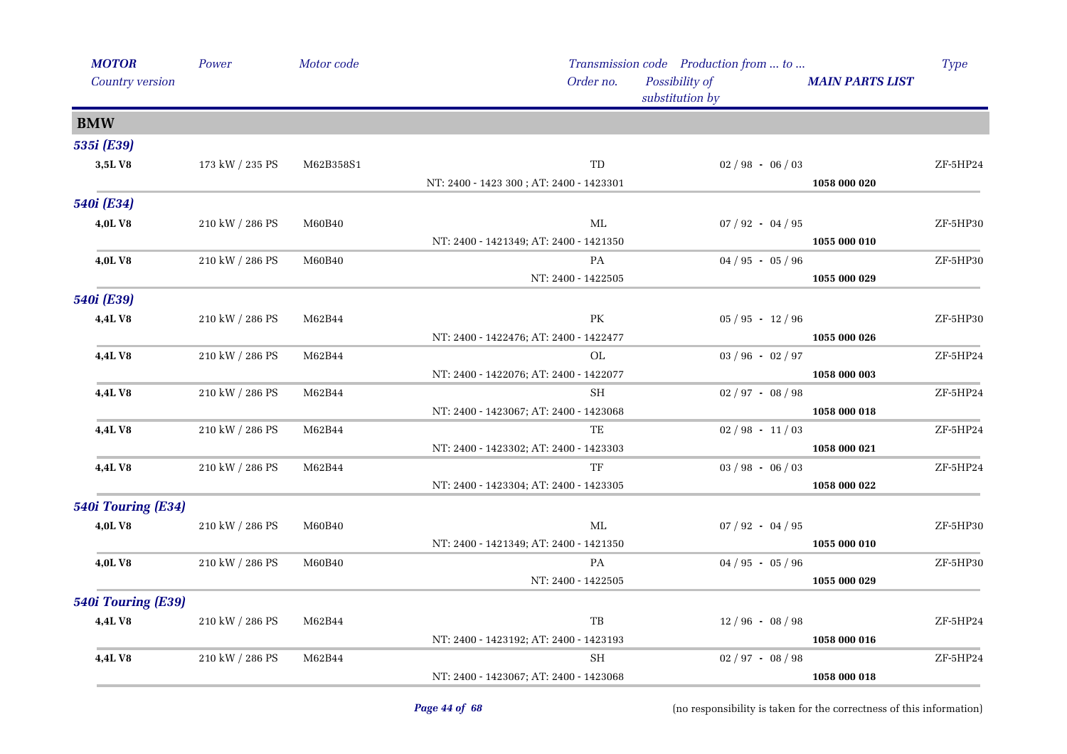| <b>MOTOR</b>       | Power           | Motor code |                                         | Transmission code Production from  to |                        | <b>Type</b> |
|--------------------|-----------------|------------|-----------------------------------------|---------------------------------------|------------------------|-------------|
| Country version    |                 |            | Order no.                               | Possibility of<br>substitution by     | <b>MAIN PARTS LIST</b> |             |
| <b>BMW</b>         |                 |            |                                         |                                       |                        |             |
| 535i (E39)         |                 |            |                                         |                                       |                        |             |
| 3,5LV8             | 173 kW / 235 PS | M62B358S1  | TD                                      | $02/98 - 06/03$                       |                        | ZF-5HP24    |
|                    |                 |            | NT: 2400 - 1423 300; AT: 2400 - 1423301 |                                       | 1058 000 020           |             |
| 540i (E34)         |                 |            |                                         |                                       |                        |             |
| 4,0LV8             | 210 kW / 286 PS | M60B40     | $MI_{\iota}$                            | $07 / 92 - 04 / 95$                   |                        | ZF-5HP30    |
|                    |                 |            | NT: 2400 - 1421349; AT: 2400 - 1421350  |                                       | 1055 000 010           |             |
| 4,0L V8            | 210 kW / 286 PS | M60B40     | PA                                      | $04 / 95 - 05 / 96$                   |                        | ZF-5HP30    |
|                    |                 |            | NT: 2400 - 1422505                      |                                       | 1055 000 029           |             |
| 540i (E39)         |                 |            |                                         |                                       |                        |             |
| 4,4LV8             | 210 kW / 286 PS | M62B44     | PK                                      | $05 / 95 - 12 / 96$                   |                        | ZF-5HP30    |
|                    |                 |            | NT: 2400 - 1422476; AT: 2400 - 1422477  |                                       | 1055 000 026           |             |
| <b>4,4LV8</b>      | 210 kW / 286 PS | M62B44     | OL                                      | $03 / 96 - 02 / 97$                   |                        | ZF-5HP24    |
|                    |                 |            | NT: 2400 - 1422076; AT: 2400 - 1422077  |                                       | 1058 000 003           |             |
| 4,4LV8             | 210 kW / 286 PS | M62B44     | <b>SH</b>                               | $02 / 97 - 08 / 98$                   |                        | ZF-5HP24    |
|                    |                 |            | NT: 2400 - 1423067; AT: 2400 - 1423068  |                                       | 1058 000 018           |             |
| <b>4,4LV8</b>      | 210 kW / 286 PS | M62B44     | TE                                      | $02 / 98 - 11 / 03$                   |                        | ZF-5HP24    |
|                    |                 |            | NT: 2400 - 1423302; AT: 2400 - 1423303  |                                       | 1058 000 021           |             |
| <b>4,4LV8</b>      | 210 kW / 286 PS | M62B44     | TF                                      | $03 / 98 - 06 / 03$                   |                        | ZF-5HP24    |
|                    |                 |            | NT: 2400 - 1423304; AT: 2400 - 1423305  |                                       | 1058 000 022           |             |
| 540i Touring (E34) |                 |            |                                         |                                       |                        |             |
| 4,0LV8             | 210 kW / 286 PS | M60B40     | ML                                      | $07 / 92 - 04 / 95$                   |                        | ZF-5HP30    |
|                    |                 |            | NT: 2400 - 1421349; AT: 2400 - 1421350  |                                       | 1055 000 010           |             |
| 4,0L V8            | 210 kW / 286 PS | M60B40     | PA                                      | $04 / 95 - 05 / 96$                   |                        | ZF-5HP30    |
|                    |                 |            | NT: 2400 - 1422505                      |                                       | 1055 000 029           |             |
| 540i Touring (E39) |                 |            |                                         |                                       |                        |             |
| 4,4LV8             | 210 kW / 286 PS | M62B44     | TB                                      | $12/96 - 08/98$                       |                        | ZF-5HP24    |
|                    |                 |            | NT: 2400 - 1423192; AT: 2400 - 1423193  |                                       | 1058 000 016           |             |
| 4,4LV8             | 210 kW / 286 PS | M62B44     | SH                                      | $02 / 97 - 08 / 98$                   |                        | ZF-5HP24    |
|                    |                 |            | NT: 2400 - 1423067; AT: 2400 - 1423068  |                                       | 1058 000 018           |             |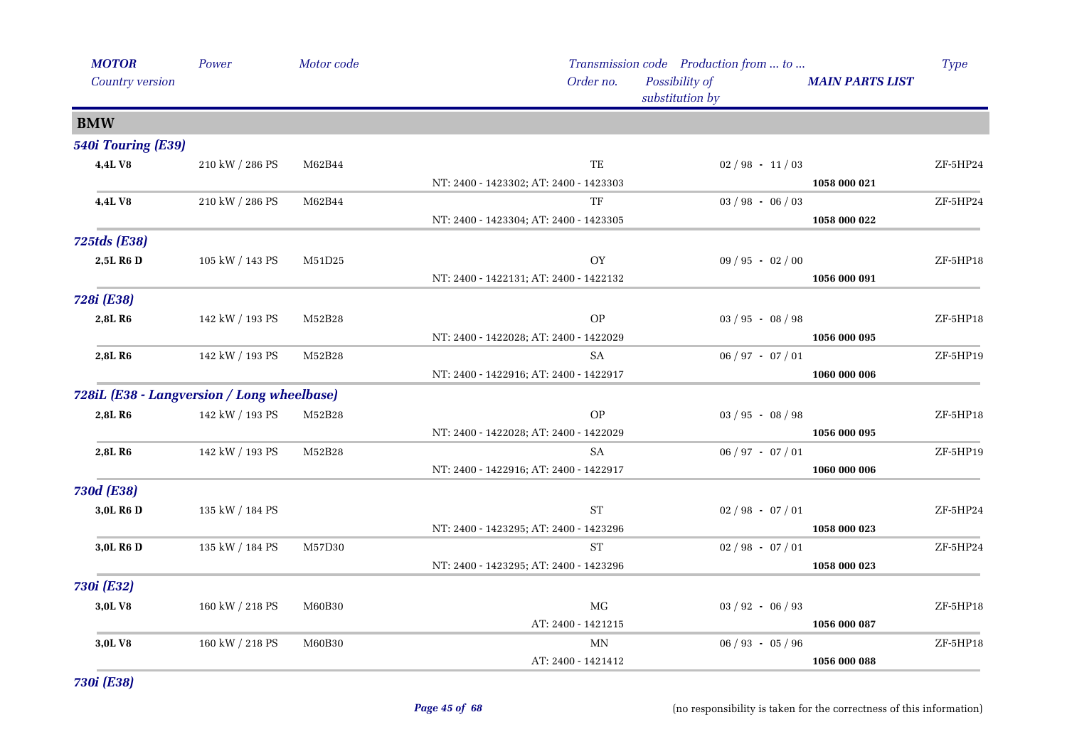| <b>MOTOR</b>                               | Power           | Motor code           |                                        | Transmission code Production from  to |                        | Type       |
|--------------------------------------------|-----------------|----------------------|----------------------------------------|---------------------------------------|------------------------|------------|
| Country version                            |                 |                      | Order no.                              | Possibility of<br>substitution by     | <b>MAIN PARTS LIST</b> |            |
| <b>BMW</b>                                 |                 |                      |                                        |                                       |                        |            |
| 540i Touring (E39)                         |                 |                      |                                        |                                       |                        |            |
| 4,4LV8                                     | 210 kW / 286 PS | M62B44               | TE                                     | $02 / 98 - 11 / 03$                   |                        | ZF-5HP24   |
|                                            |                 |                      | NT: 2400 - 1423302; AT: 2400 - 1423303 |                                       | 1058 000 021           |            |
| 4,4LV8                                     | 210 kW / 286 PS | M62B44               | TF                                     | $03 / 98 - 06 / 03$                   |                        | ZF-5HP24   |
|                                            |                 |                      | NT: 2400 - 1423304; AT: 2400 - 1423305 |                                       | 1058 000 022           |            |
| <b>725tds</b> (E38)                        |                 |                      |                                        |                                       |                        |            |
| 2,5L R6 D                                  | 105 kW / 143 PS | M51D25               | OY                                     | $09 / 95 - 02 / 00$                   |                        | ZF-5HP18   |
|                                            |                 |                      | NT: 2400 - 1422131; AT: 2400 - 1422132 |                                       | 1056 000 091           |            |
| 728i (E38)                                 |                 |                      |                                        |                                       |                        |            |
| 2,8L R6                                    | 142 kW / 193 PS | M52B28               | <b>OP</b>                              | $03 / 95 - 08 / 98$                   |                        | ZF-5HP18   |
|                                            |                 |                      | NT: 2400 - 1422028; AT: 2400 - 1422029 |                                       | 1056 000 095           |            |
| 2,8L R6                                    | 142 kW / 193 PS | M52B28               | SA                                     | $06 / 97 - 07 / 01$                   |                        | ZF-5HP19   |
|                                            |                 |                      | NT: 2400 - 1422916; AT: 2400 - 1422917 |                                       | 1060 000 006           |            |
| 728iL (E38 - Langversion / Long wheelbase) |                 |                      |                                        |                                       |                        |            |
| 2,8L R6                                    | 142 kW / 193 PS | M52B28               | <b>OP</b>                              | $03 / 95 - 08 / 98$                   |                        | ZF-5HP18   |
|                                            |                 |                      | NT: 2400 - 1422028; AT: 2400 - 1422029 |                                       | 1056 000 095           |            |
| 2,8L R6                                    | 142 kW / 193 PS | M52B28               | SA                                     | $06 / 97 - 07 / 01$                   |                        | ZF-5HP19   |
|                                            |                 |                      | NT: 2400 - 1422916; AT: 2400 - 1422917 |                                       | 1060 000 006           |            |
| <b>730d (E38)</b>                          |                 |                      |                                        |                                       |                        |            |
| 3,0L R6 D                                  | 135 kW / 184 PS |                      | <b>ST</b>                              | $02 / 98 - 07 / 01$                   |                        | ZF-5HP24   |
|                                            |                 |                      | NT: 2400 - 1423295; AT: 2400 - 1423296 |                                       | 1058 000 023           |            |
| 3,0L R6 D                                  | 135 kW / 184 PS | M57D30               | <b>ST</b>                              | $02 / 98 - 07 / 01$                   |                        | ZF-5HP24   |
|                                            |                 |                      | NT: 2400 - 1423295; AT: 2400 - 1423296 |                                       | 1058 000 023           |            |
| 730i (E32)                                 |                 |                      |                                        |                                       |                        |            |
| 3,0LV8                                     | 160 kW / 218 PS | M60B30               | MG                                     | $03 / 92 - 06 / 93$                   |                        | ZF-5HP18   |
|                                            |                 |                      | AT: 2400 - 1421215                     |                                       | 1056 000 087           |            |
| 3,0LV8                                     | 160 kW / 218 PS | ${\rm M}60{\rm B}30$ | ΜN                                     | $06 / 93 - 05 / 96$                   |                        | $ZF-5HP18$ |
|                                            |                 |                      | AT: 2400 - 1421412                     |                                       | 1056 000 088           |            |
|                                            |                 |                      |                                        |                                       |                        |            |

*730i (E38)*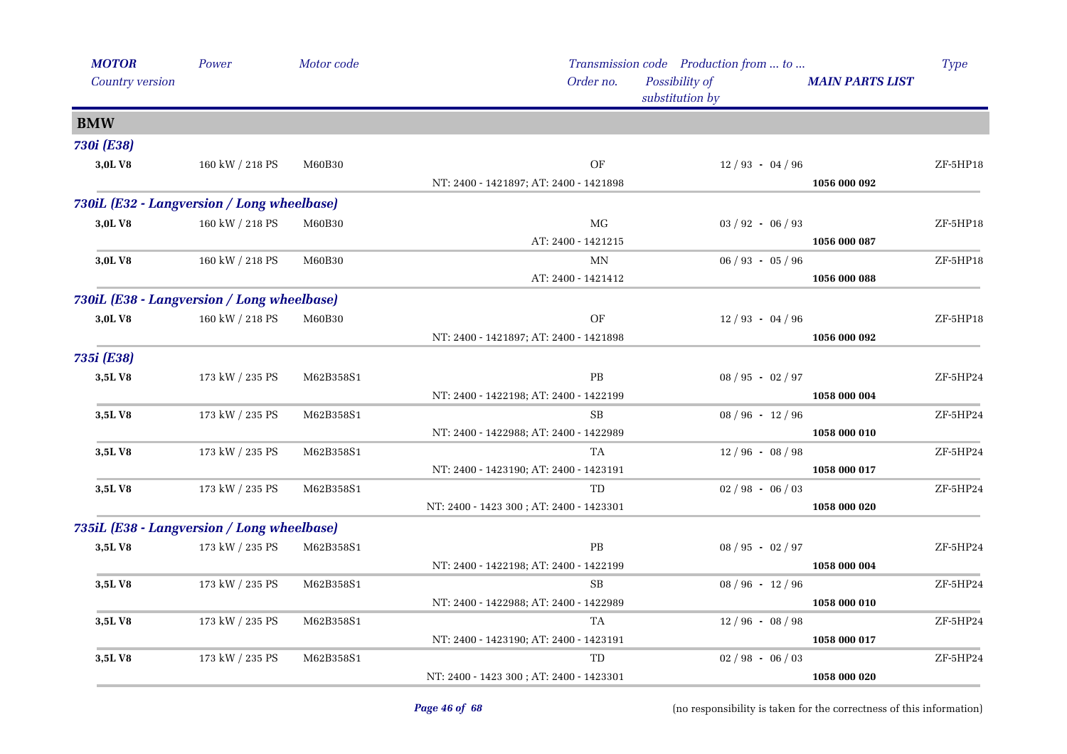| <b>MOTOR</b>                               | Power           | Motor code |                                         | Transmission code Production from  to |                        | <b>Type</b> |
|--------------------------------------------|-----------------|------------|-----------------------------------------|---------------------------------------|------------------------|-------------|
| Country version                            |                 |            | Order no.                               | Possibility of<br>substitution by     | <b>MAIN PARTS LIST</b> |             |
| <b>BMW</b>                                 |                 |            |                                         |                                       |                        |             |
| 730i (E38)                                 |                 |            |                                         |                                       |                        |             |
| 3,0LV8                                     | 160 kW / 218 PS | M60B30     | OF                                      | $12/93 - 04/96$                       |                        | $ZF-5HP18$  |
|                                            |                 |            | NT: 2400 - 1421897; AT: 2400 - 1421898  |                                       | 1056 000 092           |             |
| 730iL (E32 - Langversion / Long wheelbase) |                 |            |                                         |                                       |                        |             |
| 3,0LV8                                     | 160 kW / 218 PS | M60B30     | MG                                      | $03 / 92 - 06 / 93$                   |                        | ZF-5HP18    |
|                                            |                 |            | AT: 2400 - 1421215                      |                                       | 1056 000 087           |             |
| 3,0L V8                                    | 160 kW / 218 PS | M60B30     | MN                                      | $06 / 93 - 05 / 96$                   |                        | ZF-5HP18    |
|                                            |                 |            | AT: 2400 - 1421412                      |                                       | 1056 000 088           |             |
| 730iL (E38 - Langversion / Long wheelbase) |                 |            |                                         |                                       |                        |             |
| 3,0LV8                                     | 160 kW / 218 PS | M60B30     | OF                                      | $12/93 - 04/96$                       |                        | $ZF-5HP18$  |
|                                            |                 |            | NT: 2400 - 1421897; AT: 2400 - 1421898  |                                       | 1056 000 092           |             |
| 735i (E38)                                 |                 |            |                                         |                                       |                        |             |
| 3,5LV8                                     | 173 kW / 235 PS | M62B358S1  | PB                                      | $08 / 95 - 02 / 97$                   |                        | ZF-5HP24    |
|                                            |                 |            | NT: 2400 - 1422198; AT: 2400 - 1422199  |                                       | 1058 000 004           |             |
| 3,5LV8                                     | 173 kW / 235 PS | M62B358S1  | $\rm SB$                                | $08 / 96 - 12 / 96$                   |                        | ZF-5HP24    |
|                                            |                 |            | NT: 2400 - 1422988; AT: 2400 - 1422989  |                                       | 1058 000 010           |             |
| 3,5LV8                                     | 173 kW / 235 PS | M62B358S1  | <b>TA</b>                               | $12/96 - 08/98$                       |                        | ZF-5HP24    |
|                                            |                 |            | NT: 2400 - 1423190; AT: 2400 - 1423191  |                                       | 1058 000 017           |             |
| 3,5LV8                                     | 173 kW / 235 PS | M62B358S1  | TD                                      | $02 / 98 - 06 / 03$                   |                        | ZF-5HP24    |
|                                            |                 |            | NT: 2400 - 1423 300; AT: 2400 - 1423301 |                                       | 1058 000 020           |             |
| 735iL (E38 - Langversion / Long wheelbase) |                 |            |                                         |                                       |                        |             |
| 3,5LV8                                     | 173 kW / 235 PS | M62B358S1  | PB                                      | $08 / 95 - 02 / 97$                   |                        | ZF-5HP24    |
|                                            |                 |            | NT: 2400 - 1422198; AT: 2400 - 1422199  |                                       | 1058 000 004           |             |
| 3,5LV8                                     | 173 kW / 235 PS | M62B358S1  | $\rm SB$                                | $08 / 96 - 12 / 96$                   |                        | ZF-5HP24    |
|                                            |                 |            | NT: 2400 - 1422988; AT: 2400 - 1422989  |                                       | 1058 000 010           |             |
| 3,5LV8                                     | 173 kW / 235 PS | M62B358S1  | TA                                      | $12/96 - 08/98$                       |                        | ZF-5HP24    |
|                                            |                 |            | NT: 2400 - 1423190; AT: 2400 - 1423191  |                                       | 1058 000 017           |             |
| 3,5LV8                                     | 173 kW / 235 PS | M62B358S1  | TD                                      | $02 / 98 - 06 / 03$                   |                        | ZF-5HP24    |
|                                            |                 |            | NT: 2400 - 1423 300; AT: 2400 - 1423301 |                                       | 1058 000 020           |             |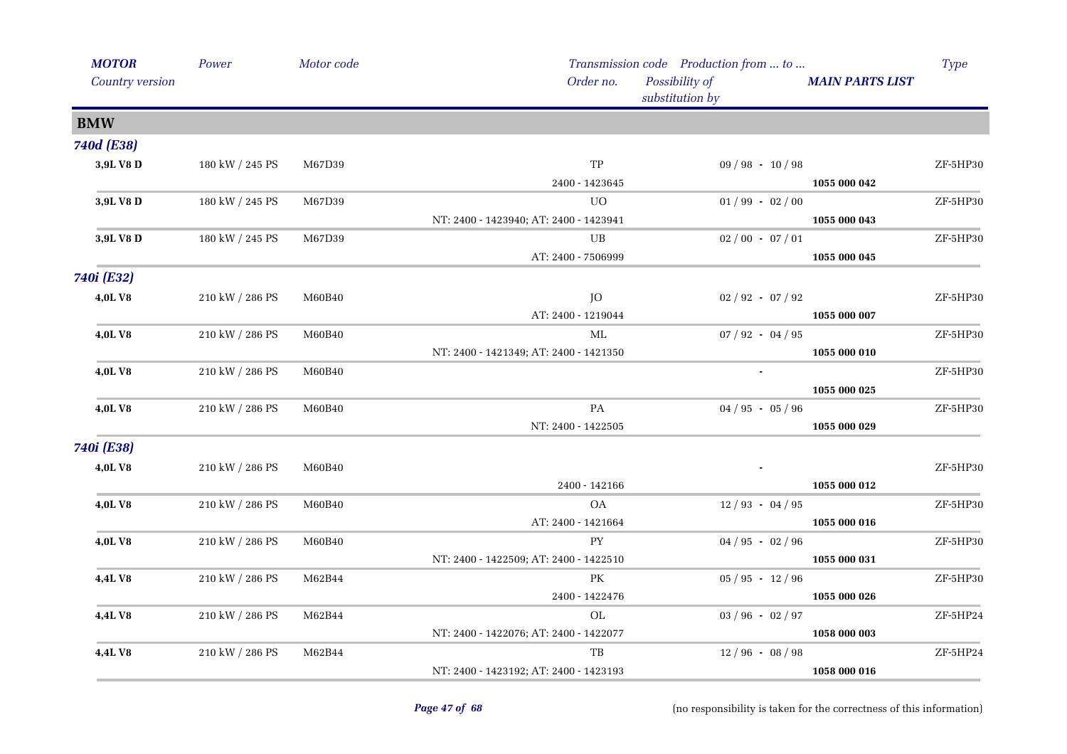| <b>MOTOR</b>    | Power           | Motor code |                                        | Transmission code Production from  to |                        | Type     |
|-----------------|-----------------|------------|----------------------------------------|---------------------------------------|------------------------|----------|
| Country version |                 |            | Order no.                              | Possibility of<br>substitution by     | <b>MAIN PARTS LIST</b> |          |
| <b>BMW</b>      |                 |            |                                        |                                       |                        |          |
| 740d (E38)      |                 |            |                                        |                                       |                        |          |
| 3,9L V8 D       | 180 kW / 245 PS | M67D39     | $_{\mathrm{TP}}$                       | $09 / 98 - 10 / 98$                   |                        | ZF-5HP30 |
|                 |                 |            | 2400 - 1423645                         |                                       | 1055 000 042           |          |
| 3,9L V8 D       | 180 kW / 245 PS | M67D39     | UO.                                    | $01/99 - 02/00$                       |                        | ZF-5HP30 |
|                 |                 |            | NT: 2400 - 1423940; AT: 2400 - 1423941 |                                       | 1055 000 043           |          |
| 3,9L V8 D       | 180 kW / 245 PS | M67D39     | UB                                     | $02/00 - 07/01$                       |                        | ZF-5HP30 |
|                 |                 |            | AT: 2400 - 7506999                     |                                       | 1055 000 045           |          |
| 740i (E32)      |                 |            |                                        |                                       |                        |          |
| 4,0LV8          | 210 kW / 286 PS | M60B40     | JO                                     | $02 / 92 - 07 / 92$                   |                        | ZF-5HP30 |
|                 |                 |            | AT: 2400 - 1219044                     |                                       | 1055 000 007           |          |
| 4,0LV8          | 210 kW / 286 PS | M60B40     | ML                                     | $07 / 92 - 04 / 95$                   |                        | ZF-5HP30 |
|                 |                 |            | NT: 2400 - 1421349; AT: 2400 - 1421350 |                                       | 1055 000 010           |          |
| <b>4,0LV8</b>   | 210 kW / 286 PS | M60B40     |                                        | $\blacksquare$                        |                        | ZF-5HP30 |
|                 |                 |            |                                        |                                       | 1055 000 025           |          |
| 4,0LV8          | 210 kW / 286 PS | M60B40     | PA                                     | $04 / 95 - 05 / 96$                   |                        | ZF-5HP30 |
|                 |                 |            | NT: 2400 - 1422505                     |                                       | 1055 000 029           |          |
| 740i (E38)      |                 |            |                                        |                                       |                        |          |
| 4,0LV8          | 210 kW / 286 PS | M60B40     |                                        |                                       |                        | ZF-5HP30 |
|                 |                 |            | 2400 - 142166                          |                                       | 1055 000 012           |          |
| 4,0LV8          | 210 kW / 286 PS | M60B40     | OA                                     | $12/93 - 04/95$                       |                        | ZF-5HP30 |
|                 |                 |            | AT: 2400 - 1421664                     |                                       | 1055 000 016           |          |
| 4,0LV8          | 210 kW / 286 PS | M60B40     | <b>PY</b>                              | $04 / 95 - 02 / 96$                   |                        | ZF-5HP30 |
|                 |                 |            | NT: 2400 - 1422509; AT: 2400 - 1422510 |                                       | 1055 000 031           |          |
| <b>4,4L V8</b>  | 210 kW / 286 PS | M62B44     | PК                                     | $05 / 95 - 12 / 96$                   |                        | ZF-5HP30 |
|                 |                 |            | 2400 - 1422476                         |                                       | 1055 000 026           |          |
| <b>4,4L V8</b>  | 210 kW / 286 PS | M62B44     | $\rm OL$                               | $03 / 96 - 02 / 97$                   |                        | ZF-5HP24 |
|                 |                 |            | NT: 2400 - 1422076; AT: 2400 - 1422077 |                                       | 1058 000 003           |          |
| 4,4LV8          | 210 kW / 286 PS | M62B44     | TB                                     | $12/96 - 08/98$                       |                        | ZF-5HP24 |
|                 |                 |            | NT: 2400 - 1423192; AT: 2400 - 1423193 |                                       | 1058 000 016           |          |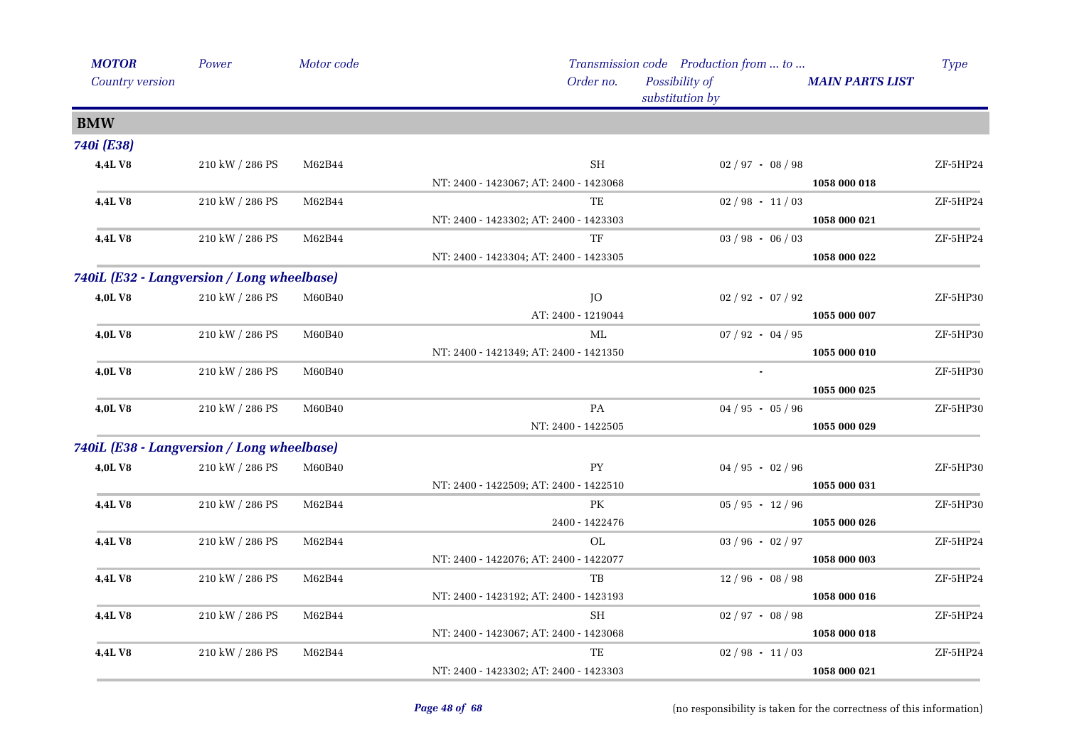| <b>MOTOR</b>                               | Power           | Motor code |                                        | Transmission code Production from  to |                        | Type       |
|--------------------------------------------|-----------------|------------|----------------------------------------|---------------------------------------|------------------------|------------|
| Country version                            |                 |            | Order no.                              | Possibility of<br>substitution by     | <b>MAIN PARTS LIST</b> |            |
| <b>BMW</b>                                 |                 |            |                                        |                                       |                        |            |
| 740i (E38)                                 |                 |            |                                        |                                       |                        |            |
| 4,4LV8                                     | 210 kW / 286 PS | M62B44     | <b>SH</b>                              | $02 / 97 - 08 / 98$                   |                        | ZF-5HP24   |
|                                            |                 |            | NT: 2400 - 1423067; AT: 2400 - 1423068 |                                       | 1058 000 018           |            |
| 4,4LV8                                     | 210 kW / 286 PS | M62B44     | TE                                     | $02 / 98 - 11 / 03$                   |                        | ZF-5HP24   |
|                                            |                 |            | NT: 2400 - 1423302; AT: 2400 - 1423303 |                                       | 1058 000 021           |            |
| 4,4LV8                                     | 210 kW / 286 PS | M62B44     | TF                                     | $03 / 98 - 06 / 03$                   |                        | ZF-5HP24   |
|                                            |                 |            | NT: 2400 - 1423304; AT: 2400 - 1423305 |                                       | 1058 000 022           |            |
| 740iL (E32 - Langversion / Long wheelbase) |                 |            |                                        |                                       |                        |            |
| <b>4,0LV8</b>                              | 210 kW / 286 PS | M60B40     | JO                                     | $02 / 92 - 07 / 92$                   |                        | ZF-5HP30   |
|                                            |                 |            | AT: 2400 - 1219044                     |                                       | 1055 000 007           |            |
| 4,0LV8                                     | 210 kW / 286 PS | M60B40     | ML                                     | $07 / 92 - 04 / 95$                   |                        | ZF-5HP30   |
|                                            |                 |            | NT: 2400 - 1421349; AT: 2400 - 1421350 |                                       | 1055 000 010           |            |
| 4,0LV8                                     | 210 kW / 286 PS | M60B40     |                                        |                                       |                        | ZF-5HP30   |
|                                            |                 |            |                                        |                                       | 1055 000 025           |            |
| 4,0LV8                                     | 210 kW / 286 PS | M60B40     | PA                                     | $04 / 95 - 05 / 96$                   |                        | ZF-5HP30   |
|                                            |                 |            | NT: 2400 - 1422505                     |                                       | 1055 000 029           |            |
| 740iL (E38 - Langversion / Long wheelbase) |                 |            |                                        |                                       |                        |            |
| 4,0LV8                                     | 210 kW / 286 PS | M60B40     | PY                                     | $04 / 95 - 02 / 96$                   |                        | ZF-5HP30   |
|                                            |                 |            | NT: 2400 - 1422509; AT: 2400 - 1422510 |                                       | 1055 000 031           |            |
| 4,4LV8                                     | 210 kW / 286 PS | M62B44     | PK                                     | $05 / 95 - 12 / 96$                   |                        | ZF-5HP30   |
|                                            |                 |            | 2400 - 1422476                         |                                       | 1055 000 026           |            |
| 4,4L V8                                    | 210 kW / 286 PS | M62B44     | OL                                     | $03 / 96 - 02 / 97$                   |                        | ZF-5HP24   |
|                                            |                 |            | NT: 2400 - 1422076; AT: 2400 - 1422077 |                                       | 1058 000 003           |            |
| 4,4L V8                                    | 210 kW / 286 PS | M62B44     | TB                                     | $12/96 - 08/98$                       |                        | $ZF-5HP24$ |
|                                            |                 |            | NT: 2400 - 1423192; AT: 2400 - 1423193 |                                       | 1058 000 016           |            |
| 4,4LV8                                     | 210 kW / 286 PS | M62B44     | SH                                     | $02 / 97 - 08 / 98$                   |                        | ZF-5HP24   |
|                                            |                 |            | NT: 2400 - 1423067; AT: 2400 - 1423068 |                                       | 1058 000 018           |            |
| 4,4LV8                                     | 210 kW / 286 PS | M62B44     | TE                                     | $02/98 - 11/03$                       |                        | ZF-5HP24   |
|                                            |                 |            | NT: 2400 - 1423302; AT: 2400 - 1423303 |                                       | 1058 000 021           |            |
|                                            |                 |            |                                        |                                       |                        |            |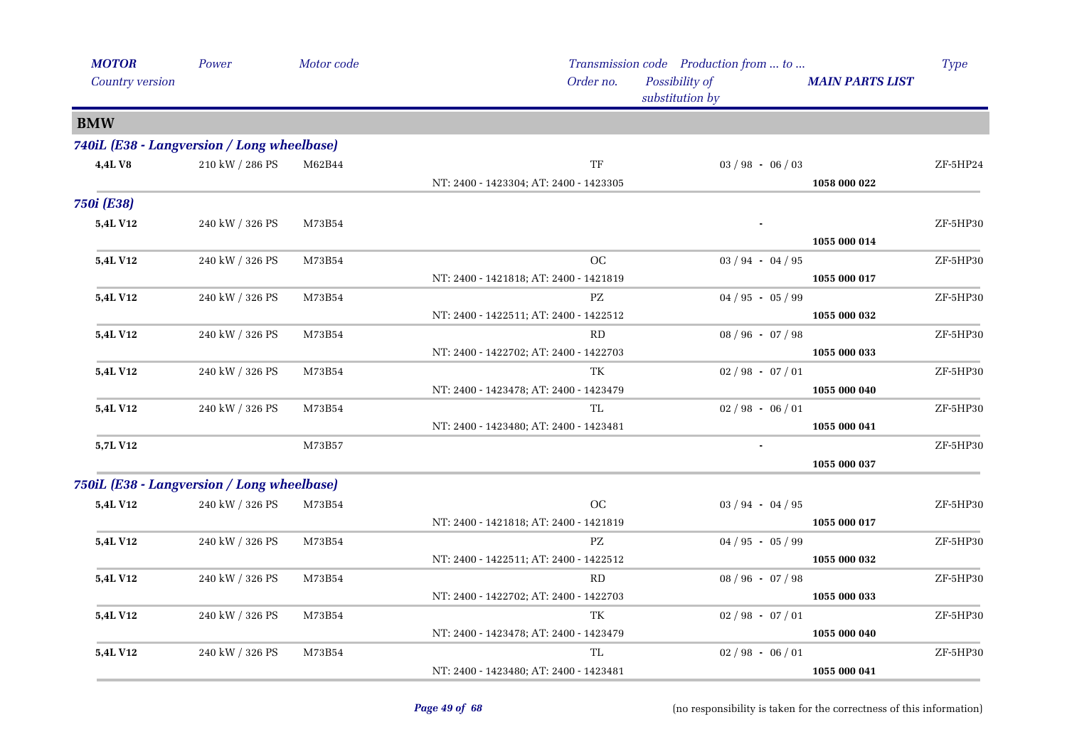| <b>MOTOR</b>      | Power                                      | Motor code |                                        | Transmission code Production from  to |                        | <b>Type</b> |
|-------------------|--------------------------------------------|------------|----------------------------------------|---------------------------------------|------------------------|-------------|
| Country version   |                                            |            | Order no.                              | Possibility of<br>substitution by     | <b>MAIN PARTS LIST</b> |             |
| <b>BMW</b>        |                                            |            |                                        |                                       |                        |             |
|                   | 740iL (E38 - Langversion / Long wheelbase) |            |                                        |                                       |                        |             |
| 4,4L V8           | 210 kW / 286 PS                            | M62B44     | TF                                     | $03 / 98 - 06 / 03$                   |                        | ZF-5HP24    |
|                   |                                            |            | NT: 2400 - 1423304; AT: 2400 - 1423305 |                                       | 1058 000 022           |             |
| <b>750i (E38)</b> |                                            |            |                                        |                                       |                        |             |
| <b>5,4L V12</b>   | 240 kW / 326 PS                            | M73B54     |                                        |                                       |                        | ZF-5HP30    |
|                   |                                            |            |                                        |                                       | 1055 000 014           |             |
| <b>5,4L V12</b>   | 240 kW / 326 PS                            | M73B54     | OC                                     | $03 / 94 - 04 / 95$                   |                        | ZF-5HP30    |
|                   |                                            |            | NT: 2400 - 1421818; AT: 2400 - 1421819 |                                       | 1055 000 017           |             |
| 5,4L V12          | 240 kW / 326 PS                            | M73B54     | PZ                                     | $04 / 95 - 05 / 99$                   |                        | ZF-5HP30    |
|                   |                                            |            | NT: 2400 - 1422511; AT: 2400 - 1422512 |                                       | 1055 000 032           |             |
| <b>5,4L V12</b>   | 240 kW / 326 PS                            | M73B54     | RD                                     | $08 / 96 - 07 / 98$                   |                        | ZF-5HP30    |
|                   |                                            |            | NT: 2400 - 1422702; AT: 2400 - 1422703 |                                       | 1055 000 033           |             |
| <b>5,4L V12</b>   | 240 kW / 326 PS                            | M73B54     | TK                                     | $02 / 98 - 07 / 01$                   |                        | ZF-5HP30    |
|                   |                                            |            | NT: 2400 - 1423478; AT: 2400 - 1423479 |                                       | 1055 000 040           |             |
| 5,4L V12          | 240 kW / 326 PS                            | M73B54     | TL                                     | $02/98 - 06/01$                       |                        | ZF-5HP30    |
|                   |                                            |            | NT: 2400 - 1423480; AT: 2400 - 1423481 |                                       | 1055 000 041           |             |
| 5,7L V12          |                                            | M73B57     |                                        |                                       |                        | ZF-5HP30    |
|                   |                                            |            |                                        |                                       | 1055 000 037           |             |
|                   | 750iL (E38 - Langversion / Long wheelbase) |            |                                        |                                       |                        |             |
| 5,4L V12          | 240 kW / 326 PS                            | M73B54     | OC                                     | $03 / 94 - 04 / 95$                   |                        | ZF-5HP30    |
|                   |                                            |            | NT: 2400 - 1421818; AT: 2400 - 1421819 |                                       | 1055 000 017           |             |
| 5,4L V12          | 240 kW / 326 PS                            | M73B54     | PZ                                     | $04 / 95 - 05 / 99$                   |                        | ZF-5HP30    |
|                   |                                            |            | NT: 2400 - 1422511; AT: 2400 - 1422512 |                                       | 1055 000 032           |             |
| <b>5,4L V12</b>   | 240 kW / 326 PS                            | M73B54     | RD                                     | $08 / 96 - 07 / 98$                   |                        | ZF-5HP30    |
|                   |                                            |            | NT: 2400 - 1422702; AT: 2400 - 1422703 |                                       | 1055 000 033           |             |
| 5,4L V12          | 240 kW / 326 PS                            | M73B54     | TK                                     | $02 / 98 - 07 / 01$                   |                        | ZF-5HP30    |
|                   |                                            |            | NT: 2400 - 1423478; AT: 2400 - 1423479 |                                       | 1055 000 040           |             |
| <b>5,4L V12</b>   | 240 kW / 326 PS                            | M73B54     | TL                                     | $02/98 - 06/01$                       |                        | ZF-5HP30    |
|                   |                                            |            | NT: 2400 - 1423480; AT: 2400 - 1423481 |                                       | 1055 000 041           |             |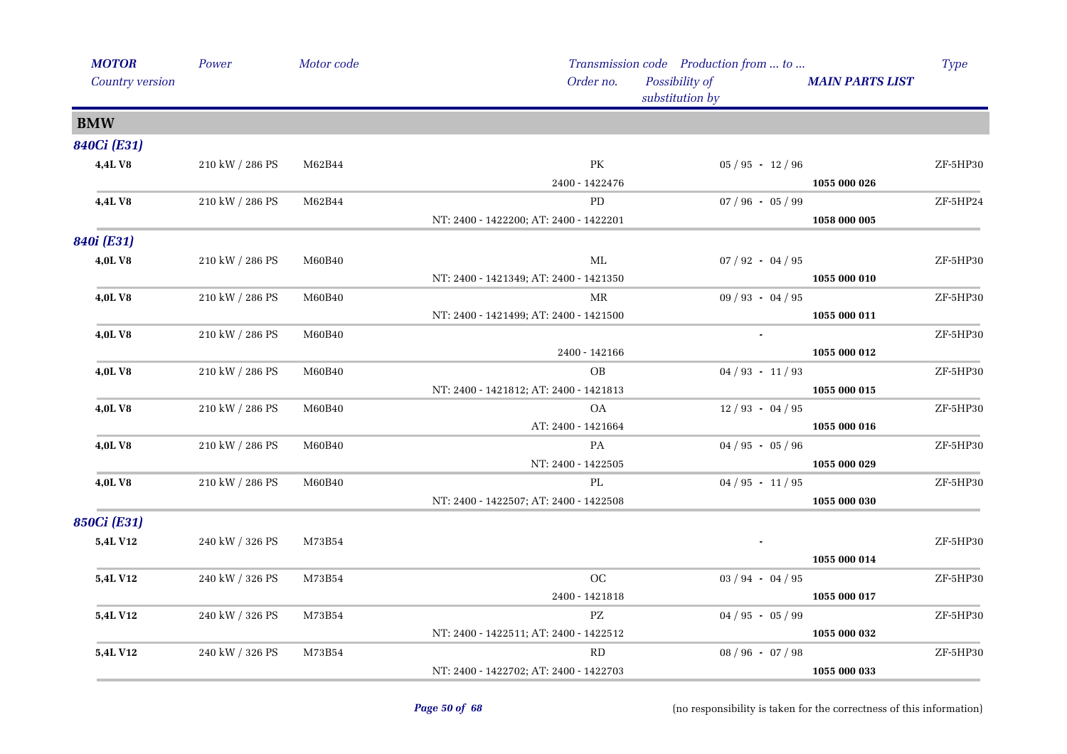| <b>MOTOR</b>    | Power           | Motor code   |                                        | Transmission code Production from  to |                        | <b>Type</b> |
|-----------------|-----------------|--------------|----------------------------------------|---------------------------------------|------------------------|-------------|
| Country version |                 |              | Order no.                              | Possibility of<br>substitution by     | <b>MAIN PARTS LIST</b> |             |
| <b>BMW</b>      |                 |              |                                        |                                       |                        |             |
| 840Ci (E31)     |                 |              |                                        |                                       |                        |             |
| 4,4LV8          | 210 kW / 286 PS | M62B44       | PK                                     | $05 / 95 - 12 / 96$                   |                        | ZF-5HP30    |
|                 |                 |              | 2400 - 1422476                         |                                       | 1055 000 026           |             |
| 4,4LV8          | 210 kW / 286 PS | M62B44       | PD                                     | $07 / 96 - 05 / 99$                   |                        | ZF-5HP24    |
|                 |                 |              | NT: 2400 - 1422200; AT: 2400 - 1422201 |                                       | 1058 000 005           |             |
| 840i (E31)      |                 |              |                                        |                                       |                        |             |
| 4,0LV8          | 210 kW / 286 PS | M60B40       | ML                                     | $07 / 92 - 04 / 95$                   |                        | ZF-5HP30    |
|                 |                 |              | NT: 2400 - 1421349; AT: 2400 - 1421350 |                                       | 1055 000 010           |             |
| 4,0LV8          | 210 kW / 286 PS | M60B40       | MR                                     | $09 / 93 - 04 / 95$                   |                        | ZF-5HP30    |
|                 |                 |              | NT: 2400 - 1421499; AT: 2400 - 1421500 |                                       | 1055 000 011           |             |
| 4,0L V8         | 210 kW / 286 PS | M60B40       |                                        |                                       |                        | ZF-5HP30    |
|                 |                 |              | 2400 - 142166                          |                                       | 1055 000 012           |             |
| <b>4,0LV8</b>   | 210 kW / 286 PS | M60B40       | OB                                     | $04 / 93 - 11 / 93$                   |                        | ZF-5HP30    |
|                 |                 |              | NT: 2400 - 1421812; AT: 2400 - 1421813 |                                       | 1055 000 015           |             |
| 4,0LV8          | 210 kW / 286 PS | M60B40       | OA                                     | $12/93 - 04/95$                       |                        | ZF-5HP30    |
|                 |                 |              | AT: 2400 - 1421664                     |                                       | 1055 000 016           |             |
| 4,0LV8          | 210 kW / 286 PS | M60B40       | PA                                     | $04 / 95 - 05 / 96$                   |                        | ZF-5HP30    |
|                 |                 |              | NT: 2400 - 1422505                     |                                       | 1055 000 029           |             |
| 4,0LV8          | 210 kW / 286 PS | M60B40       | PL                                     | $04 / 95 - 11 / 95$                   |                        | ZF-5HP30    |
|                 |                 |              | NT: 2400 - 1422507; AT: 2400 - 1422508 |                                       | 1055 000 030           |             |
| 850Ci (E31)     |                 |              |                                        |                                       |                        |             |
| 5,4L V12        | 240 kW / 326 PS | M73B54       |                                        |                                       |                        | ZF-5HP30    |
|                 |                 |              |                                        |                                       | 1055 000 014           |             |
| <b>5,4L V12</b> | 240 kW / 326 PS | M73B54       | OC                                     | $03 / 94 - 04 / 95$                   |                        | ZF-5HP30    |
|                 |                 |              | 2400 - 1421818                         |                                       | 1055 000 017           |             |
| <b>5,4L V12</b> | 240 kW / 326 PS | M73B54       | $\mathbf{P}\mathbf{Z}$                 | $04 / 95 - 05 / 99$                   |                        | ZF-5HP30    |
|                 |                 |              | NT: 2400 - 1422511; AT: 2400 - 1422512 |                                       | 1055 000 032           |             |
| 5,4L V12        | 240 kW / 326 PS | $\rm M73B54$ | RD                                     | $08 / 96 - 07 / 98$                   |                        | ZF-5HP30    |
|                 |                 |              | NT: 2400 - 1422702; AT: 2400 - 1422703 |                                       | 1055 000 033           |             |
|                 |                 |              |                                        |                                       |                        |             |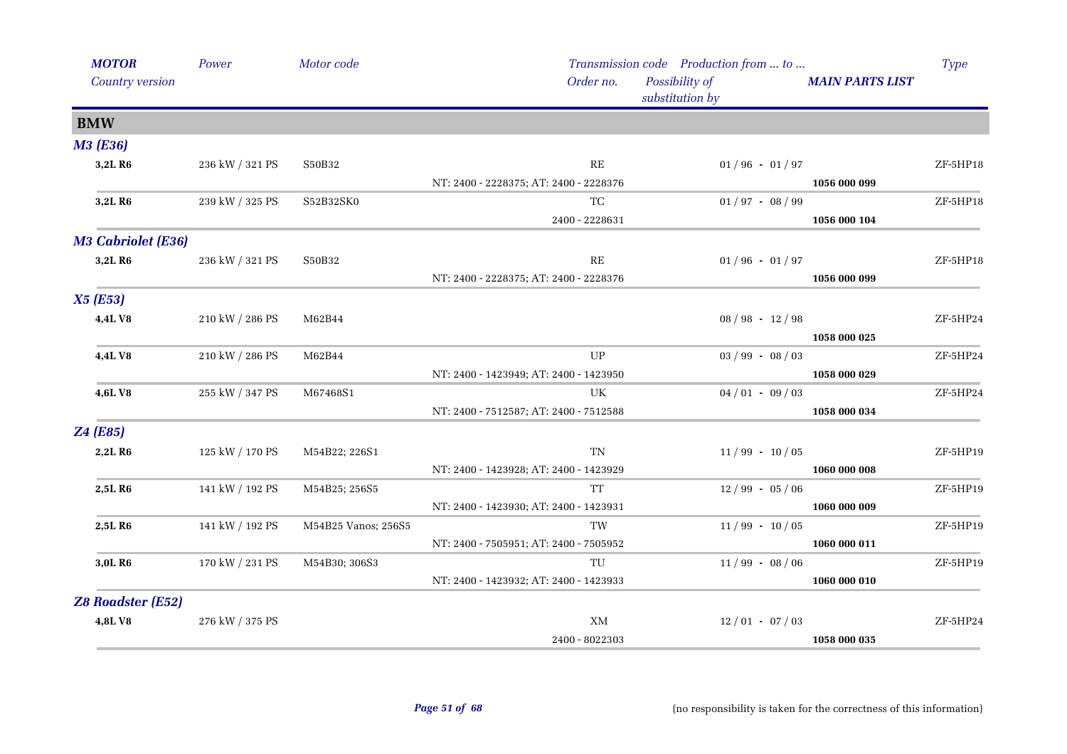| <b>MOTOR</b>              | Power           | Motor code          |                                        | Transmission code Production from  to |                        | <b>Type</b> |
|---------------------------|-----------------|---------------------|----------------------------------------|---------------------------------------|------------------------|-------------|
| Country version           |                 |                     | Order no.                              | Possibility of<br>substitution by     | <b>MAIN PARTS LIST</b> |             |
| <b>BMW</b>                |                 |                     |                                        |                                       |                        |             |
| <b>M3 (E36)</b>           |                 |                     |                                        |                                       |                        |             |
| 3,2L R <sub>6</sub>       | 236 kW / 321 PS | S50B32              | RE                                     | $01/96 - 01/97$                       |                        | ZF-5HP18    |
|                           |                 |                     | NT: 2400 - 2228375; AT: 2400 - 2228376 |                                       | 1056 000 099           |             |
| 3,2L R6                   | 239 kW / 325 PS | S52B32SK0           | TC                                     | $01/97 - 08/99$                       |                        | ZF-5HP18    |
|                           |                 |                     | 2400 - 2228631                         |                                       | 1056 000 104           |             |
| <b>M3 Cabriolet (E36)</b> |                 |                     |                                        |                                       |                        |             |
| 3,2L R6                   | 236 kW / 321 PS | S50B32              | RE                                     | $01/96 - 01/97$                       |                        | ZF-5HP18    |
|                           |                 |                     | NT: 2400 - 2228375; AT: 2400 - 2228376 |                                       | 1056 000 099           |             |
| X5(E53)                   |                 |                     |                                        |                                       |                        |             |
| 4,4LV8                    | 210 kW / 286 PS | M62B44              |                                        | $08 / 98 - 12 / 98$                   |                        | ZF-5HP24    |
|                           |                 |                     |                                        |                                       | 1058 000 025           |             |
| 4,4LV8                    | 210 kW / 286 PS | M62B44              | UP                                     | $03 / 99 - 08 / 03$                   |                        | ZF-5HP24    |
|                           |                 |                     | NT: 2400 - 1423949; AT: 2400 - 1423950 |                                       | 1058 000 029           |             |
| 4,6LV8                    | 255 kW / 347 PS | M67468S1            | UK                                     | $04/01 - 09/03$                       |                        | ZF-5HP24    |
|                           |                 |                     | NT: 2400 - 7512587; AT: 2400 - 7512588 |                                       | 1058 000 034           |             |
| Z4(E85)                   |                 |                     |                                        |                                       |                        |             |
| 2,2L R <sub>6</sub>       | 125 kW / 170 PS | M54B22; 226S1       | TN                                     | $11/99 - 10/05$                       |                        | ZF-5HP19    |
|                           |                 |                     | NT: 2400 - 1423928; AT: 2400 - 1423929 |                                       | 1060 000 008           |             |
| 2,5L R6                   | 141 kW / 192 PS | M54B25; 256S5       | <b>TT</b>                              | $12/99 - 05/06$                       |                        | ZF-5HP19    |
|                           |                 |                     | NT: 2400 - 1423930; AT: 2400 - 1423931 |                                       | 1060 000 009           |             |
| 2,5L R6                   | 141 kW / 192 PS | M54B25 Vanos; 256S5 | TW                                     | $11/99 - 10/05$                       |                        | ZF-5HP19    |
|                           |                 |                     | NT: 2400 - 7505951; AT: 2400 - 7505952 |                                       | 1060 000 011           |             |
| 3,0L R6                   | 170 kW / 231 PS | M54B30; 306S3       | TU                                     | $11/99 - 08/06$                       |                        | ZF-5HP19    |
|                           |                 |                     | NT: 2400 - 1423932; AT: 2400 - 1423933 |                                       | 1060 000 010           |             |
| <b>Z8 Roadster (E52)</b>  |                 |                     |                                        |                                       |                        |             |
| 4,8LV8                    | 276 kW / 375 PS |                     | XM                                     | $12/01 - 07/03$                       |                        | ZF-5HP24    |
|                           |                 |                     | 2400 - 8022303                         |                                       | 1058 000 035           |             |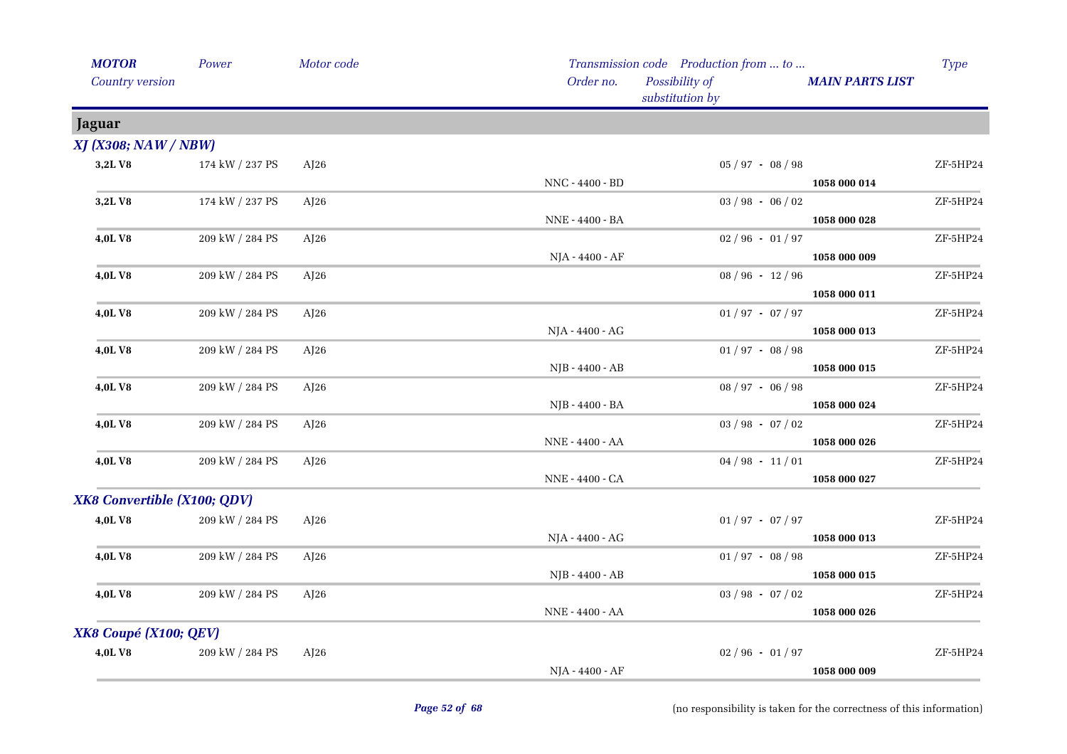| <b>MOTOR</b>                | Power           | Motor code |                 | Transmission code Production from  to |                        |            |
|-----------------------------|-----------------|------------|-----------------|---------------------------------------|------------------------|------------|
| Country version             |                 |            | Order no.       | Possibility of<br>substitution by     | <b>MAIN PARTS LIST</b> |            |
| Jaguar                      |                 |            |                 |                                       |                        |            |
| <b>XJ (X308; NAW / NBW)</b> |                 |            |                 |                                       |                        |            |
| 3,2LV8                      | 174 kW / 237 PS | AJ26       |                 | $05 / 97 - 08 / 98$                   |                        | ZF-5HP24   |
|                             |                 |            | NNC - 4400 - BD |                                       | 1058 000 014           |            |
| 3,2LV8                      | 174 kW / 237 PS | AJ26       |                 | $03 / 98 - 06 / 02$                   |                        | $ZF-5HP24$ |
|                             |                 |            | NNE - 4400 - BA |                                       | 1058 000 028           |            |
| 4,0LV8                      | 209 kW / 284 PS | $A$ [26    |                 | $02/96 - 01/97$                       |                        | ZF-5HP24   |
|                             |                 |            | NJA - 4400 - AF |                                       | 1058 000 009           |            |
| <b>4,0LV8</b>               | 209 kW / 284 PS | AJ26       |                 | $08 / 96 - 12 / 96$                   |                        | $ZF-5HP24$ |
|                             |                 |            |                 |                                       | 1058 000 011           |            |
| 4,0LV8                      | 209 kW / 284 PS | $A$ [26    |                 | $01/97 - 07/97$                       |                        | ZF-5HP24   |
|                             |                 |            | NJA - 4400 - AG |                                       | 1058 000 013           |            |
| 4,0LV8                      | 209 kW / 284 PS | AJ26       |                 | $01/97 - 08/98$                       |                        | ZF-5HP24   |
|                             |                 |            | NJB - 4400 - AB |                                       | 1058 000 015           |            |
| 4,0LV8                      | 209 kW / 284 PS | AJ26       |                 | $08 / 97 - 06 / 98$                   |                        | $ZF-5HP24$ |
|                             |                 |            | NJB - 4400 - BA |                                       | 1058 000 024           |            |
| <b>4,0LV8</b>               | 209 kW / 284 PS | $A$ [26    |                 | $03 / 98 - 07 / 02$                   |                        | ZF-5HP24   |
|                             |                 |            | NNE - 4400 - AA |                                       | 1058 000 026           |            |
| 4,0L V8                     | 209 kW / 284 PS | AJ26       |                 | $04 / 98 - 11 / 01$                   |                        | ZF-5HP24   |
|                             |                 |            | NNE - 4400 - CA |                                       | 1058 000 027           |            |
| XK8 Convertible (X100; QDV) |                 |            |                 |                                       |                        |            |
| 4,0LV8                      | 209 kW / 284 PS | AJ26       |                 | $01/97 - 07/97$                       |                        | $ZF-5HP24$ |
|                             |                 |            | NJA - 4400 - AG |                                       | 1058 000 013           |            |
| 4,0LV8                      | 209 kW / 284 PS | AJ26       |                 | $01/97 - 08/98$                       |                        | ZF-5HP24   |
|                             |                 |            | NJB - 4400 - AB |                                       | 1058 000 015           |            |
| 4,0LV8                      | 209 kW / 284 PS | AJ26       |                 | $03 / 98 - 07 / 02$                   |                        | ZF-5HP24   |
|                             |                 |            | NNE - 4400 - AA |                                       | 1058 000 026           |            |
| XK8 Coupé (X100; QEV)       |                 |            |                 |                                       |                        |            |
| 4,0LV8                      | 209 kW / 284 PS | AJ26       |                 | $02/96 - 01/97$                       |                        | ZF-5HP24   |
|                             |                 |            | NJA - 4400 - AF |                                       | 1058 000 009           |            |
|                             |                 |            |                 |                                       |                        |            |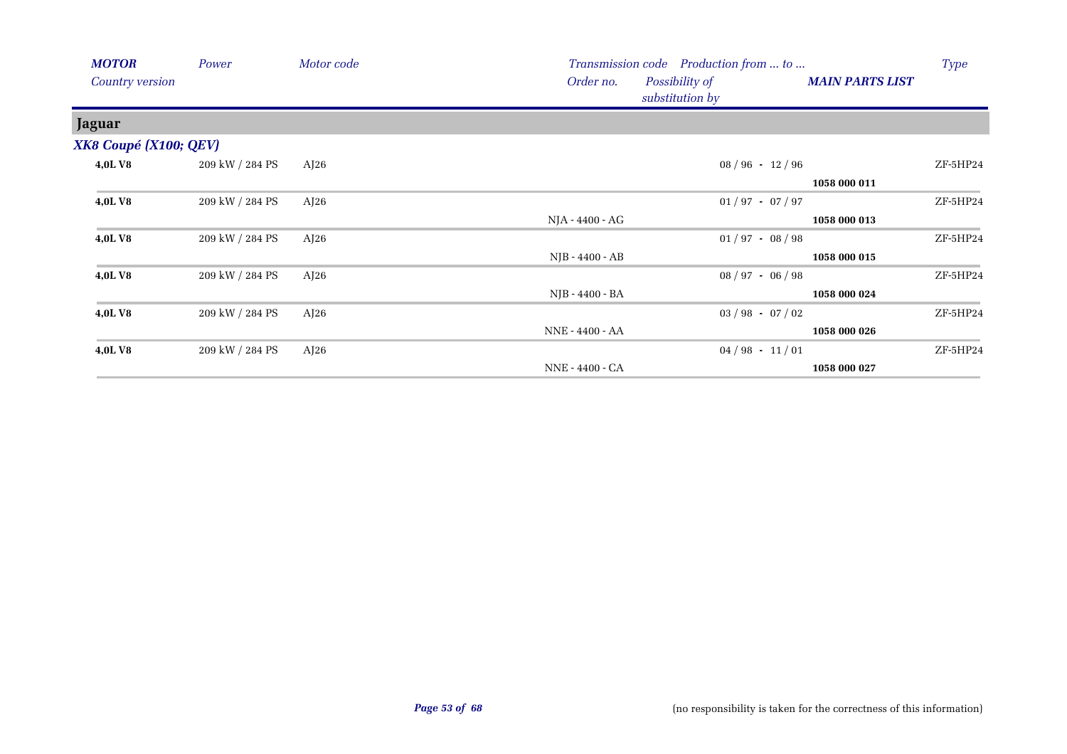| <b>MOTOR</b>           | Power           | Motor code |                                   | Transmission code Production from  to |              | Type     |
|------------------------|-----------------|------------|-----------------------------------|---------------------------------------|--------------|----------|
| <b>Country version</b> |                 | Order no.  | Possibility of<br>substitution by | <b>MAIN PARTS LIST</b>                |              |          |
| <b>Jaguar</b>          |                 |            |                                   |                                       |              |          |
| XK8 Coupé (X100; QEV)  |                 |            |                                   |                                       |              |          |
| 4,0LV8                 | 209 kW / 284 PS | AJ26       |                                   | $08 / 96 - 12 / 96$                   |              | ZF-5HP24 |
|                        |                 |            |                                   |                                       | 1058 000 011 |          |
| <b>4,0LV8</b>          | 209 kW / 284 PS | AJ26       |                                   | $01/97 - 07/97$                       |              | ZF-5HP24 |
|                        |                 |            | NJA - 4400 - AG                   |                                       | 1058 000 013 |          |
| <b>4,0LV8</b>          | 209 kW / 284 PS | AJ26       |                                   | $01/97 - 08/98$                       |              | ZF-5HP24 |
|                        |                 |            | NJB - 4400 - AB                   |                                       | 1058 000 015 |          |
| <b>4,0LV8</b>          | 209 kW / 284 PS | AJ26       |                                   | $08 / 97 - 06 / 98$                   |              | ZF-5HP24 |
|                        |                 |            | NJB - 4400 - BA                   |                                       | 1058 000 024 |          |
| 4,0LV8                 | 209 kW / 284 PS | AJ26       |                                   | $03 / 98 - 07 / 02$                   |              | ZF-5HP24 |
|                        |                 |            | NNE - 4400 - AA                   |                                       | 1058 000 026 |          |
| <b>4,0LV8</b>          | 209 kW / 284 PS | AJ26       |                                   | $04/98 - 11/01$                       |              | ZF-5HP24 |
|                        |                 |            | NNE - 4400 - CA                   |                                       | 1058 000 027 |          |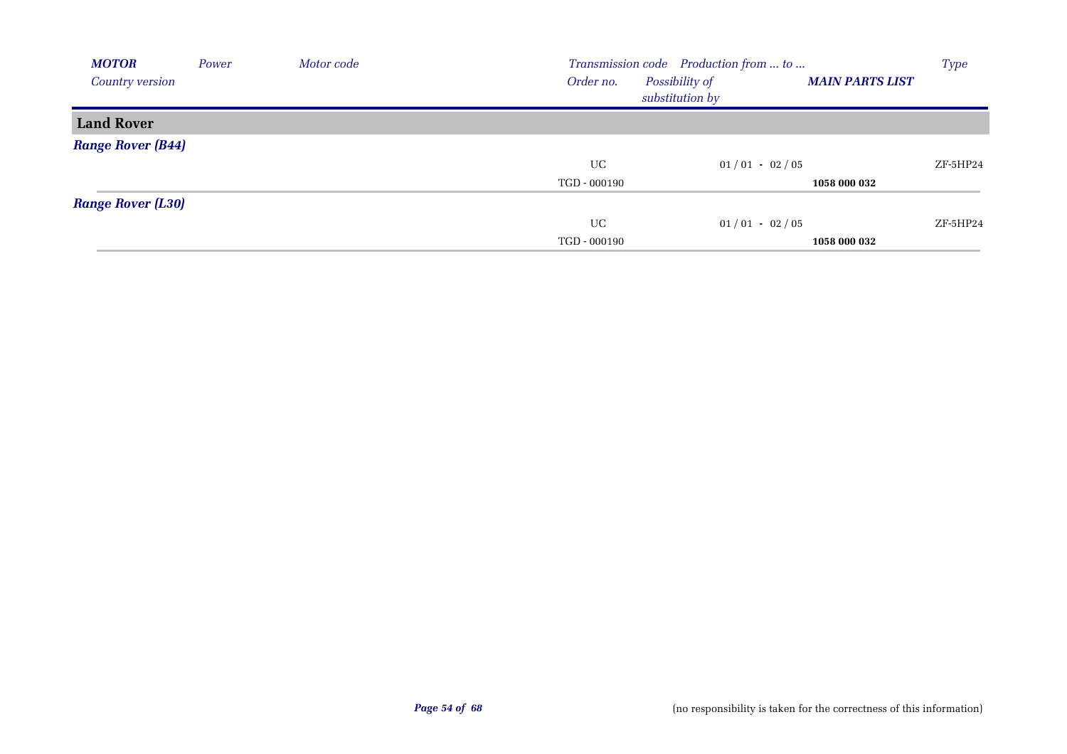| <b>MOTOR</b>             | Power | Motor code | Transmission code Production from  to |                                   |                        |          |
|--------------------------|-------|------------|---------------------------------------|-----------------------------------|------------------------|----------|
| Country version          |       |            | Order no.                             | Possibility of<br>substitution by | <b>MAIN PARTS LIST</b> |          |
| <b>Land Rover</b>        |       |            |                                       |                                   |                        |          |
| <b>Range Rover (B44)</b> |       |            |                                       |                                   |                        |          |
|                          |       |            | UC                                    | $01/01 - 02/05$                   |                        | ZF-5HP24 |
|                          |       |            | TGD - 000190                          |                                   | 1058 000 032           |          |
| <b>Range Rover (L30)</b> |       |            |                                       |                                   |                        |          |
|                          |       |            | UC                                    | $01/01 - 02/05$                   |                        | ZF-5HP24 |
|                          |       |            | TGD - 000190                          |                                   | 1058 000 032           |          |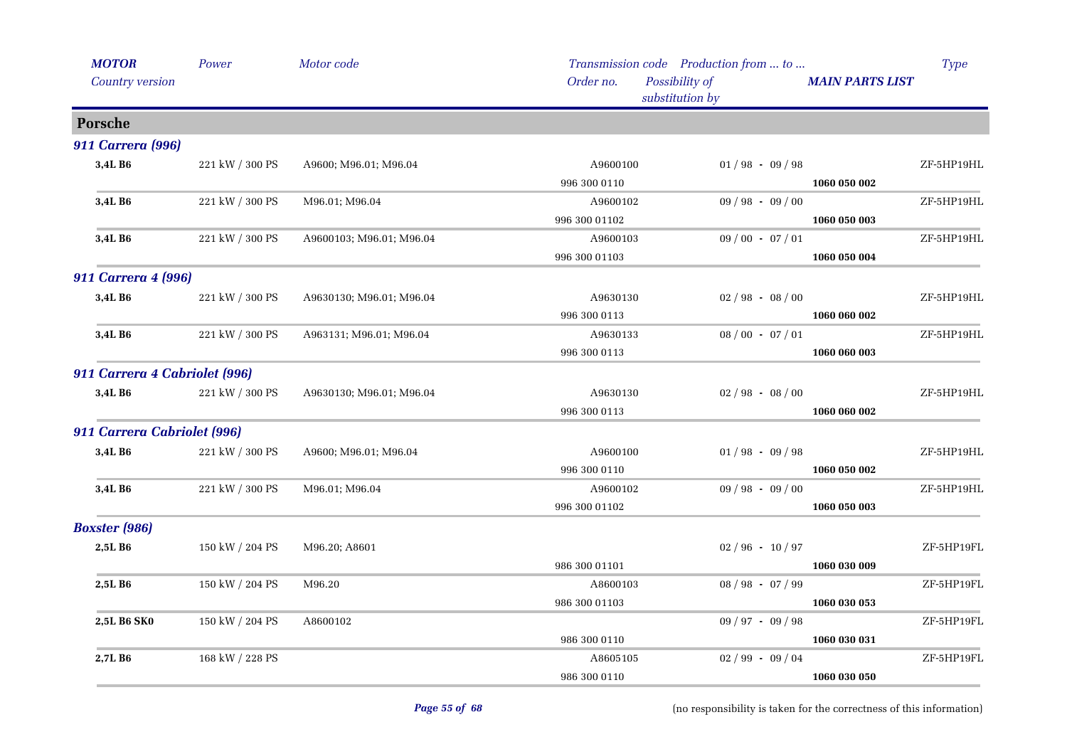| <b>MOTOR</b>                  | Power                                   | Motor code               | Transmission code Production from  to          |                     |                        | <b>Type</b> |
|-------------------------------|-----------------------------------------|--------------------------|------------------------------------------------|---------------------|------------------------|-------------|
| Country version               |                                         |                          | Order no.<br>Possibility of<br>substitution by |                     | <b>MAIN PARTS LIST</b> |             |
| Porsche                       |                                         |                          |                                                |                     |                        |             |
| <b>911 Carrera (996)</b>      |                                         |                          |                                                |                     |                        |             |
| 3,4L B6                       | $221\ \mathrm{kW}$ / $300\ \mathrm{PS}$ | A9600; M96.01; M96.04    | A9600100                                       | $01/98 - 09/98$     |                        | ZF-5HP19HL  |
|                               |                                         |                          | 996 300 0110                                   |                     | 1060 050 002           |             |
| 3,4L B6                       | 221 kW / 300 PS                         | M96.01; M96.04           | A9600102                                       | $09/98 - 09/00$     |                        | ZF-5HP19HL  |
|                               |                                         |                          | 996 300 01102                                  |                     | 1060 050 003           |             |
| 3,4L B6                       | 221 kW / 300 PS                         | A9600103; M96.01; M96.04 | A9600103                                       | $09/00 - 07/01$     |                        | ZF-5HP19HL  |
|                               |                                         |                          | 996 300 01103                                  |                     | 1060 050 004           |             |
| 911 Carrera 4 (996)           |                                         |                          |                                                |                     |                        |             |
| 3,4L B6                       | 221 kW / 300 PS                         | A9630130; M96.01; M96.04 | A9630130                                       | $02 / 98 - 08 / 00$ |                        | ZF-5HP19HL  |
|                               |                                         |                          | 996 300 0113                                   |                     | 1060 060 002           |             |
| 3,4L B6                       | 221 kW / 300 PS                         | A963131; M96.01; M96.04  | A9630133                                       | $08/00 - 07/01$     |                        | ZF-5HP19HL  |
|                               |                                         |                          | 996 300 0113                                   |                     | 1060 060 003           |             |
| 911 Carrera 4 Cabriolet (996) |                                         |                          |                                                |                     |                        |             |
| 3,4L B6                       | 221 kW / 300 PS                         | A9630130; M96.01; M96.04 | A9630130                                       | $02 / 98 - 08 / 00$ |                        | ZF-5HP19HL  |
|                               |                                         |                          | 996 300 0113                                   |                     | 1060 060 002           |             |
| 911 Carrera Cabriolet (996)   |                                         |                          |                                                |                     |                        |             |
| 3,4L B6                       | $221$ kW $\!/$ 300 PS                   | A9600; M96.01; M96.04    | A9600100                                       | $01/98 - 09/98$     |                        | ZF-5HP19HL  |
|                               |                                         |                          | 996 300 0110                                   |                     | 1060 050 002           |             |
| 3,4L B6                       | 221 kW / 300 PS                         | M96.01; M96.04           | A9600102                                       | $09/98 - 09/00$     |                        | ZF-5HP19HL  |
|                               |                                         |                          | 996 300 01102                                  |                     | 1060 050 003           |             |
| <b>Boxster</b> (986)          |                                         |                          |                                                |                     |                        |             |
| 2,5L B6                       | 150 kW / 204 PS                         | M96.20; A8601            |                                                | $02/96 - 10/97$     |                        | ZF-5HP19FL  |
|                               |                                         |                          | 986 300 01101                                  |                     | 1060 030 009           |             |
| 2,5L B6                       | 150 kW / 204 PS                         | M96.20                   | A8600103                                       | $08 / 98 - 07 / 99$ |                        | ZF-5HP19FL  |
|                               |                                         |                          | 986 300 01103                                  |                     | 1060 030 053           |             |
| 2,5L B6 SK0                   | 150 kW / 204 PS                         | A8600102                 |                                                | $09 / 97 - 09 / 98$ |                        | ZF-5HP19FL  |
|                               |                                         |                          | 986 300 0110                                   |                     | 1060 030 031           |             |
| 2,7L B <sub>6</sub>           | 168 kW / 228 PS                         |                          | A8605105                                       | $02/99 - 09/04$     |                        | ZF-5HP19FL  |
|                               |                                         |                          | 986 300 0110                                   |                     | 1060 030 050           |             |
|                               |                                         |                          |                                                |                     |                        |             |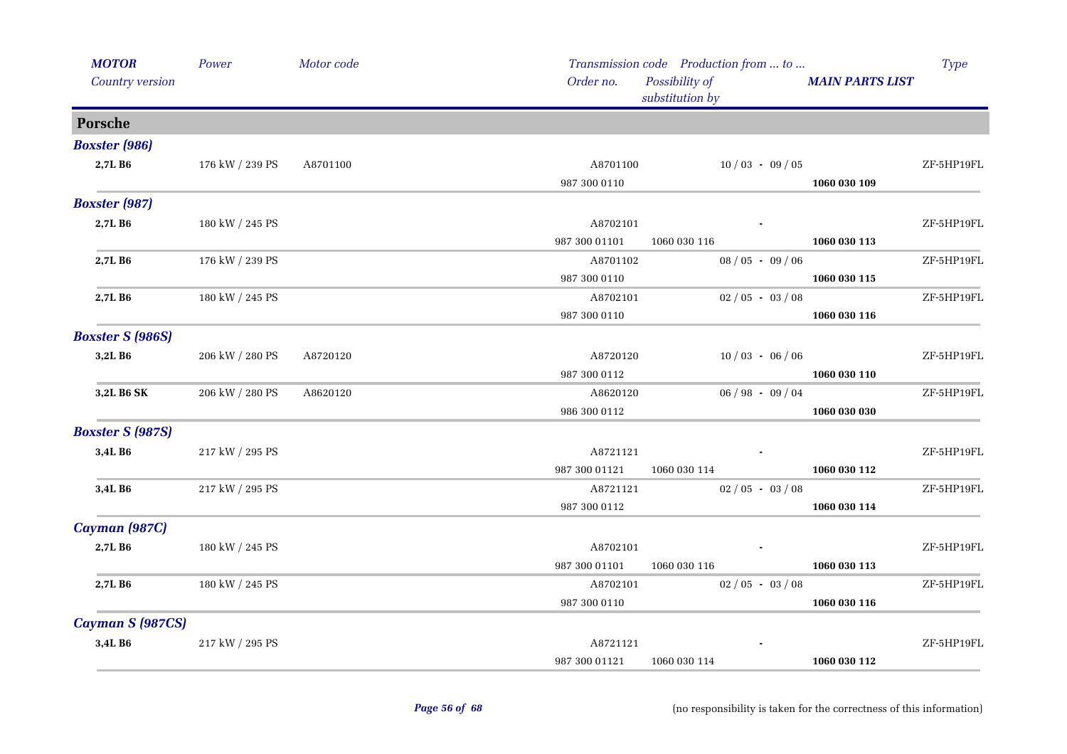| <b>MOTOR</b>            | Power           | Motor code |               | Transmission code Production from  to |                        | <b>Type</b> |  |
|-------------------------|-----------------|------------|---------------|---------------------------------------|------------------------|-------------|--|
| Country version         |                 |            | Order no.     | Possibility of<br>substitution by     | <b>MAIN PARTS LIST</b> |             |  |
| Porsche                 |                 |            |               |                                       |                        |             |  |
| <b>Boxster</b> (986)    |                 |            |               |                                       |                        |             |  |
| 2,7L B6                 | 176 kW / 239 PS | A8701100   | A8701100      | $10/03 - 09/05$                       |                        | ZF-5HP19FL  |  |
|                         |                 |            | 987 300 0110  |                                       | 1060 030 109           |             |  |
| <b>Boxster</b> (987)    |                 |            |               |                                       |                        |             |  |
| 2,7LB6                  | 180 kW / 245 PS |            | A8702101      |                                       |                        | ZF-5HP19FL  |  |
|                         |                 |            | 987 300 01101 | 1060 030 116                          | 1060 030 113           |             |  |
| 2,7L B6                 | 176 kW / 239 PS |            | A8701102      | $08/05 - 09/06$                       |                        | ZF-5HP19FL  |  |
|                         |                 |            | 987 300 0110  |                                       | 1060 030 115           |             |  |
| 2,7LB6                  | 180 kW / 245 PS |            | A8702101      | $02/05 - 03/08$                       |                        | ZF-5HP19FL  |  |
|                         |                 |            | 987 300 0110  |                                       | 1060 030 116           |             |  |
| <b>Boxster S (986S)</b> |                 |            |               |                                       |                        |             |  |
| 3,2L B6                 | 206 kW / 280 PS | A8720120   | A8720120      | $10/03 - 06/06$                       |                        | ZF-5HP19FL  |  |
|                         |                 |            | 987 300 0112  |                                       | 1060 030 110           |             |  |
| 3,2L B6 SK              | 206 kW / 280 PS | A8620120   | A8620120      | $06/98 - 09/04$                       |                        | ZF-5HP19FL  |  |
|                         |                 |            | 986 300 0112  |                                       | 1060 030 030           |             |  |
| <b>Boxster S (987S)</b> |                 |            |               |                                       |                        |             |  |
| 3,4L B6                 | 217 kW / 295 PS |            | A8721121      |                                       |                        | ZF-5HP19FL  |  |
|                         |                 |            | 987 300 01121 | 1060 030 114                          | 1060 030 112           |             |  |
| 3,4L B6                 | 217 kW / 295 PS |            | A8721121      | $02/05 - 03/08$                       |                        | ZF-5HP19FL  |  |
|                         |                 |            | 987 300 0112  |                                       | 1060 030 114           |             |  |
| Cayman (987C)           |                 |            |               |                                       |                        |             |  |
| 2,7L B6                 | 180 kW / 245 PS |            | A8702101      |                                       |                        | ZF-5HP19FL  |  |
|                         |                 |            | 987 300 01101 | 1060 030 116                          | 1060 030 113           |             |  |
| 2,7L B <sub>6</sub>     | 180 kW / 245 PS |            | A8702101      | $02/05 - 03/08$                       |                        | ZF-5HP19FL  |  |
|                         |                 |            | 987 300 0110  |                                       | 1060 030 116           |             |  |
| Cayman S (987CS)        |                 |            |               |                                       |                        |             |  |
| 3,4L B6                 | 217 kW / 295 PS |            | A8721121      |                                       |                        | ZF-5HP19FL  |  |
|                         |                 |            | 987 300 01121 | 1060 030 114                          | 1060 030 112           |             |  |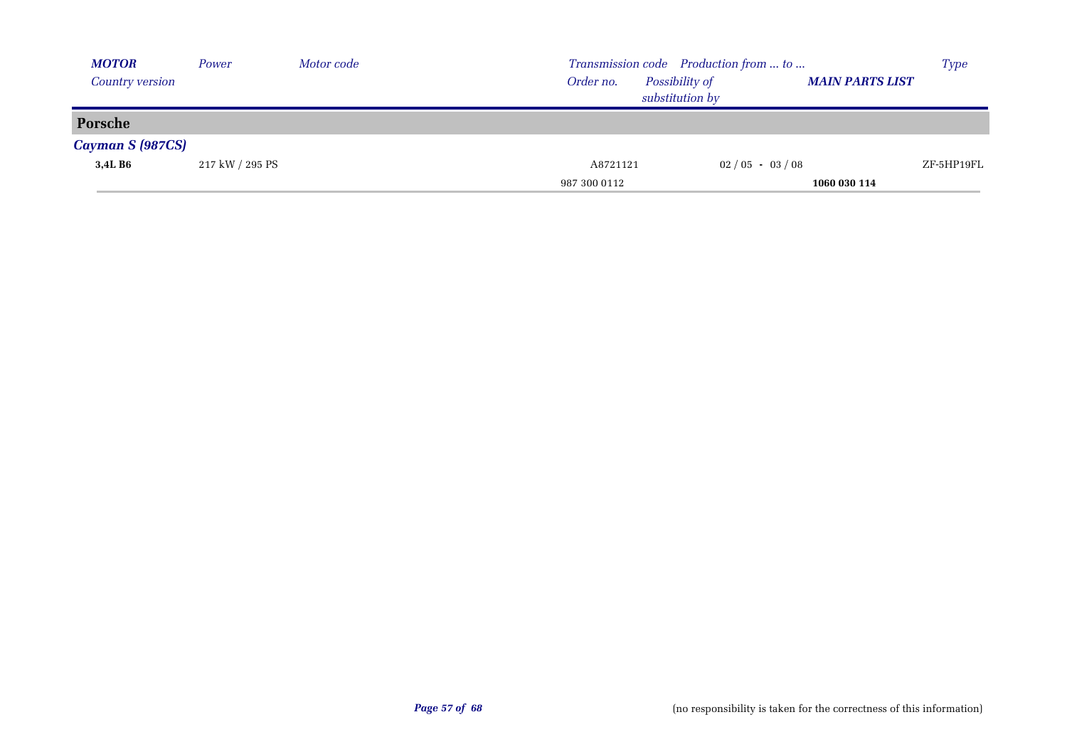| <b>MOTOR</b>            | Power           | Motor code |              |                                   | Transmission code Production from  to |                        | <b>Type</b> |
|-------------------------|-----------------|------------|--------------|-----------------------------------|---------------------------------------|------------------------|-------------|
| Country version         |                 |            | Order no.    | Possibility of<br>substitution by |                                       | <b>MAIN PARTS LIST</b> |             |
| Porsche                 |                 |            |              |                                   |                                       |                        |             |
| <b>Cayman S (987CS)</b> |                 |            |              |                                   |                                       |                        |             |
| 3,4L B6                 | 217 kW / 295 PS |            | A8721121     |                                   | $02/05 - 03/08$                       |                        | ZF-5HP19FL  |
|                         |                 |            | 987 300 0112 |                                   |                                       | 1060 030 114           |             |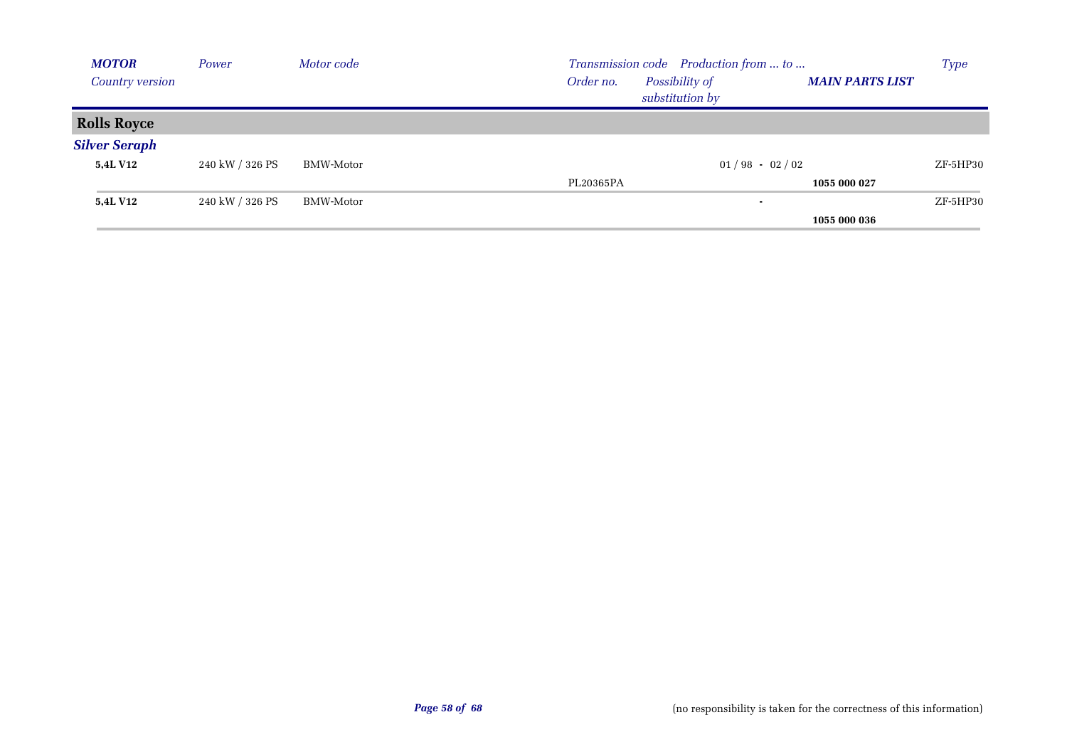| <b>MOTOR</b>           | Power           | Motor code | Transmission code Production from  to          | <b>Type</b>            |
|------------------------|-----------------|------------|------------------------------------------------|------------------------|
| <b>Country version</b> |                 |            | Possibility of<br>Order no.<br>substitution by | <b>MAIN PARTS LIST</b> |
| <b>Rolls Royce</b>     |                 |            |                                                |                        |
| <b>Silver Seraph</b>   |                 |            |                                                |                        |
| <b>5,4L V12</b>        | 240 kW / 326 PS | BMW-Motor  | $01/98 - 02/02$                                | ZF-5HP30               |
|                        |                 |            | PL20365PA                                      | 1055 000 027           |
| <b>5,4L V12</b>        | 240 kW / 326 PS | BMW-Motor  | $\blacksquare$                                 | ZF-5HP30               |
|                        |                 |            |                                                | 1055 000 036           |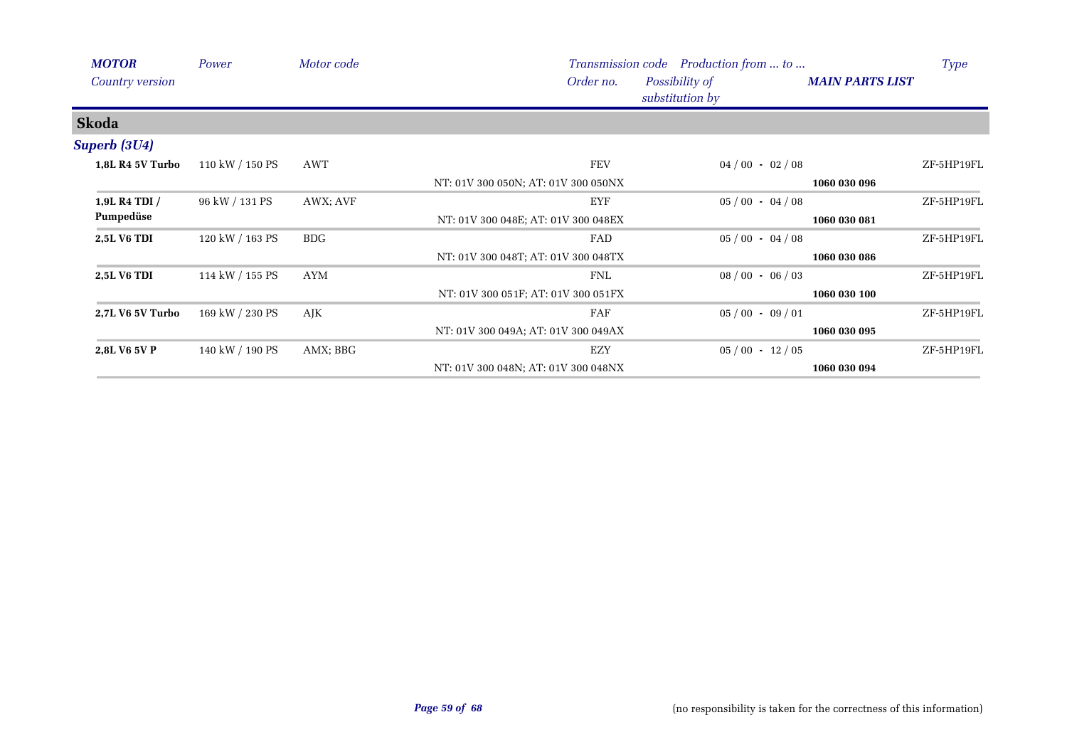| <b>MOTOR</b>            | Power           | Motor code |                                     | Transmission code Production from  to | <b>Type</b>            |  |
|-------------------------|-----------------|------------|-------------------------------------|---------------------------------------|------------------------|--|
| Country version         |                 |            | Order no.                           | Possibility of<br>substitution by     | <b>MAIN PARTS LIST</b> |  |
| <b>Skoda</b>            |                 |            |                                     |                                       |                        |  |
| Superb (3U4)            |                 |            |                                     |                                       |                        |  |
| <b>1,8L R4 5V Turbo</b> | 110 kW / 150 PS | AWT        | <b>FEV</b>                          | $04/00 - 02/08$                       | ZF-5HP19FL             |  |
|                         |                 |            | NT: 01V 300 050N; AT: 01V 300 050NX |                                       | 1060 030 096           |  |
| 1,9L R4 TDI /           | 96 kW / 131 PS  | AWX; AVF   | EYF                                 | $05/00 - 04/08$                       | ZF-5HP19FL             |  |
| Pumpedüse               |                 |            | NT: 01V 300 048E; AT: 01V 300 048EX |                                       | 1060 030 081           |  |
| 2,5L V6 TDI             | 120 kW / 163 PS | <b>BDG</b> | FAD                                 | $05/00 - 04/08$                       | ZF-5HP19FL             |  |
|                         |                 |            | NT: 01V 300 048T; AT: 01V 300 048TX |                                       | 1060 030 086           |  |
| <b>2,5L V6 TDI</b>      | 114 kW / 155 PS | AYM        | <b>FNL</b>                          | $08/00 - 06/03$                       | ZF-5HP19FL             |  |
|                         |                 |            | NT: 01V 300 051F; AT: 01V 300 051FX |                                       | 1060 030 100           |  |
| 2,7L V6 5V Turbo        | 169 kW / 230 PS | AJK        | FAF                                 | $05/00 - 09/01$                       | ZF-5HP19FL             |  |
|                         |                 |            | NT: 01V 300 049A; AT: 01V 300 049AX |                                       | 1060 030 095           |  |
| 2,8L V6 5V P            | 140 kW / 190 PS | AMX; BBG   | EZY                                 | $05/00 - 12/05$                       | ZF-5HP19FL             |  |
|                         |                 |            | NT: 01V 300 048N; AT: 01V 300 048NX |                                       | 1060 030 094           |  |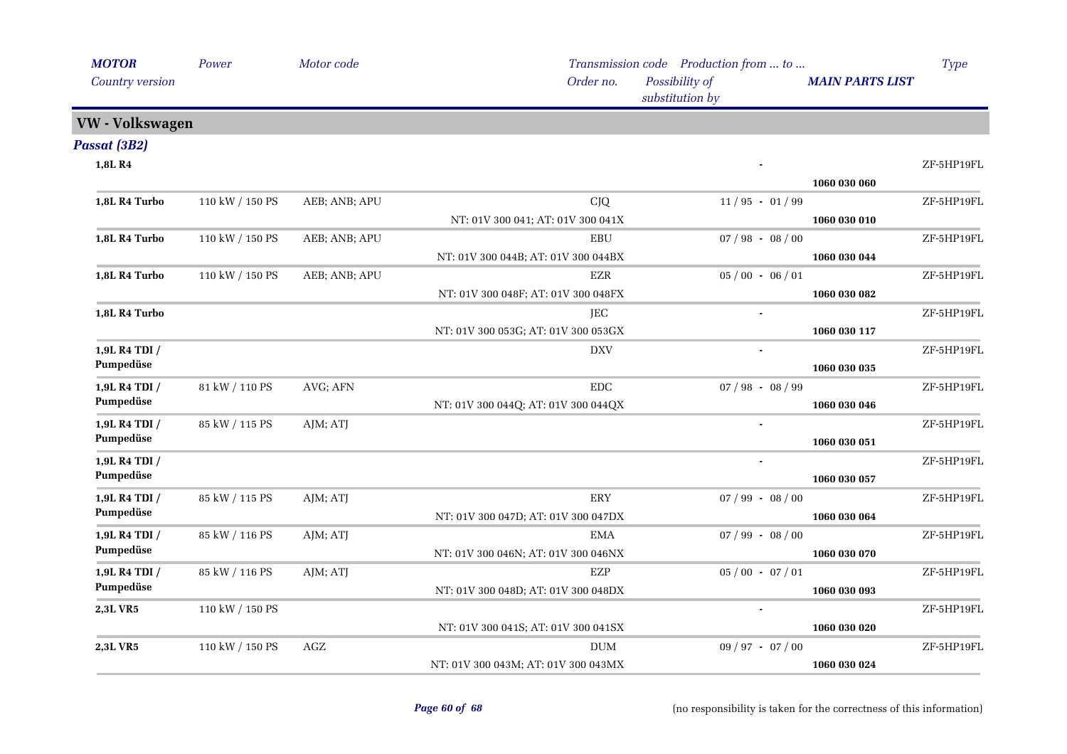| <b>MOTOR</b>           | Power           | Motor code    |                                     | Transmission code Production from  to |                        | <b>Type</b> |
|------------------------|-----------------|---------------|-------------------------------------|---------------------------------------|------------------------|-------------|
| Country version        |                 |               | Order no.                           | Possibility of<br>substitution by     | <b>MAIN PARTS LIST</b> |             |
| <b>VW</b> - Volkswagen |                 |               |                                     |                                       |                        |             |
| Passat (3B2)           |                 |               |                                     |                                       |                        |             |
| 1,8L R4                |                 |               |                                     |                                       |                        | ZF-5HP19FL  |
|                        |                 |               |                                     |                                       | 1060 030 060           |             |
| 1,8L R4 Turbo          | 110 kW / 150 PS | AEB; ANB; APU | CJQ                                 | $11/95 - 01/99$                       |                        | ZF-5HP19FL  |
|                        |                 |               | NT: 01V 300 041; AT: 01V 300 041X   |                                       | 1060 030 010           |             |
| 1,8L R4 Turbo          | 110 kW / 150 PS | AEB; ANB; APU | EBU                                 | $07 / 98 - 08 / 00$                   |                        | ZF-5HP19FL  |
|                        |                 |               | NT: 01V 300 044B; AT: 01V 300 044BX |                                       | 1060 030 044           |             |
| 1,8L R4 Turbo          | 110 kW / 150 PS | AEB; ANB; APU | EZR                                 | $05/00 - 06/01$                       |                        | ZF-5HP19FL  |
|                        |                 |               | NT: 01V 300 048F; AT: 01V 300 048FX |                                       | 1060 030 082           |             |
| 1,8L R4 Turbo          |                 |               | JEC                                 |                                       |                        | ZF-5HP19FL  |
|                        |                 |               | NT: 01V 300 053G; AT: 01V 300 053GX |                                       | 1060 030 117           |             |
| 1,9L R4 TDI /          |                 |               | <b>DXV</b>                          |                                       |                        | ZF-5HP19FL  |
| Pumpedüse              |                 |               |                                     |                                       | 1060 030 035           |             |
| 1,9L R4 TDI /          | 81 kW / 110 PS  | AVG; AFN      | <b>EDC</b>                          | $07 / 98 - 08 / 99$                   |                        | ZF-5HP19FL  |
| Pumpedüse              |                 |               | NT: 01V 300 044Q; AT: 01V 300 044QX |                                       | 1060 030 046           |             |
| 1,9L R4 TDI /          | 85 kW / 115 PS  | AJM; ATJ      |                                     |                                       |                        | ZF-5HP19FL  |
| Pumpedüse              |                 |               |                                     |                                       | 1060 030 051           |             |
| 1,9L R4 TDI /          |                 |               |                                     |                                       |                        | ZF-5HP19FL  |
| Pumpedüse              |                 |               |                                     |                                       | 1060 030 057           |             |
| 1,9L R4 TDI /          | 85 kW / 115 PS  | AJM; ATJ      | ERY                                 | $07 / 99 - 08 / 00$                   |                        | ZF-5HP19FL  |
| Pumpedüse              |                 |               | NT: 01V 300 047D; AT: 01V 300 047DX |                                       | 1060 030 064           |             |
| 1,9L R4 TDI /          | 85 kW / 116 PS  | AJM; ATJ      | EMA                                 | $07 / 99 - 08 / 00$                   |                        | ZF-5HP19FL  |
| Pumpedüse              |                 |               | NT: 01V 300 046N; AT: 01V 300 046NX |                                       | 1060 030 070           |             |
| 1,9L R4 TDI /          | 85 kW / 116 PS  | AJM; ATJ      | EZP                                 | $05/00 - 07/01$                       |                        | ZF-5HP19FL  |
| Pumpedüse              |                 |               | NT: 01V 300 048D; AT: 01V 300 048DX |                                       | 1060 030 093           |             |
| <b>2,3L VR5</b>        | 110 kW / 150 PS |               |                                     |                                       |                        | ZF-5HP19FL  |
|                        |                 |               | NT: 01V 300 041S; AT: 01V 300 041SX |                                       | 1060 030 020           |             |
| <b>2,3L VR5</b>        | 110 kW / 150 PS | AGZ           | <b>DUM</b>                          | $09/97 - 07/00$                       |                        | ZF-5HP19FL  |
|                        |                 |               | NT: 01V 300 043M; AT: 01V 300 043MX |                                       | 1060 030 024           |             |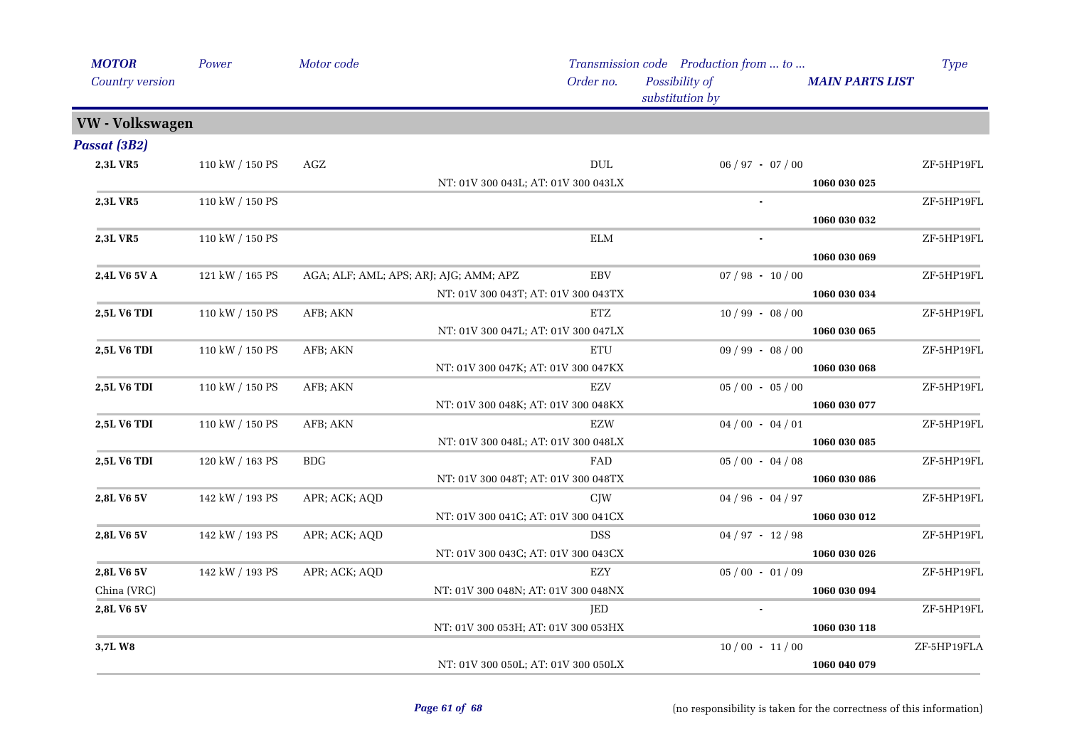| <b>MOTOR</b><br>Country version | Power           | Motor code                             |                                     | Order no.            | Transmission code Production from  to<br>Possibility of |                     | <b>MAIN PARTS LIST</b> | <b>Type</b> |
|---------------------------------|-----------------|----------------------------------------|-------------------------------------|----------------------|---------------------------------------------------------|---------------------|------------------------|-------------|
|                                 |                 |                                        |                                     |                      | substitution by                                         |                     |                        |             |
| VW - Volkswagen                 |                 |                                        |                                     |                      |                                                         |                     |                        |             |
| <b>Passat (3B2)</b>             |                 |                                        |                                     |                      |                                                         |                     |                        |             |
| 2,3L VR5                        | 110 kW / 150 PS | AGZ                                    |                                     | <b>DUL</b>           |                                                         | $06 / 97 - 07 / 00$ |                        | ZF-5HP19FL  |
|                                 |                 |                                        | NT: 01V 300 043L; AT: 01V 300 043LX |                      |                                                         |                     | 1060 030 025           |             |
| 2,3L VR5                        | 110 kW / 150 PS |                                        |                                     |                      |                                                         |                     |                        | ZF-5HP19FL  |
|                                 |                 |                                        |                                     |                      |                                                         |                     | 1060 030 032           |             |
| 2,3L VR5                        | 110 kW / 150 PS |                                        |                                     | $\operatorname{ELM}$ |                                                         |                     |                        | ZF-5HP19FL  |
|                                 |                 |                                        |                                     |                      |                                                         |                     | 1060 030 069           |             |
| 2,4L V6 5V A                    | 121 kW / 165 PS | AGA; ALF; AML; APS; ARJ; AJG; AMM; APZ |                                     | <b>EBV</b>           |                                                         | $07 / 98 - 10 / 00$ |                        | ZF-5HP19FL  |
|                                 |                 |                                        | NT: 01V 300 043T; AT: 01V 300 043TX |                      |                                                         |                     | 1060 030 034           |             |
| 2,5L V6 TDI                     | 110 kW / 150 PS | AFB; AKN                               |                                     | ETZ                  |                                                         | $10/99 - 08/00$     |                        | ZF-5HP19FL  |
|                                 |                 |                                        | NT: 01V 300 047L; AT: 01V 300 047LX |                      |                                                         |                     | 1060 030 065           |             |
| 2,5L V6 TDI                     | 110 kW / 150 PS | AFB; AKN                               |                                     | ETU                  |                                                         | $09 / 99 - 08 / 00$ |                        | ZF-5HP19FL  |
|                                 |                 |                                        | NT: 01V 300 047K; AT: 01V 300 047KX |                      |                                                         |                     | 1060 030 068           |             |
| 2,5L V6 TDI                     | 110 kW / 150 PS | AFB; AKN                               |                                     | <b>EZV</b>           |                                                         | $05/00 - 05/00$     |                        | ZF-5HP19FL  |
|                                 |                 |                                        | NT: 01V 300 048K; AT: 01V 300 048KX |                      |                                                         |                     | 1060 030 077           |             |
| <b>2,5L V6 TDI</b>              | 110 kW / 150 PS | AFB; AKN                               |                                     | <b>EZW</b>           |                                                         | $04/00 - 04/01$     |                        | ZF-5HP19FL  |
|                                 |                 |                                        | NT: 01V 300 048L; AT: 01V 300 048LX |                      |                                                         |                     | 1060 030 085           |             |
| 2,5L V6 TDI                     | 120 kW / 163 PS | <b>BDG</b>                             |                                     | FAD                  |                                                         | $05/00 - 04/08$     |                        | ZF-5HP19FL  |
|                                 |                 |                                        | NT: 01V 300 048T; AT: 01V 300 048TX |                      |                                                         |                     | 1060 030 086           |             |
| 2,8L V6 5V                      | 142 kW / 193 PS | APR; ACK; AQD                          |                                     | <b>CJW</b>           |                                                         | $04 / 96 - 04 / 97$ |                        | ZF-5HP19FL  |
|                                 |                 |                                        | NT: 01V 300 041C; AT: 01V 300 041CX |                      |                                                         |                     | 1060 030 012           |             |
| <b>2,8L V6 5V</b>               | 142 kW / 193 PS | APR; ACK; AQD                          |                                     | <b>DSS</b>           |                                                         | $04 / 97 - 12 / 98$ |                        | ZF-5HP19FL  |
|                                 |                 |                                        | NT: 01V 300 043C; AT: 01V 300 043CX |                      |                                                         |                     | 1060 030 026           |             |
| 2,8L V6 5V                      | 142 kW / 193 PS | APR; ACK; AQD                          |                                     | EZY                  |                                                         | $05/00 - 01/09$     |                        | ZF-5HP19FL  |
| China (VRC)                     |                 |                                        | NT: 01V 300 048N; AT: 01V 300 048NX |                      |                                                         |                     | 1060 030 094           |             |
| 2,8L V6 5V                      |                 |                                        |                                     | <b>JED</b>           |                                                         |                     |                        | ZF-5HP19FL  |
|                                 |                 |                                        | NT: 01V 300 053H; AT: 01V 300 053HX |                      |                                                         |                     | 1060 030 118           |             |
| 3,7LW8                          |                 |                                        |                                     |                      |                                                         | $10/00 - 11/00$     |                        | ZF-5HP19FLA |
|                                 |                 |                                        | NT: 01V 300 050L; AT: 01V 300 050LX |                      |                                                         |                     | 1060 040 079           |             |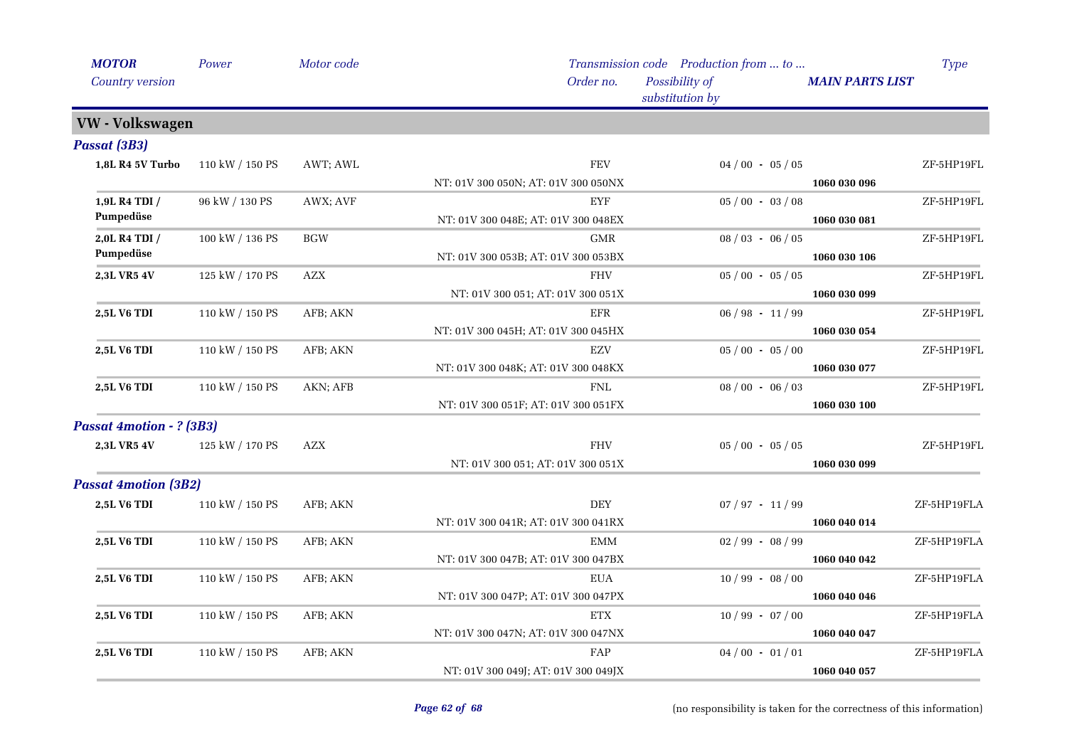| <b>MOTOR</b>                    | Power           | Motor code |                                     | Transmission code Production from  to |                        | Type        |
|---------------------------------|-----------------|------------|-------------------------------------|---------------------------------------|------------------------|-------------|
| Country version                 |                 |            | Order no.                           | Possibility of<br>substitution by     | <b>MAIN PARTS LIST</b> |             |
| VW - Volkswagen                 |                 |            |                                     |                                       |                        |             |
| <b>Passat (3B3)</b>             |                 |            |                                     |                                       |                        |             |
| 1,8L R4 5V Turbo                | 110 kW / 150 PS | AWT; AWL   | <b>FEV</b>                          | $04/00 - 05/05$                       |                        | ZF-5HP19FL  |
|                                 |                 |            | NT: 01V 300 050N; AT: 01V 300 050NX |                                       | 1060 030 096           |             |
| 1,9L R4 TDI /                   | 96 kW / 130 PS  | AWX; AVF   | <b>EYF</b>                          | $05/00 - 03/08$                       |                        | ZF-5HP19FL  |
| Pumpedüse                       |                 |            | NT: 01V 300 048E; AT: 01V 300 048EX |                                       | 1060 030 081           |             |
| 2,0L R4 TDI /                   | 100 kW / 136 PS | <b>BGW</b> | <b>GMR</b>                          | $08 / 03 - 06 / 05$                   |                        | ZF-5HP19FL  |
| Pumpedüse                       |                 |            | NT: 01V 300 053B; AT: 01V 300 053BX |                                       | 1060 030 106           |             |
| 2,3L VR5 4V                     | 125 kW / 170 PS | <b>AZX</b> | <b>FHV</b>                          | $05/00 - 05/05$                       |                        | ZF-5HP19FL  |
|                                 |                 |            | NT: 01V 300 051; AT: 01V 300 051X   |                                       | 1060 030 099           |             |
| 2,5L V6 TDI                     | 110 kW / 150 PS | AFB; AKN   | <b>EFR</b>                          | $06 / 98 - 11 / 99$                   |                        | ZF-5HP19FL  |
|                                 |                 |            | NT: 01V 300 045H; AT: 01V 300 045HX |                                       | 1060 030 054           |             |
| 2,5L V6 TDI                     | 110 kW / 150 PS | AFB; AKN   | <b>EZV</b>                          | $05/00 - 05/00$                       |                        | ZF-5HP19FL  |
|                                 |                 |            | NT: 01V 300 048K; AT: 01V 300 048KX |                                       | 1060 030 077           |             |
| 2,5L V6 TDI                     | 110 kW / 150 PS | AKN; AFB   | <b>FNL</b>                          | $08/00 - 06/03$                       |                        | ZF-5HP19FL  |
|                                 |                 |            | NT: 01V 300 051F; AT: 01V 300 051FX |                                       | 1060 030 100           |             |
| <b>Passat 4motion - ? (3B3)</b> |                 |            |                                     |                                       |                        |             |
| 2,3L VR5 4V                     | 125 kW / 170 PS | <b>AZX</b> | <b>FHV</b>                          | $05/00 - 05/05$                       |                        | ZF-5HP19FL  |
|                                 |                 |            | NT: 01V 300 051; AT: 01V 300 051X   |                                       | 1060 030 099           |             |
| <b>Passat 4motion (3B2)</b>     |                 |            |                                     |                                       |                        |             |
| 2,5L V6 TDI                     | 110 kW / 150 PS | AFB; AKN   | <b>DEY</b>                          | $07 / 97 - 11 / 99$                   |                        | ZF-5HP19FLA |
|                                 |                 |            | NT: 01V 300 041R; AT: 01V 300 041RX |                                       | 1060 040 014           |             |
| <b>2,5L V6 TDI</b>              | 110 kW / 150 PS | AFB; AKN   | EMM                                 | $02/99 - 08/99$                       |                        | ZF-5HP19FLA |
|                                 |                 |            | NT: 01V 300 047B; AT: 01V 300 047BX |                                       | 1060 040 042           |             |
| 2,5L V6 TDI                     | 110 kW / 150 PS | AFB; AKN   | <b>EUA</b>                          | $10/99 - 08/00$                       |                        | ZF-5HP19FLA |
|                                 |                 |            | NT: 01V 300 047P; AT: 01V 300 047PX |                                       | 1060 040 046           |             |
| <b>2,5L V6 TDI</b>              | 110 kW / 150 PS | AFB; AKN   | <b>ETX</b>                          | $10/99 - 07/00$                       |                        | ZF-5HP19FLA |
|                                 |                 |            | NT: 01V 300 047N; AT: 01V 300 047NX |                                       | 1060 040 047           |             |
| 2,5L V6 TDI                     | 110 kW / 150 PS | AFB; AKN   | FAP                                 | $04/00 - 01/01$                       |                        | ZF-5HP19FLA |
|                                 |                 |            | NT: 01V 300 049J; AT: 01V 300 049JX |                                       | 1060 040 057           |             |
|                                 |                 |            |                                     |                                       |                        |             |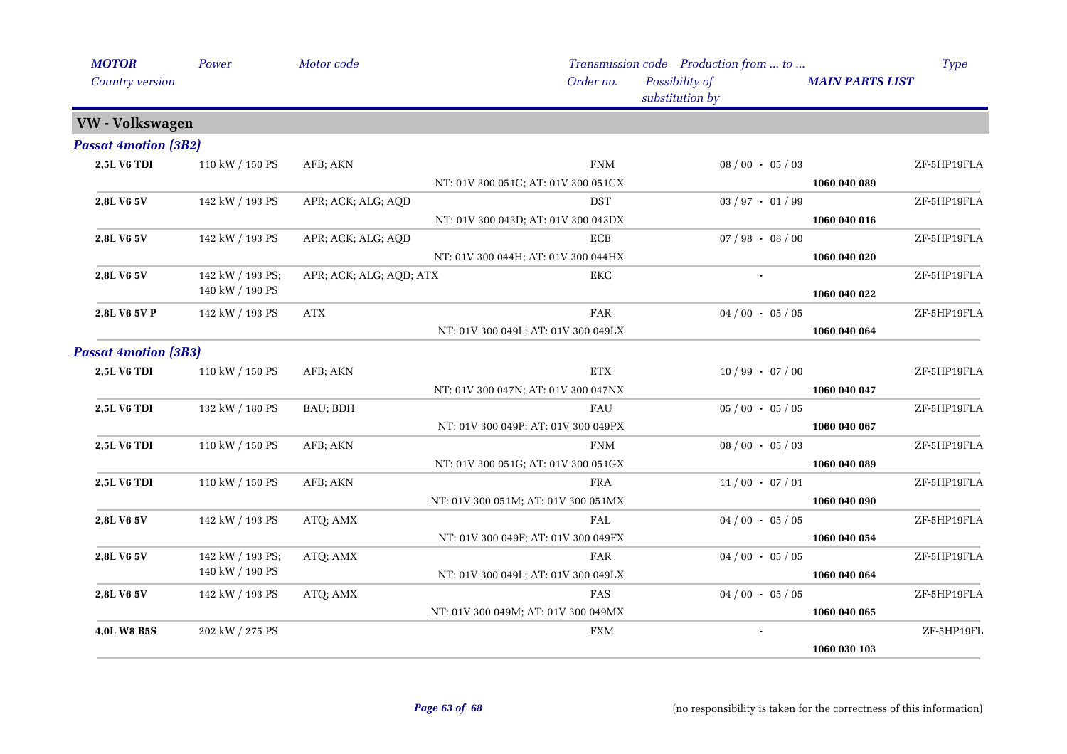| Order no.<br>Possibility of<br>Country version<br><b>MAIN PARTS LIST</b><br>substitution by<br>VW - Volkswagen<br><b>2,5L V6 TDI</b><br>110 kW / 150 PS<br><b>FNM</b><br>$08/00 - 05/03$<br>AFB; AKN<br>NT: 01V 300 051G; AT: 01V 300 051GX<br>1060 040 089<br>142 kW / 193 PS<br>APR; ACK; ALG; AQD<br><b>DST</b><br>$03 / 97 - 01 / 99$<br>2,8L V6 5V<br>NT: 01V 300 043D; AT: 01V 300 043DX<br>1060 040 016<br>ECB<br>142 kW / 193 PS<br>APR; ACK; ALG; AQD<br>$07 / 98 - 08 / 00$<br>2,8L V6 5V<br>NT: 01V 300 044H; AT: 01V 300 044HX<br>1060 040 020<br>142 kW / 193 PS;<br>APR; ACK; ALG; AQD; ATX<br>2,8L V6 5V<br>EKC<br>140 kW / 190 PS<br>1060 040 022<br>142 kW / 193 PS<br><b>ATX</b><br><b>FAR</b><br>$04/00 - 05/05$<br>2,8L V6 5V P |             |
|-----------------------------------------------------------------------------------------------------------------------------------------------------------------------------------------------------------------------------------------------------------------------------------------------------------------------------------------------------------------------------------------------------------------------------------------------------------------------------------------------------------------------------------------------------------------------------------------------------------------------------------------------------------------------------------------------------------------------------------------------------|-------------|
| <b>Passat 4motion (3B2)</b>                                                                                                                                                                                                                                                                                                                                                                                                                                                                                                                                                                                                                                                                                                                         |             |
|                                                                                                                                                                                                                                                                                                                                                                                                                                                                                                                                                                                                                                                                                                                                                     |             |
|                                                                                                                                                                                                                                                                                                                                                                                                                                                                                                                                                                                                                                                                                                                                                     |             |
|                                                                                                                                                                                                                                                                                                                                                                                                                                                                                                                                                                                                                                                                                                                                                     | ZF-5HP19FLA |
|                                                                                                                                                                                                                                                                                                                                                                                                                                                                                                                                                                                                                                                                                                                                                     |             |
|                                                                                                                                                                                                                                                                                                                                                                                                                                                                                                                                                                                                                                                                                                                                                     | ZF-5HP19FLA |
|                                                                                                                                                                                                                                                                                                                                                                                                                                                                                                                                                                                                                                                                                                                                                     |             |
|                                                                                                                                                                                                                                                                                                                                                                                                                                                                                                                                                                                                                                                                                                                                                     | ZF-5HP19FLA |
|                                                                                                                                                                                                                                                                                                                                                                                                                                                                                                                                                                                                                                                                                                                                                     |             |
|                                                                                                                                                                                                                                                                                                                                                                                                                                                                                                                                                                                                                                                                                                                                                     | ZF-5HP19FLA |
|                                                                                                                                                                                                                                                                                                                                                                                                                                                                                                                                                                                                                                                                                                                                                     |             |
|                                                                                                                                                                                                                                                                                                                                                                                                                                                                                                                                                                                                                                                                                                                                                     | ZF-5HP19FLA |
| NT: 01V 300 049L; AT: 01V 300 049LX<br>1060 040 064                                                                                                                                                                                                                                                                                                                                                                                                                                                                                                                                                                                                                                                                                                 |             |
| <b>Passat 4motion (3B3)</b>                                                                                                                                                                                                                                                                                                                                                                                                                                                                                                                                                                                                                                                                                                                         |             |
| <b>ETX</b><br><b>2,5L V6 TDI</b><br>110 kW / 150 PS<br>$10/99 - 07/00$<br>AFB; AKN                                                                                                                                                                                                                                                                                                                                                                                                                                                                                                                                                                                                                                                                  | ZF-5HP19FLA |
| NT: 01V 300 047N; AT: 01V 300 047NX<br>1060 040 047                                                                                                                                                                                                                                                                                                                                                                                                                                                                                                                                                                                                                                                                                                 |             |
| $05/00 - 05/05$<br>132 kW / 180 PS<br>BAU; BDH<br><b>2,5L V6 TDI</b><br>FAU                                                                                                                                                                                                                                                                                                                                                                                                                                                                                                                                                                                                                                                                         | ZF-5HP19FLA |
| NT: 01V 300 049P; AT: 01V 300 049PX<br>1060 040 067                                                                                                                                                                                                                                                                                                                                                                                                                                                                                                                                                                                                                                                                                                 |             |
| <b>FNM</b><br><b>2,5L V6 TDI</b><br>110 kW / 150 PS<br>AFB; AKN<br>$08/00 - 05/03$                                                                                                                                                                                                                                                                                                                                                                                                                                                                                                                                                                                                                                                                  | ZF-5HP19FLA |
| NT: 01V 300 051G; AT: 01V 300 051GX<br>1060 040 089                                                                                                                                                                                                                                                                                                                                                                                                                                                                                                                                                                                                                                                                                                 |             |
| <b>FRA</b><br>2,5L V6 TDI<br>110 kW / 150 PS<br>AFB; AKN<br>$11/00 - 07/01$                                                                                                                                                                                                                                                                                                                                                                                                                                                                                                                                                                                                                                                                         | ZF-5HP19FLA |
| NT: 01V 300 051M; AT: 01V 300 051MX<br>1060 040 090                                                                                                                                                                                                                                                                                                                                                                                                                                                                                                                                                                                                                                                                                                 |             |
| 2,8L V6 5V<br>142 kW / 193 PS<br>ATQ; AMX<br>FAL<br>$04/00 - 05/05$                                                                                                                                                                                                                                                                                                                                                                                                                                                                                                                                                                                                                                                                                 | ZF-5HP19FLA |
| NT: 01V 300 049F; AT: 01V 300 049FX<br>1060 040 054                                                                                                                                                                                                                                                                                                                                                                                                                                                                                                                                                                                                                                                                                                 |             |
| 142 kW / 193 PS;<br>ATQ; AMX<br>FAR<br>$04/00 - 05/05$<br>2,8L V6 5V                                                                                                                                                                                                                                                                                                                                                                                                                                                                                                                                                                                                                                                                                | ZF-5HP19FLA |
| 140 kW / 190 PS<br>NT: 01V 300 049L; AT: 01V 300 049LX<br>1060 040 064                                                                                                                                                                                                                                                                                                                                                                                                                                                                                                                                                                                                                                                                              |             |
| FAS<br>$04/00 - 05/05$<br>2,8L V6 5V<br>142 kW / 193 PS<br>ATQ; AMX                                                                                                                                                                                                                                                                                                                                                                                                                                                                                                                                                                                                                                                                                 | ZF-5HP19FLA |
| NT: 01V 300 049M; AT: 01V 300 049MX<br>1060 040 065                                                                                                                                                                                                                                                                                                                                                                                                                                                                                                                                                                                                                                                                                                 |             |
| <b>FXM</b><br>202 kW / 275 PS<br>4,0L W8 B5S                                                                                                                                                                                                                                                                                                                                                                                                                                                                                                                                                                                                                                                                                                        | ZF-5HP19FL  |
| 1060 030 103                                                                                                                                                                                                                                                                                                                                                                                                                                                                                                                                                                                                                                                                                                                                        |             |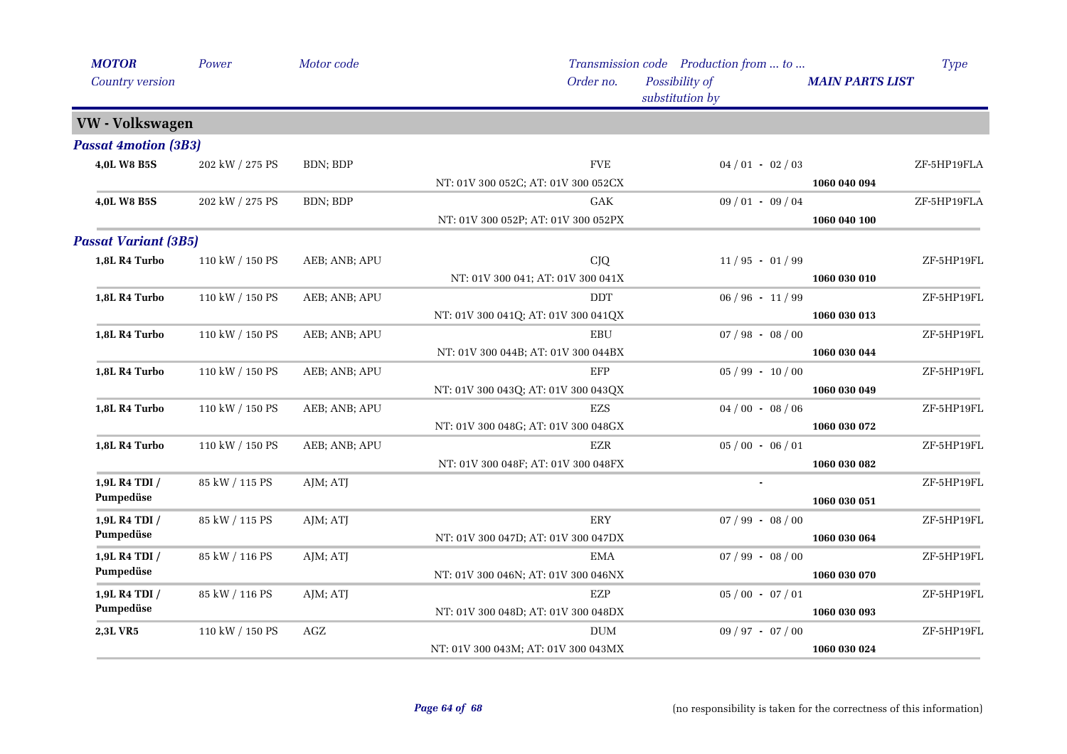| <b>MOTOR</b>                | Power           | Motor code    |                                     | Transmission code Production from  to | <b>Type</b>            |
|-----------------------------|-----------------|---------------|-------------------------------------|---------------------------------------|------------------------|
| Country version             |                 |               | Order no.                           | Possibility of<br>substitution by     | <b>MAIN PARTS LIST</b> |
| VW - Volkswagen             |                 |               |                                     |                                       |                        |
| <b>Passat 4motion (3B3)</b> |                 |               |                                     |                                       |                        |
| 4,0L W8 B5S                 | 202 kW / 275 PS | BDN; BDP      | <b>FVE</b>                          | $04/01 - 02/03$                       | ZF-5HP19FLA            |
|                             |                 |               | NT: 01V 300 052C; AT: 01V 300 052CX |                                       | 1060 040 094           |
| 4,0L W8 B5S                 | 202 kW / 275 PS | BDN; BDP      | <b>GAK</b>                          | $09/01 - 09/04$                       | ZF-5HP19FLA            |
|                             |                 |               | NT: 01V 300 052P; AT: 01V 300 052PX |                                       | 1060 040 100           |
| <b>Passat Variant (3B5)</b> |                 |               |                                     |                                       |                        |
| 1,8L R4 Turbo               | 110 kW / 150 PS | AEB; ANB; APU | <b>CJQ</b>                          | $11/95 - 01/99$                       | ZF-5HP19FL             |
|                             |                 |               | NT: 01V 300 041; AT: 01V 300 041X   |                                       | 1060 030 010           |
| 1,8L R4 Turbo               | 110 kW / 150 PS | AEB; ANB; APU | <b>DDT</b>                          | $06/96 - 11/99$                       | ZF-5HP19FL             |
|                             |                 |               | NT: 01V 300 041Q; AT: 01V 300 041QX |                                       | 1060 030 013           |
| 1,8L R4 Turbo               | 110 kW / 150 PS | AEB; ANB; APU | <b>EBU</b>                          | $07 / 98 - 08 / 00$                   | ZF-5HP19FL             |
|                             |                 |               | NT: 01V 300 044B; AT: 01V 300 044BX |                                       | 1060 030 044           |
| 1,8L R4 Turbo               | 110 kW / 150 PS | AEB; ANB; APU | EFP                                 | $05 / 99 - 10 / 00$                   | ZF-5HP19FL             |
|                             |                 |               | NT: 01V 300 043Q; AT: 01V 300 043QX |                                       | 1060 030 049           |
| 1,8L R4 Turbo               | 110 kW / 150 PS | AEB; ANB; APU | EZS                                 | $04/00 - 08/06$                       | ZF-5HP19FL             |
|                             |                 |               | NT: 01V 300 048G; AT: 01V 300 048GX |                                       | 1060 030 072           |
| 1,8L R4 Turbo               | 110 kW / 150 PS | AEB; ANB; APU | EZR                                 | $05/00 - 06/01$                       | ZF-5HP19FL             |
|                             |                 |               | NT: 01V 300 048F; AT: 01V 300 048FX |                                       | 1060 030 082           |
| 1,9L R4 TDI /               | 85 kW / 115 PS  | AJM; ATJ      |                                     |                                       | ZF-5HP19FL             |
| Pumpedüse                   |                 |               |                                     |                                       | 1060 030 051           |
| 1,9L R4 TDI /               | 85 kW / 115 PS  | AJM; ATJ      | ERY                                 | $07/99 - 08/00$                       | ZF-5HP19FL             |
| Pumpedüse                   |                 |               | NT: 01V 300 047D; AT: 01V 300 047DX |                                       | 1060 030 064           |
| 1,9L R4 TDI /               | 85 kW / 116 PS  | AJM; ATJ      | <b>EMA</b>                          | $07 / 99 - 08 / 00$                   | ZF-5HP19FL             |
| Pumpedüse                   |                 |               | NT: 01V 300 046N; AT: 01V 300 046NX |                                       | 1060 030 070           |
| 1,9L R4 TDI /               | 85 kW / 116 PS  | AJM; ATJ      | EZP                                 | $05/00 - 07/01$                       | ZF-5HP19FL             |
| Pumpedüse                   |                 |               | NT: 01V 300 048D; AT: 01V 300 048DX |                                       | 1060 030 093           |
| <b>2,3L VR5</b>             | 110 kW / 150 PS | AGZ           | <b>DUM</b>                          | $09/97 - 07/00$                       | ZF-5HP19FL             |
|                             |                 |               | NT: 01V 300 043M; AT: 01V 300 043MX |                                       | 1060 030 024           |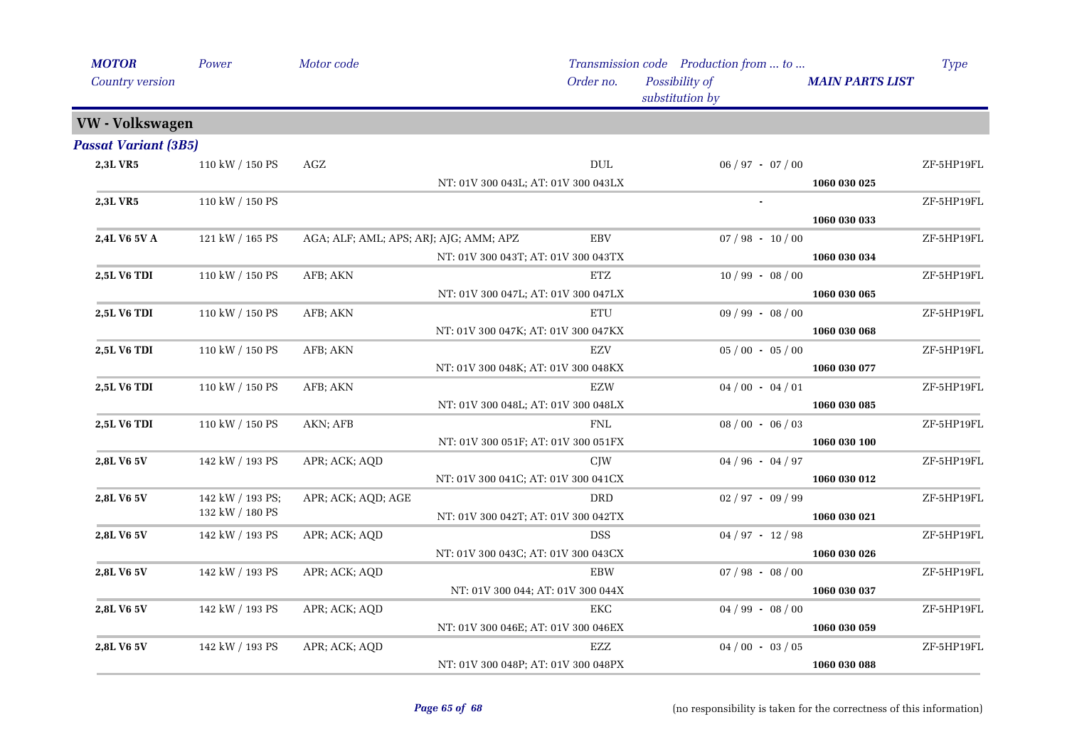| <b>MOTOR</b>                | Power            | Motor code                             |                                     | Order no.      | Transmission code Production from  to<br>Possibility of |                     | <b>MAIN PARTS LIST</b> | Type       |
|-----------------------------|------------------|----------------------------------------|-------------------------------------|----------------|---------------------------------------------------------|---------------------|------------------------|------------|
| Country version             |                  |                                        |                                     |                | substitution by                                         |                     |                        |            |
| VW - Volkswagen             |                  |                                        |                                     |                |                                                         |                     |                        |            |
| <b>Passat Variant (3B5)</b> |                  |                                        |                                     |                |                                                         |                     |                        |            |
| 2,3L VR5                    | 110 kW / 150 PS  | AGZ                                    |                                     | $\rm DUL$      |                                                         | $06 / 97 - 07 / 00$ |                        | ZF-5HP19FL |
|                             |                  |                                        | NT: 01V 300 043L; AT: 01V 300 043LX |                |                                                         |                     | 1060 030 025           |            |
| 2,3L VR5                    | 110 kW / 150 PS  |                                        |                                     |                |                                                         |                     |                        | ZF-5HP19FL |
|                             |                  |                                        |                                     |                |                                                         |                     | 1060 030 033           |            |
| 2,4L V6 5V A                | 121 kW / 165 PS  | AGA; ALF; AML; APS; ARJ; AJG; AMM; APZ |                                     | <b>EBV</b>     |                                                         | $07 / 98 - 10 / 00$ |                        | ZF-5HP19FL |
|                             |                  |                                        | NT: 01V 300 043T; AT: 01V 300 043TX |                |                                                         |                     | 1060 030 034           |            |
| 2,5L V6 TDI                 | 110 kW / 150 PS  | AFB; AKN                               |                                     | ETZ            |                                                         | $10/99 - 08/00$     |                        | ZF-5HP19FL |
|                             |                  |                                        | NT: 01V 300 047L; AT: 01V 300 047LX |                |                                                         |                     | 1060 030 065           |            |
| 2,5L V6 TDI                 | 110 kW / 150 PS  | AFB; AKN                               |                                     | <b>ETU</b>     |                                                         | $09 / 99 - 08 / 00$ |                        | ZF-5HP19FL |
|                             |                  |                                        | NT: 01V 300 047K; AT: 01V 300 047KX |                |                                                         |                     | 1060 030 068           |            |
| 2,5L V6 TDI                 | 110 kW / 150 PS  | AFB; AKN                               |                                     | <b>EZV</b>     |                                                         | $05/00 - 05/00$     |                        | ZF-5HP19FL |
|                             |                  |                                        | NT: 01V 300 048K; AT: 01V 300 048KX |                |                                                         |                     | 1060 030 077           |            |
| 2,5L V6 TDI                 | 110 kW / 150 PS  | AFB; AKN                               |                                     | <b>EZW</b>     |                                                         | $04/00 - 04/01$     |                        | ZF-5HP19FL |
|                             |                  |                                        | NT: 01V 300 048L; AT: 01V 300 048LX |                |                                                         |                     | 1060 030 085           |            |
| <b>2,5L V6 TDI</b>          | 110 kW / 150 PS  | AKN; AFB                               |                                     | <b>FNL</b>     |                                                         | $08/00 - 06/03$     |                        | ZF-5HP19FL |
|                             |                  |                                        | NT: 01V 300 051F; AT: 01V 300 051FX |                |                                                         |                     | 1060 030 100           |            |
| 2,8L V6 5V                  | 142 kW / 193 PS  | APR; ACK; AQD                          |                                     | <b>CIW</b>     |                                                         | $04/96 - 04/97$     |                        | ZF-5HP19FL |
|                             |                  |                                        | NT: 01V 300 041C; AT: 01V 300 041CX |                |                                                         |                     | 1060 030 012           |            |
| 2,8L V6 5V                  | 142 kW / 193 PS; | APR; ACK; AQD; AGE                     |                                     | <b>DRD</b>     |                                                         | $02/97 - 09/99$     |                        | ZF-5HP19FL |
|                             | 132 kW / 180 PS  |                                        | NT: 01V 300 042T; AT: 01V 300 042TX |                |                                                         |                     | 1060 030 021           |            |
| 2,8L V6 5V                  | 142 kW / 193 PS  | APR; ACK; AQD                          |                                     | <b>DSS</b>     |                                                         | $04 / 97 - 12 / 98$ |                        | ZF-5HP19FL |
|                             |                  |                                        | NT: 01V 300 043C; AT: 01V 300 043CX |                |                                                         |                     | 1060 030 026           |            |
| 2,8L V6 5V                  | 142 kW / 193 PS  | APR; ACK; AQD                          |                                     | <b>EBW</b>     |                                                         | $07 / 98 - 08 / 00$ |                        | ZF-5HP19FL |
|                             |                  |                                        | NT: 01V 300 044; AT: 01V 300 044X   |                |                                                         |                     | 1060 030 037           |            |
| 2,8L V6 5V                  | 142 kW / 193 PS  | APR; ACK; AQD                          |                                     | EKC            |                                                         | $04 / 99 - 08 / 00$ |                        | ZF-5HP19FL |
|                             |                  |                                        | NT: 01V 300 046E; AT: 01V 300 046EX |                |                                                         |                     | 1060 030 059           |            |
| 2,8L V6 5V                  | 142 kW / 193 PS  | APR; ACK; AQD                          |                                     | $\mathbf{EZZ}$ |                                                         | $04/00 - 03/05$     |                        | ZF-5HP19FL |
|                             |                  |                                        | NT: 01V 300 048P; AT: 01V 300 048PX |                |                                                         |                     | 1060 030 088           |            |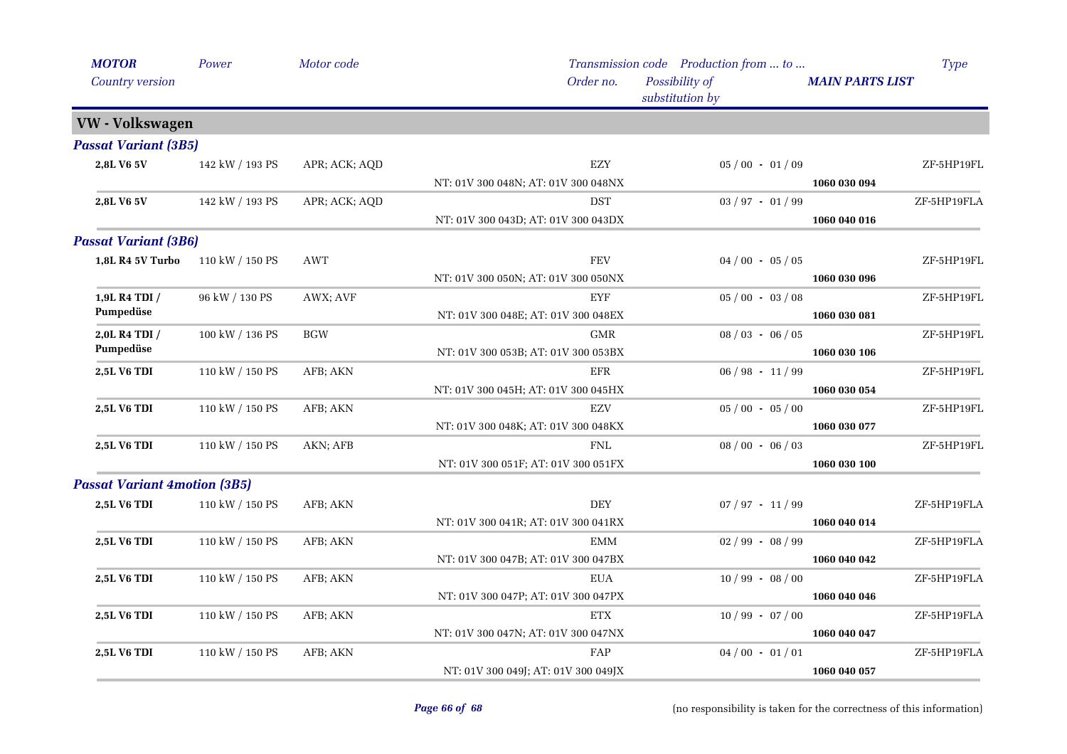| <b>MOTOR</b>                        | Power           | Motor code    |                                     | Transmission code Production from  to |                        | Type        |
|-------------------------------------|-----------------|---------------|-------------------------------------|---------------------------------------|------------------------|-------------|
| Country version                     |                 |               | Order no.                           | Possibility of<br>substitution by     | <b>MAIN PARTS LIST</b> |             |
| VW - Volkswagen                     |                 |               |                                     |                                       |                        |             |
| <b>Passat Variant (3B5)</b>         |                 |               |                                     |                                       |                        |             |
| 2,8L V6 5V                          | 142 kW / 193 PS | APR; ACK; AQD | EZY                                 | $05/00 - 01/09$                       |                        | ZF-5HP19FL  |
|                                     |                 |               | NT: 01V 300 048N; AT: 01V 300 048NX |                                       | 1060 030 094           |             |
| 2,8L V6 5V                          | 142 kW / 193 PS | APR; ACK; AQD | <b>DST</b>                          | $03 / 97 - 01 / 99$                   |                        | ZF-5HP19FLA |
|                                     |                 |               | NT: 01V 300 043D; AT: 01V 300 043DX |                                       | 1060 040 016           |             |
| <b>Passat Variant (3B6)</b>         |                 |               |                                     |                                       |                        |             |
| 1,8L R4 5V Turbo                    | 110 kW / 150 PS | <b>AWT</b>    | <b>FEV</b>                          | $04/00 - 05/05$                       |                        | ZF-5HP19FL  |
|                                     |                 |               | NT: 01V 300 050N; AT: 01V 300 050NX |                                       | 1060 030 096           |             |
| 1,9L R4 TDI /                       | 96 kW / 130 PS  | AWX; AVF      | <b>EYF</b>                          | $05/00 - 03/08$                       |                        | ZF-5HP19FL  |
| Pumpedüse                           |                 |               | NT: 01V 300 048E; AT: 01V 300 048EX |                                       | 1060 030 081           |             |
| 2,0L R4 TDI /                       | 100 kW / 136 PS | <b>BGW</b>    | <b>GMR</b>                          | $08/03 - 06/05$                       |                        | ZF-5HP19FL  |
| Pumpedüse                           |                 |               | NT: 01V 300 053B; AT: 01V 300 053BX |                                       | 1060 030 106           |             |
| 2,5L V6 TDI                         | 110 kW / 150 PS | AFB; AKN      | <b>EFR</b>                          | $06 / 98 - 11 / 99$                   |                        | ZF-5HP19FL  |
|                                     |                 |               | NT: 01V 300 045H; AT: 01V 300 045HX |                                       | 1060 030 054           |             |
| <b>2,5L V6 TDI</b>                  | 110 kW / 150 PS | AFB; AKN      | EZV                                 | $05/00 - 05/00$                       |                        | ZF-5HP19FL  |
|                                     |                 |               | NT: 01V 300 048K; AT: 01V 300 048KX |                                       | 1060 030 077           |             |
| 2,5L V6 TDI                         | 110 kW / 150 PS | AKN; AFB      | <b>FNL</b>                          | $08/00 - 06/03$                       |                        | ZF-5HP19FL  |
|                                     |                 |               | NT: 01V 300 051F; AT: 01V 300 051FX |                                       | 1060 030 100           |             |
| <b>Passat Variant 4motion (3B5)</b> |                 |               |                                     |                                       |                        |             |
| <b>2,5L V6 TDI</b>                  | 110 kW / 150 PS | AFB; AKN      | <b>DEY</b>                          | $07 / 97 - 11 / 99$                   |                        | ZF-5HP19FLA |
|                                     |                 |               | NT: 01V 300 041R; AT: 01V 300 041RX |                                       | 1060 040 014           |             |
| <b>2,5L V6 TDI</b>                  | 110 kW / 150 PS | AFB; AKN      | <b>EMM</b>                          | $02/99 - 08/99$                       |                        | ZF-5HP19FLA |
|                                     |                 |               | NT: 01V 300 047B; AT: 01V 300 047BX |                                       | 1060 040 042           |             |
| 2,5L V6 TDI                         | 110 kW / 150 PS | AFB; AKN      | <b>EUA</b>                          | $10/99 - 08/00$                       |                        | ZF-5HP19FLA |
|                                     |                 |               | NT: 01V 300 047P; AT: 01V 300 047PX |                                       | 1060 040 046           |             |
| 2,5L V6 TDI                         | 110 kW / 150 PS | AFB; AKN      | <b>ETX</b>                          | $10/99 - 07/00$                       |                        | ZF-5HP19FLA |
|                                     |                 |               | NT: 01V 300 047N; AT: 01V 300 047NX |                                       | 1060 040 047           |             |
| 2,5L V6 TDI                         | 110 kW / 150 PS | AFB; AKN      | FAP                                 | $04/00 - 01/01$                       |                        | ZF-5HP19FLA |
|                                     |                 |               | NT: 01V 300 049J; AT: 01V 300 049JX |                                       | 1060 040 057           |             |
|                                     |                 |               |                                     |                                       |                        |             |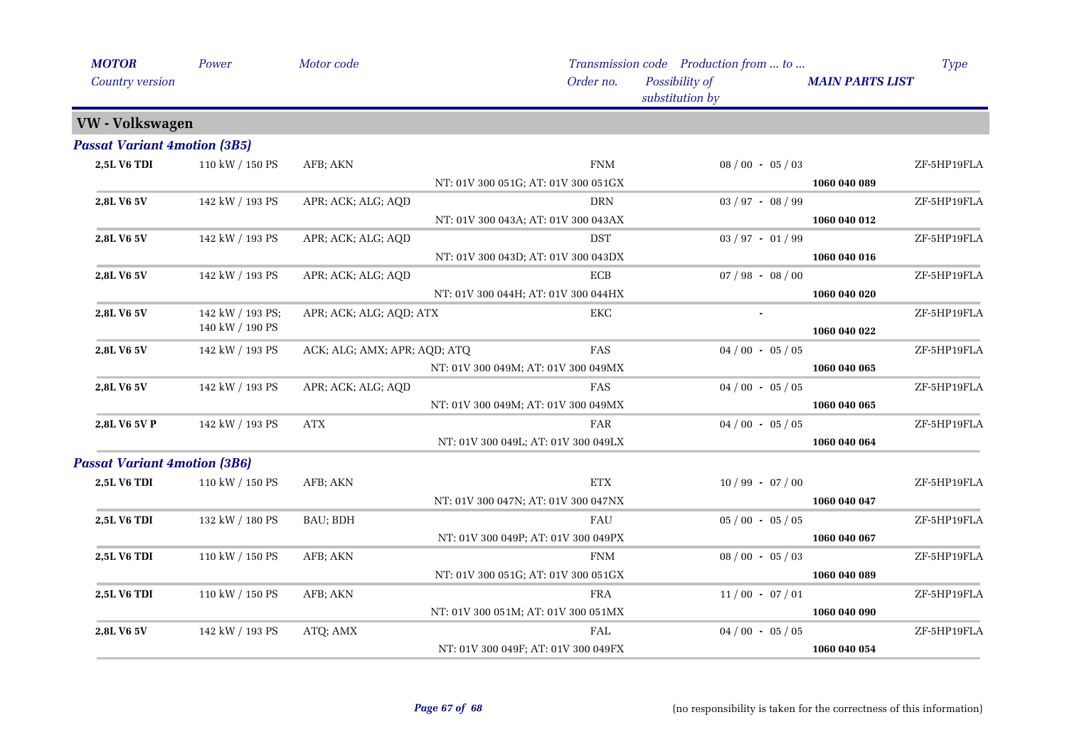| <b>MOTOR</b>                        | Power            | Motor code                   |                                     | Transmission code Production from  to | Type                   |
|-------------------------------------|------------------|------------------------------|-------------------------------------|---------------------------------------|------------------------|
| Country version                     |                  |                              | Order no.                           | Possibility of<br>substitution by     | <b>MAIN PARTS LIST</b> |
| VW - Volkswagen                     |                  |                              |                                     |                                       |                        |
| <b>Passat Variant 4motion (3B5)</b> |                  |                              |                                     |                                       |                        |
| 2,5L V6 TDI                         | 110 kW / 150 PS  | AFB; AKN                     | <b>FNM</b>                          | $08/00 - 05/03$                       | ZF-5HP19FLA            |
|                                     |                  |                              | NT: 01V 300 051G; AT: 01V 300 051GX |                                       | 1060 040 089           |
| 2,8L V6 5V                          | 142 kW / 193 PS  | APR; ACK; ALG; AQD           | <b>DRN</b>                          | $03 / 97 - 08 / 99$                   | ZF-5HP19FLA            |
|                                     |                  |                              | NT: 01V 300 043A; AT: 01V 300 043AX |                                       | 1060 040 012           |
| 2,8L V6 5V                          | 142 kW / 193 PS  | APR; ACK; ALG; AQD           | <b>DST</b>                          | $03 / 97 - 01 / 99$                   | ZF-5HP19FLA            |
|                                     |                  |                              | NT: 01V 300 043D; AT: 01V 300 043DX |                                       | 1060 040 016           |
| 2,8L V6 5V                          | 142 kW / 193 PS  | APR; ACK; ALG; AQD           | ECB                                 | $07/98 - 08/00$                       | ZF-5HP19FLA            |
|                                     |                  |                              | NT: 01V 300 044H; AT: 01V 300 044HX |                                       | 1060 040 020           |
| 2,8L V6 5V                          | 142 kW / 193 PS; | APR; ACK; ALG; AQD; ATX      | EKC                                 |                                       | ZF-5HP19FLA            |
|                                     | 140 kW / 190 PS  |                              |                                     |                                       | 1060 040 022           |
| 2,8L V6 5V                          | 142 kW / 193 PS  | ACK; ALG; AMX; APR; AQD; ATQ | FAS                                 | $04/00 - 05/05$                       | ZF-5HP19FLA            |
|                                     |                  |                              | NT: 01V 300 049M; AT: 01V 300 049MX |                                       | 1060 040 065           |
| 2,8L V6 5V                          | 142 kW / 193 PS  | APR; ACK; ALG; AQD           | FAS                                 | $04/00 - 05/05$                       | ZF-5HP19FLA            |
|                                     |                  |                              | NT: 01V 300 049M; AT: 01V 300 049MX |                                       | 1060 040 065           |
| 2,8L V6 5V P                        | 142 kW / 193 PS  | <b>ATX</b>                   | FAR                                 | $04/00 - 05/05$                       | ZF-5HP19FLA            |
|                                     |                  |                              | NT: 01V 300 049L; AT: 01V 300 049LX |                                       | 1060 040 064           |
| <b>Passat Variant 4motion (3B6)</b> |                  |                              |                                     |                                       |                        |
| 2,5L V6 TDI                         | 110 kW / 150 PS  | AFB; AKN                     | <b>ETX</b>                          | $10/99 - 07/00$                       | ZF-5HP19FLA            |
|                                     |                  |                              | NT: 01V 300 047N; AT: 01V 300 047NX |                                       | 1060 040 047           |
| 2,5L V6 TDI                         | 132 kW / 180 PS  | BAU; BDH                     | <b>FAU</b>                          | $05/00 - 05/05$                       | ZF-5HP19FLA            |
|                                     |                  |                              | NT: 01V 300 049P; AT: 01V 300 049PX |                                       | 1060 040 067           |
| <b>2,5L V6 TDI</b>                  | 110 kW / 150 PS  | AFB; AKN                     | <b>FNM</b>                          | $08/00 - 05/03$                       | ZF-5HP19FLA            |
|                                     |                  |                              | NT: 01V 300 051G; AT: 01V 300 051GX |                                       | 1060 040 089           |
| 2,5L V6 TDI                         | 110 kW / 150 PS  | AFB; AKN                     | <b>FRA</b>                          | $11/00 - 07/01$                       | ZF-5HP19FLA            |
|                                     |                  |                              | NT: 01V 300 051M; AT: 01V 300 051MX |                                       | 1060 040 090           |
| 2,8L V6 5V                          | 142 kW / 193 PS  | ATQ; AMX                     | <b>FAL</b>                          | $04/00 - 05/05$                       | ZF-5HP19FLA            |
|                                     |                  |                              | NT: 01V 300 049F; AT: 01V 300 049FX |                                       | 1060 040 054           |